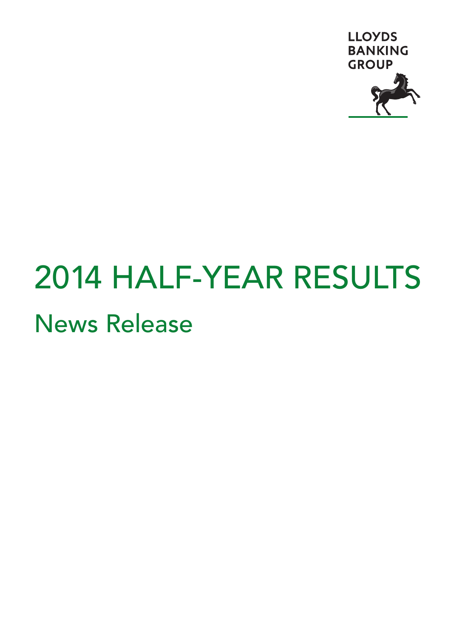

# 2014 HALF-YEAR RESULTS News Release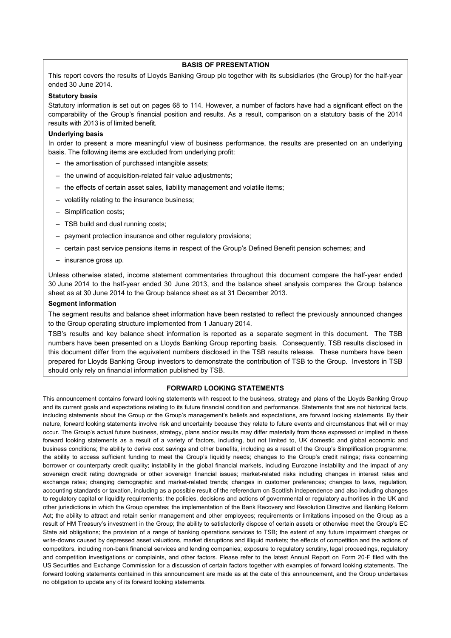# **BASIS OF PRESENTATION**

This report covers the results of Lloyds Banking Group plc together with its subsidiaries (the Group) for the half-year ended 30 June 2014.

# **Statutory basis**

Statutory information is set out on pages 68 to 114. However, a number of factors have had a significant effect on the comparability of the Group's financial position and results. As a result, comparison on a statutory basis of the 2014 results with 2013 is of limited benefit.

#### **Underlying basis**

In order to present a more meaningful view of business performance, the results are presented on an underlying basis. The following items are excluded from underlying profit:

- the amortisation of purchased intangible assets;
- the unwind of acquisition-related fair value adjustments;
- the effects of certain asset sales, liability management and volatile items;
- volatility relating to the insurance business;
- Simplification costs;
- TSB build and dual running costs;
- payment protection insurance and other regulatory provisions;
- certain past service pensions items in respect of the Group's Defined Benefit pension schemes; and
- insurance gross up.

Unless otherwise stated, income statement commentaries throughout this document compare the half-year ended 30 June 2014 to the half-year ended 30 June 2013, and the balance sheet analysis compares the Group balance sheet as at 30 June 2014 to the Group balance sheet as at 31 December 2013.

# **Segment information**

The segment results and balance sheet information have been restated to reflect the previously announced changes to the Group operating structure implemented from 1 January 2014.

TSB's results and key balance sheet information is reported as a separate segment in this document. The TSB numbers have been presented on a Lloyds Banking Group reporting basis. Consequently, TSB results disclosed in this document differ from the equivalent numbers disclosed in the TSB results release. These numbers have been prepared for Lloyds Banking Group investors to demonstrate the contribution of TSB to the Group. Investors in TSB should only rely on financial information published by TSB.

#### **FORWARD LOOKING STATEMENTS**

This announcement contains forward looking statements with respect to the business, strategy and plans of the Lloyds Banking Group and its current goals and expectations relating to its future financial condition and performance. Statements that are not historical facts, including statements about the Group or the Group's management's beliefs and expectations, are forward looking statements. By their nature, forward looking statements involve risk and uncertainty because they relate to future events and circumstances that will or may occur. The Group's actual future business, strategy, plans and/or results may differ materially from those expressed or implied in these forward looking statements as a result of a variety of factors, including, but not limited to, UK domestic and global economic and business conditions; the ability to derive cost savings and other benefits, including as a result of the Group's Simplification programme; the ability to access sufficient funding to meet the Group's liquidity needs; changes to the Group's credit ratings; risks concerning borrower or counterparty credit quality; instability in the global financial markets, including Eurozone instability and the impact of any sovereign credit rating downgrade or other sovereign financial issues; market-related risks including changes in interest rates and exchange rates; changing demographic and market-related trends; changes in customer preferences; changes to laws, regulation, accounting standards or taxation, including as a possible result of the referendum on Scottish independence and also including changes to regulatory capital or liquidity requirements; the policies, decisions and actions of governmental or regulatory authorities in the UK and other jurisdictions in which the Group operates; the implementation of the Bank Recovery and Resolution Directive and Banking Reform Act; the ability to attract and retain senior management and other employees; requirements or limitations imposed on the Group as a result of HM Treasury's investment in the Group; the ability to satisfactorily dispose of certain assets or otherwise meet the Group's EC State aid obligations; the provision of a range of banking operations services to TSB; the extent of any future impairment charges or write-downs caused by depressed asset valuations, market disruptions and illiquid markets; the effects of competition and the actions of competitors, including non-bank financial services and lending companies; exposure to regulatory scrutiny, legal proceedings, regulatory and competition investigations or complaints, and other factors. Please refer to the latest Annual Report on Form 20-F filed with the US Securities and Exchange Commission for a discussion of certain factors together with examples of forward looking statements. The forward looking statements contained in this announcement are made as at the date of this announcement, and the Group undertakes no obligation to update any of its forward looking statements.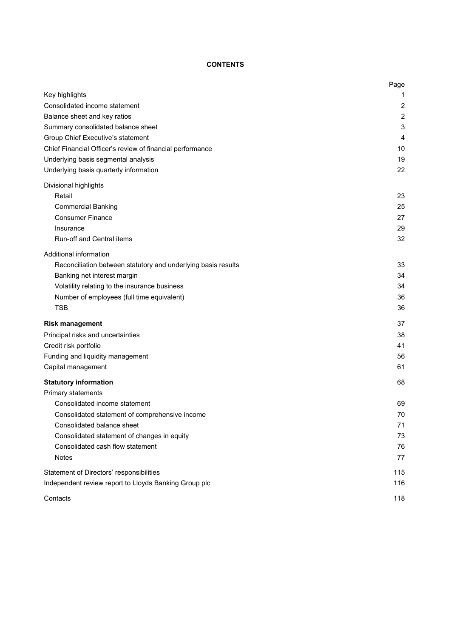# **CONTENTS**

|                                                               | Page           |
|---------------------------------------------------------------|----------------|
| Key highlights                                                | 1              |
| Consolidated income statement                                 | $\overline{2}$ |
| Balance sheet and key ratios                                  | $\overline{2}$ |
| Summary consolidated balance sheet                            | 3              |
| Group Chief Executive's statement                             | 4              |
| Chief Financial Officer's review of financial performance     | 10             |
| Underlying basis segmental analysis                           | 19             |
| Underlying basis quarterly information                        | 22             |
| Divisional highlights                                         |                |
| Retail                                                        | 23             |
| <b>Commercial Banking</b>                                     | 25             |
| <b>Consumer Finance</b>                                       | 27             |
| Insurance                                                     | 29             |
| Run-off and Central items                                     | 32             |
| Additional information                                        |                |
| Reconciliation between statutory and underlying basis results | 33             |
| Banking net interest margin                                   | 34             |
| Volatility relating to the insurance business                 | 34             |
| Number of employees (full time equivalent)                    | 36             |
| <b>TSB</b>                                                    | 36             |
| <b>Risk management</b>                                        | 37             |
| Principal risks and uncertainties                             | 38             |
| Credit risk portfolio                                         | 41             |
| Funding and liquidity management                              | 56             |
| Capital management                                            | 61             |
| <b>Statutory information</b>                                  | 68             |
| Primary statements                                            |                |
| Consolidated income statement                                 | 69             |
| Consolidated statement of comprehensive income                | 70             |
| Consolidated balance sheet                                    | 71             |
| Consolidated statement of changes in equity                   | 73             |
| Consolidated cash flow statement                              | 76             |
| <b>Notes</b>                                                  | 77             |
| Statement of Directors' responsibilities                      | 115            |
| Independent review report to Lloyds Banking Group plc         | 116            |
| Contacts                                                      | 118            |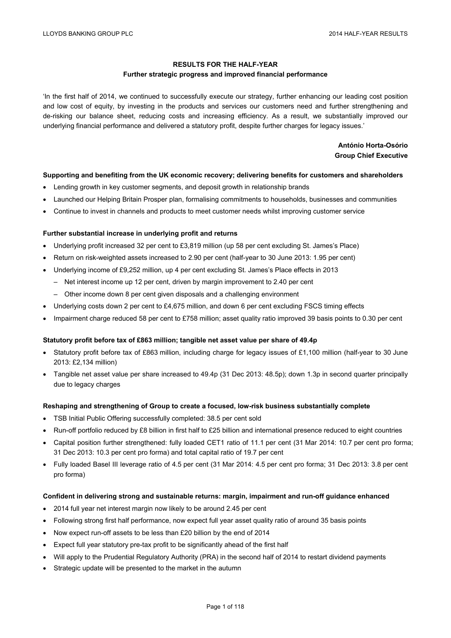# **RESULTS FOR THE HALF-YEAR**

# **Further strategic progress and improved financial performance**

'In the first half of 2014, we continued to successfully execute our strategy, further enhancing our leading cost position and low cost of equity, by investing in the products and services our customers need and further strengthening and de-risking our balance sheet, reducing costs and increasing efficiency. As a result, we substantially improved our underlying financial performance and delivered a statutory profit, despite further charges for legacy issues.'

# **António Horta-Osório Group Chief Executive**

# **Supporting and benefiting from the UK economic recovery; delivering benefits for customers and shareholders**

- Lending growth in key customer segments, and deposit growth in relationship brands
- Launched our Helping Britain Prosper plan, formalising commitments to households, businesses and communities
- Continue to invest in channels and products to meet customer needs whilst improving customer service

# **Further substantial increase in underlying profit and returns**

- Underlying profit increased 32 per cent to £3,819 million (up 58 per cent excluding St. James's Place)
- Return on risk-weighted assets increased to 2.90 per cent (half-year to 30 June 2013: 1.95 per cent)
- Underlying income of £9,252 million, up 4 per cent excluding St. James's Place effects in 2013
	- Net interest income up 12 per cent, driven by margin improvement to 2.40 per cent
	- Other income down 8 per cent given disposals and a challenging environment
- Underlying costs down 2 per cent to £4,675 million, and down 6 per cent excluding FSCS timing effects
- Impairment charge reduced 58 per cent to £758 million; asset quality ratio improved 39 basis points to 0.30 per cent

# **Statutory profit before tax of £863 million; tangible net asset value per share of 49.4p**

- Statutory profit before tax of £863 million, including charge for legacy issues of £1,100 million (half-year to 30 June 2013: £2,134 million)
- Tangible net asset value per share increased to 49.4p (31 Dec 2013: 48.5p); down 1.3p in second quarter principally due to legacy charges

# **Reshaping and strengthening of Group to create a focused, low-risk business substantially complete**

- TSB Initial Public Offering successfully completed: 38.5 per cent sold
- Run-off portfolio reduced by £8 billion in first half to £25 billion and international presence reduced to eight countries
- Capital position further strengthened: fully loaded CET1 ratio of 11.1 per cent (31 Mar 2014: 10.7 per cent pro forma; 31 Dec 2013: 10.3 per cent pro forma) and total capital ratio of 19.7 per cent
- Fully loaded Basel III leverage ratio of 4.5 per cent (31 Mar 2014: 4.5 per cent pro forma; 31 Dec 2013: 3.8 per cent pro forma)

# **Confident in delivering strong and sustainable returns: margin, impairment and run-off guidance enhanced**

- 2014 full year net interest margin now likely to be around 2.45 per cent
- Following strong first half performance, now expect full year asset quality ratio of around 35 basis points
- Now expect run-off assets to be less than £20 billion by the end of 2014
- Expect full year statutory pre-tax profit to be significantly ahead of the first half
- Will apply to the Prudential Regulatory Authority (PRA) in the second half of 2014 to restart dividend payments
- Strategic update will be presented to the market in the autumn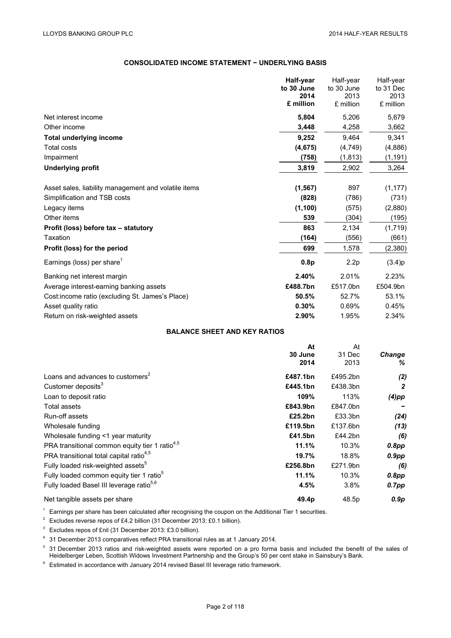# **CONSOLIDATED INCOME STATEMENT − UNDERLYING BASIS**

|                                                      | Half-year  | Half-year  | Half-year |
|------------------------------------------------------|------------|------------|-----------|
|                                                      | to 30 June | to 30 June | to 31 Dec |
|                                                      | 2014       | 2013       | 2013      |
|                                                      | £ million  | £ million  | £ million |
| Net interest income                                  | 5,804      | 5,206      | 5,679     |
| Other income                                         | 3,448      | 4,258      | 3,662     |
| <b>Total underlying income</b>                       | 9,252      | 9,464      | 9,341     |
| <b>Total costs</b>                                   | (4, 675)   | (4, 749)   | (4,886)   |
| Impairment                                           | (758)      | (1, 813)   | (1, 191)  |
| <b>Underlying profit</b>                             | 3,819      | 2,902      | 3,264     |
|                                                      |            |            |           |
| Asset sales, liability management and volatile items | (1, 567)   | 897        | (1, 177)  |
| Simplification and TSB costs                         | (828)      | (786)      | (731)     |
| Legacy items                                         | (1, 100)   | (575)      | (2,880)   |
| Other items                                          | 539        | (304)      | (195)     |
| Profit (loss) before tax - statutory                 | 863        | 2,134      | (1,719)   |
| Taxation                                             | (164)      | (556)      | (661)     |
| Profit (loss) for the period                         | 699        | 1,578      | (2,380)   |
| Earnings (loss) per share <sup>1</sup>               | 0.8p       | 2.2p       | (3.4)p    |
| Banking net interest margin                          | 2.40%      | 2.01%      | 2.23%     |
| Average interest-earning banking assets              | £488.7bn   | £517.0bn   | £504.9bn  |
| Cost: income ratio (excluding St. James's Place)     | 50.5%      | 52.7%      | 53.1%     |
| Asset quality ratio                                  | 0.30%      | 0.69%      | 0.45%     |
| Return on risk-weighted assets                       | 2.90%      | 1.95%      | 2.34%     |

#### **BALANCE SHEET AND KEY RATIOS**

|                                                            | At       | At       |               |
|------------------------------------------------------------|----------|----------|---------------|
|                                                            | 30 June  | 31 Dec   | <b>Change</b> |
|                                                            | 2014     | 2013     | ℅             |
| Loans and advances to customers <sup>2</sup>               | £487.1bn | £495.2bn | (2)           |
| Customer deposits <sup>3</sup>                             | £445.1bn | £438.3bn | $\mathbf{2}$  |
| Loan to deposit ratio                                      | 109%     | 113%     | $(4)$ pp      |
| Total assets                                               | £843.9bn | £847.0bn |               |
| Run-off assets                                             | £25.2bn  | £33.3bn  | (24)          |
| Wholesale funding                                          | £119.5bn | £137.6bn | (13)          |
| Wholesale funding <1 year maturity                         | £41.5bn  | £44.2bn  | (6)           |
| PRA transitional common equity tier 1 ratio <sup>4,5</sup> | 11.1%    | 10.3%    | 0.8pp         |
| PRA transitional total capital ratio <sup>4,5</sup>        | 19.7%    | 18.8%    | $0.9$ pp      |
| Fully loaded risk-weighted assets <sup>5</sup>             | £256.8bn | £271.9bn | (6)           |
| Fully loaded common equity tier 1 ratio <sup>5</sup>       | 11.1%    | 10.3%    | 0.8pp         |
| Fully loaded Basel III leverage ratio <sup>5,6</sup>       | 4.5%     | 3.8%     | $0.7$ pp      |
| Net tangible assets per share                              | 49.4p    | 48.5p    | 0.9p          |

<sup>1</sup> Earnings per share has been calculated after recognising the coupon on the Additional Tier 1 securities.

<sup>2</sup> Excludes reverse repos of £4.2 billion (31 December 2013: £0.1 billion).

<sup>3</sup> Excludes repos of £nil (31 December 2013: £3.0 billion).

<sup>4</sup> 31 December 2013 comparatives reflect PRA transitional rules as at 1 January 2014.

<sup>5</sup> 31 December 2013 ratios and risk-weighted assets were reported on a pro forma basis and included the benefit of the sales of Heidelberger Leben, Scottish Widows Investment Partnership and the Group's 50 per cent stake in Sainsbury's Bank.

<sup>6</sup> Estimated in accordance with January 2014 revised Basel III leverage ratio framework.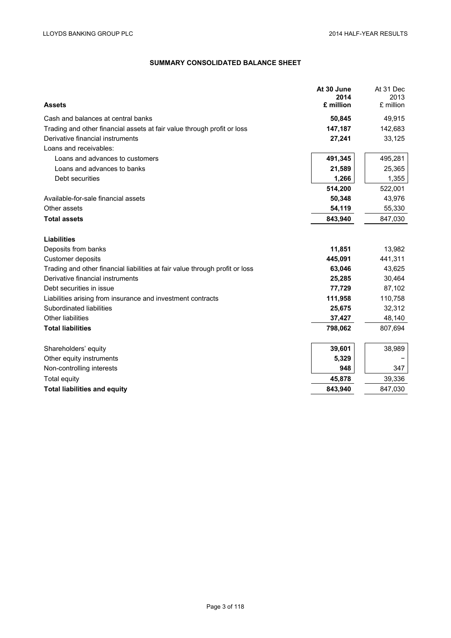# **SUMMARY CONSOLIDATED BALANCE SHEET**

|                                                                              | At 30 June        | At 31 Dec         |
|------------------------------------------------------------------------------|-------------------|-------------------|
| <b>Assets</b>                                                                | 2014<br>£ million | 2013<br>£ million |
|                                                                              |                   |                   |
| Cash and balances at central banks                                           | 50,845            | 49,915            |
| Trading and other financial assets at fair value through profit or loss      | 147,187           | 142,683           |
| Derivative financial instruments                                             | 27,241            | 33,125            |
| Loans and receivables:                                                       |                   |                   |
| Loans and advances to customers                                              | 491,345           | 495,281           |
| Loans and advances to banks                                                  | 21,589            | 25,365            |
| Debt securities                                                              | 1,266             | 1,355             |
|                                                                              | 514,200           | 522,001           |
| Available-for-sale financial assets                                          | 50,348            | 43,976            |
| Other assets                                                                 | 54,119            | 55,330            |
| <b>Total assets</b>                                                          | 843,940           | 847,030           |
|                                                                              |                   |                   |
| <b>Liabilities</b>                                                           |                   |                   |
| Deposits from banks                                                          | 11,851            | 13,982            |
| Customer deposits                                                            | 445,091           | 441,311           |
| Trading and other financial liabilities at fair value through profit or loss | 63,046            | 43,625            |
| Derivative financial instruments                                             | 25,285            | 30,464            |
| Debt securities in issue                                                     | 77,729            | 87,102            |
| Liabilities arising from insurance and investment contracts                  | 111,958           | 110,758           |
| Subordinated liabilities                                                     | 25,675            | 32,312            |
| <b>Other liabilities</b>                                                     | 37,427            | 48,140            |
| <b>Total liabilities</b>                                                     | 798,062           | 807,694           |
|                                                                              |                   |                   |
| Shareholders' equity                                                         | 39,601            | 38,989            |
| Other equity instruments                                                     | 5,329             |                   |
| Non-controlling interests                                                    | 948               | 347               |
| Total equity                                                                 | 45,878            | 39,336            |
| <b>Total liabilities and equity</b>                                          | 843,940           | 847,030           |
|                                                                              |                   |                   |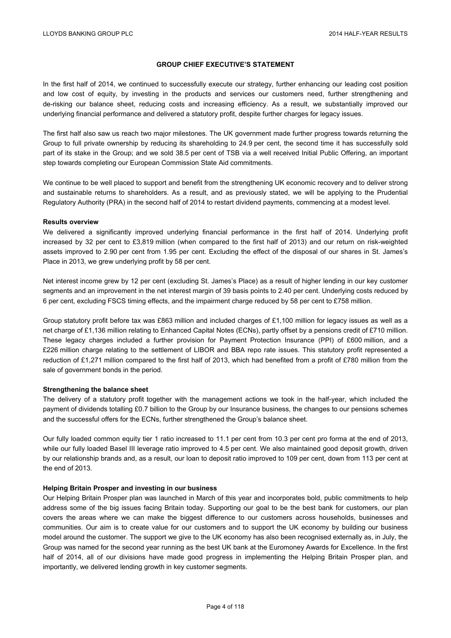# **GROUP CHIEF EXECUTIVE'S STATEMENT**

In the first half of 2014, we continued to successfully execute our strategy, further enhancing our leading cost position and low cost of equity, by investing in the products and services our customers need, further strengthening and de-risking our balance sheet, reducing costs and increasing efficiency. As a result, we substantially improved our underlying financial performance and delivered a statutory profit, despite further charges for legacy issues.

The first half also saw us reach two major milestones. The UK government made further progress towards returning the Group to full private ownership by reducing its shareholding to 24.9 per cent, the second time it has successfully sold part of its stake in the Group; and we sold 38.5 per cent of TSB via a well received Initial Public Offering, an important step towards completing our European Commission State Aid commitments.

We continue to be well placed to support and benefit from the strengthening UK economic recovery and to deliver strong and sustainable returns to shareholders. As a result, and as previously stated, we will be applying to the Prudential Regulatory Authority (PRA) in the second half of 2014 to restart dividend payments, commencing at a modest level.

#### **Results overview**

We delivered a significantly improved underlying financial performance in the first half of 2014. Underlying profit increased by 32 per cent to £3,819 million (when compared to the first half of 2013) and our return on risk-weighted assets improved to 2.90 per cent from 1.95 per cent. Excluding the effect of the disposal of our shares in St. James's Place in 2013, we grew underlying profit by 58 per cent.

Net interest income grew by 12 per cent (excluding St. James's Place) as a result of higher lending in our key customer segments and an improvement in the net interest margin of 39 basis points to 2.40 per cent. Underlying costs reduced by 6 per cent, excluding FSCS timing effects, and the impairment charge reduced by 58 per cent to £758 million.

Group statutory profit before tax was £863 million and included charges of £1,100 million for legacy issues as well as a net charge of £1,136 million relating to Enhanced Capital Notes (ECNs), partly offset by a pensions credit of £710 million. These legacy charges included a further provision for Payment Protection Insurance (PPI) of £600 million, and a £226 million charge relating to the settlement of LIBOR and BBA repo rate issues. This statutory profit represented a reduction of £1,271 million compared to the first half of 2013, which had benefited from a profit of £780 million from the sale of government bonds in the period.

# **Strengthening the balance sheet**

The delivery of a statutory profit together with the management actions we took in the half-year, which included the payment of dividends totalling £0.7 billion to the Group by our Insurance business, the changes to our pensions schemes and the successful offers for the ECNs, further strengthened the Group's balance sheet.

Our fully loaded common equity tier 1 ratio increased to 11.1 per cent from 10.3 per cent pro forma at the end of 2013, while our fully loaded Basel III leverage ratio improved to 4.5 per cent. We also maintained good deposit growth, driven by our relationship brands and, as a result, our loan to deposit ratio improved to 109 per cent, down from 113 per cent at the end of 2013.

# **Helping Britain Prosper and investing in our business**

Our Helping Britain Prosper plan was launched in March of this year and incorporates bold, public commitments to help address some of the big issues facing Britain today. Supporting our goal to be the best bank for customers, our plan covers the areas where we can make the biggest difference to our customers across households, businesses and communities. Our aim is to create value for our customers and to support the UK economy by building our business model around the customer. The support we give to the UK economy has also been recognised externally as, in July, the Group was named for the second year running as the best UK bank at the Euromoney Awards for Excellence. In the first half of 2014, all of our divisions have made good progress in implementing the Helping Britain Prosper plan, and importantly, we delivered lending growth in key customer segments.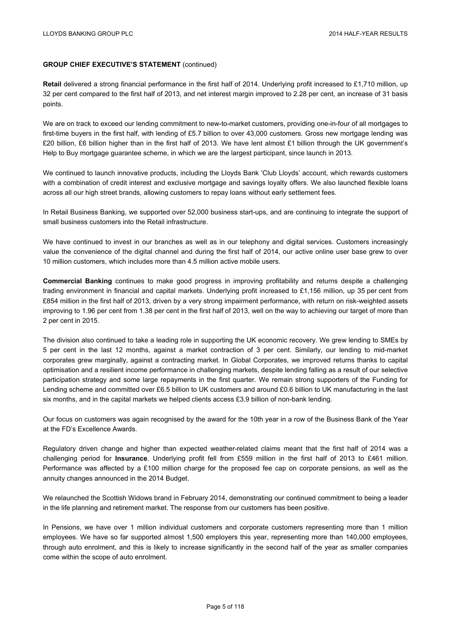**Retail** delivered a strong financial performance in the first half of 2014. Underlying profit increased to £1,710 million, up 32 per cent compared to the first half of 2013, and net interest margin improved to 2.28 per cent, an increase of 31 basis points.

We are on track to exceed our lending commitment to new-to-market customers, providing one-in-four of all mortgages to first-time buyers in the first half, with lending of £5.7 billion to over 43,000 customers. Gross new mortgage lending was £20 billion, £6 billion higher than in the first half of 2013. We have lent almost £1 billion through the UK government's Help to Buy mortgage guarantee scheme, in which we are the largest participant, since launch in 2013.

We continued to launch innovative products, including the Lloyds Bank 'Club Lloyds' account, which rewards customers with a combination of credit interest and exclusive mortgage and savings loyalty offers. We also launched flexible loans across all our high street brands, allowing customers to repay loans without early settlement fees.

In Retail Business Banking, we supported over 52,000 business start-ups, and are continuing to integrate the support of small business customers into the Retail infrastructure.

We have continued to invest in our branches as well as in our telephony and digital services. Customers increasingly value the convenience of the digital channel and during the first half of 2014, our active online user base grew to over 10 million customers, which includes more than 4.5 million active mobile users.

**Commercial Banking** continues to make good progress in improving profitability and returns despite a challenging trading environment in financial and capital markets. Underlying profit increased to £1,156 million, up 35 per cent from £854 million in the first half of 2013, driven by a very strong impairment performance, with return on risk-weighted assets improving to 1.96 per cent from 1.38 per cent in the first half of 2013, well on the way to achieving our target of more than 2 per cent in 2015.

The division also continued to take a leading role in supporting the UK economic recovery. We grew lending to SMEs by 5 per cent in the last 12 months, against a market contraction of 3 per cent. Similarly, our lending to mid-market corporates grew marginally, against a contracting market. In Global Corporates, we improved returns thanks to capital optimisation and a resilient income performance in challenging markets, despite lending falling as a result of our selective participation strategy and some large repayments in the first quarter. We remain strong supporters of the Funding for Lending scheme and committed over £6.5 billion to UK customers and around £0.6 billion to UK manufacturing in the last six months, and in the capital markets we helped clients access £3.9 billion of non-bank lending.

Our focus on customers was again recognised by the award for the 10th year in a row of the Business Bank of the Year at the FD's Excellence Awards.

Regulatory driven change and higher than expected weather-related claims meant that the first half of 2014 was a challenging period for **Insurance**. Underlying profit fell from £559 million in the first half of 2013 to £461 million. Performance was affected by a £100 million charge for the proposed fee cap on corporate pensions, as well as the annuity changes announced in the 2014 Budget.

We relaunched the Scottish Widows brand in February 2014, demonstrating our continued commitment to being a leader in the life planning and retirement market. The response from our customers has been positive.

In Pensions, we have over 1 million individual customers and corporate customers representing more than 1 million employees. We have so far supported almost 1,500 employers this year, representing more than 140,000 employees, through auto enrolment, and this is likely to increase significantly in the second half of the year as smaller companies come within the scope of auto enrolment.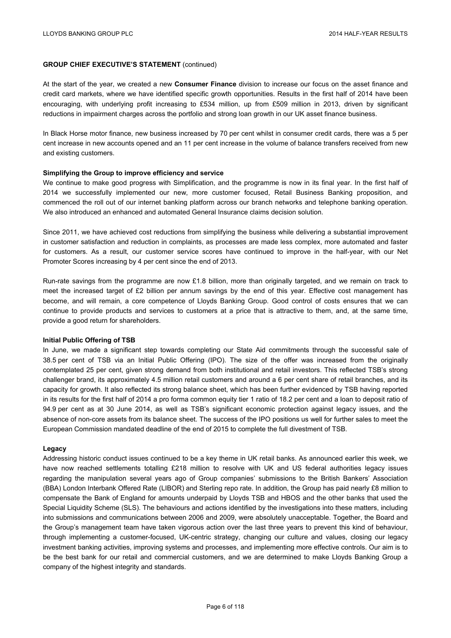At the start of the year, we created a new **Consumer Finance** division to increase our focus on the asset finance and credit card markets, where we have identified specific growth opportunities. Results in the first half of 2014 have been encouraging, with underlying profit increasing to £534 million, up from £509 million in 2013, driven by significant reductions in impairment charges across the portfolio and strong loan growth in our UK asset finance business.

In Black Horse motor finance, new business increased by 70 per cent whilst in consumer credit cards, there was a 5 per cent increase in new accounts opened and an 11 per cent increase in the volume of balance transfers received from new and existing customers.

# **Simplifying the Group to improve efficiency and service**

We continue to make good progress with Simplification, and the programme is now in its final year. In the first half of 2014 we successfully implemented our new, more customer focused, Retail Business Banking proposition, and commenced the roll out of our internet banking platform across our branch networks and telephone banking operation. We also introduced an enhanced and automated General Insurance claims decision solution.

Since 2011, we have achieved cost reductions from simplifying the business while delivering a substantial improvement in customer satisfaction and reduction in complaints, as processes are made less complex, more automated and faster for customers. As a result, our customer service scores have continued to improve in the half-year, with our Net Promoter Scores increasing by 4 per cent since the end of 2013.

Run-rate savings from the programme are now £1.8 billion, more than originally targeted, and we remain on track to meet the increased target of £2 billion per annum savings by the end of this year. Effective cost management has become, and will remain, a core competence of Lloyds Banking Group. Good control of costs ensures that we can continue to provide products and services to customers at a price that is attractive to them, and, at the same time, provide a good return for shareholders.

# **Initial Public Offering of TSB**

In June, we made a significant step towards completing our State Aid commitments through the successful sale of 38.5 per cent of TSB via an Initial Public Offering (IPO). The size of the offer was increased from the originally contemplated 25 per cent, given strong demand from both institutional and retail investors. This reflected TSB's strong challenger brand, its approximately 4.5 million retail customers and around a 6 per cent share of retail branches, and its capacity for growth. It also reflected its strong balance sheet, which has been further evidenced by TSB having reported in its results for the first half of 2014 a pro forma common equity tier 1 ratio of 18.2 per cent and a loan to deposit ratio of 94.9 per cent as at 30 June 2014, as well as TSB's significant economic protection against legacy issues, and the absence of non-core assets from its balance sheet. The success of the IPO positions us well for further sales to meet the European Commission mandated deadline of the end of 2015 to complete the full divestment of TSB.

#### **Legacy**

Addressing historic conduct issues continued to be a key theme in UK retail banks. As announced earlier this week, we have now reached settlements totalling £218 million to resolve with UK and US federal authorities legacy issues regarding the manipulation several years ago of Group companies' submissions to the British Bankers' Association (BBA) London Interbank Offered Rate (LIBOR) and Sterling repo rate. In addition, the Group has paid nearly £8 million to compensate the Bank of England for amounts underpaid by Lloyds TSB and HBOS and the other banks that used the Special Liquidity Scheme (SLS). The behaviours and actions identified by the investigations into these matters, including into submissions and communications between 2006 and 2009, were absolutely unacceptable. Together, the Board and the Group's management team have taken vigorous action over the last three years to prevent this kind of behaviour, through implementing a customer-focused, UK-centric strategy, changing our culture and values, closing our legacy investment banking activities, improving systems and processes, and implementing more effective controls. Our aim is to be the best bank for our retail and commercial customers, and we are determined to make Lloyds Banking Group a company of the highest integrity and standards.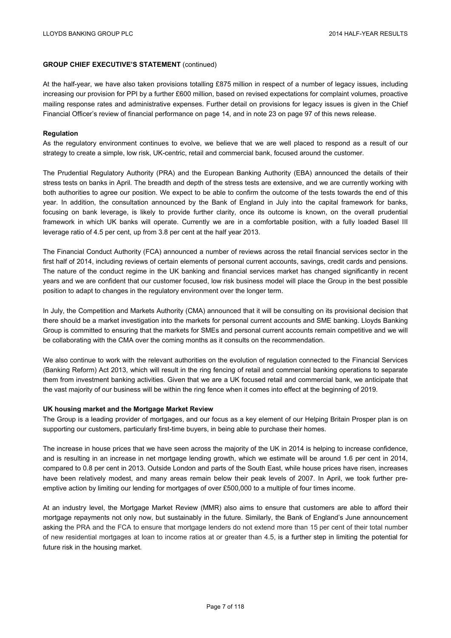At the half-year, we have also taken provisions totalling £875 million in respect of a number of legacy issues, including increasing our provision for PPI by a further £600 million, based on revised expectations for complaint volumes, proactive mailing response rates and administrative expenses. Further detail on provisions for legacy issues is given in the Chief Financial Officer's review of financial performance on page 14, and in note 23 on page 97 of this news release.

# **Regulation**

As the regulatory environment continues to evolve, we believe that we are well placed to respond as a result of our strategy to create a simple, low risk, UK-centric, retail and commercial bank, focused around the customer.

The Prudential Regulatory Authority (PRA) and the European Banking Authority (EBA) announced the details of their stress tests on banks in April. The breadth and depth of the stress tests are extensive, and we are currently working with both authorities to agree our position. We expect to be able to confirm the outcome of the tests towards the end of this year. In addition, the consultation announced by the Bank of England in July into the capital framework for banks, focusing on bank leverage, is likely to provide further clarity, once its outcome is known, on the overall prudential framework in which UK banks will operate. Currently we are in a comfortable position, with a fully loaded Basel III leverage ratio of 4.5 per cent, up from 3.8 per cent at the half year 2013.

The Financial Conduct Authority (FCA) announced a number of reviews across the retail financial services sector in the first half of 2014, including reviews of certain elements of personal current accounts, savings, credit cards and pensions. The nature of the conduct regime in the UK banking and financial services market has changed significantly in recent years and we are confident that our customer focused, low risk business model will place the Group in the best possible position to adapt to changes in the regulatory environment over the longer term.

In July, the Competition and Markets Authority (CMA) announced that it will be consulting on its provisional decision that there should be a market investigation into the markets for personal current accounts and SME banking. Lloyds Banking Group is committed to ensuring that the markets for SMEs and personal current accounts remain competitive and we will be collaborating with the CMA over the coming months as it consults on the recommendation.

We also continue to work with the relevant authorities on the evolution of regulation connected to the Financial Services (Banking Reform) Act 2013, which will result in the ring fencing of retail and commercial banking operations to separate them from investment banking activities. Given that we are a UK focused retail and commercial bank, we anticipate that the vast majority of our business will be within the ring fence when it comes into effect at the beginning of 2019.

# **UK housing market and the Mortgage Market Review**

The Group is a leading provider of mortgages, and our focus as a key element of our Helping Britain Prosper plan is on supporting our customers, particularly first-time buyers, in being able to purchase their homes.

The increase in house prices that we have seen across the majority of the UK in 2014 is helping to increase confidence, and is resulting in an increase in net mortgage lending growth, which we estimate will be around 1.6 per cent in 2014, compared to 0.8 per cent in 2013. Outside London and parts of the South East, while house prices have risen, increases have been relatively modest, and many areas remain below their peak levels of 2007. In April, we took further preemptive action by limiting our lending for mortgages of over £500,000 to a multiple of four times income.

At an industry level, the Mortgage Market Review (MMR) also aims to ensure that customers are able to afford their mortgage repayments not only now, but sustainably in the future. Similarly, the Bank of England's June announcement asking the PRA and the FCA to ensure that mortgage lenders do not extend more than 15 per cent of their total number of new residential mortgages at loan to income ratios at or greater than 4.5, is a further step in limiting the potential for future risk in the housing market.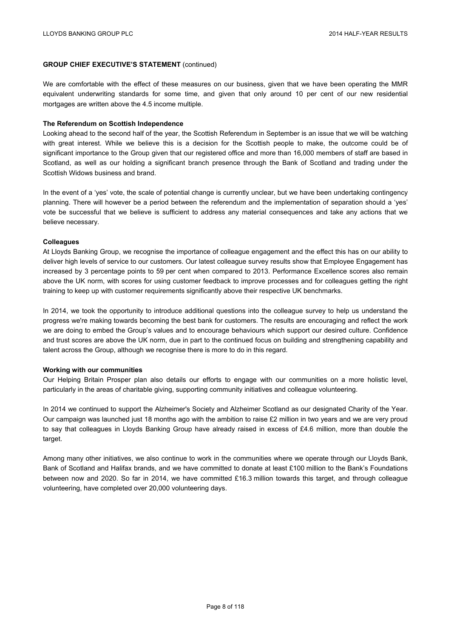We are comfortable with the effect of these measures on our business, given that we have been operating the MMR equivalent underwriting standards for some time, and given that only around 10 per cent of our new residential mortgages are written above the 4.5 income multiple.

#### **The Referendum on Scottish Independence**

Looking ahead to the second half of the year, the Scottish Referendum in September is an issue that we will be watching with great interest. While we believe this is a decision for the Scottish people to make, the outcome could be of significant importance to the Group given that our registered office and more than 16,000 members of staff are based in Scotland, as well as our holding a significant branch presence through the Bank of Scotland and trading under the Scottish Widows business and brand.

In the event of a 'yes' vote, the scale of potential change is currently unclear, but we have been undertaking contingency planning. There will however be a period between the referendum and the implementation of separation should a 'yes' vote be successful that we believe is sufficient to address any material consequences and take any actions that we believe necessary.

#### **Colleagues**

At Lloyds Banking Group, we recognise the importance of colleague engagement and the effect this has on our ability to deliver high levels of service to our customers. Our latest colleague survey results show that Employee Engagement has increased by 3 percentage points to 59 per cent when compared to 2013. Performance Excellence scores also remain above the UK norm, with scores for using customer feedback to improve processes and for colleagues getting the right training to keep up with customer requirements significantly above their respective UK benchmarks.

In 2014, we took the opportunity to introduce additional questions into the colleague survey to help us understand the progress we're making towards becoming the best bank for customers. The results are encouraging and reflect the work we are doing to embed the Group's values and to encourage behaviours which support our desired culture. Confidence and trust scores are above the UK norm, due in part to the continued focus on building and strengthening capability and talent across the Group, although we recognise there is more to do in this regard.

#### **Working with our communities**

Our Helping Britain Prosper plan also details our efforts to engage with our communities on a more holistic level, particularly in the areas of charitable giving, supporting community initiatives and colleague volunteering.

In 2014 we continued to support the Alzheimer's Society and Alzheimer Scotland as our designated Charity of the Year. Our campaign was launched just 18 months ago with the ambition to raise £2 million in two years and we are very proud to say that colleagues in Lloyds Banking Group have already raised in excess of £4.6 million, more than double the target.

Among many other initiatives, we also continue to work in the communities where we operate through our Lloyds Bank, Bank of Scotland and Halifax brands, and we have committed to donate at least £100 million to the Bank's Foundations between now and 2020. So far in 2014, we have committed £16.3 million towards this target, and through colleague volunteering, have completed over 20,000 volunteering days.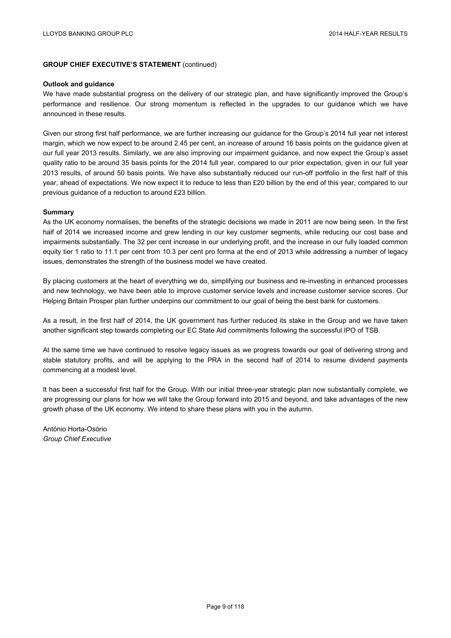#### **Outlook and guidance**

We have made substantial progress on the delivery of our strategic plan, and have significantly improved the Group's performance and resilience. Our strong momentum is reflected in the upgrades to our guidance which we have announced in these results.

Given our strong first half performance, we are further increasing our guidance for the Group's 2014 full year net interest margin, which we now expect to be around 2.45 per cent, an increase of around 16 basis points on the guidance given at our full year 2013 results. Similarly, we are also improving our impairment guidance, and now expect the Group's asset quality ratio to be around 35 basis points for the 2014 full year, compared to our prior expectation, given in our full year 2013 results, of around 50 basis points. We have also substantially reduced our run-off portfolio in the first half of this year, ahead of expectations. We now expect it to reduce to less than £20 billion by the end of this year, compared to our previous guidance of a reduction to around £23 billion.

# **Summary**

As the UK economy normalises, the benefits of the strategic decisions we made in 2011 are now being seen. In the first half of 2014 we increased income and grew lending in our key customer segments, while reducing our cost base and impairments substantially. The 32 per cent increase in our underlying profit, and the increase in our fully loaded common equity tier 1 ratio to 11.1 per cent from 10.3 per cent pro forma at the end of 2013 while addressing a number of legacy issues, demonstrates the strength of the business model we have created.

By placing customers at the heart of everything we do, simplifying our business and re-investing in enhanced processes and new technology, we have been able to improve customer service levels and increase customer service scores. Our Helping Britain Prosper plan further underpins our commitment to our goal of being the best bank for customers.

As a result, in the first half of 2014, the UK government has further reduced its stake in the Group and we have taken another significant step towards completing our EC State Aid commitments following the successful IPO of TSB.

At the same time we have continued to resolve legacy issues as we progress towards our goal of delivering strong and stable statutory profits, and will be applying to the PRA in the second half of 2014 to resume dividend payments commencing at a modest level.

It has been a successful first half for the Group. With our initial three-year strategic plan now substantially complete, we are progressing our plans for how we will take the Group forward into 2015 and beyond, and take advantages of the new growth phase of the UK economy. We intend to share these plans with you in the autumn.

António Horta-Osório *Group Chief Executive*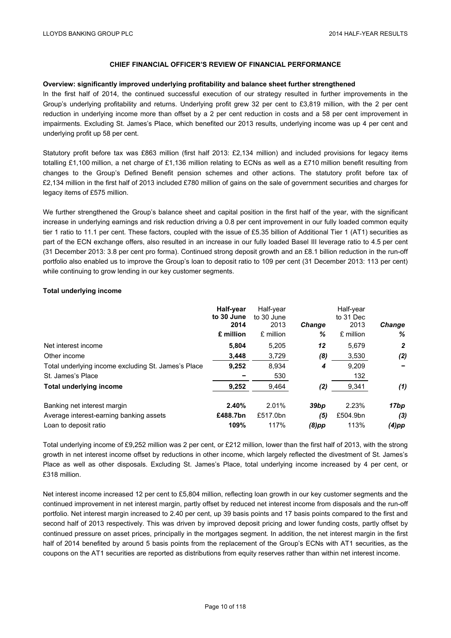#### **Overview: significantly improved underlying profitability and balance sheet further strengthened**

In the first half of 2014, the continued successful execution of our strategy resulted in further improvements in the Group's underlying profitability and returns. Underlying profit grew 32 per cent to £3,819 million, with the 2 per cent reduction in underlying income more than offset by a 2 per cent reduction in costs and a 58 per cent improvement in impairments. Excluding St. James's Place, which benefited our 2013 results, underlying income was up 4 per cent and underlying profit up 58 per cent.

Statutory profit before tax was £863 million (first half 2013: £2,134 million) and included provisions for legacy items totalling £1,100 million, a net charge of £1,136 million relating to ECNs as well as a £710 million benefit resulting from changes to the Group's Defined Benefit pension schemes and other actions. The statutory profit before tax of £2,134 million in the first half of 2013 included £780 million of gains on the sale of government securities and charges for legacy items of £575 million.

We further strengthened the Group's balance sheet and capital position in the first half of the year, with the significant increase in underlying earnings and risk reduction driving a 0.8 per cent improvement in our fully loaded common equity tier 1 ratio to 11.1 per cent. These factors, coupled with the issue of £5.35 billion of Additional Tier 1 (AT1) securities as part of the ECN exchange offers, also resulted in an increase in our fully loaded Basel III leverage ratio to 4.5 per cent (31 December 2013: 3.8 per cent pro forma). Continued strong deposit growth and an £8.1 billion reduction in the run-off portfolio also enabled us to improve the Group's loan to deposit ratio to 109 per cent (31 December 2013: 113 per cent) while continuing to grow lending in our key customer segments.

# **Total underlying income**

|                                                     | Half-year<br>to 30 June | Half-year<br>to 30 June |               | Half-year<br>to 31 Dec |               |  |
|-----------------------------------------------------|-------------------------|-------------------------|---------------|------------------------|---------------|--|
|                                                     | 2014                    | 2013                    | <b>Change</b> | 2013                   | <b>Change</b> |  |
|                                                     | £ million               | £ million               | ℅             | £ million              | ℅             |  |
| Net interest income                                 | 5,804                   | 5,205                   | 12            | 5,679                  | 2             |  |
| Other income                                        | 3,448                   | 3,729                   | (8)           | 3,530                  | (2)           |  |
| Total underlying income excluding St. James's Place | 9,252                   | 8.934                   | 4             | 9.209                  |               |  |
| St. James's Place                                   |                         | 530                     |               | 132                    |               |  |
| <b>Total underlying income</b>                      | 9,252                   | 9,464                   | (2)           | 9,341                  | (1)           |  |
| Banking net interest margin                         | 2.40%                   | 2.01%                   | 39bp          | 2.23%                  | 17bp          |  |
| Average interest-earning banking assets             | £488.7bn                | £517.0bn                | (5)           | £504.9bn               | (3)           |  |
| Loan to deposit ratio                               | 109%                    | 117%                    | (8)pp         | 113%                   | (4)pp         |  |

Total underlying income of £9,252 million was 2 per cent, or £212 million, lower than the first half of 2013, with the strong growth in net interest income offset by reductions in other income, which largely reflected the divestment of St. James's Place as well as other disposals. Excluding St. James's Place, total underlying income increased by 4 per cent, or £318 million.

Net interest income increased 12 per cent to £5,804 million, reflecting loan growth in our key customer segments and the continued improvement in net interest margin, partly offset by reduced net interest income from disposals and the run-off portfolio. Net interest margin increased to 2.40 per cent, up 39 basis points and 17 basis points compared to the first and second half of 2013 respectively. This was driven by improved deposit pricing and lower funding costs, partly offset by continued pressure on asset prices, principally in the mortgages segment. In addition, the net interest margin in the first half of 2014 benefited by around 5 basis points from the replacement of the Group's ECNs with AT1 securities, as the coupons on the AT1 securities are reported as distributions from equity reserves rather than within net interest income.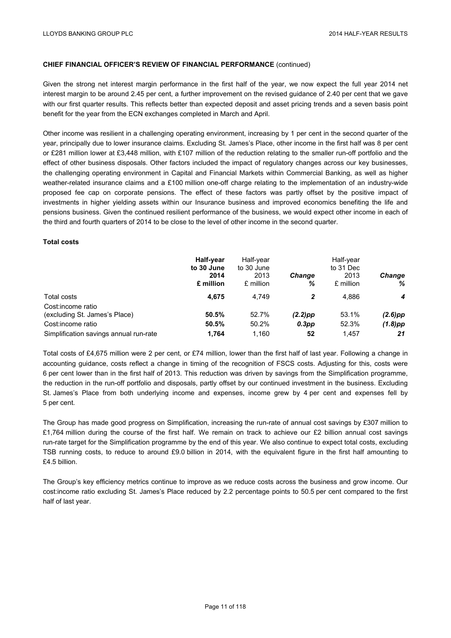Given the strong net interest margin performance in the first half of the year, we now expect the full year 2014 net interest margin to be around 2.45 per cent, a further improvement on the revised guidance of 2.40 per cent that we gave with our first quarter results. This reflects better than expected deposit and asset pricing trends and a seven basis point benefit for the year from the ECN exchanges completed in March and April.

Other income was resilient in a challenging operating environment, increasing by 1 per cent in the second quarter of the year, principally due to lower insurance claims. Excluding St. James's Place, other income in the first half was 8 per cent or £281 million lower at £3,448 million, with £107 million of the reduction relating to the smaller run-off portfolio and the effect of other business disposals. Other factors included the impact of regulatory changes across our key businesses, the challenging operating environment in Capital and Financial Markets within Commercial Banking, as well as higher weather-related insurance claims and a £100 million one-off charge relating to the implementation of an industry-wide proposed fee cap on corporate pensions. The effect of these factors was partly offset by the positive impact of investments in higher yielding assets within our Insurance business and improved economics benefiting the life and pensions business. Given the continued resilient performance of the business, we would expect other income in each of the third and fourth quarters of 2014 to be close to the level of other income in the second quarter.

# **Total costs**

|                                                                         | Half-year<br>to 30 June<br>2014<br>£ million | Half-year<br>to 30 June<br>2013<br>£ million | <b>Change</b><br>%     | Half-year<br>to 31 Dec<br>2013<br>£ million | <b>Change</b><br>℅       |
|-------------------------------------------------------------------------|----------------------------------------------|----------------------------------------------|------------------------|---------------------------------------------|--------------------------|
| Total costs                                                             | 4,675                                        | 4.749                                        | 2                      | 4.886                                       | 4                        |
| Cost:income ratio<br>(excluding St. James's Place)<br>Cost:income ratio | 50.5%<br>50.5%                               | 52.7%<br>50.2%                               | $(2.2)$ pp<br>$0.3$ pp | 53.1%<br>52.3%                              | $(2.6)$ pp<br>$(1.8)$ pp |
| Simplification savings annual run-rate                                  | 1.764                                        | 1.160                                        | 52                     | 1.457                                       | 21                       |

Total costs of £4,675 million were 2 per cent, or £74 million, lower than the first half of last year. Following a change in accounting guidance, costs reflect a change in timing of the recognition of FSCS costs. Adjusting for this, costs were 6 per cent lower than in the first half of 2013. This reduction was driven by savings from the Simplification programme, the reduction in the run-off portfolio and disposals, partly offset by our continued investment in the business. Excluding St. James's Place from both underlying income and expenses, income grew by 4 per cent and expenses fell by 5 per cent.

The Group has made good progress on Simplification, increasing the run-rate of annual cost savings by £307 million to £1,764 million during the course of the first half. We remain on track to achieve our £2 billion annual cost savings run-rate target for the Simplification programme by the end of this year. We also continue to expect total costs, excluding TSB running costs, to reduce to around £9.0 billion in 2014, with the equivalent figure in the first half amounting to £4.5 billion.

The Group's key efficiency metrics continue to improve as we reduce costs across the business and grow income. Our cost:income ratio excluding St. James's Place reduced by 2.2 percentage points to 50.5 per cent compared to the first half of last year.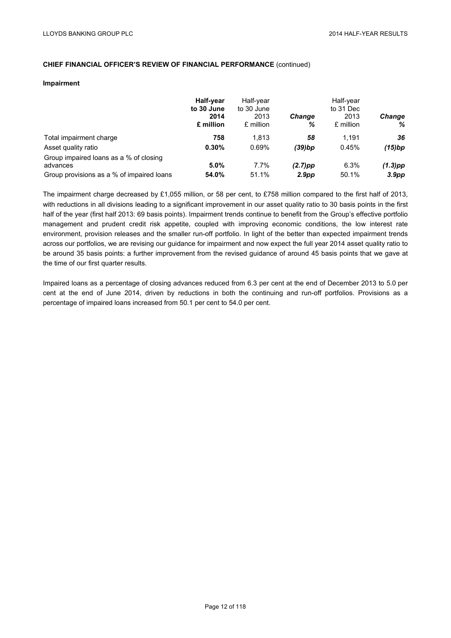#### **Impairment**

|                                                    | Half-year<br>to 30 June<br>2014<br>£ million | Half-year<br>to 30 June<br>2013<br>£ million | <b>Change</b><br>% | Half-year<br>to 31 Dec<br>2013<br>£ million | <b>Change</b><br>℅ |
|----------------------------------------------------|----------------------------------------------|----------------------------------------------|--------------------|---------------------------------------------|--------------------|
| Total impairment charge                            | 758                                          | 1.813                                        | 58                 | 1.191                                       | 36                 |
| Asset quality ratio                                | 0.30%                                        | 0.69%                                        | $(39)$ bp          | 0.45%                                       | (15)bp             |
| Group impaired loans as a % of closing<br>advances | 5.0%                                         | $7.7\%$                                      | $(2.7)$ pp         | 6.3%                                        | $(1.3)$ pp         |
| Group provisions as a % of impaired loans          | 54.0%                                        | 51.1%                                        | 2.9 <sub>pp</sub>  | 50.1%                                       | 3.9 <sub>pp</sub>  |

The impairment charge decreased by £1,055 million, or 58 per cent, to £758 million compared to the first half of 2013, with reductions in all divisions leading to a significant improvement in our asset quality ratio to 30 basis points in the first half of the year (first half 2013: 69 basis points). Impairment trends continue to benefit from the Group's effective portfolio management and prudent credit risk appetite, coupled with improving economic conditions, the low interest rate environment, provision releases and the smaller run-off portfolio. In light of the better than expected impairment trends across our portfolios, we are revising our guidance for impairment and now expect the full year 2014 asset quality ratio to be around 35 basis points: a further improvement from the revised guidance of around 45 basis points that we gave at the time of our first quarter results.

Impaired loans as a percentage of closing advances reduced from 6.3 per cent at the end of December 2013 to 5.0 per cent at the end of June 2014, driven by reductions in both the continuing and run-off portfolios. Provisions as a percentage of impaired loans increased from 50.1 per cent to 54.0 per cent.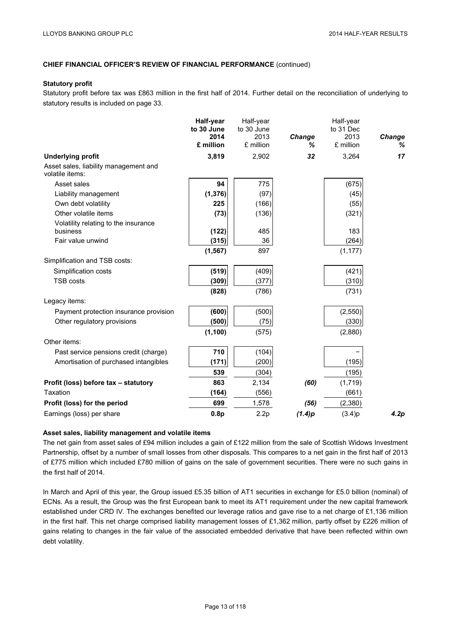#### **Statutory profit**

Statutory profit before tax was £863 million in the first half of 2014. Further detail on the reconciliation of underlying to statutory results is included on page 33.

|                                                          | Half-year<br>to 30 June | Half-year<br>to 30 June |             | Half-year<br>to 31 Dec |             |
|----------------------------------------------------------|-------------------------|-------------------------|-------------|------------------------|-------------|
|                                                          | 2014<br>£ million       | 2013<br>£ million       | Change<br>℅ | 2013<br>£ million      | Change<br>℅ |
| <b>Underlying profit</b>                                 | 3,819                   | 2,902                   | 32          | 3,264                  | 17          |
| Asset sales, liability management and<br>volatile items: |                         |                         |             |                        |             |
| Asset sales                                              | 94                      | 775                     |             | (675)                  |             |
| Liability management                                     | (1, 376)                | (97)                    |             | (45)                   |             |
| Own debt volatility                                      | 225                     | (166)                   |             | (55)                   |             |
| Other volatile items                                     | (73)                    | (136)                   |             | (321)                  |             |
| Volatility relating to the insurance                     |                         |                         |             |                        |             |
| business                                                 | (122)                   | 485                     |             | 183                    |             |
| Fair value unwind                                        | (315)                   | 36                      |             | (264)                  |             |
|                                                          | (1, 567)                | 897                     |             | (1, 177)               |             |
| Simplification and TSB costs:                            |                         |                         |             |                        |             |
| Simplification costs                                     | (519)                   | (409)                   |             | (421)                  |             |
| <b>TSB costs</b>                                         | (309)                   | (377)                   |             | (310)                  |             |
|                                                          | (828)                   | (786)                   |             | (731)                  |             |
| Legacy items:                                            |                         |                         |             |                        |             |
| Payment protection insurance provision                   | (600)                   | (500)                   |             | (2, 550)               |             |
| Other regulatory provisions                              | (500)                   | (75)                    |             | (330)                  |             |
|                                                          | (1, 100)                | (575)                   |             | (2,880)                |             |
| Other items:                                             |                         |                         |             |                        |             |
| Past service pensions credit (charge)                    | 710                     | (104)                   |             |                        |             |
| Amortisation of purchased intangibles                    | (171)                   | (200)                   |             | (195)                  |             |
|                                                          | 539                     | (304)                   |             | (195)                  |             |
| Profit (loss) before tax - statutory                     | 863                     | 2,134                   | (60)        | (1,719)                |             |
| Taxation                                                 | (164)                   | (556)                   |             | (661)                  |             |
| Profit (loss) for the period                             | 699                     | 1,578                   | (56)        | (2,380)                |             |
| Earnings (loss) per share                                | 0.8 <sub>p</sub>        | 2.2p                    | (1.4)p      | (3.4)p                 | 4.2p        |

# **Asset sales, liability management and volatile items**

The net gain from asset sales of £94 million includes a gain of £122 million from the sale of Scottish Widows Investment Partnership, offset by a number of small losses from other disposals. This compares to a net gain in the first half of 2013 of £775 million which included £780 million of gains on the sale of government securities. There were no such gains in the first half of 2014.

In March and April of this year, the Group issued £5.35 billion of AT1 securities in exchange for £5.0 billion (nominal) of ECNs. As a result, the Group was the first European bank to meet its AT1 requirement under the new capital framework established under CRD IV. The exchanges benefited our leverage ratios and gave rise to a net charge of £1,136 million in the first half. This net charge comprised liability management losses of £1,362 million, partly offset by £226 million of gains relating to changes in the fair value of the associated embedded derivative that have been reflected within own debt volatility.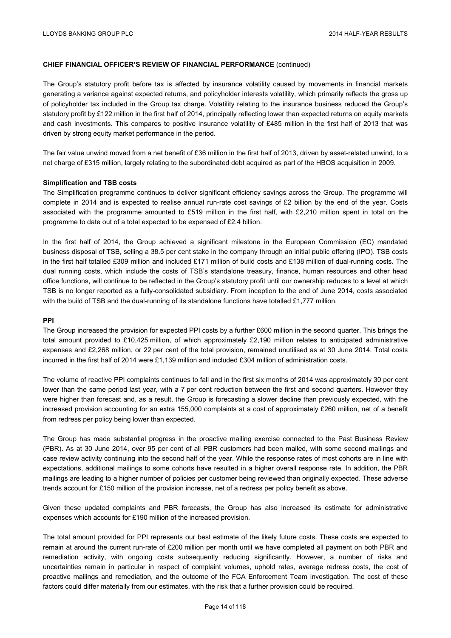The Group's statutory profit before tax is affected by insurance volatility caused by movements in financial markets generating a variance against expected returns, and policyholder interests volatility, which primarily reflects the gross up of policyholder tax included in the Group tax charge. Volatility relating to the insurance business reduced the Group's statutory profit by £122 million in the first half of 2014, principally reflecting lower than expected returns on equity markets and cash investments. This compares to positive insurance volatility of £485 million in the first half of 2013 that was driven by strong equity market performance in the period.

The fair value unwind moved from a net benefit of £36 million in the first half of 2013, driven by asset-related unwind, to a net charge of £315 million, largely relating to the subordinated debt acquired as part of the HBOS acquisition in 2009.

#### **Simplification and TSB costs**

The Simplification programme continues to deliver significant efficiency savings across the Group. The programme will complete in 2014 and is expected to realise annual run-rate cost savings of £2 billion by the end of the year. Costs associated with the programme amounted to £519 million in the first half, with £2,210 million spent in total on the programme to date out of a total expected to be expensed of £2.4 billion.

In the first half of 2014, the Group achieved a significant milestone in the European Commission (EC) mandated business disposal of TSB, selling a 38.5 per cent stake in the company through an initial public offering (IPO). TSB costs in the first half totalled £309 million and included £171 million of build costs and £138 million of dual-running costs. The dual running costs, which include the costs of TSB's standalone treasury, finance, human resources and other head office functions, will continue to be reflected in the Group's statutory profit until our ownership reduces to a level at which TSB is no longer reported as a fully-consolidated subsidiary. From inception to the end of June 2014, costs associated with the build of TSB and the dual-running of its standalone functions have totalled £1,777 million.

#### **PPI**

The Group increased the provision for expected PPI costs by a further £600 million in the second quarter. This brings the total amount provided to £10,425 million, of which approximately £2,190 million relates to anticipated administrative expenses and £2,268 million, or 22 per cent of the total provision, remained unutilised as at 30 June 2014. Total costs incurred in the first half of 2014 were £1,139 million and included £304 million of administration costs.

The volume of reactive PPI complaints continues to fall and in the first six months of 2014 was approximately 30 per cent lower than the same period last year, with a 7 per cent reduction between the first and second quarters. However they were higher than forecast and, as a result, the Group is forecasting a slower decline than previously expected, with the increased provision accounting for an extra 155,000 complaints at a cost of approximately £260 million, net of a benefit from redress per policy being lower than expected.

The Group has made substantial progress in the proactive mailing exercise connected to the Past Business Review (PBR). As at 30 June 2014, over 95 per cent of all PBR customers had been mailed, with some second mailings and case review activity continuing into the second half of the year. While the response rates of most cohorts are in line with expectations, additional mailings to some cohorts have resulted in a higher overall response rate. In addition, the PBR mailings are leading to a higher number of policies per customer being reviewed than originally expected. These adverse trends account for £150 million of the provision increase, net of a redress per policy benefit as above.

Given these updated complaints and PBR forecasts, the Group has also increased its estimate for administrative expenses which accounts for £190 million of the increased provision.

The total amount provided for PPI represents our best estimate of the likely future costs. These costs are expected to remain at around the current run-rate of £200 million per month until we have completed all payment on both PBR and remediation activity, with ongoing costs subsequently reducing significantly. However, a number of risks and uncertainties remain in particular in respect of complaint volumes, uphold rates, average redress costs, the cost of proactive mailings and remediation, and the outcome of the FCA Enforcement Team investigation. The cost of these factors could differ materially from our estimates, with the risk that a further provision could be required.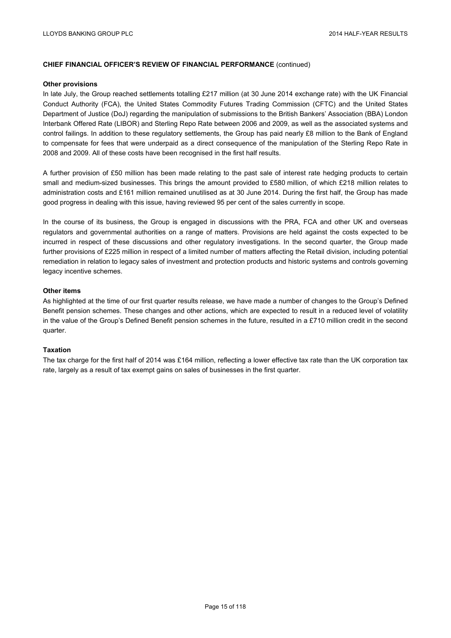#### **Other provisions**

In late July, the Group reached settlements totalling £217 million (at 30 June 2014 exchange rate) with the UK Financial Conduct Authority (FCA), the United States Commodity Futures Trading Commission (CFTC) and the United States Department of Justice (DoJ) regarding the manipulation of submissions to the British Bankers' Association (BBA) London Interbank Offered Rate (LIBOR) and Sterling Repo Rate between 2006 and 2009, as well as the associated systems and control failings. In addition to these regulatory settlements, the Group has paid nearly £8 million to the Bank of England to compensate for fees that were underpaid as a direct consequence of the manipulation of the Sterling Repo Rate in 2008 and 2009. All of these costs have been recognised in the first half results.

A further provision of £50 million has been made relating to the past sale of interest rate hedging products to certain small and medium-sized businesses. This brings the amount provided to £580 million, of which £218 million relates to administration costs and £161 million remained unutilised as at 30 June 2014. During the first half, the Group has made good progress in dealing with this issue, having reviewed 95 per cent of the sales currently in scope.

In the course of its business, the Group is engaged in discussions with the PRA, FCA and other UK and overseas regulators and governmental authorities on a range of matters. Provisions are held against the costs expected to be incurred in respect of these discussions and other regulatory investigations. In the second quarter, the Group made further provisions of £225 million in respect of a limited number of matters affecting the Retail division, including potential remediation in relation to legacy sales of investment and protection products and historic systems and controls governing legacy incentive schemes.

#### **Other items**

As highlighted at the time of our first quarter results release, we have made a number of changes to the Group's Defined Benefit pension schemes. These changes and other actions, which are expected to result in a reduced level of volatility in the value of the Group's Defined Benefit pension schemes in the future, resulted in a £710 million credit in the second quarter.

# **Taxation**

The tax charge for the first half of 2014 was £164 million, reflecting a lower effective tax rate than the UK corporation tax rate, largely as a result of tax exempt gains on sales of businesses in the first quarter.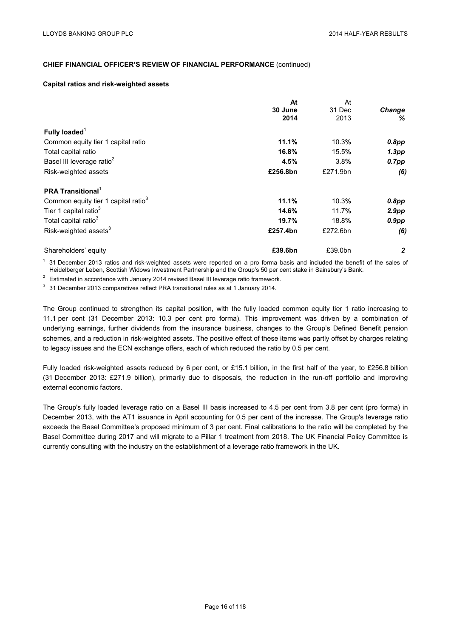#### **Capital ratios and risk-weighted assets**

|                                                 | At       | At       |                |
|-------------------------------------------------|----------|----------|----------------|
|                                                 | 30 June  | 31 Dec   | Change         |
|                                                 | 2014     | 2013     | ℅              |
| Fully loaded $1$                                |          |          |                |
| Common equity tier 1 capital ratio              | 11.1%    | 10.3%    | 0.8pp          |
| Total capital ratio                             | 16.8%    | 15.5%    | 1.3pp          |
| Basel III leverage ratio <sup>2</sup>           | 4.5%     | 3.8%     | $0.7$ pp       |
| Risk-weighted assets                            | £256.8bn | £271.9bn | (6)            |
| <b>PRA Transitional</b>                         |          |          |                |
| Common equity tier 1 capital ratio <sup>3</sup> | 11.1%    | 10.3%    | 0.8pp          |
| Tier 1 capital ratio <sup>3</sup>               | 14.6%    | 11.7%    | 2.9pp          |
| Total capital ratio <sup>3</sup>                | 19.7%    | 18.8%    | $0.9$ pp       |
| Risk-weighted assets <sup>3</sup>               | £257.4bn | £272.6bn | (6)            |
| Shareholders' equity                            | £39.6bn  | £39.0bn  | $\overline{2}$ |

 $<sup>1</sup>$  31 December 2013 ratios and risk-weighted assets were reported on a pro forma basis and included the benefit of the sales of</sup> Heidelberger Leben, Scottish Widows Investment Partnership and the Group's 50 per cent stake in Sainsbury's Bank.

 $2^{2}$  Estimated in accordance with January 2014 revised Basel III leverage ratio framework.

 $3\overline{3}$  31 December 2013 comparatives reflect PRA transitional rules as at 1 January 2014.

The Group continued to strengthen its capital position, with the fully loaded common equity tier 1 ratio increasing to 11.1 per cent (31 December 2013: 10.3 per cent pro forma). This improvement was driven by a combination of underlying earnings, further dividends from the insurance business, changes to the Group's Defined Benefit pension schemes, and a reduction in risk-weighted assets. The positive effect of these items was partly offset by charges relating to legacy issues and the ECN exchange offers, each of which reduced the ratio by 0.5 per cent.

Fully loaded risk-weighted assets reduced by 6 per cent, or £15.1 billion, in the first half of the year, to £256.8 billion (31 December 2013: £271.9 billion), primarily due to disposals, the reduction in the run-off portfolio and improving external economic factors.

The Group's fully loaded leverage ratio on a Basel III basis increased to 4.5 per cent from 3.8 per cent (pro forma) in December 2013, with the AT1 issuance in April accounting for 0.5 per cent of the increase. The Group's leverage ratio exceeds the Basel Committee's proposed minimum of 3 per cent. Final calibrations to the ratio will be completed by the Basel Committee during 2017 and will migrate to a Pillar 1 treatment from 2018. The UK Financial Policy Committee is currently consulting with the industry on the establishment of a leverage ratio framework in the UK.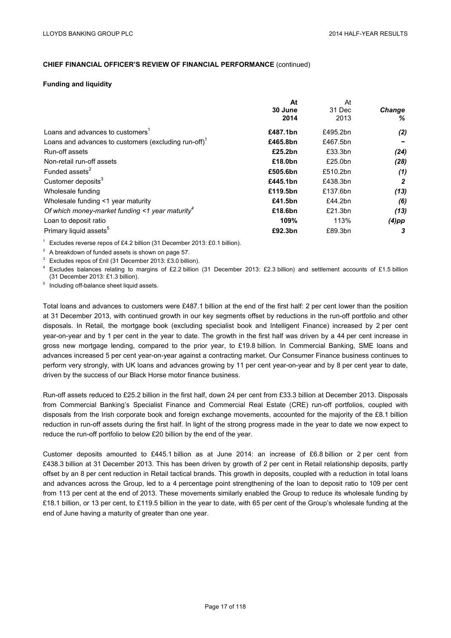#### **Funding and liquidity**

|                                                                   | At       | At       |               |
|-------------------------------------------------------------------|----------|----------|---------------|
|                                                                   | 30 June  | 31 Dec   | <b>Change</b> |
|                                                                   | 2014     | 2013     | ℅             |
| Loans and advances to customers <sup>1</sup>                      | £487.1bn | £495.2bn | (2)           |
| Loans and advances to customers (excluding run-off) <sup>1</sup>  | £465.8bn | £467.5bn |               |
| Run-off assets                                                    | £25.2bn  | £33.3bn  | (24)          |
| Non-retail run-off assets                                         | £18.0bn  | £25.0bn  | (28)          |
| Funded assets <sup>2</sup>                                        | £505.6bn | £510.2bn | (1)           |
| Customer deposits <sup>3</sup>                                    | £445.1bn | £438.3bn | $\mathbf{2}$  |
| Wholesale funding                                                 | £119.5bn | £137.6bn | (13)          |
| Wholesale funding <1 year maturity                                | £41.5bn  | £44.2bn  | (6)           |
| Of which money-market funding $\leq$ 1 year maturity <sup>4</sup> | £18.6bn  | £21.3bn  | (13)          |
| Loan to deposit ratio                                             | 109%     | 113%     | $(4)$ pp      |
| Primary liquid assets <sup>5</sup>                                | £92.3bn  | £89.3bn  | 3             |

<sup>1</sup> Excludes reverse repos of £4.2 billion (31 December 2013: £0.1 billion).

<sup>2</sup> A breakdown of funded assets is shown on page 57.<br><sup>3</sup> Excludes repos of £nil (31 December 2013: £3.0 billion).<br><sup>4</sup> Excludes balances relating to margins of £2.2 billion (31 December 2013: £2.3 billion) and settlement (31 December 2013: £1.3 billion).

<sup>5</sup> Including off-balance sheet liquid assets.

Total loans and advances to customers were £487.1 billion at the end of the first half: 2 per cent lower than the position at 31 December 2013, with continued growth in our key segments offset by reductions in the run-off portfolio and other disposals. In Retail, the mortgage book (excluding specialist book and Intelligent Finance) increased by 2 per cent year-on-year and by 1 per cent in the year to date. The growth in the first half was driven by a 44 per cent increase in gross new mortgage lending, compared to the prior year, to £19.8 billion. In Commercial Banking, SME loans and advances increased 5 per cent year-on-year against a contracting market. Our Consumer Finance business continues to perform very strongly, with UK loans and advances growing by 11 per cent year-on-year and by 8 per cent year to date, driven by the success of our Black Horse motor finance business.

Run-off assets reduced to £25.2 billion in the first half, down 24 per cent from £33.3 billion at December 2013. Disposals from Commercial Banking's Specialist Finance and Commercial Real Estate (CRE) run-off portfolios, coupled with disposals from the Irish corporate book and foreign exchange movements, accounted for the majority of the £8.1 billion reduction in run-off assets during the first half. In light of the strong progress made in the year to date we now expect to reduce the run-off portfolio to below £20 billion by the end of the year.

Customer deposits amounted to £445.1 billion as at June 2014: an increase of £6.8 billion or 2 per cent from £438.3 billion at 31 December 2013. This has been driven by growth of 2 per cent in Retail relationship deposits, partly offset by an 8 per cent reduction in Retail tactical brands. This growth in deposits, coupled with a reduction in total loans and advances across the Group, led to a 4 percentage point strengthening of the loan to deposit ratio to 109 per cent from 113 per cent at the end of 2013. These movements similarly enabled the Group to reduce its wholesale funding by £18.1 billion, or 13 per cent, to £119.5 billion in the year to date, with 65 per cent of the Group's wholesale funding at the end of June having a maturity of greater than one year.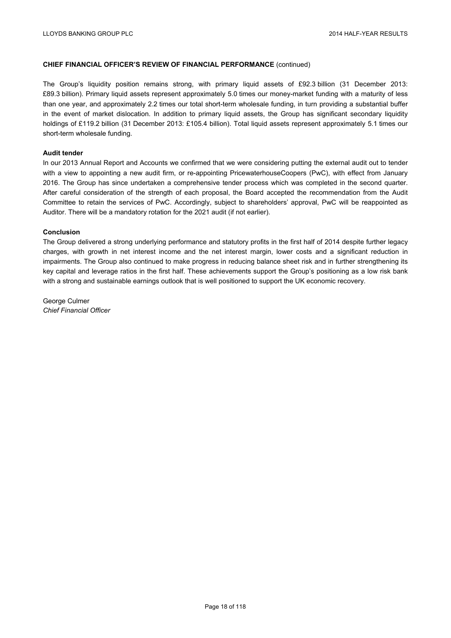The Group's liquidity position remains strong, with primary liquid assets of £92.3 billion (31 December 2013: £89.3 billion). Primary liquid assets represent approximately 5.0 times our money-market funding with a maturity of less than one year, and approximately 2.2 times our total short-term wholesale funding, in turn providing a substantial buffer in the event of market dislocation. In addition to primary liquid assets, the Group has significant secondary liquidity holdings of £119.2 billion (31 December 2013: £105.4 billion). Total liquid assets represent approximately 5.1 times our short-term wholesale funding.

# **Audit tender**

In our 2013 Annual Report and Accounts we confirmed that we were considering putting the external audit out to tender with a view to appointing a new audit firm, or re-appointing PricewaterhouseCoopers (PwC), with effect from January 2016. The Group has since undertaken a comprehensive tender process which was completed in the second quarter. After careful consideration of the strength of each proposal, the Board accepted the recommendation from the Audit Committee to retain the services of PwC. Accordingly, subject to shareholders' approval, PwC will be reappointed as Auditor. There will be a mandatory rotation for the 2021 audit (if not earlier).

#### **Conclusion**

The Group delivered a strong underlying performance and statutory profits in the first half of 2014 despite further legacy charges, with growth in net interest income and the net interest margin, lower costs and a significant reduction in impairments. The Group also continued to make progress in reducing balance sheet risk and in further strengthening its key capital and leverage ratios in the first half. These achievements support the Group's positioning as a low risk bank with a strong and sustainable earnings outlook that is well positioned to support the UK economic recovery.

George Culmer *Chief Financial Officer*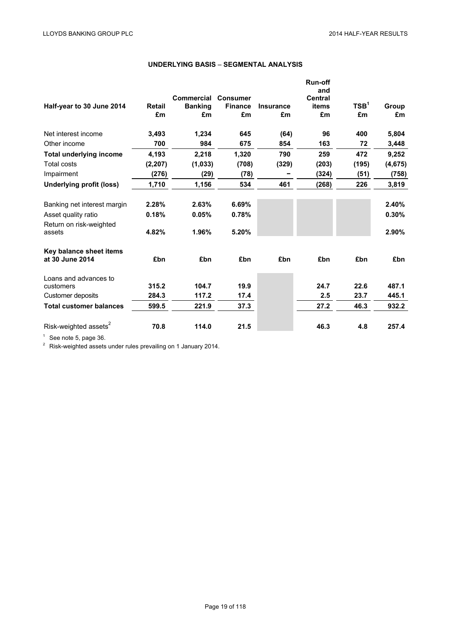|                                            |          | Commercial     | <b>Consumer</b> |                  | <b>Run-off</b><br>and<br><b>Central</b> |                  |          |
|--------------------------------------------|----------|----------------|-----------------|------------------|-----------------------------------------|------------------|----------|
| Half-year to 30 June 2014                  | Retail   | <b>Banking</b> | <b>Finance</b>  | <b>Insurance</b> | items                                   | TSB <sup>1</sup> | Group    |
|                                            | £m       | £m             | £m              | £m               | £m                                      | £m               | £m       |
| Net interest income                        | 3,493    | 1,234          | 645             | (64)             | 96                                      | 400              | 5,804    |
| Other income                               | 700      | 984            | 675             | 854              | 163                                     | 72               | 3,448    |
| <b>Total underlying income</b>             | 4,193    | 2,218          | 1,320           | 790              | 259                                     | 472              | 9,252    |
| Total costs                                | (2, 207) | (1,033)        | (708)           | (329)            | (203)                                   | (195)            | (4, 675) |
| Impairment                                 | (276)    | (29)           | (78)            |                  | (324)                                   | (51)             | (758)    |
| Underlying profit (loss)                   | 1,710    | 1,156          | 534             | 461              | (268)                                   | 226              | 3,819    |
| Banking net interest margin                | 2.28%    | 2.63%          | 6.69%           |                  |                                         |                  | 2.40%    |
| Asset quality ratio                        | 0.18%    | 0.05%          | 0.78%           |                  |                                         |                  | 0.30%    |
| Return on risk-weighted<br>assets          | 4.82%    | 1.96%          | 5.20%           |                  |                                         |                  | 2.90%    |
| Key balance sheet items<br>at 30 June 2014 | £bn      | £bn            | £bn             | £bn              | £bn                                     | £bn              | £bn      |
| Loans and advances to                      |          |                |                 |                  |                                         |                  |          |
| customers                                  | 315.2    | 104.7          | 19.9            |                  | 24.7                                    | 22.6             | 487.1    |
| Customer deposits                          | 284.3    | 117.2          | 17.4            |                  | 2.5                                     | 23.7             | 445.1    |
| <b>Total customer balances</b>             | 599.5    | 221.9          | 37.3            |                  | 27.2                                    | 46.3             | 932.2    |
| Risk-weighted assets <sup>2</sup>          | 70.8     | 114.0          | 21.5            |                  | 46.3                                    | 4.8              | 257.4    |

# **UNDERLYING BASIS** – **SEGMENTAL ANALYSIS**

1 See note 5, page 36.<br> $\frac{2}{\pi}$  Risk-weighted assets under rules prevailing on 1 January 2014.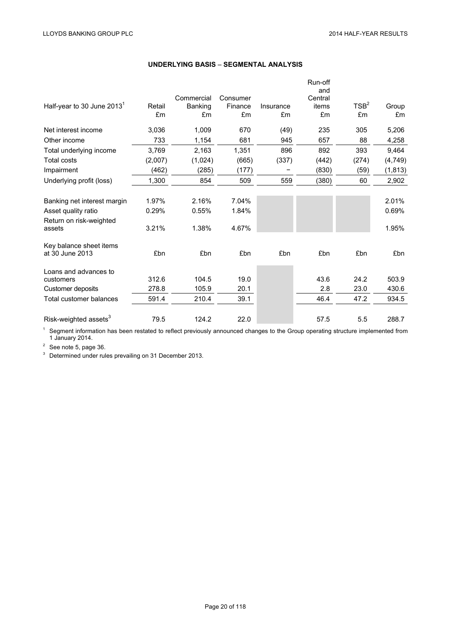|                                   |         |                              |                     |           | Run-off<br>and   |                  |          |
|-----------------------------------|---------|------------------------------|---------------------|-----------|------------------|------------------|----------|
| Half-year to 30 June $20131$      | Retail  | Commercial<br><b>Banking</b> | Consumer<br>Finance | Insurance | Central<br>items | TSB <sup>2</sup> | Group    |
|                                   | £m      | £m                           | £m                  | £m        | £m               | £m               | £m       |
| Net interest income               | 3,036   | 1,009                        | 670                 | (49)      | 235              | 305              | 5,206    |
| Other income                      | 733     | 1,154                        | 681                 | 945       | 657              | 88               | 4,258    |
| Total underlying income           | 3,769   | 2,163                        | 1,351               | 896       | 892              | 393              | 9,464    |
| Total costs                       | (2,007) | (1,024)                      | (665)               | (337)     | (442)            | (274)            | (4, 749) |
| Impairment                        | (462)   | (285)                        | (177)               |           | (830)            | (59)             | (1, 813) |
| Underlying profit (loss)          | 1,300   | 854                          | 509                 | 559       | (380)            | 60               | 2,902    |
|                                   |         |                              |                     |           |                  |                  |          |
| Banking net interest margin       | 1.97%   | 2.16%                        | 7.04%               |           |                  |                  | 2.01%    |
| Asset quality ratio               | 0.29%   | 0.55%                        | 1.84%               |           |                  |                  | 0.69%    |
| Return on risk-weighted           |         |                              |                     |           |                  |                  |          |
| assets                            | 3.21%   | 1.38%                        | 4.67%               |           |                  |                  | 1.95%    |
| Key balance sheet items           |         |                              |                     |           |                  |                  |          |
| at 30 June 2013                   | £bn     | £bn                          | £bn                 | £bn       | £bn              | £bn              | £bn      |
| Loans and advances to             |         |                              |                     |           |                  |                  |          |
| customers                         | 312.6   | 104.5                        | 19.0                |           | 43.6             | 24.2             | 503.9    |
| Customer deposits                 | 278.8   | 105.9                        | 20.1                |           | 2.8              | 23.0             | 430.6    |
| Total customer balances           | 591.4   | 210.4                        | 39.1                |           | 46.4             | 47.2             | 934.5    |
| Risk-weighted assets <sup>3</sup> | 79.5    | 124.2                        | 22.0                |           | 57.5             | 5.5              | 288.7    |

# **UNDERLYING BASIS** – **SEGMENTAL ANALYSIS**

<sup>1</sup> Segment information has been restated to reflect previously announced changes to the Group operating structure implemented from 1 January 2014.<br> $2^2$  See note 5, page 36.

<sup>3</sup> Determined under rules prevailing on 31 December 2013.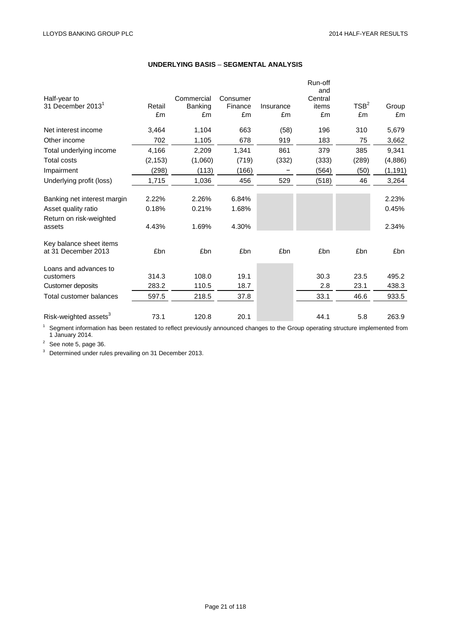|                                   |              |                      |               |                 | Run-off<br>and |                  |             |
|-----------------------------------|--------------|----------------------|---------------|-----------------|----------------|------------------|-------------|
| Half-year to                      |              | Commercial           | Consumer      |                 | Central        | TSB <sup>2</sup> |             |
| 31 December 2013 <sup>1</sup>     | Retail<br>£m | <b>Banking</b><br>£m | Finance<br>£m | Insurance<br>£m | items<br>£m    |                  | Group<br>£m |
|                                   |              |                      |               |                 |                | £m               |             |
| Net interest income               | 3,464        | 1,104                | 663           | (58)            | 196            | 310              | 5,679       |
| Other income                      | 702          | 1,105                | 678           | 919             | 183            | 75               | 3,662       |
| Total underlying income           | 4,166        | 2,209                | 1,341         | 861             | 379            | 385              | 9,341       |
| <b>Total costs</b>                | (2, 153)     | (1,060)              | (719)         | (332)           | (333)          | (289)            | (4,886)     |
| Impairment                        | (298)        | (113)                | (166)         |                 | (564)          | (50)             | (1, 191)    |
| Underlying profit (loss)          | 1,715        | 1,036                | 456           | 529             | (518)          | 46               | 3,264       |
|                                   |              |                      |               |                 |                |                  |             |
| Banking net interest margin       | 2.22%        | 2.26%                | 6.84%         |                 |                |                  | 2.23%       |
| Asset quality ratio               | 0.18%        | 0.21%                | 1.68%         |                 |                |                  | 0.45%       |
| Return on risk-weighted           |              |                      |               |                 |                |                  |             |
| assets                            | 4.43%        | 1.69%                | 4.30%         |                 |                |                  | 2.34%       |
| Key balance sheet items           |              |                      |               |                 |                |                  |             |
| at 31 December 2013               | £bn          | £bn                  | £bn           | £bn             | £bn            | £bn              | £bn         |
| Loans and advances to             |              |                      |               |                 |                |                  |             |
| customers                         | 314.3        | 108.0                | 19.1          |                 | 30.3           | 23.5             | 495.2       |
| Customer deposits                 | 283.2        | 110.5                | 18.7          |                 | 2.8            | 23.1             | 438.3       |
| Total customer balances           | 597.5        | 218.5                | 37.8          |                 | 33.1           | 46.6             | 933.5       |
| Risk-weighted assets <sup>3</sup> | 73.1         | 120.8                | 20.1          |                 | 44.1           | 5.8              | 263.9       |

# **UNDERLYING BASIS** – **SEGMENTAL ANALYSIS**

 $1$  Segment information has been restated to reflect previously announced changes to the Group operating structure implemented from 1 January 2014.

 $2^2$  See note 5, page 36.

<sup>3</sup> Determined under rules prevailing on 31 December 2013.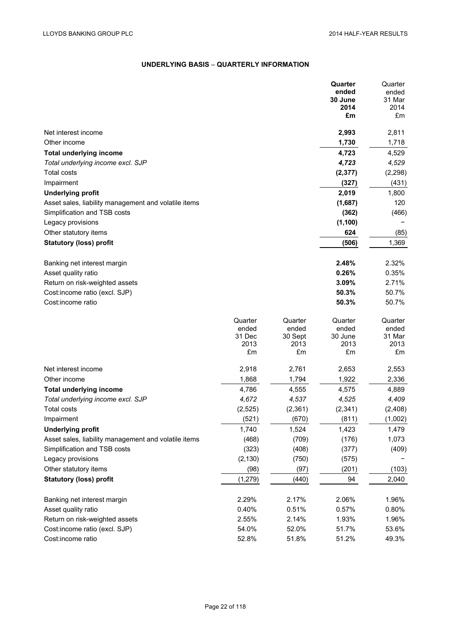# **UNDERLYING BASIS** – **QUARTERLY INFORMATION**

|                                                      |                  |                  | Quarter          | Quarter          |
|------------------------------------------------------|------------------|------------------|------------------|------------------|
|                                                      |                  |                  | ended            | ended            |
|                                                      |                  |                  | 30 June          | 31 Mar           |
|                                                      |                  |                  | 2014             | 2014             |
|                                                      |                  |                  | £m               | £m               |
| Net interest income                                  |                  |                  | 2,993            | 2,811            |
| Other income                                         |                  |                  | 1,730            | 1,718            |
| <b>Total underlying income</b>                       |                  |                  | 4,723            | 4,529            |
| Total underlying income excl. SJP                    |                  |                  | 4,723            | 4,529            |
| <b>Total costs</b>                                   |                  |                  | (2, 377)         | (2, 298)         |
| Impairment                                           |                  |                  | (327)            | (431)            |
| <b>Underlying profit</b>                             |                  |                  | 2,019            | 1,800            |
| Asset sales, liability management and volatile items |                  |                  | (1,687)          | 120              |
| Simplification and TSB costs                         |                  |                  | (362)            | (466)            |
| Legacy provisions                                    |                  |                  | (1, 100)         |                  |
| Other statutory items                                |                  |                  | 624              | (85)             |
| <b>Statutory (loss) profit</b>                       |                  |                  | (506)            | 1,369            |
|                                                      |                  |                  |                  |                  |
| Banking net interest margin                          |                  |                  | 2.48%            | 2.32%            |
| Asset quality ratio                                  |                  |                  | 0.26%            | 0.35%            |
| Return on risk-weighted assets                       |                  |                  | 3.09%            | 2.71%            |
| Cost:income ratio (excl. SJP)                        |                  |                  | 50.3%            | 50.7%            |
| Cost:income ratio                                    |                  |                  | 50.3%            | 50.7%            |
|                                                      |                  |                  |                  |                  |
|                                                      | Quarter<br>ended | Quarter<br>ended | Quarter<br>ended | Quarter<br>ended |
|                                                      | 31 Dec           | 30 Sept          | 30 June          | 31 Mar           |
|                                                      | 2013             | 2013             | 2013             | 2013             |
|                                                      | £m               | £m               | £m               | £m               |
| Net interest income                                  | 2,918            | 2,761            | 2,653            | 2,553            |
| Other income                                         | 1,868            | 1,794            | 1,922            | 2,336            |
| <b>Total underlying income</b>                       | 4,786            | 4,555            | 4,575            | 4,889            |
| Total underlying income excl. SJP                    | 4,672            | 4,537            | 4,525            | 4,409            |
| <b>Total costs</b>                                   | (2, 525)         | (2, 361)         | (2, 341)         | (2, 408)         |
| Impairment                                           | (521)            | (670)            | (811)            | (1,002)          |
| <b>Underlying profit</b>                             | 1,740            | 1,524            | 1,423            | 1,479            |
| Asset sales, liability management and volatile items | (468)            | (709)            | (176)            | 1,073            |
| Simplification and TSB costs                         | (323)            | (408)            | (377)            | (409)            |
| Legacy provisions                                    | (2, 130)         | (750)            | (575)            |                  |
| Other statutory items                                | (98)             | (97)             | (201)            | (103)            |
| <b>Statutory (loss) profit</b>                       | (1, 279)         | (440)            | 94               | 2,040            |
|                                                      |                  |                  |                  |                  |
| Banking net interest margin                          | 2.29%            | 2.17%            | 2.06%            | 1.96%            |
| Asset quality ratio                                  | 0.40%            | 0.51%            | 0.57%            | 0.80%            |
| Return on risk-weighted assets                       | 2.55%            | 2.14%            | 1.93%            | 1.96%            |
| Cost:income ratio (excl. SJP)                        | 54.0%            | 52.0%            | 51.7%            | 53.6%            |
| Cost:income ratio                                    | 52.8%            | 51.8%            | 51.2%            | 49.3%            |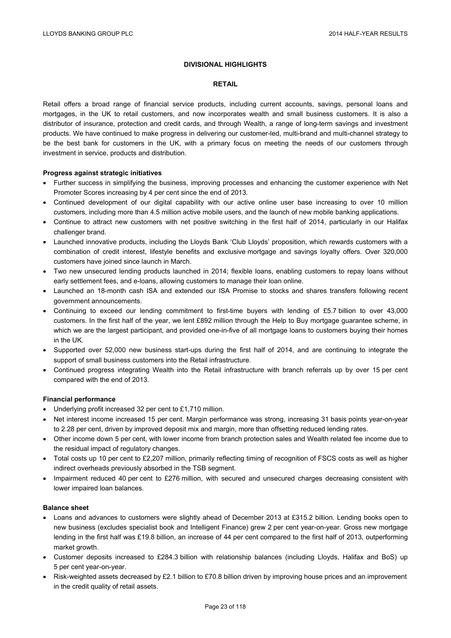# **DIVISIONAL HIGHLIGHTS**

# **RETAIL**

Retail offers a broad range of financial service products, including current accounts, savings, personal loans and mortgages, in the UK to retail customers, and now incorporates wealth and small business customers. It is also a distributor of insurance, protection and credit cards, and through Wealth, a range of long-term savings and investment products. We have continued to make progress in delivering our customer-led, multi-brand and multi-channel strategy to be the best bank for customers in the UK, with a primary focus on meeting the needs of our customers through investment in service, products and distribution.

# **Progress against strategic initiatives**

- Further success in simplifying the business, improving processes and enhancing the customer experience with Net Promoter Scores increasing by 4 per cent since the end of 2013.
- Continued development of our digital capability with our active online user base increasing to over 10 million customers, including more than 4.5 million active mobile users, and the launch of new mobile banking applications.
- Continue to attract new customers with net positive switching in the first half of 2014, particularly in our Halifax challenger brand.
- Launched innovative products, including the Lloyds Bank 'Club Lloyds' proposition, which rewards customers with a combination of credit interest, lifestyle benefits and exclusive mortgage and savings loyalty offers. Over 320,000 customers have joined since launch in March.
- Two new unsecured lending products launched in 2014; flexible loans, enabling customers to repay loans without early settlement fees, and e-loans, allowing customers to manage their loan online.
- Launched an 18-month cash ISA and extended our ISA Promise to stocks and shares transfers following recent government announcements.
- Continuing to exceed our lending commitment to first-time buyers with lending of £5.7 billion to over 43,000 customers. In the first half of the year, we lent £892 million through the Help to Buy mortgage guarantee scheme, in which we are the largest participant, and provided one-in-five of all mortgage loans to customers buying their homes in the UK.
- Supported over 52,000 new business start-ups during the first half of 2014, and are continuing to integrate the support of small business customers into the Retail infrastructure.
- Continued progress integrating Wealth into the Retail infrastructure with branch referrals up by over 15 per cent compared with the end of 2013.

# **Financial performance**

- Underlying profit increased 32 per cent to £1,710 million.
- Net interest income increased 15 per cent. Margin performance was strong, increasing 31 basis points year-on-year to 2.28 per cent, driven by improved deposit mix and margin, more than offsetting reduced lending rates.
- Other income down 5 per cent, with lower income from branch protection sales and Wealth related fee income due to the residual impact of regulatory changes.
- Total costs up 10 per cent to £2,207 million, primarily reflecting timing of recognition of FSCS costs as well as higher indirect overheads previously absorbed in the TSB segment.
- Impairment reduced 40 per cent to £276 million, with secured and unsecured charges decreasing consistent with lower impaired loan balances.

# **Balance sheet**

- Loans and advances to customers were slightly ahead of December 2013 at £315.2 billion. Lending books open to new business (excludes specialist book and Intelligent Finance) grew 2 per cent year-on-year. Gross new mortgage lending in the first half was £19.8 billion, an increase of 44 per cent compared to the first half of 2013, outperforming market growth.
- Customer deposits increased to £284.3 billion with relationship balances (including Lloyds, Halifax and BoS) up 5 per cent year-on-year.
- Risk-weighted assets decreased by £2.1 billion to £70.8 billion driven by improving house prices and an improvement in the credit quality of retail assets.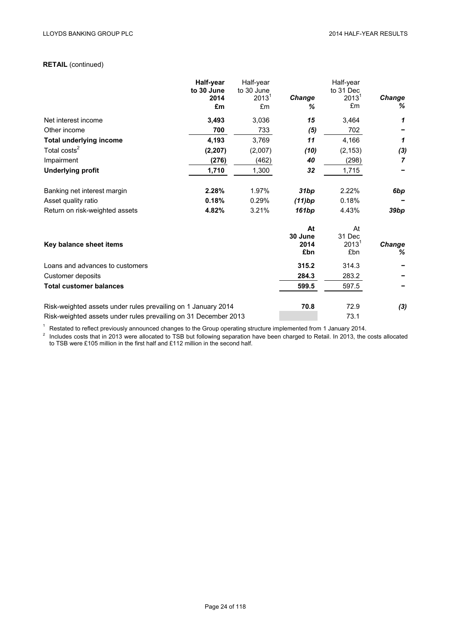# **RETAIL** (continued)

|                                                                 | Half-year          | Half-year                       |             | Half-year                      |                |
|-----------------------------------------------------------------|--------------------|---------------------------------|-------------|--------------------------------|----------------|
|                                                                 | to 30 June<br>2014 | to 30 June<br>2013 <sup>1</sup> | Change      | to 31 Dec<br>2013 <sup>1</sup> | Change         |
|                                                                 | £m                 | £m                              | ℅           | £m                             | %              |
| Net interest income                                             | 3,493              | 3,036                           | 15          | 3,464                          | 1              |
| Other income                                                    | 700                | 733                             | (5)         | 702                            |                |
| <b>Total underlying income</b>                                  | 4,193              | 3,769                           | 11          | 4,166                          | 1              |
| Total costs <sup>2</sup>                                        | (2, 207)           | (2,007)                         | (10)        | (2, 153)                       | (3)            |
| Impairment                                                      | (276)              | (462)                           | 40          | (298)                          | $\overline{7}$ |
| <b>Underlying profit</b>                                        | 1,710              | 1,300                           | 32          | 1,715                          |                |
| Banking net interest margin                                     | 2.28%              | 1.97%                           | 31bp        | 2.22%                          | 6bp            |
| Asset quality ratio                                             | 0.18%              | 0.29%                           | (11)bp      | 0.18%                          |                |
| Return on risk-weighted assets                                  | 4.82%              | 3.21%                           | 161bp       | 4.43%                          | 39bp           |
|                                                                 |                    |                                 | At          | At                             |                |
|                                                                 |                    |                                 | 30 June     | 31 Dec                         |                |
| Key balance sheet items                                         |                    |                                 | 2014<br>£bn | 2013 <sup>1</sup><br>£bn       | Change<br>℅    |
| Loans and advances to customers                                 |                    |                                 | 315.2       | 314.3                          |                |
| Customer deposits                                               |                    |                                 | 284.3       | 283.2                          |                |
| <b>Total customer balances</b>                                  |                    |                                 | 599.5       | 597.5                          |                |
| Risk-weighted assets under rules prevailing on 1 January 2014   |                    |                                 | 70.8        | 72.9                           | (3)            |
| Risk-weighted assets under rules prevailing on 31 December 2013 |                    |                                 |             | 73.1                           |                |

 $^1$  Restated to reflect previously announced changes to the Group operating structure implemented from 1 January 2014.<br><sup>2</sup> Includes costs that in 2013 were allocated to TSB but following separation have been charged to R to TSB were £105 million in the first half and £112 million in the second half.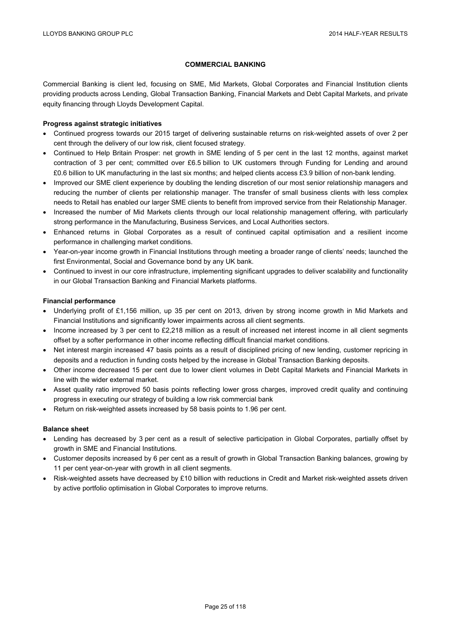# **COMMERCIAL BANKING**

Commercial Banking is client led, focusing on SME, Mid Markets, Global Corporates and Financial Institution clients providing products across Lending, Global Transaction Banking, Financial Markets and Debt Capital Markets, and private equity financing through Lloyds Development Capital.

# **Progress against strategic initiatives**

- Continued progress towards our 2015 target of delivering sustainable returns on risk-weighted assets of over 2 per cent through the delivery of our low risk, client focused strategy.
- Continued to Help Britain Prosper: net growth in SME lending of 5 per cent in the last 12 months, against market contraction of 3 per cent; committed over £6.5 billion to UK customers through Funding for Lending and around £0.6 billion to UK manufacturing in the last six months; and helped clients access £3.9 billion of non-bank lending.
- Improved our SME client experience by doubling the lending discretion of our most senior relationship managers and reducing the number of clients per relationship manager. The transfer of small business clients with less complex needs to Retail has enabled our larger SME clients to benefit from improved service from their Relationship Manager.
- Increased the number of Mid Markets clients through our local relationship management offering, with particularly strong performance in the Manufacturing, Business Services, and Local Authorities sectors.
- Enhanced returns in Global Corporates as a result of continued capital optimisation and a resilient income performance in challenging market conditions.
- Year-on-year income growth in Financial Institutions through meeting a broader range of clients' needs; launched the first Environmental, Social and Governance bond by any UK bank.
- Continued to invest in our core infrastructure, implementing significant upgrades to deliver scalability and functionality in our Global Transaction Banking and Financial Markets platforms.

# **Financial performance**

- Underlying profit of £1,156 million, up 35 per cent on 2013, driven by strong income growth in Mid Markets and Financial Institutions and significantly lower impairments across all client segments.
- Income increased by 3 per cent to £2,218 million as a result of increased net interest income in all client segments offset by a softer performance in other income reflecting difficult financial market conditions.
- Net interest margin increased 47 basis points as a result of disciplined pricing of new lending, customer repricing in deposits and a reduction in funding costs helped by the increase in Global Transaction Banking deposits.
- Other income decreased 15 per cent due to lower client volumes in Debt Capital Markets and Financial Markets in line with the wider external market.
- Asset quality ratio improved 50 basis points reflecting lower gross charges, improved credit quality and continuing progress in executing our strategy of building a low risk commercial bank
- Return on risk-weighted assets increased by 58 basis points to 1.96 per cent.

# **Balance sheet**

- Lending has decreased by 3 per cent as a result of selective participation in Global Corporates, partially offset by growth in SME and Financial Institutions.
- Customer deposits increased by 6 per cent as a result of growth in Global Transaction Banking balances, growing by 11 per cent year-on-year with growth in all client segments.
- Risk-weighted assets have decreased by £10 billion with reductions in Credit and Market risk-weighted assets driven by active portfolio optimisation in Global Corporates to improve returns.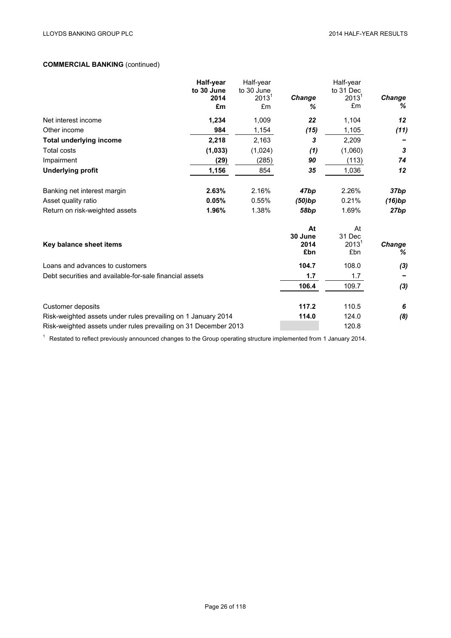# **COMMERCIAL BANKING** (continued)

|                                                                 | Half-year          | Half-year              |               | Half-year                |                    |
|-----------------------------------------------------------------|--------------------|------------------------|---------------|--------------------------|--------------------|
|                                                                 | to 30 June<br>2014 | to 30 June<br>$2013^1$ | <b>Change</b> | to 31 Dec<br>$2013^1$    | Change             |
|                                                                 | £m                 | £m                     | ℅             | £m                       | %                  |
| Net interest income                                             | 1,234              | 1,009                  | 22            | 1,104                    | 12                 |
| Other income                                                    | 984                | 1,154                  | (15)          | 1,105                    | (11)               |
| <b>Total underlying income</b>                                  | 2,218              | 2,163                  | 3             | 2,209                    |                    |
| <b>Total costs</b>                                              | (1,033)            | (1,024)                | (1)           | (1,060)                  | 3                  |
| Impairment                                                      | (29)               | (285)                  | 90            | (113)                    | 74                 |
| <b>Underlying profit</b>                                        | 1,156              | 854                    | 35            | 1,036                    | 12                 |
| Banking net interest margin                                     | 2.63%              | 2.16%                  | 47bp          | 2.26%                    | 37bp               |
| Asset quality ratio                                             | 0.05%              | 0.55%                  | (50)bp        | 0.21%                    | (16)bp             |
| Return on risk-weighted assets                                  | 1.96%              | 1.38%                  | 58bp          | 1.69%                    | 27bp               |
|                                                                 |                    |                        | At<br>30 June | At<br>31 Dec             |                    |
| Key balance sheet items                                         |                    |                        | 2014<br>£bn   | 2013 <sup>1</sup><br>£bn | <b>Change</b><br>% |
| Loans and advances to customers                                 |                    |                        | 104.7         | 108.0                    | (3)                |
| Debt securities and available-for-sale financial assets         |                    |                        | 1.7           | 1.7                      |                    |
|                                                                 |                    |                        | 106.4         | 109.7                    | (3)                |
| Customer deposits                                               |                    |                        | 117.2         | 110.5                    | 6                  |
| Risk-weighted assets under rules prevailing on 1 January 2014   |                    |                        | 114.0         | 124.0                    | (8)                |
| Risk-weighted assets under rules prevailing on 31 December 2013 |                    |                        |               | 120.8                    |                    |

<sup>1</sup> Restated to reflect previously announced changes to the Group operating structure implemented from 1 January 2014.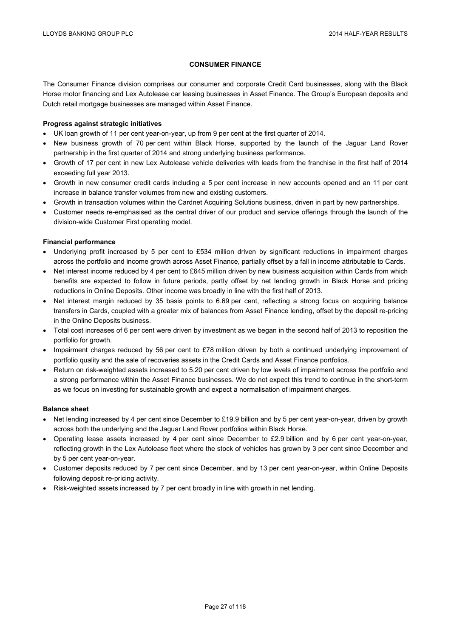# **CONSUMER FINANCE**

The Consumer Finance division comprises our consumer and corporate Credit Card businesses, along with the Black Horse motor financing and Lex Autolease car leasing businesses in Asset Finance. The Group's European deposits and Dutch retail mortgage businesses are managed within Asset Finance.

# **Progress against strategic initiatives**

- UK loan growth of 11 per cent year-on-year, up from 9 per cent at the first quarter of 2014.
- New business growth of 70 per cent within Black Horse, supported by the launch of the Jaguar Land Rover partnership in the first quarter of 2014 and strong underlying business performance.
- Growth of 17 per cent in new Lex Autolease vehicle deliveries with leads from the franchise in the first half of 2014 exceeding full year 2013.
- Growth in new consumer credit cards including a 5 per cent increase in new accounts opened and an 11 per cent increase in balance transfer volumes from new and existing customers.
- Growth in transaction volumes within the Cardnet Acquiring Solutions business, driven in part by new partnerships.
- Customer needs re-emphasised as the central driver of our product and service offerings through the launch of the division-wide Customer First operating model.

# **Financial performance**

- Underlying profit increased by 5 per cent to £534 million driven by significant reductions in impairment charges across the portfolio and income growth across Asset Finance, partially offset by a fall in income attributable to Cards.
- Net interest income reduced by 4 per cent to £645 million driven by new business acquisition within Cards from which benefits are expected to follow in future periods, partly offset by net lending growth in Black Horse and pricing reductions in Online Deposits. Other income was broadly in line with the first half of 2013.
- Net interest margin reduced by 35 basis points to 6.69 per cent, reflecting a strong focus on acquiring balance transfers in Cards, coupled with a greater mix of balances from Asset Finance lending, offset by the deposit re-pricing in the Online Deposits business.
- Total cost increases of 6 per cent were driven by investment as we began in the second half of 2013 to reposition the portfolio for growth.
- Impairment charges reduced by 56 per cent to £78 million driven by both a continued underlying improvement of portfolio quality and the sale of recoveries assets in the Credit Cards and Asset Finance portfolios.
- Return on risk-weighted assets increased to 5.20 per cent driven by low levels of impairment across the portfolio and a strong performance within the Asset Finance businesses. We do not expect this trend to continue in the short-term as we focus on investing for sustainable growth and expect a normalisation of impairment charges.

# **Balance sheet**

- Net lending increased by 4 per cent since December to £19.9 billion and by 5 per cent year-on-year, driven by growth across both the underlying and the Jaguar Land Rover portfolios within Black Horse.
- Operating lease assets increased by 4 per cent since December to £2.9 billion and by 6 per cent year-on-year, reflecting growth in the Lex Autolease fleet where the stock of vehicles has grown by 3 per cent since December and by 5 per cent year-on-year.
- Customer deposits reduced by 7 per cent since December, and by 13 per cent year-on-year, within Online Deposits following deposit re-pricing activity.
- Risk-weighted assets increased by 7 per cent broadly in line with growth in net lending.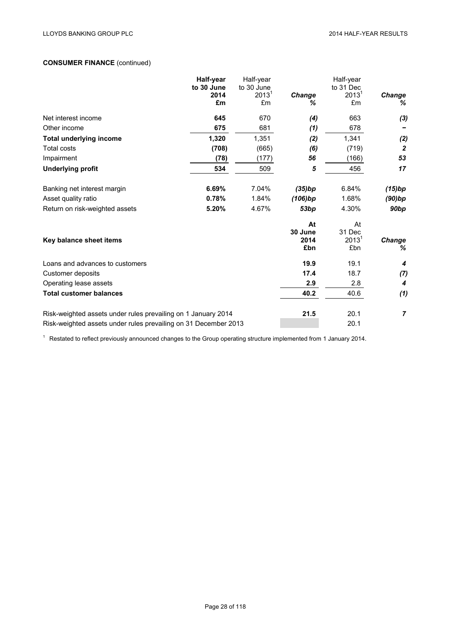# **CONSUMER FINANCE** (continued)

|                                                                 | Half-year          | Half-year                       |             | Half-year             | Change           |
|-----------------------------------------------------------------|--------------------|---------------------------------|-------------|-----------------------|------------------|
|                                                                 | to 30 June<br>2014 | to 30 June<br>2013 <sup>1</sup> | Change      | to 31 Dec<br>$2013^1$ |                  |
|                                                                 | £m                 | £m                              | ℅           | £m                    | %                |
| Net interest income                                             | 645                | 670                             | (4)         | 663                   | (3)              |
| Other income                                                    | 675                | 681                             | (1)         | 678                   |                  |
| <b>Total underlying income</b>                                  | 1,320              | 1,351                           | (2)         | 1,341                 | (2)              |
| <b>Total costs</b>                                              | (708)              | (665)                           | (6)         | (719)                 | $\boldsymbol{2}$ |
| Impairment                                                      | (78)               | (177)                           | 56          | (166)                 | 53               |
| <b>Underlying profit</b>                                        | 534                | 509                             | 5           | 456                   | 17               |
| Banking net interest margin                                     | 6.69%              | 7.04%                           | (35)bp      | 6.84%                 | (15)bp           |
| Asset quality ratio                                             | 0.78%              | 1.84%                           | (106)bp     | 1.68%                 | (90)bp           |
| Return on risk-weighted assets                                  | 5.20%              | 4.67%                           | 53bp        | 4.30%                 | 90 <sub>bp</sub> |
|                                                                 |                    |                                 | At          | At                    |                  |
|                                                                 |                    |                                 | 30 June     | 31 Dec                |                  |
| Key balance sheet items                                         |                    |                                 | 2014<br>£bn | $2013^1$<br>£bn       | Change<br>%      |
| Loans and advances to customers                                 |                    |                                 | 19.9        | 19.1                  | 4                |
| Customer deposits                                               |                    |                                 | 17.4        | 18.7                  | (7)              |
| Operating lease assets                                          |                    |                                 | 2.9         | 2.8                   | 4                |
| <b>Total customer balances</b>                                  |                    |                                 | 40.2        | 40.6                  | (1)              |
| Risk-weighted assets under rules prevailing on 1 January 2014   |                    |                                 | 21.5        | 20.1                  | $\overline{7}$   |
| Risk-weighted assets under rules prevailing on 31 December 2013 |                    |                                 |             | 20.1                  |                  |

<sup>1</sup> Restated to reflect previously announced changes to the Group operating structure implemented from 1 January 2014.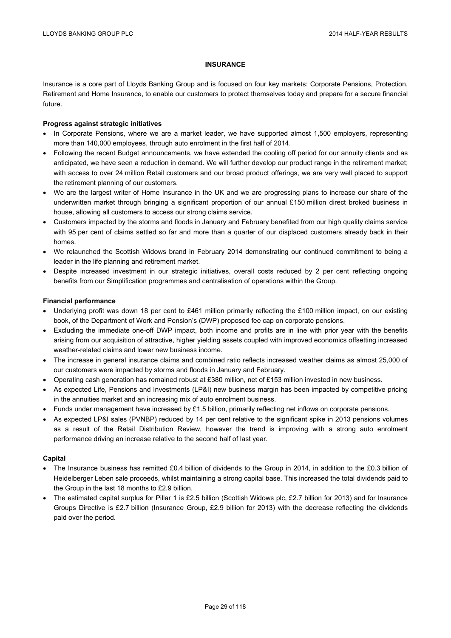# **INSURANCE**

Insurance is a core part of Lloyds Banking Group and is focused on four key markets: Corporate Pensions, Protection, Retirement and Home Insurance, to enable our customers to protect themselves today and prepare for a secure financial future.

# **Progress against strategic initiatives**

- In Corporate Pensions, where we are a market leader, we have supported almost 1,500 employers, representing more than 140,000 employees, through auto enrolment in the first half of 2014.
- Following the recent Budget announcements, we have extended the cooling off period for our annuity clients and as anticipated, we have seen a reduction in demand. We will further develop our product range in the retirement market; with access to over 24 million Retail customers and our broad product offerings, we are very well placed to support the retirement planning of our customers.
- We are the largest writer of Home Insurance in the UK and we are progressing plans to increase our share of the underwritten market through bringing a significant proportion of our annual £150 million direct broked business in house, allowing all customers to access our strong claims service.
- Customers impacted by the storms and floods in January and February benefited from our high quality claims service with 95 per cent of claims settled so far and more than a quarter of our displaced customers already back in their homes.
- We relaunched the Scottish Widows brand in February 2014 demonstrating our continued commitment to being a leader in the life planning and retirement market.
- Despite increased investment in our strategic initiatives, overall costs reduced by 2 per cent reflecting ongoing benefits from our Simplification programmes and centralisation of operations within the Group.

# **Financial performance**

- Underlying profit was down 18 per cent to £461 million primarily reflecting the £100 million impact, on our existing book, of the Department of Work and Pension's (DWP) proposed fee cap on corporate pensions.
- Excluding the immediate one-off DWP impact, both income and profits are in line with prior year with the benefits arising from our acquisition of attractive, higher yielding assets coupled with improved economics offsetting increased weather-related claims and lower new business income.
- The increase in general insurance claims and combined ratio reflects increased weather claims as almost 25,000 of our customers were impacted by storms and floods in January and February.
- Operating cash generation has remained robust at £380 million, net of £153 million invested in new business.
- As expected Life, Pensions and Investments (LP&I) new business margin has been impacted by competitive pricing in the annuities market and an increasing mix of auto enrolment business.
- Funds under management have increased by £1.5 billion, primarily reflecting net inflows on corporate pensions.
- As expected LP&I sales (PVNBP) reduced by 14 per cent relative to the significant spike in 2013 pensions volumes as a result of the Retail Distribution Review, however the trend is improving with a strong auto enrolment performance driving an increase relative to the second half of last year.

# **Capital**

- The Insurance business has remitted £0.4 billion of dividends to the Group in 2014, in addition to the £0.3 billion of Heidelberger Leben sale proceeds, whilst maintaining a strong capital base. This increased the total dividends paid to the Group in the last 18 months to £2.9 billion.
- The estimated capital surplus for Pillar 1 is £2.5 billion (Scottish Widows plc, £2.7 billion for 2013) and for Insurance Groups Directive is £2.7 billion (Insurance Group, £2.9 billion for 2013) with the decrease reflecting the dividends paid over the period.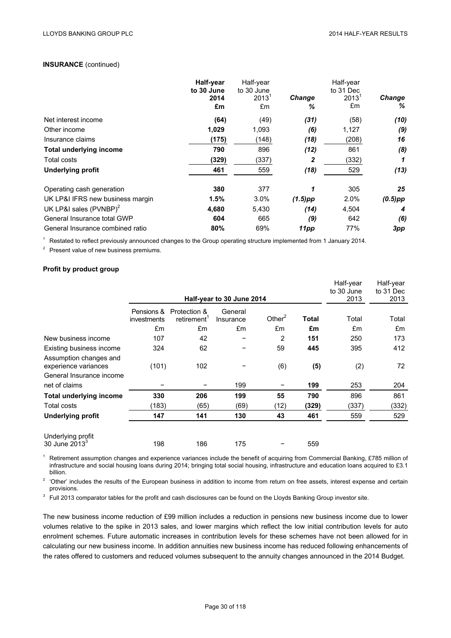# **INSURANCE** (continued)

|                                  | Half-year<br>to 30 June<br>2014<br>£m | Half-year<br>to 30 June<br>$2013^1$<br>£m | <b>Change</b><br>℅ | Half-year<br>to 31 Dec<br>$2013^1$<br>£m | <b>Change</b><br>% |
|----------------------------------|---------------------------------------|-------------------------------------------|--------------------|------------------------------------------|--------------------|
| Net interest income              | (64)                                  | (49)                                      | (31)               | (58)                                     | (10)               |
| Other income                     | 1,029                                 | 1,093                                     | (6)                | 1,127                                    | (9)                |
| Insurance claims                 | (175)                                 | (148)                                     | (18)               | (208)                                    | 16                 |
| <b>Total underlying income</b>   | 790                                   | 896                                       | (12)               | 861                                      | (8)                |
| Total costs                      | (329)                                 | (337)                                     | 2                  | (332)                                    | 1                  |
| <b>Underlying profit</b>         | 461                                   | 559                                       | (18)               | 529                                      | (13)               |
| Operating cash generation        | 380                                   | 377                                       | 1                  | 305                                      | 25                 |
| UK LP&I IFRS new business margin | 1.5%                                  | 3.0%                                      | $(1.5)$ pp         | 2.0%                                     | $(0.5)$ pp         |
| UK LP&I sales $(PVNBP)^2$        | 4,680                                 | 5,430                                     | (14)               | 4,504                                    | 4                  |
| General Insurance total GWP      | 604                                   | 665                                       | (9)                | 642                                      | (6)                |
| General Insurance combined ratio | 80%                                   | 69%                                       | 11pp               | 77%                                      | 3pp                |

<sup>1</sup> Restated to reflect previously announced changes to the Group operating structure implemented from 1 January 2014.

<sup>2</sup> Present value of new business premiums.

# **Profit by product group**

|                                                |                           |                             | Half-year to 30 June 2014 |           |              | Half-year<br>to 30 June<br>2013 | Half-year<br>to 31 Dec<br>2013 |
|------------------------------------------------|---------------------------|-----------------------------|---------------------------|-----------|--------------|---------------------------------|--------------------------------|
|                                                | Pensions &<br>investments | Protection &<br>retirement' | General<br>Insurance      | Other $2$ | <b>Total</b> | Total                           | Total                          |
|                                                | £m                        | £m                          | £m                        | £m        | £m           | £m                              | £m                             |
| New business income                            | 107                       | 42                          |                           | 2         | 151          | 250                             | 173                            |
| Existing business income                       | 324                       | 62                          |                           | 59        | 445          | 395                             | 412                            |
| Assumption changes and<br>experience variances | (101)                     | 102                         |                           | (6)       | (5)          | (2)                             | 72                             |
| General Insurance income                       |                           |                             |                           |           |              |                                 |                                |
| net of claims                                  |                           |                             | 199                       |           | 199          | 253                             | 204                            |
| Total underlying income                        | 330                       | 206                         | 199                       | 55        | 790          | 896                             | 861                            |
| Total costs                                    | (183)                     | (65)                        | (69)                      | (12)      | (329)        | (337)                           | (332)                          |
| <b>Underlying profit</b>                       | 147                       | 141                         | 130                       | 43        | 461          | 559                             | 529                            |
| Underlying profit<br>30 June $2013^3$          | 198                       | 186                         | 175                       |           | 559          |                                 |                                |

Retirement assumption changes and experience variances include the benefit of acquiring from Commercial Banking, £785 million of infrastructure and social housing loans during 2014; bringing total social housing, infrastructure and education loans acquired to £3.1 billion.

<sup>2</sup> 'Other' includes the results of the European business in addition to income from return on free assets, interest expense and certain provisions.

<sup>3</sup> Full 2013 comparator tables for the profit and cash disclosures can be found on the Lloyds Banking Group investor site.

The new business income reduction of £99 million includes a reduction in pensions new business income due to lower volumes relative to the spike in 2013 sales, and lower margins which reflect the low initial contribution levels for auto enrolment schemes. Future automatic increases in contribution levels for these schemes have not been allowed for in calculating our new business income. In addition annuities new business income has reduced following enhancements of the rates offered to customers and reduced volumes subsequent to the annuity changes announced in the 2014 Budget.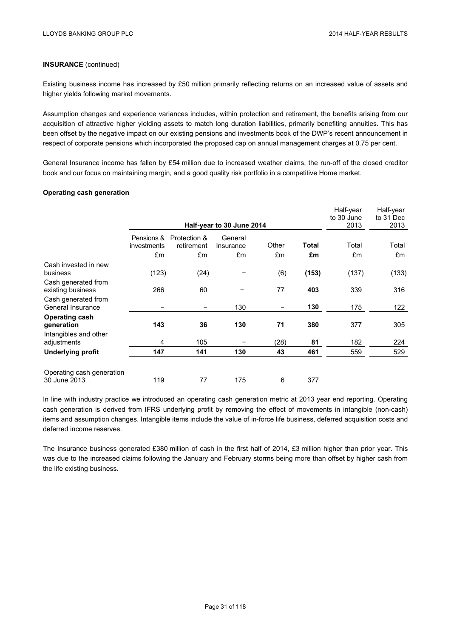# **INSURANCE** (continued)

Existing business income has increased by £50 million primarily reflecting returns on an increased value of assets and higher yields following market movements.

Assumption changes and experience variances includes, within protection and retirement, the benefits arising from our acquisition of attractive higher yielding assets to match long duration liabilities, primarily benefiting annuities. This has been offset by the negative impact on our existing pensions and investments book of the DWP's recent announcement in respect of corporate pensions which incorporated the proposed cap on annual management charges at 0.75 per cent.

General Insurance income has fallen by £54 million due to increased weather claims, the run-off of the closed creditor book and our focus on maintaining margin, and a good quality risk portfolio in a competitive Home market.

# **Operating cash generation**

|                                           |                           |                            | Half-year to 30 June 2014 |       |              | Half-year<br>to 30 June<br>2013 | Half-year<br>to 31 Dec<br>2013 |
|-------------------------------------------|---------------------------|----------------------------|---------------------------|-------|--------------|---------------------------------|--------------------------------|
|                                           | Pensions &<br>investments | Protection &<br>retirement | General<br>Insurance      | Other | <b>Total</b> | Total                           | Total                          |
|                                           | £m                        | £m                         | £m                        | £m    | £m           | £m                              | £m                             |
| Cash invested in new<br>business          | (123)                     | (24)                       |                           | (6)   | (153)        | (137)                           | (133)                          |
| Cash generated from<br>existing business  | 266                       | 60                         |                           | 77    | 403          | 339                             | 316                            |
| Cash generated from<br>General Insurance  |                           |                            | 130                       |       | 130          | 175                             | 122                            |
| <b>Operating cash</b><br>generation       | 143                       | 36                         | 130                       | 71    | 380          | 377                             | 305                            |
| Intangibles and other<br>adjustments      | 4                         | 105                        |                           | (28)  | 81           | 182                             | 224                            |
| <b>Underlying profit</b>                  | 147                       | 141                        | 130                       | 43    | 461          | 559                             | 529                            |
| Operating cash generation<br>30 June 2013 | 119                       | 77                         | 175                       | 6     | 377          |                                 |                                |

In line with industry practice we introduced an operating cash generation metric at 2013 year end reporting. Operating cash generation is derived from IFRS underlying profit by removing the effect of movements in intangible (non-cash) items and assumption changes. Intangible items include the value of in-force life business, deferred acquisition costs and deferred income reserves.

The Insurance business generated £380 million of cash in the first half of 2014, £3 million higher than prior year. This was due to the increased claims following the January and February storms being more than offset by higher cash from the life existing business.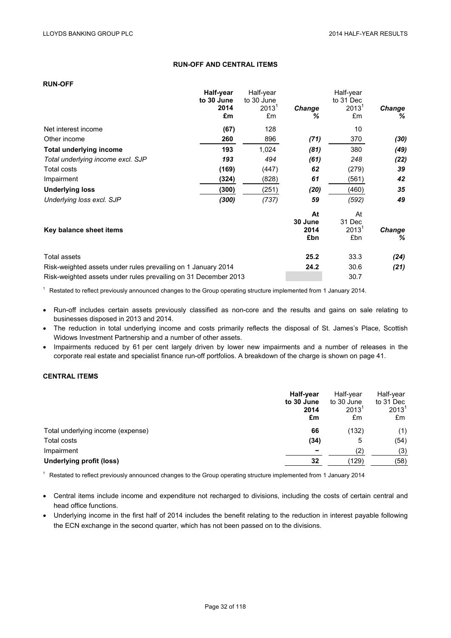# **RUN-OFF AND CENTRAL ITEMS**

# **RUN-OFF**

|                                                                 | Half-year          | Half-year                       |                              | Half-year                       |             |
|-----------------------------------------------------------------|--------------------|---------------------------------|------------------------------|---------------------------------|-------------|
|                                                                 | to 30 June<br>2014 | to 30 June<br>2013 <sup>1</sup> | <b>Change</b>                | to 31 Dec<br>$2013^1$           | Change      |
|                                                                 | £m                 | £m                              | ℅                            | £m                              | ℅           |
| Net interest income                                             | (67)               | 128                             |                              | 10                              |             |
| Other income                                                    | 260                | 896                             | (71)                         | 370                             | (30)        |
| Total underlying income                                         | 193                | 1,024                           | (81)                         | 380                             | (49)        |
| Total underlying income excl. SJP                               | 193                | 494                             | (61)                         | 248                             | (22)        |
| Total costs                                                     | (169)              | (447)                           | 62                           | (279)                           | 39          |
| Impairment                                                      | (324)              | (828)                           | 61                           | (561)                           | 42          |
| <b>Underlying loss</b>                                          | (300)              | (251)                           | (20)                         | (460)                           | 35          |
| Underlying loss excl. SJP                                       | (300)              | (737)                           | 59                           | (592)                           | 49          |
| Key balance sheet items                                         |                    |                                 | At<br>30 June<br>2014<br>£bn | At<br>31 Dec<br>$2013^1$<br>£bn | Change<br>℅ |
|                                                                 |                    |                                 |                              |                                 |             |
| Total assets                                                    |                    |                                 | 25.2                         | 33.3                            | (24)        |
| Risk-weighted assets under rules prevailing on 1 January 2014   |                    |                                 | 24.2                         | 30.6                            | (21)        |
| Risk-weighted assets under rules prevailing on 31 December 2013 |                    |                                 |                              | 30.7                            |             |

<sup>1</sup> Restated to reflect previously announced changes to the Group operating structure implemented from 1 January 2014.

- Run-off includes certain assets previously classified as non-core and the results and gains on sale relating to businesses disposed in 2013 and 2014.
- The reduction in total underlying income and costs primarily reflects the disposal of St. James's Place, Scottish Widows Investment Partnership and a number of other assets.
- Impairments reduced by 61 per cent largely driven by lower new impairments and a number of releases in the corporate real estate and specialist finance run-off portfolios. A breakdown of the charge is shown on page 41.

# **CENTRAL ITEMS**

|                                   | Half-year<br>to 30 June<br>2014<br>£m | Half-year<br>to 30 June<br>$2013$ <sup>1</sup><br>£m | Half-year<br>to 31 Dec<br>$2013^1$<br>£m |
|-----------------------------------|---------------------------------------|------------------------------------------------------|------------------------------------------|
| Total underlying income (expense) | 66                                    | (132)                                                | (1)                                      |
| Total costs                       | (34)                                  | 5                                                    | (54)                                     |
| Impairment                        |                                       | (2)                                                  | (3)                                      |
| <b>Underlying profit (loss)</b>   | 32                                    | (129)                                                | (58)                                     |

<sup>1</sup> Restated to reflect previously announced changes to the Group operating structure implemented from 1 January 2014

- Central items include income and expenditure not recharged to divisions, including the costs of certain central and head office functions.
- Underlying income in the first half of 2014 includes the benefit relating to the reduction in interest payable following the ECN exchange in the second quarter, which has not been passed on to the divisions.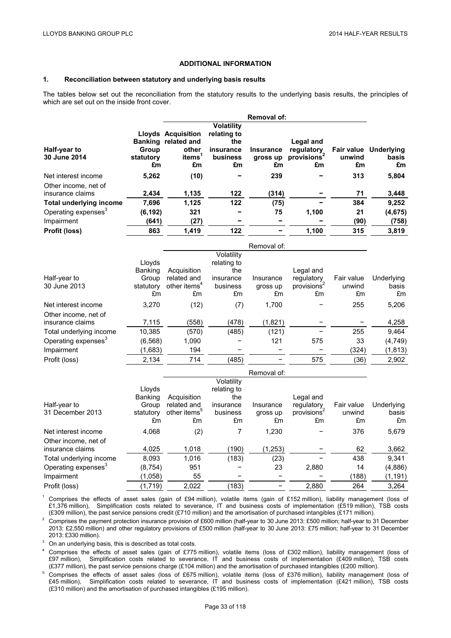# **ADDITIONAL INFORMATION**

# **1. Reconciliation between statutory and underlying basis results**

The tables below set out the reconciliation from the statutory results to the underlying basis results, the principles of which are set out on the inside front cover.

|                                 |           |                           |                   | <b>Removal of:</b> |                         |        |                       |
|---------------------------------|-----------|---------------------------|-------------------|--------------------|-------------------------|--------|-----------------------|
|                                 |           |                           | <b>Volatility</b> |                    |                         |        |                       |
|                                 |           | <b>Lloyds Acquisition</b> | relating to       |                    |                         |        |                       |
|                                 |           | Banking related and       | the               |                    | Legal and               |        |                       |
| Half-year to                    | Group     | other                     | insurance         | <b>Insurance</b>   | regulatory              |        | Fair value Underlying |
| 30 June 2014                    | statutory | <i>items</i>              | business          | gross up           | provisions <sup>4</sup> | unwind | basis                 |
|                                 | £m        | £m                        | £m                | £m                 | £m                      | £m     | £m                    |
| Net interest income             | 5,262     | (10)                      |                   | 239                |                         | 313    | 5,804                 |
| Other income, net of            |           |                           |                   |                    |                         |        |                       |
| insurance claims                | 2,434     | 1,135                     | 122               | (314)              |                         | 71     | 3,448                 |
| <b>Total underlying income</b>  | 7.696     | 1.125                     | 122               | (75)               |                         | 384    | 9.252                 |
| Operating expenses <sup>3</sup> | (6, 192)  | 321                       |                   | 75                 | 1,100                   | 21     | (4, 675)              |
| Impairment                      | (641)     | (27)                      |                   |                    |                         | (90)   | (758)                 |
| Profit (loss)                   | 863       | 1,419                     | 122               |                    | 1,100                   | 315    | 3,819                 |

|           |                          |             | Removal of: |            |                         |            |
|-----------|--------------------------|-------------|-------------|------------|-------------------------|------------|
|           |                          | Volatility  |             |            |                         |            |
| Lloyds    |                          | relating to |             |            |                         |            |
|           | Acquisition              | the         |             | Legal and  |                         |            |
| Group     | related and              | insurance   | Insurance   | regulatory | Fair value              | Underlying |
| statutory | other items <sup>4</sup> | business    | gross up    |            | unwind                  | basis      |
| £m        | £m                       | £m          | £m          | £m         | £m                      | £m         |
| 3,270     | (12)                     | (7)         | 1,700       |            | 255                     | 5,206      |
|           |                          |             |             |            |                         |            |
| 7,115     | (558)                    | (478)       | (1,821)     |            |                         | 4,258      |
| 10,385    | (570)                    | (485)       | (121)       |            | 255                     | 9,464      |
| (6, 568)  | 1,090                    |             | 121         | 575        | 33                      | (4, 749)   |
| (1,683)   | 194                      |             |             |            | (324)                   | (1, 813)   |
| 2,134     | 714                      | (485)       |             | 575        | (36)                    | 2,902      |
|           | <b>Banking</b>           |             |             |            | provisions <sup>2</sup> |            |

|                                          | Removal of:              |                                               |                                  |                             |                                             |                            |                           |
|------------------------------------------|--------------------------|-----------------------------------------------|----------------------------------|-----------------------------|---------------------------------------------|----------------------------|---------------------------|
|                                          | Lloyds<br>Banking        | Acquisition                                   | Volatility<br>relating to<br>the |                             | Legal and                                   |                            |                           |
| Half-year to<br>31 December 2013         | Group<br>statutory<br>£m | related and<br>other items <sup>3</sup><br>£m | insurance<br>business<br>£m      | Insurance<br>gross up<br>£m | regulatory<br>provisions <sup>2</sup><br>£m | Fair value<br>unwind<br>£m | Underlying<br>basis<br>£m |
| Net interest income                      | 4,068                    | (2)                                           | 7                                | 1,230                       |                                             | 376                        | 5,679                     |
| Other income, net of<br>insurance claims | 4,025                    | 1,018                                         | (190)                            | (1,253)                     |                                             | 62                         | 3,662                     |
| Total underlying income                  | 8.093                    | 1,016                                         | (183)                            | (23)                        |                                             | 438                        | 9.341                     |
| Operating expenses <sup>3</sup>          | (8, 754)                 | 951                                           |                                  | 23                          | 2,880                                       | 14                         | (4,886)                   |
| Impairment                               | (1,058)                  | 55                                            |                                  |                             |                                             | (188)                      | (1, 191)                  |
| Profit (loss)                            | (1,719)                  | 2.022                                         | (183)                            |                             | 2.880                                       | 264                        | 3.264                     |

<sup>1</sup> Comprises the effects of asset sales (gain of £94 million), volatile items (gain of £152 million), liability management (loss of £1,376 million), Simplification costs related to severance, IT and business costs of implementation (£519 million), TSB costs (£309 million), the past service pensions credit (£710 million) and the amortisation of purchas

<sup>2</sup> Comprises the payment protection insurance provision of £600 million (half-year to 30 June 2013: £500 million; half-year to 31 December 2013: £2,550 million) and other regulatory provisions of £500 million (half-year to 30 June 2013: £75 million; half-year to 31 December

2013: £330 million).<br><sup>3</sup> On an underlying basis, this is described as total costs.<br><sup>4</sup> Comprises the effects of asset sales (gain of £775 million), volatile items (loss of £302 million), liability management (loss of £97 million), Simplification costs related to severance, IT and business costs of implementation (£409 million), TSB costs (£377 million), the past service pensions charge (£104 million) and the amortisation of purchased intangibles (£200 million).

<sup>5</sup> Comprises the effects of asset sales (loss of £675 million), volatile items (loss of £376 million), liability management (loss of £45 million), Simplification costs related to severance, IT and business costs of implementation (£421 million), TSB costs (£310 million) and the amortisation of purchased intangibles (£195 million).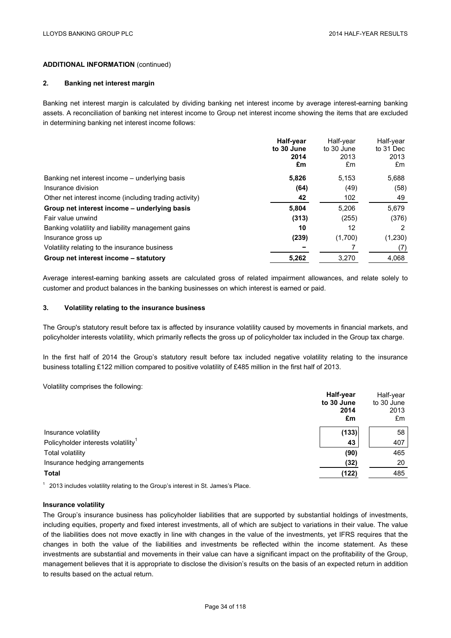# **ADDITIONAL INFORMATION** (continued)

### **2. Banking net interest margin**

Banking net interest margin is calculated by dividing banking net interest income by average interest-earning banking assets. A reconciliation of banking net interest income to Group net interest income showing the items that are excluded in determining banking net interest income follows:

|                                                        | Half-year<br>to 30 June<br>2014<br>£m | Half-year<br>to 30 June<br>2013<br>£m | Half-year<br>to 31 Dec<br>2013<br>£m |
|--------------------------------------------------------|---------------------------------------|---------------------------------------|--------------------------------------|
| Banking net interest income – underlying basis         | 5,826                                 | 5.153                                 | 5,688                                |
| Insurance division                                     | (64)                                  | (49)                                  | (58)                                 |
| Other net interest income (including trading activity) | 42                                    | 102                                   | 49                                   |
| Group net interest income - underlying basis           | 5,804                                 | 5.206                                 | 5,679                                |
| Fair value unwind                                      | (313)                                 | (255)                                 | (376)                                |
| Banking volatility and liability management gains      | 10                                    | 12                                    | 2                                    |
| Insurance gross up                                     | (239)                                 | (1,700)                               | (1,230)                              |
| Volatility relating to the insurance business          |                                       |                                       | (7)                                  |
| Group net interest income – statutory                  | 5,262                                 | 3,270                                 | 4,068                                |

Average interest-earning banking assets are calculated gross of related impairment allowances, and relate solely to customer and product balances in the banking businesses on which interest is earned or paid.

#### **3. Volatility relating to the insurance business**

The Group's statutory result before tax is affected by insurance volatility caused by movements in financial markets, and policyholder interests volatility, which primarily reflects the gross up of policyholder tax included in the Group tax charge.

In the first half of 2014 the Group's statutory result before tax included negative volatility relating to the insurance business totalling £122 million compared to positive volatility of £485 million in the first half of 2013.

Volatility comprises the following:

|                                                | Half-year<br>to 30 June<br>2014<br>£m | Half-year<br>to 30 June<br>2013<br>£m |
|------------------------------------------------|---------------------------------------|---------------------------------------|
| Insurance volatility                           | (133)                                 | 58                                    |
| Policyholder interests volatility <sup>1</sup> | 43                                    | 407                                   |
| Total volatility                               | (90)                                  | 465                                   |
| Insurance hedging arrangements                 | (32)                                  | 20                                    |
| <b>Total</b>                                   | (122)                                 | 485                                   |

 $1$  2013 includes volatility relating to the Group's interest in St. James's Place.

### **Insurance volatility**

The Group's insurance business has policyholder liabilities that are supported by substantial holdings of investments, including equities, property and fixed interest investments, all of which are subject to variations in their value. The value of the liabilities does not move exactly in line with changes in the value of the investments, yet IFRS requires that the changes in both the value of the liabilities and investments be reflected within the income statement. As these investments are substantial and movements in their value can have a significant impact on the profitability of the Group, management believes that it is appropriate to disclose the division's results on the basis of an expected return in addition to results based on the actual return.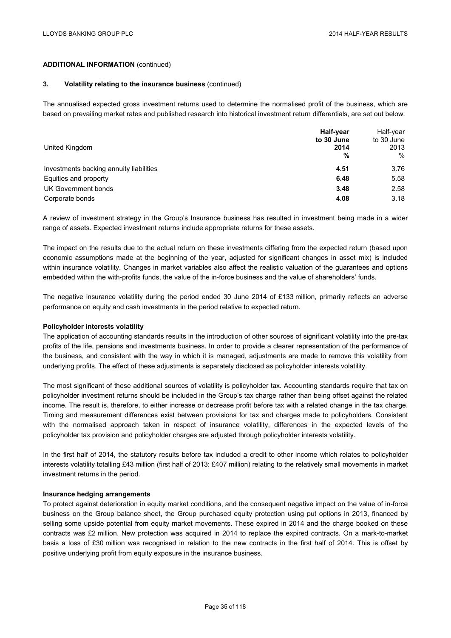# **ADDITIONAL INFORMATION** (continued)

### **3. Volatility relating to the insurance business** (continued)

The annualised expected gross investment returns used to determine the normalised profit of the business, which are based on prevailing market rates and published research into historical investment return differentials, are set out below:

| United Kingdom                          | Half-year<br>to 30 June<br>2014<br>% | Half-year<br>to 30 June<br>2013<br>$\%$ |
|-----------------------------------------|--------------------------------------|-----------------------------------------|
| Investments backing annuity liabilities | 4.51                                 | 3.76                                    |
| Equities and property                   | 6.48                                 | 5.58                                    |
| UK Government bonds                     | 3.48                                 | 2.58                                    |
| Corporate bonds                         | 4.08                                 | 3.18                                    |

A review of investment strategy in the Group's Insurance business has resulted in investment being made in a wider range of assets. Expected investment returns include appropriate returns for these assets.

The impact on the results due to the actual return on these investments differing from the expected return (based upon economic assumptions made at the beginning of the year, adjusted for significant changes in asset mix) is included within insurance volatility. Changes in market variables also affect the realistic valuation of the guarantees and options embedded within the with-profits funds, the value of the in-force business and the value of shareholders' funds.

The negative insurance volatility during the period ended 30 June 2014 of £133 million, primarily reflects an adverse performance on equity and cash investments in the period relative to expected return.

### **Policyholder interests volatility**

The application of accounting standards results in the introduction of other sources of significant volatility into the pre-tax profits of the life, pensions and investments business. In order to provide a clearer representation of the performance of the business, and consistent with the way in which it is managed, adjustments are made to remove this volatility from underlying profits. The effect of these adjustments is separately disclosed as policyholder interests volatility.

The most significant of these additional sources of volatility is policyholder tax. Accounting standards require that tax on policyholder investment returns should be included in the Group's tax charge rather than being offset against the related income. The result is, therefore, to either increase or decrease profit before tax with a related change in the tax charge. Timing and measurement differences exist between provisions for tax and charges made to policyholders. Consistent with the normalised approach taken in respect of insurance volatility, differences in the expected levels of the policyholder tax provision and policyholder charges are adjusted through policyholder interests volatility.

In the first half of 2014, the statutory results before tax included a credit to other income which relates to policyholder interests volatility totalling £43 million (first half of 2013: £407 million) relating to the relatively small movements in market investment returns in the period.

### **Insurance hedging arrangements**

To protect against deterioration in equity market conditions, and the consequent negative impact on the value of in-force business on the Group balance sheet, the Group purchased equity protection using put options in 2013, financed by selling some upside potential from equity market movements. These expired in 2014 and the charge booked on these contracts was £2 million. New protection was acquired in 2014 to replace the expired contracts. On a mark-to-market basis a loss of £30 million was recognised in relation to the new contracts in the first half of 2014. This is offset by positive underlying profit from equity exposure in the insurance business.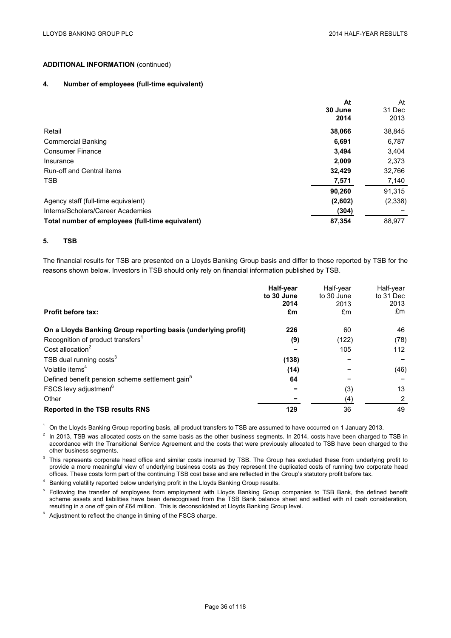# **ADDITIONAL INFORMATION** (continued)

### **4. Number of employees (full-time equivalent)**

|                                                  | At      | At      |
|--------------------------------------------------|---------|---------|
|                                                  | 30 June | 31 Dec  |
|                                                  | 2014    | 2013    |
| Retail                                           | 38,066  | 38,845  |
| <b>Commercial Banking</b>                        | 6.691   | 6,787   |
| <b>Consumer Finance</b>                          | 3.494   | 3,404   |
| Insurance                                        | 2,009   | 2,373   |
| Run-off and Central items                        | 32,429  | 32,766  |
| <b>TSB</b>                                       | 7,571   | 7,140   |
|                                                  | 90.260  | 91,315  |
| Agency staff (full-time equivalent)              | (2,602) | (2,338) |
| Interns/Scholars/Career Academies                | (304)   |         |
| Total number of employees (full-time equivalent) | 87,354  | 88,977  |

### **5. TSB**

The financial results for TSB are presented on a Lloyds Banking Group basis and differ to those reported by TSB for the reasons shown below. Investors in TSB should only rely on financial information published by TSB.

| Half-year  | Half-year  | Half-year            |
|------------|------------|----------------------|
| to 30 June | to 30 June | to 31 Dec            |
| 2014       | 2013       | 2013                 |
| £m         | £m         | £m                   |
| 226        | 60         | 46                   |
| (9)        | (122)      | (78)                 |
|            | 105        | 112                  |
| (138)      |            |                      |
| (14)       |            | (46)                 |
| 64         |            |                      |
|            | (3)        | 13                   |
|            | (4)        | $\mathbf{2}^{\circ}$ |
| 129        | 36         | 49                   |
|            |            |                      |

<sup>1</sup> On the Lloyds Banking Group reporting basis, all product transfers to TSB are assumed to have occurred on 1 January 2013.

 $2$  In 2013. TSB was allocated costs on the same basis as the other business segments. In 2014, costs have been charged to TSB in accordance with the Transitional Service Agreement and the costs that were previously allocated to TSB have been charged to the other business segments.

 $3$  This represents corporate head office and similar costs incurred by TSB. The Group has excluded these from underlying profit to provide a more meaningful view of underlying business costs as they represent the duplicated costs of running two corporate head offices. These costs form part of the continuing TSB cost base and are reflected in the Group's statutory profit before tax.

<sup>4</sup> Banking volatility reported below underlying profit in the Lloyds Banking Group results.

<sup>5</sup> Following the transfer of employees from employment with Lloyds Banking Group companies to TSB Bank, the defined benefit scheme assets and liabilities have been derecognised from the TSB Bank balance sheet and settled with nil cash consideration, resulting in a one off gain of £64 million. This is deconsolidated at Lloyds Banking Group level.

<sup>6</sup> Adjustment to reflect the change in timing of the FSCS charge.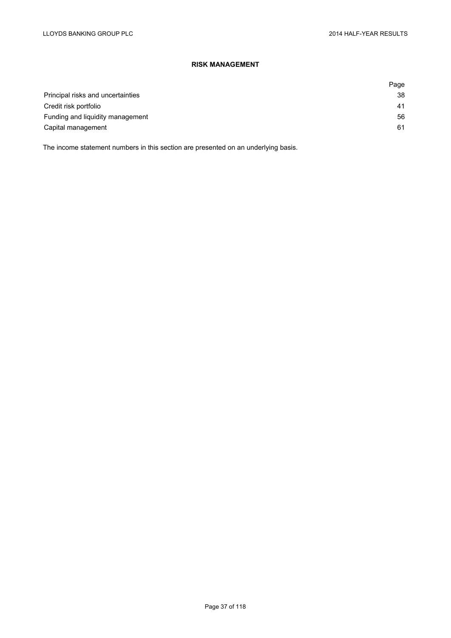# **RISK MANAGEMENT**

|                                   | Page |
|-----------------------------------|------|
| Principal risks and uncertainties | 38   |
| Credit risk portfolio             | 41   |
| Funding and liquidity management  | 56   |
| Capital management                | 61   |

The income statement numbers in this section are presented on an underlying basis.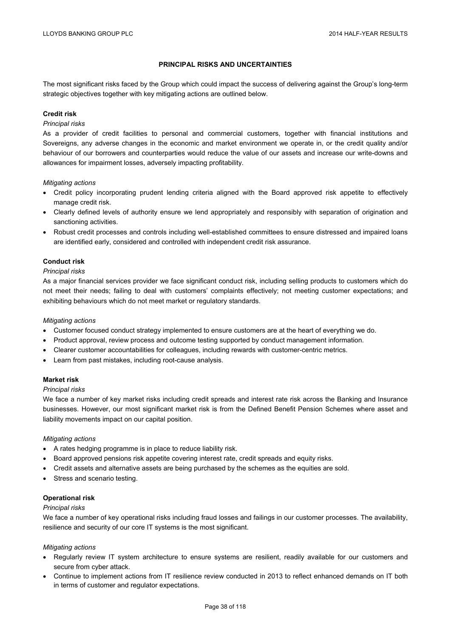## **PRINCIPAL RISKS AND UNCERTAINTIES**

The most significant risks faced by the Group which could impact the success of delivering against the Group's long-term strategic objectives together with key mitigating actions are outlined below.

### **Credit risk**

### *Principal risks*

As a provider of credit facilities to personal and commercial customers, together with financial institutions and Sovereigns, any adverse changes in the economic and market environment we operate in, or the credit quality and/or behaviour of our borrowers and counterparties would reduce the value of our assets and increase our write-downs and allowances for impairment losses, adversely impacting profitability.

#### *Mitigating actions*

- Credit policy incorporating prudent lending criteria aligned with the Board approved risk appetite to effectively manage credit risk.
- Clearly defined levels of authority ensure we lend appropriately and responsibly with separation of origination and sanctioning activities.
- Robust credit processes and controls including well-established committees to ensure distressed and impaired loans are identified early, considered and controlled with independent credit risk assurance.

# **Conduct risk**

#### *Principal risks*

As a major financial services provider we face significant conduct risk, including selling products to customers which do not meet their needs; failing to deal with customers' complaints effectively; not meeting customer expectations; and exhibiting behaviours which do not meet market or regulatory standards.

### *Mitigating actions*

- Customer focused conduct strategy implemented to ensure customers are at the heart of everything we do.
- Product approval, review process and outcome testing supported by conduct management information.
- Clearer customer accountabilities for colleagues, including rewards with customer-centric metrics.
- Learn from past mistakes, including root-cause analysis.

### **Market risk**

### *Principal risks*

We face a number of key market risks including credit spreads and interest rate risk across the Banking and Insurance businesses. However, our most significant market risk is from the Defined Benefit Pension Schemes where asset and liability movements impact on our capital position.

### *Mitigating actions*

- A rates hedging programme is in place to reduce liability risk.
- Board approved pensions risk appetite covering interest rate, credit spreads and equity risks.
- Credit assets and alternative assets are being purchased by the schemes as the equities are sold.
- Stress and scenario testing.

### **Operational risk**

#### *Principal risks*

We face a number of key operational risks including fraud losses and failings in our customer processes. The availability, resilience and security of our core IT systems is the most significant.

#### *Mitigating actions*

- Regularly review IT system architecture to ensure systems are resilient, readily available for our customers and secure from cyber attack.
- Continue to implement actions from IT resilience review conducted in 2013 to reflect enhanced demands on IT both in terms of customer and regulator expectations.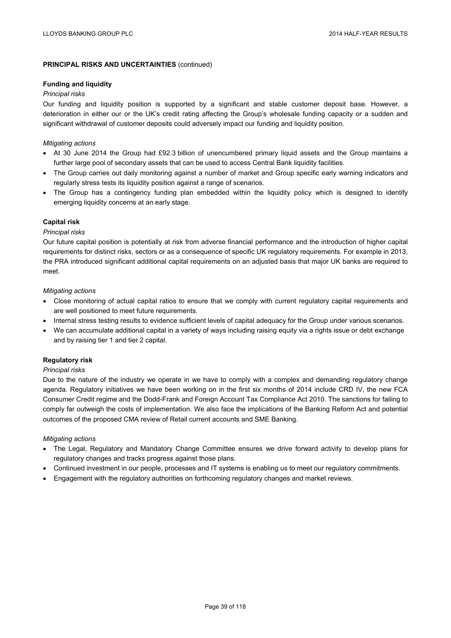# **PRINCIPAL RISKS AND UNCERTAINTIES** (continued)

### **Funding and liquidity**

## *Principal risks*

Our funding and liquidity position is supported by a significant and stable customer deposit base. However, a deterioration in either our or the UK's credit rating affecting the Group's wholesale funding capacity or a sudden and significant withdrawal of customer deposits could adversely impact our funding and liquidity position.

## *Mitigating actions*

- At 30 June 2014 the Group had £92.3 billion of unencumbered primary liquid assets and the Group maintains a further large pool of secondary assets that can be used to access Central Bank liquidity facilities.
- The Group carries out daily monitoring against a number of market and Group specific early warning indicators and regularly stress tests its liquidity position against a range of scenarios.
- The Group has a contingency funding plan embedded within the liquidity policy which is designed to identify emerging liquidity concerns at an early stage.

## **Capital risk**

## *Principal risks*

Our future capital position is potentially at risk from adverse financial performance and the introduction of higher capital requirements for distinct risks, sectors or as a consequence of specific UK regulatory requirements. For example in 2013, the PRA introduced significant additional capital requirements on an adjusted basis that major UK banks are required to meet.

### *Mitigating actions*

- Close monitoring of actual capital ratios to ensure that we comply with current regulatory capital requirements and are well positioned to meet future requirements.
- Internal stress testing results to evidence sufficient levels of capital adequacy for the Group under various scenarios.
- We can accumulate additional capital in a variety of ways including raising equity via a rights issue or debt exchange and by raising tier 1 and tier 2 capital.

# **Regulatory risk**

### *Principal risks*

Due to the nature of the industry we operate in we have to comply with a complex and demanding regulatory change agenda. Regulatory initiatives we have been working on in the first six months of 2014 include CRD IV, the new FCA Consumer Credit regime and the Dodd-Frank and Foreign Account Tax Compliance Act 2010. The sanctions for failing to comply far outweigh the costs of implementation. We also face the implications of the Banking Reform Act and potential outcomes of the proposed CMA review of Retail current accounts and SME Banking.

### *Mitigating actions*

- The Legal, Regulatory and Mandatory Change Committee ensures we drive forward activity to develop plans for regulatory changes and tracks progress against those plans.
- Continued investment in our people, processes and IT systems is enabling us to meet our regulatory commitments.
- Engagement with the regulatory authorities on forthcoming regulatory changes and market reviews.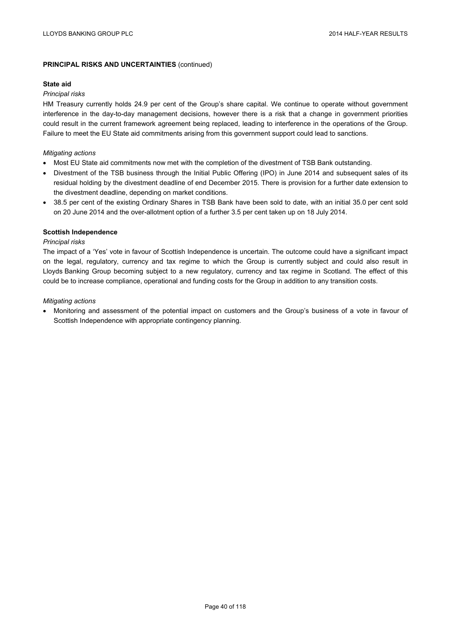# **PRINCIPAL RISKS AND UNCERTAINTIES** (continued)

### **State aid**

### *Principal risks*

HM Treasury currently holds 24.9 per cent of the Group's share capital. We continue to operate without government interference in the day-to-day management decisions, however there is a risk that a change in government priorities could result in the current framework agreement being replaced, leading to interference in the operations of the Group. Failure to meet the EU State aid commitments arising from this government support could lead to sanctions.

## *Mitigating actions*

- Most EU State aid commitments now met with the completion of the divestment of TSB Bank outstanding.
- Divestment of the TSB business through the Initial Public Offering (IPO) in June 2014 and subsequent sales of its residual holding by the divestment deadline of end December 2015. There is provision for a further date extension to the divestment deadline, depending on market conditions.
- 38.5 per cent of the existing Ordinary Shares in TSB Bank have been sold to date, with an initial 35.0 per cent sold on 20 June 2014 and the over-allotment option of a further 3.5 per cent taken up on 18 July 2014.

## **Scottish Independence**

## *Principal risks*

The impact of a 'Yes' vote in favour of Scottish Independence is uncertain. The outcome could have a significant impact on the legal, regulatory, currency and tax regime to which the Group is currently subject and could also result in Lloyds Banking Group becoming subject to a new regulatory, currency and tax regime in Scotland. The effect of this could be to increase compliance, operational and funding costs for the Group in addition to any transition costs.

## *Mitigating actions*

 Monitoring and assessment of the potential impact on customers and the Group's business of a vote in favour of Scottish Independence with appropriate contingency planning.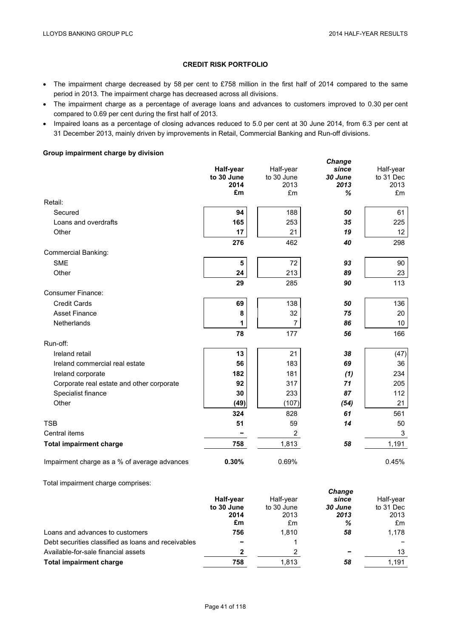*Change* 

# **CREDIT RISK PORTFOLIO**

- The impairment charge decreased by 58 per cent to £758 million in the first half of 2014 compared to the same period in 2013. The impairment charge has decreased across all divisions.
- The impairment charge as a percentage of average loans and advances to customers improved to 0.30 per cent compared to 0.69 per cent during the first half of 2013.
- Impaired loans as a percentage of closing advances reduced to 5.0 per cent at 30 June 2014, from 6.3 per cent at 31 December 2013, mainly driven by improvements in Retail, Commercial Banking and Run-off divisions.

# **Group impairment charge by division**

|                                              | Half-year<br>to 30 June<br>2014<br>£m | Half-year<br>to 30 June<br>2013<br>£m | onango<br>since<br>30 June<br>2013<br>% | Half-year<br>to 31 Dec<br>2013<br>£m |
|----------------------------------------------|---------------------------------------|---------------------------------------|-----------------------------------------|--------------------------------------|
| Retail:                                      |                                       |                                       |                                         |                                      |
| Secured                                      | 94                                    | 188                                   | 50                                      | 61                                   |
| Loans and overdrafts                         | 165                                   | 253                                   | 35                                      | 225                                  |
| Other                                        | 17                                    | 21                                    | 19                                      | 12 <sup>°</sup>                      |
|                                              | 276                                   | 462                                   | 40                                      | 298                                  |
| <b>Commercial Banking:</b>                   |                                       |                                       |                                         |                                      |
| <b>SME</b>                                   | 5                                     | 72                                    | 93                                      | 90                                   |
| Other                                        | 24                                    | 213                                   | 89                                      | 23                                   |
|                                              | 29                                    | 285                                   | 90                                      | 113                                  |
| <b>Consumer Finance:</b>                     |                                       |                                       |                                         |                                      |
| <b>Credit Cards</b>                          | 69                                    | 138                                   | 50                                      | 136                                  |
| <b>Asset Finance</b>                         | 8                                     | 32                                    | 75                                      | 20                                   |
| Netherlands                                  | 1                                     | $\overline{7}$                        | 86                                      | 10                                   |
|                                              | 78                                    | 177                                   | 56                                      | 166                                  |
| Run-off:                                     |                                       |                                       |                                         |                                      |
| Ireland retail                               | 13                                    | 21                                    | 38                                      | (47)                                 |
| Ireland commercial real estate               | 56                                    | 183                                   | 69                                      | 36                                   |
| Ireland corporate                            | 182                                   | 181                                   | (1)                                     | 234                                  |
| Corporate real estate and other corporate    | 92                                    | 317                                   | 71                                      | 205                                  |
| Specialist finance                           | 30                                    | 233                                   | 87                                      | 112                                  |
| Other                                        | (49)                                  | (107)                                 | (54)                                    | 21                                   |
|                                              | 324                                   | 828                                   | 61                                      | 561                                  |
| <b>TSB</b>                                   | 51                                    | 59                                    | 14                                      | 50                                   |
| Central items                                |                                       | $\overline{2}$                        |                                         | 3                                    |
| <b>Total impairment charge</b>               | 758                                   | 1,813                                 | 58                                      | 1,191                                |
| Impairment charge as a % of average advances | 0.30%                                 | 0.69%                                 |                                         | 0.45%                                |

Total impairment charge comprises:

|                                                     |            | <b>Change</b> |         |           |  |
|-----------------------------------------------------|------------|---------------|---------|-----------|--|
|                                                     | Half-year  | Half-year     | since   | Half-year |  |
|                                                     | to 30 June | to 30 June    | 30 June | to 31 Dec |  |
|                                                     | 2014       | 2013          | 2013    | 2013      |  |
|                                                     | £m         | £m            | %       | £m        |  |
| Loans and advances to customers                     | 756        | 1.810         | 58      | 1.178     |  |
| Debt securities classified as loans and receivables | -          |               |         |           |  |
| Available-for-sale financial assets                 | 2          | 2             |         | 13        |  |
| Total impairment charge                             | 758        | 1.813         | 58      | 1.191     |  |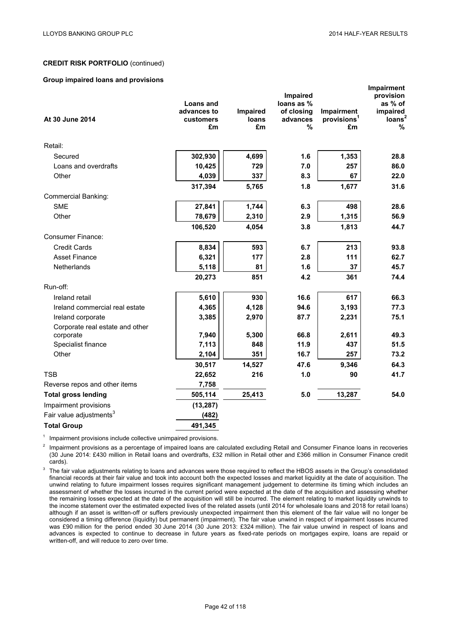#### **Group impaired loans and provisions**

|                                     | <b>Loans and</b> |             | Impaired<br>loans as % |                               | Impairment<br>provision<br>as % of |
|-------------------------------------|------------------|-------------|------------------------|-------------------------------|------------------------------------|
|                                     | advances to      | Impaired    | of closing             | Impairment                    | impaired                           |
| At 30 June 2014                     | customers<br>£m  | loans<br>£m | advances<br>%          | provisions <sup>1</sup><br>£m | loans <sup>2</sup><br>%            |
| Retail:                             |                  |             |                        |                               |                                    |
| Secured                             | 302,930          | 4,699       | 1.6                    | 1,353                         | 28.8                               |
| Loans and overdrafts                | 10,425           | 729         | 7.0                    | 257                           | 86.0                               |
| Other                               | 4,039            | 337         | 8.3                    | 67                            | 22.0                               |
|                                     | 317,394          | 5,765       | 1.8                    | 1,677                         | 31.6                               |
| <b>Commercial Banking:</b>          |                  |             |                        |                               |                                    |
| <b>SME</b>                          | 27,841           | 1,744       | 6.3                    | 498                           | 28.6                               |
| Other                               | 78,679           | 2,310       | 2.9                    | 1,315                         | 56.9                               |
|                                     | 106,520          | 4,054       | 3.8                    | 1,813                         | 44.7                               |
| <b>Consumer Finance:</b>            |                  |             |                        |                               |                                    |
| <b>Credit Cards</b>                 | 8,834            | 593         | 6.7                    | 213                           | 93.8                               |
| <b>Asset Finance</b>                | 6,321            | 177         | 2.8                    | 111                           | 62.7                               |
| Netherlands                         | 5,118            | 81          | 1.6                    | 37                            | 45.7                               |
|                                     | 20,273           | 851         | 4.2                    | 361                           | 74.4                               |
| Run-off:                            |                  |             |                        |                               |                                    |
| Ireland retail                      | 5,610            | 930         | 16.6                   | 617                           | 66.3                               |
| Ireland commercial real estate      | 4,365            | 4,128       | 94.6                   | 3,193                         | 77.3                               |
| Ireland corporate                   | 3,385            | 2,970       | 87.7                   | 2,231                         | 75.1                               |
| Corporate real estate and other     |                  |             |                        |                               |                                    |
| corporate                           | 7,940            | 5,300       | 66.8                   | 2,611                         | 49.3                               |
| Specialist finance                  | 7,113            | 848         | 11.9                   | 437                           | 51.5                               |
| Other                               | 2,104            | 351         | 16.7                   | 257                           | 73.2                               |
|                                     | 30,517           | 14,527      | 47.6                   | 9,346                         | 64.3                               |
| <b>TSB</b>                          | 22,652           | 216         | 1.0                    | 90                            | 41.7                               |
| Reverse repos and other items       | 7,758            |             |                        |                               |                                    |
| <b>Total gross lending</b>          | 505,114          | 25,413      | 5.0                    | 13,287                        | 54.0                               |
| Impairment provisions               | (13, 287)        |             |                        |                               |                                    |
| Fair value adjustments <sup>3</sup> | (482)            |             |                        |                               |                                    |
| <b>Total Group</b>                  | 491,345          |             |                        |                               |                                    |

 $1$  Impairment provisions include collective unimpaired provisions.

Impairment provisions as a percentage of impaired loans are calculated excluding Retail and Consumer Finance loans in recoveries (30 June 2014: £430 million in Retail loans and overdrafts, £32 million in Retail other and £366 million in Consumer Finance credit cards).

<sup>3</sup> The fair value adjustments relating to loans and advances were those required to reflect the HBOS assets in the Group's consolidated financial records at their fair value and took into account both the expected losses and market liquidity at the date of acquisition. The unwind relating to future impairment losses requires significant management judgement to determine its timing which includes an assessment of whether the losses incurred in the current period were expected at the date of the acquisition and assessing whether the remaining losses expected at the date of the acquisition will still be incurred. The element relating to market liquidity unwinds to the income statement over the estimated expected lives of the related assets (until 2014 for wholesale loans and 2018 for retail loans) although if an asset is written-off or suffers previously unexpected impairment then this element of the fair value will no longer be considered a timing difference (liquidity) but permanent (impairment). The fair value unwind in respect of impairment losses incurred was £90 million for the period ended 30 June 2014 (30 June 2013: £324 million). The fair value unwind in respect of loans and advances is expected to continue to decrease in future years as fixed-rate periods on mortgages expire, loans are repaid or written-off, and will reduce to zero over time.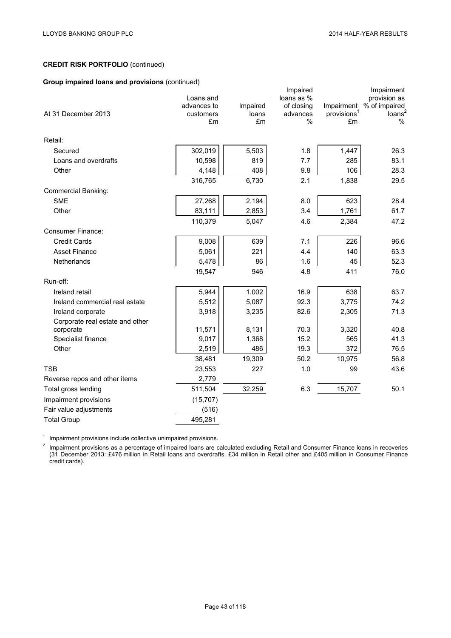# **Group impaired loans and provisions** (continued)

| $\sim$ . $\sim$ . The matrix is the state of $\sim$ . The state of $\sim$ |                                       |                   |                                                  |                                       |                                                                   |
|---------------------------------------------------------------------------|---------------------------------------|-------------------|--------------------------------------------------|---------------------------------------|-------------------------------------------------------------------|
| At 31 December 2013                                                       | Loans and<br>advances to<br>customers | Impaired<br>loans | Impaired<br>loans as %<br>of closing<br>advances | Impairment<br>provisions <sup>1</sup> | Impairment<br>provision as<br>% of impaired<br>loans <sup>2</sup> |
|                                                                           | £m                                    | £m                | $\%$                                             | £m                                    | $\%$                                                              |
| Retail:                                                                   |                                       |                   |                                                  |                                       |                                                                   |
| Secured                                                                   | 302,019                               | 5,503             | 1.8                                              | 1,447                                 | 26.3                                                              |
| Loans and overdrafts                                                      | 10,598                                | 819               | 7.7                                              | 285                                   | 83.1                                                              |
| Other                                                                     | 4,148                                 | 408               | 9.8                                              | 106                                   | 28.3                                                              |
|                                                                           | 316,765                               | 6,730             | 2.1                                              | 1,838                                 | 29.5                                                              |
| <b>Commercial Banking:</b>                                                |                                       |                   |                                                  |                                       |                                                                   |
| <b>SME</b>                                                                | 27,268                                | 2,194             | 8.0                                              | 623                                   | 28.4                                                              |
| Other                                                                     | 83,111                                | 2,853             | 3.4                                              | 1,761                                 | 61.7                                                              |
|                                                                           | 110,379                               | 5,047             | 4.6                                              | 2,384                                 | 47.2                                                              |
| Consumer Finance:                                                         |                                       |                   |                                                  |                                       |                                                                   |
| <b>Credit Cards</b>                                                       | 9,008                                 | 639               | 7.1                                              | 226                                   | 96.6                                                              |
| <b>Asset Finance</b>                                                      | 5,061                                 | 221               | 4.4                                              | 140                                   | 63.3                                                              |
| Netherlands                                                               | 5,478                                 | 86                | 1.6                                              | 45                                    | 52.3                                                              |
|                                                                           | 19,547                                | 946               | 4.8                                              | 411                                   | 76.0                                                              |
| Run-off:                                                                  |                                       |                   |                                                  |                                       |                                                                   |
| Ireland retail                                                            | 5,944                                 | 1,002             | 16.9                                             | 638                                   | 63.7                                                              |
| Ireland commercial real estate                                            | 5,512                                 | 5,087             | 92.3                                             | 3,775                                 | 74.2                                                              |
| Ireland corporate                                                         | 3,918                                 | 3,235             | 82.6                                             | 2,305                                 | 71.3                                                              |
| Corporate real estate and other                                           |                                       |                   |                                                  |                                       |                                                                   |
| corporate                                                                 | 11,571                                | 8,131             | 70.3                                             | 3,320                                 | 40.8                                                              |
| Specialist finance                                                        | 9,017                                 | 1,368             | 15.2                                             | 565                                   | 41.3                                                              |
| Other                                                                     | 2,519                                 | 486               | 19.3                                             | 372                                   | 76.5                                                              |
|                                                                           | 38,481                                | 19,309            | 50.2                                             | 10,975                                | 56.8                                                              |
| <b>TSB</b>                                                                | 23,553                                | 227               | 1.0                                              | 99                                    | 43.6                                                              |
| Reverse repos and other items                                             | 2,779                                 |                   |                                                  |                                       |                                                                   |
| Total gross lending                                                       | 511,504                               | 32,259            | 6.3                                              | 15,707                                | 50.1                                                              |
| Impairment provisions                                                     | (15, 707)                             |                   |                                                  |                                       |                                                                   |
| Fair value adjustments                                                    | (516)                                 |                   |                                                  |                                       |                                                                   |
| <b>Total Group</b>                                                        | 495,281                               |                   |                                                  |                                       |                                                                   |

<sup>1</sup> Impairment provisions include collective unimpaired provisions.

 $2$  Impairment provisions as a percentage of impaired loans are calculated excluding Retail and Consumer Finance loans in recoveries (31 December 2013: £476 million in Retail loans and overdrafts, £34 million in Retail other and £405 million in Consumer Finance credit cards).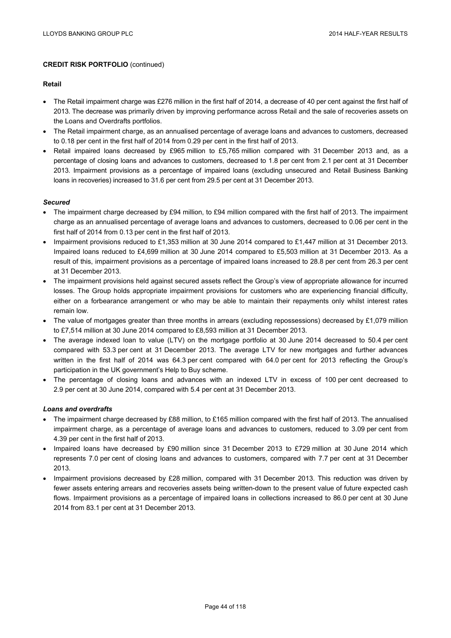### **Retail**

- The Retail impairment charge was £276 million in the first half of 2014, a decrease of 40 per cent against the first half of 2013. The decrease was primarily driven by improving performance across Retail and the sale of recoveries assets on the Loans and Overdrafts portfolios.
- The Retail impairment charge, as an annualised percentage of average loans and advances to customers, decreased to 0.18 per cent in the first half of 2014 from 0.29 per cent in the first half of 2013.
- Retail impaired loans decreased by £965 million to £5,765 million compared with 31 December 2013 and, as a percentage of closing loans and advances to customers, decreased to 1.8 per cent from 2.1 per cent at 31 December 2013. Impairment provisions as a percentage of impaired loans (excluding unsecured and Retail Business Banking loans in recoveries) increased to 31.6 per cent from 29.5 per cent at 31 December 2013.

### *Secured*

- The impairment charge decreased by £94 million, to £94 million compared with the first half of 2013. The impairment charge as an annualised percentage of average loans and advances to customers, decreased to 0.06 per cent in the first half of 2014 from 0.13 per cent in the first half of 2013.
- Impairment provisions reduced to £1,353 million at 30 June 2014 compared to £1,447 million at 31 December 2013. Impaired loans reduced to £4,699 million at 30 June 2014 compared to £5,503 million at 31 December 2013. As a result of this, impairment provisions as a percentage of impaired loans increased to 28.8 per cent from 26.3 per cent at 31 December 2013.
- The impairment provisions held against secured assets reflect the Group's view of appropriate allowance for incurred losses. The Group holds appropriate impairment provisions for customers who are experiencing financial difficulty, either on a forbearance arrangement or who may be able to maintain their repayments only whilst interest rates remain low.
- The value of mortgages greater than three months in arrears (excluding repossessions) decreased by £1,079 million to £7,514 million at 30 June 2014 compared to £8,593 million at 31 December 2013.
- The average indexed loan to value (LTV) on the mortgage portfolio at 30 June 2014 decreased to 50.4 per cent compared with 53.3 per cent at 31 December 2013. The average LTV for new mortgages and further advances written in the first half of 2014 was 64.3 per cent compared with 64.0 per cent for 2013 reflecting the Group's participation in the UK government's Help to Buy scheme.
- The percentage of closing loans and advances with an indexed LTV in excess of 100 per cent decreased to 2.9 per cent at 30 June 2014, compared with 5.4 per cent at 31 December 2013.

# *Loans and overdrafts*

- The impairment charge decreased by £88 million, to £165 million compared with the first half of 2013. The annualised impairment charge, as a percentage of average loans and advances to customers, reduced to 3.09 per cent from 4.39 per cent in the first half of 2013.
- Impaired loans have decreased by £90 million since 31 December 2013 to £729 million at 30 June 2014 which represents 7.0 per cent of closing loans and advances to customers, compared with 7.7 per cent at 31 December 2013.
- Impairment provisions decreased by £28 million, compared with 31 December 2013. This reduction was driven by fewer assets entering arrears and recoveries assets being written-down to the present value of future expected cash flows. Impairment provisions as a percentage of impaired loans in collections increased to 86.0 per cent at 30 June 2014 from 83.1 per cent at 31 December 2013.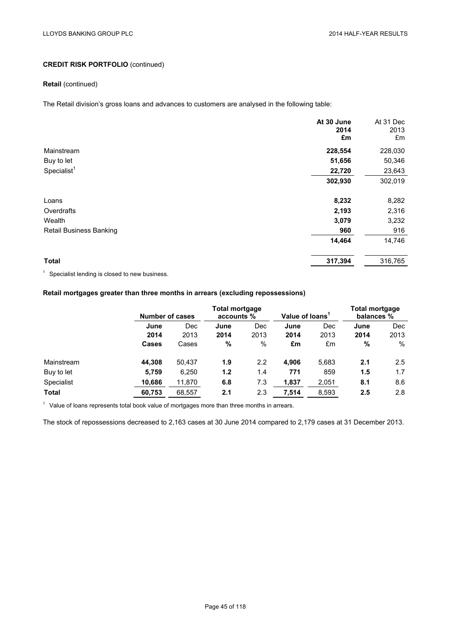# **Retail** (continued)

The Retail division's gross loans and advances to customers are analysed in the following table:

|                                | At 30 June<br>2014<br>£m | At 31 Dec<br>2013<br>£m |
|--------------------------------|--------------------------|-------------------------|
| Mainstream                     | 228,554                  | 228,030                 |
| Buy to let                     | 51,656                   | 50,346                  |
| Specialist <sup>1</sup>        | 22,720                   | 23,643                  |
|                                | 302,930                  | 302,019                 |
| Loans                          | 8,232                    | 8,282                   |
| Overdrafts                     | 2,193                    | 2,316                   |
| Wealth                         | 3,079                    | 3,232                   |
| <b>Retail Business Banking</b> | 960                      | 916                     |
|                                | 14,464                   | 14,746                  |
| <b>Total</b>                   | 317,394                  | 316,765                 |

<sup>1</sup> Specialist lending is closed to new business.

# **Retail mortgages greater than three months in arrears (excluding repossessions)**

|              | <b>Total mortgage</b><br><b>Number of cases</b><br>accounts % |        |      | <b>Total mortgage</b><br>Value of loans <sup>1</sup><br>balances % |       |       |      |               |
|--------------|---------------------------------------------------------------|--------|------|--------------------------------------------------------------------|-------|-------|------|---------------|
|              | June                                                          | Dec    | June | Dec                                                                | June  | Dec   | June | <b>Dec</b>    |
|              | 2014                                                          | 2013   | 2014 | 2013                                                               | 2014  | 2013  | 2014 | 2013          |
|              | <b>Cases</b>                                                  | Cases  | %    | $\%$                                                               | £m    | £m    | %    | $\%$          |
| Mainstream   | 44.308                                                        | 50.437 | 1.9  | 2.2                                                                | 4.906 | 5,683 | 2.1  | $2.5^{\circ}$ |
| Buy to let   | 5,759                                                         | 6,250  | 1.2  | 1.4                                                                | 771   | 859   | 1.5  | 1.7           |
| Specialist   | 10,686                                                        | 11,870 | 6.8  | 7.3                                                                | 1,837 | 2,051 | 8.1  | 8.6           |
| <b>Total</b> | 60,753                                                        | 68,557 | 2.1  | 2.3                                                                | 7,514 | 8,593 | 2.5  | 2.8           |

 $1$  Value of loans represents total book value of mortgages more than three months in arrears.

The stock of repossessions decreased to 2,163 cases at 30 June 2014 compared to 2,179 cases at 31 December 2013.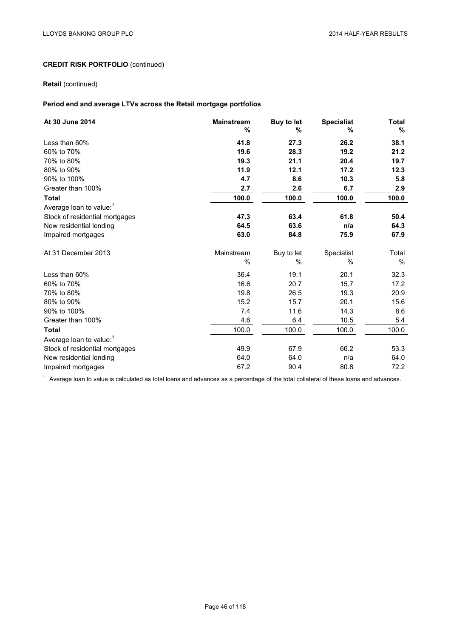# **Retail** (continued)

# **Period end and average LTVs across the Retail mortgage portfolios**

| At 30 June 2014                     | <b>Mainstream</b><br>% | Buy to let<br>% | <b>Specialist</b><br>% | Total<br>$\%$ |
|-------------------------------------|------------------------|-----------------|------------------------|---------------|
| Less than 60%                       | 41.8                   | 27.3            | 26.2                   | 38.1          |
| 60% to 70%                          | 19.6                   | 28.3            | 19.2                   | 21.2          |
| 70% to 80%                          | 19.3                   | 21.1            | 20.4                   | 19.7          |
| 80% to 90%                          | 11.9                   | 12.1            | 17.2                   | 12.3          |
| 90% to 100%                         | 4.7                    | 8.6             | 10.3                   | 5.8           |
| Greater than 100%                   | 2.7                    | 2.6             | 6.7                    | 2.9           |
| <b>Total</b>                        | 100.0                  | 100.0           | 100.0                  | 100.0         |
| Average loan to value: <sup>1</sup> |                        |                 |                        |               |
| Stock of residential mortgages      | 47.3                   | 63.4            | 61.8                   | 50.4          |
| New residential lending             | 64.5                   | 63.6            | n/a                    | 64.3          |
| Impaired mortgages                  | 63.0                   | 84.8            | 75.9                   | 67.9          |
| At 31 December 2013                 | Mainstream             | Buy to let      | Specialist             | Total         |
|                                     | $\%$                   | %               | $\%$                   | %             |
| Less than 60%                       | 36.4                   | 19.1            | 20.1                   | 32.3          |
| 60% to 70%                          | 16.6                   | 20.7            | 15.7                   | 17.2          |
| 70% to 80%                          | 19.8                   | 26.5            | 19.3                   | 20.9          |
| 80% to 90%                          | 15.2                   | 15.7            | 20.1                   | 15.6          |
| 90% to 100%                         | 7.4                    | 11.6            | 14.3                   | 8.6           |
| Greater than 100%                   | 4.6                    | 6.4             | 10.5                   | 5.4           |
| <b>Total</b>                        | 100.0                  | 100.0           | 100.0                  | 100.0         |
| Average loan to value: <sup>1</sup> |                        |                 |                        |               |
| Stock of residential mortgages      | 49.9                   | 67.9            | 66.2                   | 53.3          |
| New residential lending             | 64.0                   | 64.0            | n/a                    | 64.0          |
| Impaired mortgages                  | 67.2                   | 90.4            | 80.8                   | 72.2          |

 $1$  Average loan to value is calculated as total loans and advances as a percentage of the total collateral of these loans and advances.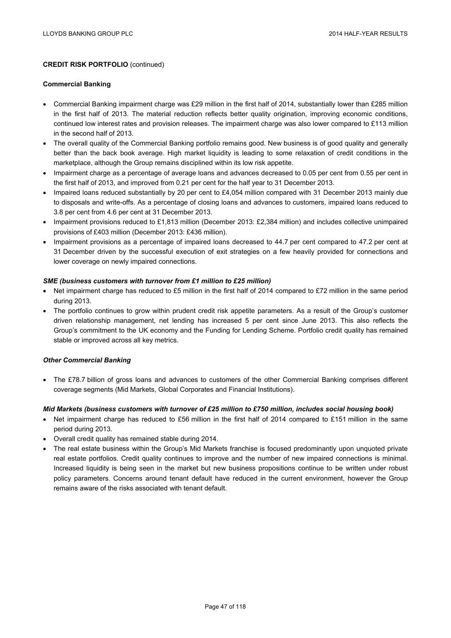### **Commercial Banking**

- Commercial Banking impairment charge was £29 million in the first half of 2014, substantially lower than £285 million in the first half of 2013. The material reduction reflects better quality origination, improving economic conditions, continued low interest rates and provision releases. The impairment charge was also lower compared to £113 million in the second half of 2013.
- The overall quality of the Commercial Banking portfolio remains good. New business is of good quality and generally better than the back book average. High market liquidity is leading to some relaxation of credit conditions in the marketplace, although the Group remains disciplined within its low risk appetite.
- Impairment charge as a percentage of average loans and advances decreased to 0.05 per cent from 0.55 per cent in the first half of 2013, and improved from 0.21 per cent for the half year to 31 December 2013.
- Impaired loans reduced substantially by 20 per cent to £4,054 million compared with 31 December 2013 mainly due to disposals and write-offs. As a percentage of closing loans and advances to customers, impaired loans reduced to 3.8 per cent from 4.6 per cent at 31 December 2013.
- Impairment provisions reduced to £1,813 million (December 2013: £2,384 million) and includes collective unimpaired provisions of £403 million (December 2013: £436 million).
- Impairment provisions as a percentage of impaired loans decreased to 44.7 per cent compared to 47.2 per cent at 31 December driven by the successful execution of exit strategies on a few heavily provided for connections and lower coverage on newly impaired connections.

### *SME (business customers with turnover from £1 million to £25 million)*

- Net impairment charge has reduced to £5 million in the first half of 2014 compared to £72 million in the same period during 2013.
- The portfolio continues to grow within prudent credit risk appetite parameters. As a result of the Group's customer driven relationship management, net lending has increased 5 per cent since June 2013. This also reflects the Group's commitment to the UK economy and the Funding for Lending Scheme. Portfolio credit quality has remained stable or improved across all key metrics.

### *Other Commercial Banking*

• The £78.7 billion of gross loans and advances to customers of the other Commercial Banking comprises different coverage segments (Mid Markets, Global Corporates and Financial Institutions).

# *Mid Markets (business customers with turnover of £25 million to £750 million, includes social housing book)*

- Net impairment charge has reduced to £56 million in the first half of 2014 compared to £151 million in the same period during 2013.
- Overall credit quality has remained stable during 2014.
- The real estate business within the Group's Mid Markets franchise is focused predominantly upon unquoted private real estate portfolios. Credit quality continues to improve and the number of new impaired connections is minimal. Increased liquidity is being seen in the market but new business propositions continue to be written under robust policy parameters. Concerns around tenant default have reduced in the current environment, however the Group remains aware of the risks associated with tenant default.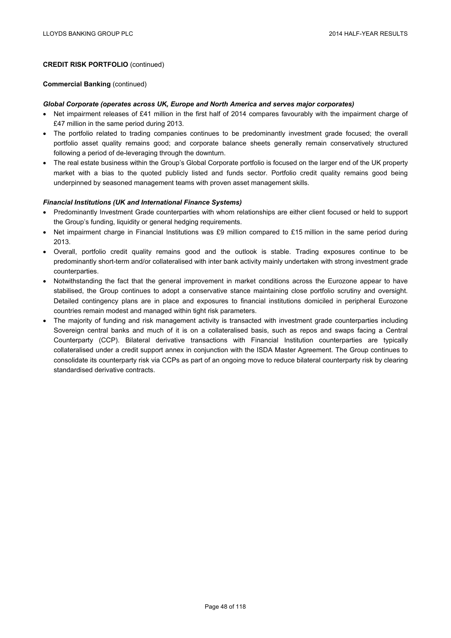#### **Commercial Banking** (continued)

### *Global Corporate (operates across UK, Europe and North America and serves major corporates)*

- Net impairment releases of £41 million in the first half of 2014 compares favourably with the impairment charge of £47 million in the same period during 2013.
- The portfolio related to trading companies continues to be predominantly investment grade focused; the overall portfolio asset quality remains good; and corporate balance sheets generally remain conservatively structured following a period of de-leveraging through the downturn.
- The real estate business within the Group's Global Corporate portfolio is focused on the larger end of the UK property market with a bias to the quoted publicly listed and funds sector. Portfolio credit quality remains good being underpinned by seasoned management teams with proven asset management skills.

# *Financial Institutions (UK and International Finance Systems)*

- Predominantly Investment Grade counterparties with whom relationships are either client focused or held to support the Group's funding, liquidity or general hedging requirements.
- Net impairment charge in Financial Institutions was £9 million compared to £15 million in the same period during 2013.
- Overall, portfolio credit quality remains good and the outlook is stable. Trading exposures continue to be predominantly short-term and/or collateralised with inter bank activity mainly undertaken with strong investment grade counterparties.
- Notwithstanding the fact that the general improvement in market conditions across the Eurozone appear to have stabilised, the Group continues to adopt a conservative stance maintaining close portfolio scrutiny and oversight. Detailed contingency plans are in place and exposures to financial institutions domiciled in peripheral Eurozone countries remain modest and managed within tight risk parameters.
- The majority of funding and risk management activity is transacted with investment grade counterparties including Sovereign central banks and much of it is on a collateralised basis, such as repos and swaps facing a Central Counterparty (CCP). Bilateral derivative transactions with Financial Institution counterparties are typically collateralised under a credit support annex in conjunction with the ISDA Master Agreement. The Group continues to consolidate its counterparty risk via CCPs as part of an ongoing move to reduce bilateral counterparty risk by clearing standardised derivative contracts.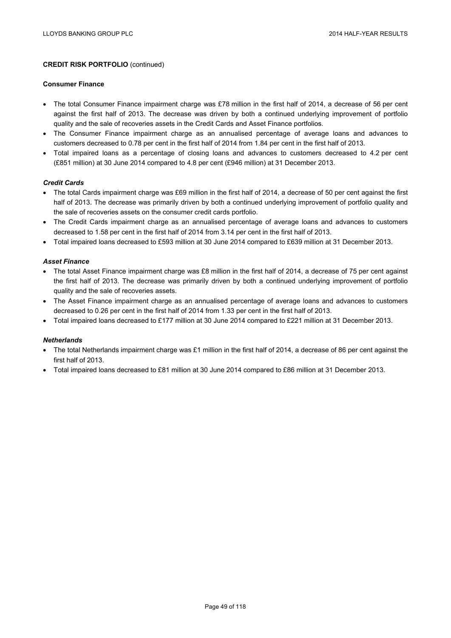#### **Consumer Finance**

- The total Consumer Finance impairment charge was £78 million in the first half of 2014, a decrease of 56 per cent against the first half of 2013. The decrease was driven by both a continued underlying improvement of portfolio quality and the sale of recoveries assets in the Credit Cards and Asset Finance portfolios.
- The Consumer Finance impairment charge as an annualised percentage of average loans and advances to customers decreased to 0.78 per cent in the first half of 2014 from 1.84 per cent in the first half of 2013.
- Total impaired loans as a percentage of closing loans and advances to customers decreased to 4.2 per cent (£851 million) at 30 June 2014 compared to 4.8 per cent (£946 million) at 31 December 2013.

### *Credit Cards*

- The total Cards impairment charge was £69 million in the first half of 2014, a decrease of 50 per cent against the first half of 2013. The decrease was primarily driven by both a continued underlying improvement of portfolio quality and the sale of recoveries assets on the consumer credit cards portfolio.
- The Credit Cards impairment charge as an annualised percentage of average loans and advances to customers decreased to 1.58 per cent in the first half of 2014 from 3.14 per cent in the first half of 2013.
- Total impaired loans decreased to £593 million at 30 June 2014 compared to £639 million at 31 December 2013.

## *Asset Finance*

- The total Asset Finance impairment charge was £8 million in the first half of 2014, a decrease of 75 per cent against the first half of 2013. The decrease was primarily driven by both a continued underlying improvement of portfolio quality and the sale of recoveries assets.
- The Asset Finance impairment charge as an annualised percentage of average loans and advances to customers decreased to 0.26 per cent in the first half of 2014 from 1.33 per cent in the first half of 2013.
- Total impaired loans decreased to £177 million at 30 June 2014 compared to £221 million at 31 December 2013.

### *Netherlands*

- The total Netherlands impairment charge was £1 million in the first half of 2014, a decrease of 86 per cent against the first half of 2013.
- Total impaired loans decreased to £81 million at 30 June 2014 compared to £86 million at 31 December 2013.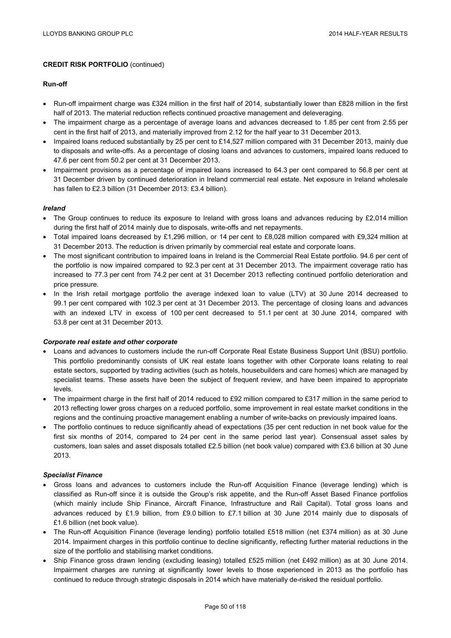### **Run-off**

- Run-off impairment charge was £324 million in the first half of 2014, substantially lower than £828 million in the first half of 2013. The material reduction reflects continued proactive management and deleveraging.
- The impairment charge as a percentage of average loans and advances decreased to 1.85 per cent from 2.55 per cent in the first half of 2013, and materially improved from 2.12 for the half year to 31 December 2013.
- Impaired loans reduced substantially by 25 per cent to £14,527 million compared with 31 December 2013, mainly due to disposals and write-offs. As a percentage of closing loans and advances to customers, impaired loans reduced to 47.6 per cent from 50.2 per cent at 31 December 2013.
- Impairment provisions as a percentage of impaired loans increased to 64.3 per cent compared to 56.8 per cent at 31 December driven by continued deterioration in Ireland commercial real estate. Net exposure in Ireland wholesale has fallen to £2.3 billion (31 December 2013: £3.4 billion).

### *Ireland*

- The Group continues to reduce its exposure to Ireland with gross loans and advances reducing by £2,014 million during the first half of 2014 mainly due to disposals, write-offs and net repayments.
- Total impaired loans decreased by £1,296 million, or 14 per cent to £8,028 million compared with £9,324 million at 31 December 2013. The reduction is driven primarily by commercial real estate and corporate loans.
- The most significant contribution to impaired loans in Ireland is the Commercial Real Estate portfolio. 94.6 per cent of the portfolio is now impaired compared to 92.3 per cent at 31 December 2013. The impairment coverage ratio has increased to 77.3 per cent from 74.2 per cent at 31 December 2013 reflecting continued portfolio deterioration and price pressure.
- In the Irish retail mortgage portfolio the average indexed loan to value (LTV) at 30 June 2014 decreased to 99.1 per cent compared with 102.3 per cent at 31 December 2013. The percentage of closing loans and advances with an indexed LTV in excess of 100 per cent decreased to 51.1 per cent at 30 June 2014, compared with 53.8 per cent at 31 December 2013.

### *Corporate real estate and other corporate*

- Loans and advances to customers include the run-off Corporate Real Estate Business Support Unit (BSU) portfolio. This portfolio predominantly consists of UK real estate loans together with other Corporate loans relating to real estate sectors, supported by trading activities (such as hotels, housebuilders and care homes) which are managed by specialist teams. These assets have been the subject of frequent review, and have been impaired to appropriate levels.
- The impairment charge in the first half of 2014 reduced to £92 million compared to £317 million in the same period to 2013 reflecting lower gross charges on a reduced portfolio, some improvement in real estate market conditions in the regions and the continuing proactive management enabling a number of write-backs on previously impaired loans.
- The portfolio continues to reduce significantly ahead of expectations (35 per cent reduction in net book value for the first six months of 2014, compared to 24 per cent in the same period last year). Consensual asset sales by customers, loan sales and asset disposals totalled £2.5 billion (net book value) compared with £3.6 billion at 30 June 2013.

### *Specialist Finance*

- Gross loans and advances to customers include the Run-off Acquisition Finance (leverage lending) which is classified as Run-off since it is outside the Group's risk appetite, and the Run-off Asset Based Finance portfolios (which mainly include Ship Finance, Aircraft Finance, Infrastructure and Rail Capital). Total gross loans and advances reduced by £1.9 billion, from £9.0 billion to £7.1 billion at 30 June 2014 mainly due to disposals of £1.6 billion (net book value).
- The Run-off Acquisition Finance (leverage lending) portfolio totalled £518 million (net £374 million) as at 30 June 2014. Impairment charges in this portfolio continue to decline significantly, reflecting further material reductions in the size of the portfolio and stabilising market conditions.
- Ship Finance gross drawn lending (excluding leasing) totalled £525 million (net £492 million) as at 30 June 2014. Impairment charges are running at significantly lower levels to those experienced in 2013 as the portfolio has continued to reduce through strategic disposals in 2014 which have materially de-risked the residual portfolio.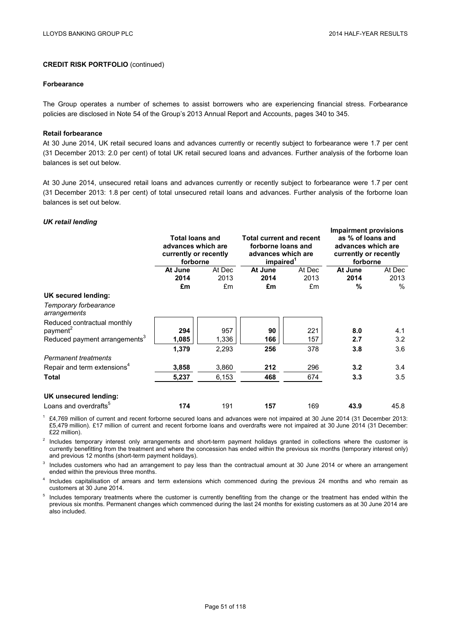#### **Forbearance**

The Group operates a number of schemes to assist borrowers who are experiencing financial stress. Forbearance policies are disclosed in Note 54 of the Group's 2013 Annual Report and Accounts, pages 340 to 345.

#### **Retail forbearance**

At 30 June 2014, UK retail secured loans and advances currently or recently subject to forbearance were 1.7 per cent (31 December 2013: 2.0 per cent) of total UK retail secured loans and advances. Further analysis of the forborne loan balances is set out below.

At 30 June 2014, unsecured retail loans and advances currently or recently subject to forbearance were 1.7 per cent (31 December 2013: 1.8 per cent) of total unsecured retail loans and advances. Further analysis of the forborne loan balances is set out below.

## *UK retail lending*

|                                           | <b>Total loans and</b><br>advances which are<br>currently or recently<br>forborne |        | <b>Total current and recent</b><br>forborne loans and<br>advances which are<br>impaired <sup>1</sup> |        | <b>Impairment provisions</b><br>as % of loans and<br>advances which are<br>currently or recently<br>forborne |               |
|-------------------------------------------|-----------------------------------------------------------------------------------|--------|------------------------------------------------------------------------------------------------------|--------|--------------------------------------------------------------------------------------------------------------|---------------|
|                                           | At June                                                                           | At Dec | At June                                                                                              | At Dec | At June                                                                                                      | At Dec        |
|                                           | 2014                                                                              | 2013   | 2014                                                                                                 | 2013   | 2014                                                                                                         | 2013          |
|                                           | £m                                                                                | £m     | £m                                                                                                   | £m     | %                                                                                                            | $\frac{0}{0}$ |
| UK secured lending:                       |                                                                                   |        |                                                                                                      |        |                                                                                                              |               |
| Temporary forbearance<br>arrangements     |                                                                                   |        |                                                                                                      |        |                                                                                                              |               |
| Reduced contractual monthly               |                                                                                   |        |                                                                                                      |        |                                                                                                              |               |
| payment <sup>2</sup>                      | 294                                                                               | 957    | 90                                                                                                   | 221    | 8.0                                                                                                          | 4.1           |
| Reduced payment arrangements <sup>3</sup> | 1,085                                                                             | 1,336  | 166                                                                                                  | 157    | 2.7                                                                                                          | 3.2           |
|                                           | 1,379                                                                             | 2,293  | 256                                                                                                  | 378    | 3.8                                                                                                          | 3.6           |
| <b>Permanent treatments</b>               |                                                                                   |        |                                                                                                      |        |                                                                                                              |               |
| Repair and term extensions <sup>4</sup>   | 3,858                                                                             | 3,860  | 212                                                                                                  | 296    | 3.2                                                                                                          | 3.4           |
| Total                                     | 5,237                                                                             | 6,153  | 468                                                                                                  | 674    | 3.3                                                                                                          | 3.5           |
| UK unsecured lending:                     |                                                                                   |        |                                                                                                      |        |                                                                                                              |               |
| Loans and overdrafts <sup>5</sup>         | 174                                                                               | 191    | 157                                                                                                  | 169    | 43.9                                                                                                         | 45.8          |

<sup>1</sup> £4,769 million of current and recent forborne secured loans and advances were not impaired at 30 June 2014 (31 December 2013: £5,479 million). £17 million of current and recent forborne loans and overdrafts were not impaired at 30 June 2014 (31 December: £22 million).

<sup>2</sup> Includes temporary interest only arrangements and short-term payment holidays granted in collections where the customer is currently benefitting from the treatment and where the concession has ended within the previous six months (temporary interest only) and previous 12 months (short-term payment holidays).

<sup>3</sup> Includes customers who had an arrangement to pay less than the contractual amount at 30 June 2014 or where an arrangement ended within the previous three months.

Includes capitalisation of arrears and term extensions which commenced during the previous 24 months and who remain as customers at 30 June 2014.

<sup>5</sup> Includes temporary treatments where the customer is currently benefiting from the change or the treatment has ended within the previous six months. Permanent changes which commenced during the last 24 months for existing customers as at 30 June 2014 are also included.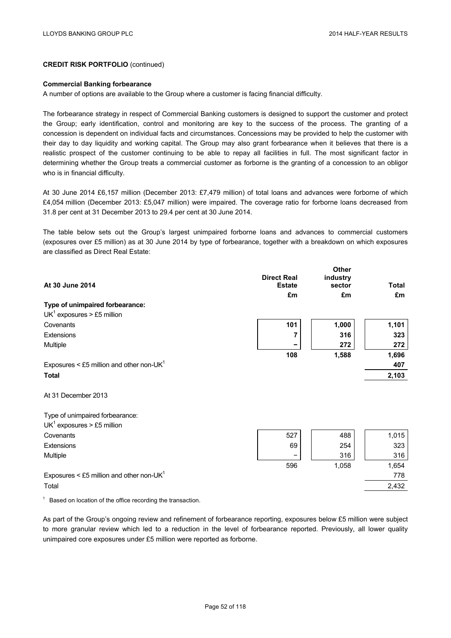#### **Commercial Banking forbearance**

A number of options are available to the Group where a customer is facing financial difficulty.

The forbearance strategy in respect of Commercial Banking customers is designed to support the customer and protect the Group; early identification, control and monitoring are key to the success of the process. The granting of a concession is dependent on individual facts and circumstances. Concessions may be provided to help the customer with their day to day liquidity and working capital. The Group may also grant forbearance when it believes that there is a realistic prospect of the customer continuing to be able to repay all facilities in full. The most significant factor in determining whether the Group treats a commercial customer as forborne is the granting of a concession to an obligor who is in financial difficulty.

At 30 June 2014 £6,157 million (December 2013: £7,479 million) of total loans and advances were forborne of which £4,054 million (December 2013: £5,047 million) were impaired. The coverage ratio for forborne loans decreased from 31.8 per cent at 31 December 2013 to 29.4 per cent at 30 June 2014.

The table below sets out the Group's largest unimpaired forborne loans and advances to commercial customers (exposures over £5 million) as at 30 June 2014 by type of forbearance, together with a breakdown on which exposures are classified as Direct Real Estate:

| At 30 June 2014                              | <b>Direct Real</b>  | <b>Other</b><br>industry | <b>Total</b> |
|----------------------------------------------|---------------------|--------------------------|--------------|
|                                              | <b>Estate</b><br>£m | sector<br>£m             | £m           |
| Type of unimpaired forbearance:              |                     |                          |              |
| $UK1$ exposures > £5 million                 |                     |                          |              |
| Covenants                                    | 101                 | 1,000                    | 1,101        |
| Extensions                                   | 7                   | 316                      | 323          |
| Multiple                                     |                     | 272                      | 272          |
|                                              | 108                 | 1,588                    | 1,696        |
| Exposures < £5 million and other non-UK $1$  |                     |                          | 407          |
| <b>Total</b>                                 |                     |                          | 2,103        |
| At 31 December 2013                          |                     |                          |              |
| Type of unimpaired forbearance:              |                     |                          |              |
| $UK1$ exposures > £5 million                 |                     |                          |              |
| Covenants                                    | 527                 | 488                      | 1,015        |
| Extensions                                   | 69                  | 254                      | 323          |
| Multiple                                     | -                   | 316                      | 316          |
|                                              | 596                 | 1,058                    | 1,654        |
| Exposures < £5 million and other non-UK $^1$ |                     |                          | 778          |
| Total                                        |                     |                          | 2,432        |
|                                              |                     |                          |              |

 $1$  Based on location of the office recording the transaction.

As part of the Group's ongoing review and refinement of forbearance reporting, exposures below £5 million were subject to more granular review which led to a reduction in the level of forbearance reported. Previously, all lower quality unimpaired core exposures under £5 million were reported as forborne.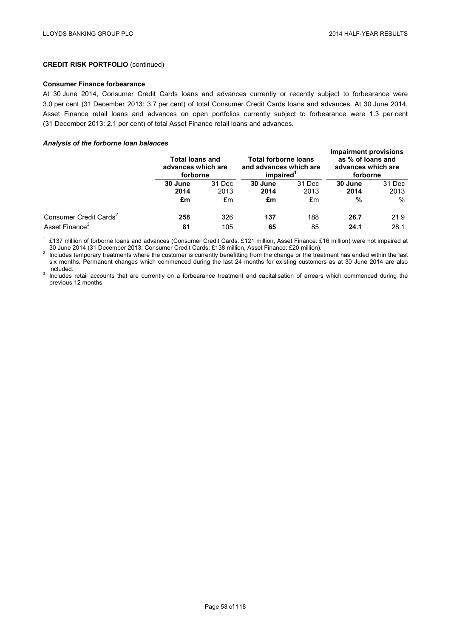## **Consumer Finance forbearance**

At 30 June 2014, Consumer Credit Cards loans and advances currently or recently subject to forbearance were 3.0 per cent (31 December 2013: 3.7 per cent) of total Consumer Credit Cards loans and advances. At 30 June 2014, Asset Finance retail loans and advances on open portfolios currently subject to forbearance were 1.3 per cent (31 December 2013: 2.1 per cent) of total Asset Finance retail loans and advances.

### *Analysis of the forborne loan balances*

|                                    |                 | <b>Total loans and</b><br>advances which are<br>forborne |                 | <b>Total forborne loans</b><br>and advances which are<br>impaired <sup>1</sup> |                 | <b>Impairment provisions</b><br>as % of loans and<br>advances which are<br>forborne |  |
|------------------------------------|-----------------|----------------------------------------------------------|-----------------|--------------------------------------------------------------------------------|-----------------|-------------------------------------------------------------------------------------|--|
|                                    | 30 June<br>2014 | 31 Dec<br>2013                                           | 30 June<br>2014 | 31 Dec<br>2013                                                                 | 30 June<br>2014 | 31 Dec<br>2013                                                                      |  |
|                                    | £m              | £m                                                       | £m              | £m                                                                             | %               | $\%$                                                                                |  |
| Consumer Credit Cards <sup>2</sup> | 258             | 326                                                      | 137             | 188                                                                            | 26.7            | 21.9                                                                                |  |
| Asset Finance <sup>3</sup>         | 81              | 105                                                      | 65              | 85                                                                             | 24.1            | 28.1                                                                                |  |

<sup>1</sup> £137 million of forborne Ioans and advances (Consumer Credit Cards: £121 million, Asset Finance: £16 million) were not impaired at <br>
30 June 2014 (31 December 2013: Consumer Credit Cards: £138 million, Asset Finance:

Includes temporary treatments where the customer is currently benefitting from the change or the treatment has ended within the last six months. Permanent changes which commenced during the last 24 months for existing customers as at 30 June 2014 are also included.

<sup>3</sup> Includes retail accounts that are currently on a forbearance treatment and capitalisation of arrears which commenced during the previous 12 months.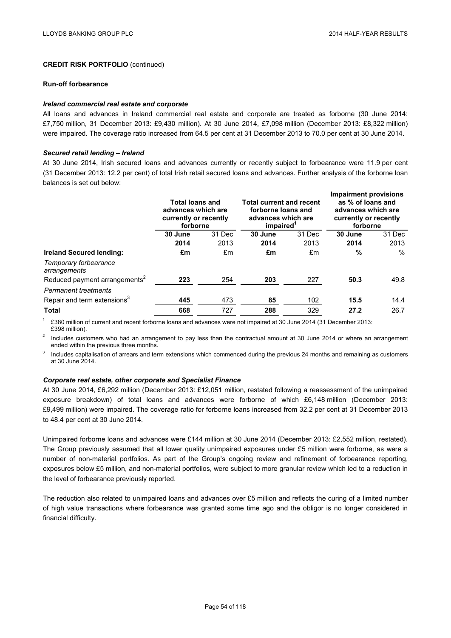#### **Run-off forbearance**

### *Ireland commercial real estate and corporate*

All loans and advances in Ireland commercial real estate and corporate are treated as forborne (30 June 2014: £7,750 million, 31 December 2013: £9,430 million). At 30 June 2014, £7,098 million (December 2013: £8,322 million) were impaired. The coverage ratio increased from 64.5 per cent at 31 December 2013 to 70.0 per cent at 30 June 2014.

### *Secured retail lending – Ireland*

At 30 June 2014, Irish secured loans and advances currently or recently subject to forbearance were 11.9 per cent (31 December 2013: 12.2 per cent) of total Irish retail secured loans and advances. Further analysis of the forborne loan balances is set out below:

|                                           | <b>Total loans and</b><br>advances which are<br>currently or recently<br>forborne |        | <b>Total current and recent</b><br>forborne loans and<br>advances which are<br>impaired |        | <b>Impairment provisions</b><br>as % of loans and<br>advances which are<br>currently or recently<br>forborne |        |
|-------------------------------------------|-----------------------------------------------------------------------------------|--------|-----------------------------------------------------------------------------------------|--------|--------------------------------------------------------------------------------------------------------------|--------|
|                                           | 30 June                                                                           | 31 Dec | 30 June                                                                                 | 31 Dec | 30 June                                                                                                      | 31 Dec |
|                                           | 2014                                                                              | 2013   | 2014                                                                                    | 2013   | 2014                                                                                                         | 2013   |
| Ireland Secured lending:                  | £m                                                                                | £m     | £m                                                                                      | £m     | %                                                                                                            | $\%$   |
| Temporary forbearance<br>arrangements     |                                                                                   |        |                                                                                         |        |                                                                                                              |        |
| Reduced payment arrangements <sup>2</sup> | 223                                                                               | 254    | 203                                                                                     | 227    | 50.3                                                                                                         | 49.8   |
| <b>Permanent treatments</b>               |                                                                                   |        |                                                                                         |        |                                                                                                              |        |
| Repair and term extensions <sup>3</sup>   | 445                                                                               | 473    | 85                                                                                      | 102    | 15.5                                                                                                         | 14.4   |
| <b>Total</b>                              | 668                                                                               | 727    | 288                                                                                     | 329    | 27.2                                                                                                         | 26.7   |

<sup>1</sup> £380 million of current and recent forborne loans and advances were not impaired at 30 June 2014 (31 December 2013: £398 million).

<sup>2</sup> Includes customers who had an arrangement to pay less than the contractual amount at 30 June 2014 or where an arrangement ended within the previous three months.

Includes capitalisation of arrears and term extensions which commenced during the previous 24 months and remaining as customers at 30 June 2014.

# *Corporate real estate, other corporate and Specialist Finance*

At 30 June 2014, £6,292 million (December 2013: £12,051 million, restated following a reassessment of the unimpaired exposure breakdown) of total loans and advances were forborne of which £6,148 million (December 2013: £9,499 million) were impaired. The coverage ratio for forborne loans increased from 32.2 per cent at 31 December 2013 to 48.4 per cent at 30 June 2014.

Unimpaired forborne loans and advances were £144 million at 30 June 2014 (December 2013: £2,552 million, restated). The Group previously assumed that all lower quality unimpaired exposures under £5 million were forborne, as were a number of non-material portfolios. As part of the Group's ongoing review and refinement of forbearance reporting, exposures below £5 million, and non-material portfolios, were subject to more granular review which led to a reduction in the level of forbearance previously reported.

The reduction also related to unimpaired loans and advances over £5 million and reflects the curing of a limited number of high value transactions where forbearance was granted some time ago and the obligor is no longer considered in financial difficulty.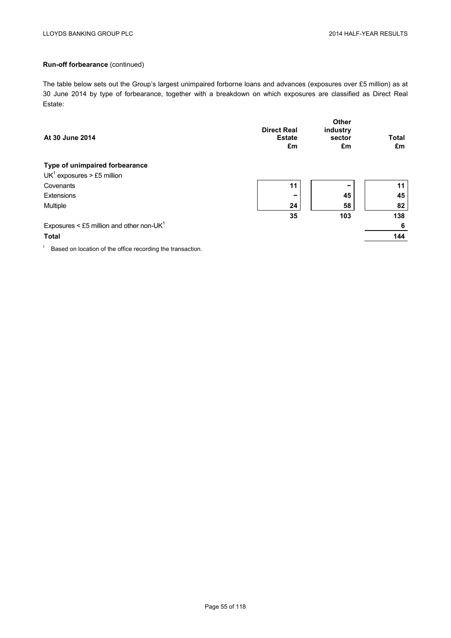# **Run-off forbearance** (continued)

The table below sets out the Group's largest unimpaired forborne loans and advances (exposures over £5 million) as at 30 June 2014 by type of forbearance, together with a breakdown on which exposures are classified as Direct Real Estate:

| At 30 June 2014                                            | <b>Direct Real</b><br><b>Estate</b><br>£m | <b>Other</b><br>industry<br>sector<br>£m | <b>Total</b><br>£m |
|------------------------------------------------------------|-------------------------------------------|------------------------------------------|--------------------|
| Type of unimpaired forbearance                             |                                           |                                          |                    |
| $UK1$ exposures > £5 million                               |                                           |                                          |                    |
| Covenants                                                  | 11                                        | -                                        | 11                 |
| Extensions                                                 |                                           | 45                                       | 45                 |
| Multiple                                                   | 24                                        | 58                                       | 82                 |
|                                                            | 35                                        | 103                                      | 138                |
| Exposures < £5 million and other non-UK $1$                |                                           |                                          | 6                  |
| <b>Total</b>                                               |                                           |                                          | 144                |
| Based on location of the office recording the transaction. |                                           |                                          |                    |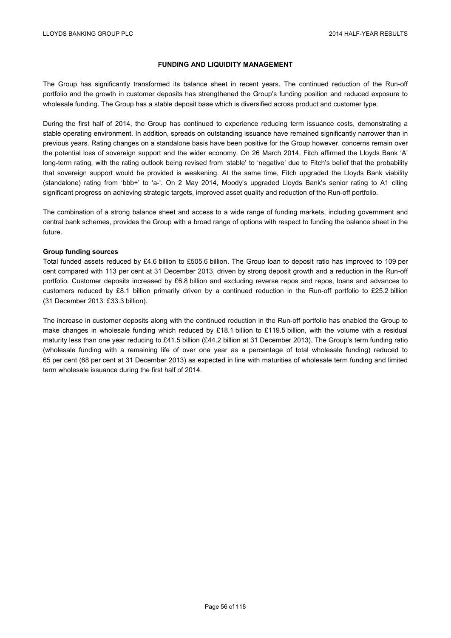## **FUNDING AND LIQUIDITY MANAGEMENT**

The Group has significantly transformed its balance sheet in recent years. The continued reduction of the Run-off portfolio and the growth in customer deposits has strengthened the Group's funding position and reduced exposure to wholesale funding. The Group has a stable deposit base which is diversified across product and customer type.

During the first half of 2014, the Group has continued to experience reducing term issuance costs, demonstrating a stable operating environment. In addition, spreads on outstanding issuance have remained significantly narrower than in previous years. Rating changes on a standalone basis have been positive for the Group however, concerns remain over the potential loss of sovereign support and the wider economy. On 26 March 2014, Fitch affirmed the Lloyds Bank 'A' long-term rating, with the rating outlook being revised from 'stable' to 'negative' due to Fitch's belief that the probability that sovereign support would be provided is weakening. At the same time, Fitch upgraded the Lloyds Bank viability (standalone) rating from 'bbb+' to 'a-'. On 2 May 2014, Moody's upgraded Lloyds Bank's senior rating to A1 citing significant progress on achieving strategic targets, improved asset quality and reduction of the Run-off portfolio.

The combination of a strong balance sheet and access to a wide range of funding markets, including government and central bank schemes, provides the Group with a broad range of options with respect to funding the balance sheet in the future.

### **Group funding sources**

Total funded assets reduced by £4.6 billion to £505.6 billion. The Group loan to deposit ratio has improved to 109 per cent compared with 113 per cent at 31 December 2013, driven by strong deposit growth and a reduction in the Run-off portfolio. Customer deposits increased by £6.8 billion and excluding reverse repos and repos, loans and advances to customers reduced by £8.1 billion primarily driven by a continued reduction in the Run-off portfolio to £25.2 billion (31 December 2013: £33.3 billion).

The increase in customer deposits along with the continued reduction in the Run-off portfolio has enabled the Group to make changes in wholesale funding which reduced by £18.1 billion to £119.5 billion, with the volume with a residual maturity less than one year reducing to £41.5 billion (£44.2 billion at 31 December 2013). The Group's term funding ratio (wholesale funding with a remaining life of over one year as a percentage of total wholesale funding) reduced to 65 per cent (68 per cent at 31 December 2013) as expected in line with maturities of wholesale term funding and limited term wholesale issuance during the first half of 2014.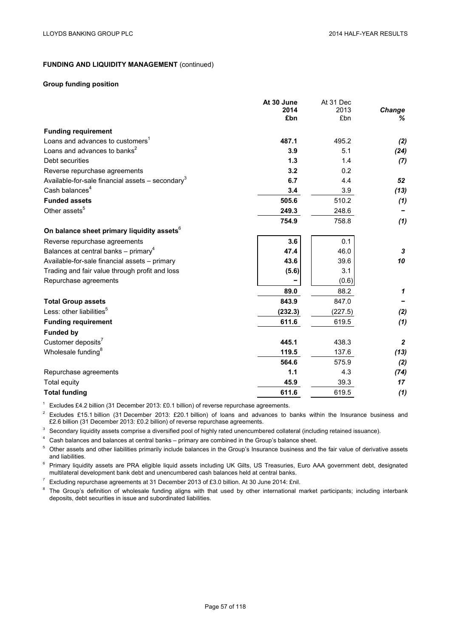## **Group funding position**

|                                                                | At 30 June<br>2014 | At 31 Dec<br>2013 | Change         |
|----------------------------------------------------------------|--------------------|-------------------|----------------|
|                                                                | £bn                | £bn               | ℅              |
| <b>Funding requirement</b>                                     |                    |                   |                |
| Loans and advances to customers <sup>1</sup>                   | 487.1              | 495.2             | (2)            |
| Loans and advances to banks <sup>2</sup>                       | 3.9                | 5.1               | (24)           |
| Debt securities                                                | 1.3                | 1.4               | (7)            |
| Reverse repurchase agreements                                  | 3.2                | 0.2               |                |
| Available-for-sale financial assets $-$ secondary <sup>3</sup> | 6.7                | 4.4               | 52             |
| Cash balances <sup>4</sup>                                     | 3.4                | 3.9               | (13)           |
| <b>Funded assets</b>                                           | 505.6              | 510.2             | (1)            |
| Other assets <sup>5</sup>                                      | 249.3              | 248.6             |                |
|                                                                | 754.9              | 758.8             | (1)            |
| On balance sheet primary liquidity assets <sup>6</sup>         |                    |                   |                |
| Reverse repurchase agreements                                  | 3.6                | 0.1               |                |
| Balances at central banks – primary <sup>4</sup>               | 47.4               | 46.0              | 3              |
| Available-for-sale financial assets - primary                  | 43.6               | 39.6              | 10             |
| Trading and fair value through profit and loss                 | (5.6)              | 3.1               |                |
| Repurchase agreements                                          |                    | (0.6)             |                |
|                                                                | 89.0               | 88.2              | 1              |
| <b>Total Group assets</b>                                      | 843.9              | 847.0             |                |
| Less: other liabilities <sup>5</sup>                           | (232.3)            | (227.5)           | (2)            |
| <b>Funding requirement</b>                                     | 611.6              | 619.5             | (1)            |
| <b>Funded by</b>                                               |                    |                   |                |
| Customer deposits <sup>7</sup>                                 | 445.1              | 438.3             | $\overline{2}$ |
| Wholesale funding <sup>8</sup>                                 | 119.5              | 137.6             | (13)           |
|                                                                | 564.6              | 575.9             | (2)            |
| Repurchase agreements                                          | 1.1                | 4.3               | (74)           |
| Total equity                                                   | 45.9               | 39.3              | 17             |
| <b>Total funding</b>                                           | 611.6              | 619.5             | (1)            |

<sup>1</sup> Excludes £4.2 billion (31 December 2013: £0.1 billion) of reverse repurchase agreements.<br><sup>2</sup> Excludes £15.1 billion (21 December 2013: £20.1 billion) of Jeans and educaces to J

<sup>2</sup> Excludes £15.1 billion (31 December 2013: £20.1 billion) of loans and advances to banks within the Insurance business and £2.6 billion (31 December 2013: £0.2 billion) of reverse repurchase agreements.

 $3$  Secondary liquidity assets comprise a diversified pool of highly rated unencumbered collateral (including retained issuance).

<sup>4</sup> Cash balances and balances at central banks – primary are combined in the Group's balance sheet.

<sup>5</sup> Other assets and other liabilities primarily include balances in the Group's Insurance business and the fair value of derivative assets and liabilities.

<sup>6</sup> Primary liquidity assets are PRA eligible liquid assets including UK Gilts, US Treasuries, Euro AAA government debt, designated multilateral development bank debt and unencumbered cash balances held at central banks.

Excluding repurchase agreements at 31 December 2013 of £3.0 billion. At 30 June 2014: £nil.

<sup>8</sup> The Group's definition of wholesale funding aligns with that used by other international market participants; including interbank deposits, debt securities in issue and subordinated liabilities.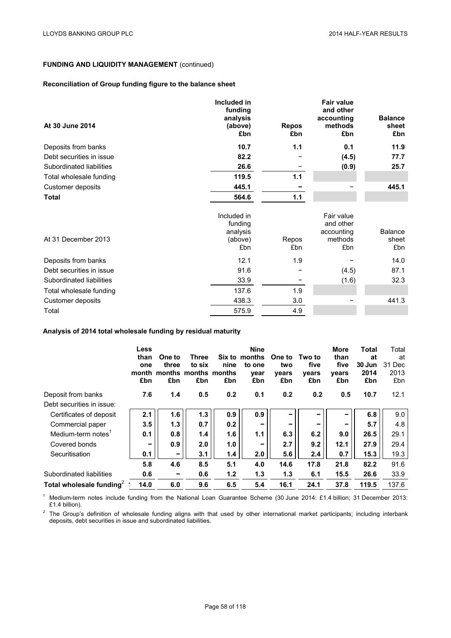# **Reconciliation of Group funding figure to the balance sheet**

| At 30 June 2014          | Included in<br>funding<br>analysis<br>(above)<br>£bn | <b>Repos</b><br>£bn | <b>Fair value</b><br>and other<br>accounting<br>methods<br>£bn | <b>Balance</b><br>sheet<br>£bn |
|--------------------------|------------------------------------------------------|---------------------|----------------------------------------------------------------|--------------------------------|
| Deposits from banks      | 10.7                                                 | 1.1                 | 0.1                                                            | 11.9                           |
| Debt securities in issue | 82.2                                                 |                     | (4.5)                                                          | 77.7                           |
| Subordinated liabilities | 26.6                                                 |                     | (0.9)                                                          | 25.7                           |
| Total wholesale funding  | 119.5                                                | $1.1$               |                                                                |                                |
| Customer deposits        | 445.1                                                |                     |                                                                | 445.1                          |
| <b>Total</b>             | 564.6                                                | 1.1                 |                                                                |                                |
| At 31 December 2013      | Included in<br>funding<br>analysis<br>(above)<br>£bn | Repos<br>£bn        | Fair value<br>and other<br>accounting<br>methods<br>£bn        | Balance<br>sheet<br>£bn        |
| Deposits from banks      | 12.1                                                 | 1.9                 |                                                                | 14.0                           |
| Debt securities in issue | 91.6                                                 |                     | (4.5)                                                          | 87.1                           |
| Subordinated liabilities | 33.9                                                 |                     | (1.6)                                                          | 32.3                           |
| Total wholesale funding  | 137.6                                                | 1.9                 |                                                                |                                |
| Customer deposits        | 438.3                                                | 3.0                 |                                                                | 441.3                          |
| Total                    | 575.9                                                | 4.9                 |                                                                |                                |

# **Analysis of 2014 total wholesale funding by residual maturity**

|                                      | Less<br>than<br>one<br>£bn | One to<br>three<br>month months months months<br>£bn | Three<br>to six<br>£bn | nine<br>£bn | <b>Nine</b><br>Six to months<br>to one<br>vear<br>£bn | One to<br>two<br>years<br>£bn | Two to<br>five<br>years<br>£bn | More<br>than<br>five<br>years<br>£bn | Total<br>at<br>30 Jun<br>2014<br>£bn | Total<br>at<br>31 Dec<br>2013<br>£bn |
|--------------------------------------|----------------------------|------------------------------------------------------|------------------------|-------------|-------------------------------------------------------|-------------------------------|--------------------------------|--------------------------------------|--------------------------------------|--------------------------------------|
| Deposit from banks                   | 7.6                        | 1.4                                                  | 0.5                    | 0.2         | 0.1                                                   | 0.2                           | 0.2                            | 0.5                                  | 10.7                                 | 12.1                                 |
| Debt securities in issue:            |                            |                                                      |                        |             |                                                       |                               |                                |                                      |                                      |                                      |
| Certificates of deposit              | 2.1                        | 1.6                                                  | 1.3                    | 0.9         | 0.9                                                   | -                             |                                | -                                    | 6.8                                  | 9.0                                  |
| Commercial paper                     | 3.5                        | 1.3                                                  | 0.7                    | 0.2         | $\overline{\phantom{0}}$                              | $\overline{\phantom{a}}$      | -                              | -                                    | 5.7                                  | 4.8                                  |
| Medium-term notes                    | 0.1                        | 0.8                                                  | 1.4                    | 1.6         | 1.1                                                   | 6.3                           | 6.2                            | 9.0                                  | 26.5                                 | 29.1                                 |
| Covered bonds                        | $\overline{\phantom{a}}$   | 0.9                                                  | 2.0                    | 1.0         | -                                                     | 2.7                           | 9.2                            | 12.1                                 | 27.9                                 | 29.4                                 |
| Securitisation                       | 0.1                        | -                                                    | 3.1                    | 1.4         | 2.0                                                   | 5.6                           | 2.4                            | 0.7                                  | 15.3                                 | 19.3                                 |
|                                      | 5.8                        | 4.6                                                  | 8.5                    | 5.1         | 4.0                                                   | 14.6                          | 17.8                           | 21.8                                 | 82.2                                 | 91.6                                 |
| Subordinated liabilities             | 0.6                        | -                                                    | 0.6                    | 1.2         | 1.3                                                   | 1.3                           | 6.1                            | 15.5                                 | 26.6                                 | 33.9                                 |
| Total wholesale funding <sup>2</sup> | 14.0                       | 6.0                                                  | 9.6                    | 6.5         | 5.4                                                   | 16.1                          | 24.1                           | 37.8                                 | 119.5                                | 137.6                                |

<sup>1</sup> Medium-term notes include funding from the National Loan Guarantee Scheme (30 June 2014: £1.4 billion; 31 December 2013: £1.4 billion).

 $2$  The Group's definition of wholesale funding aligns with that used by other international market participants; including interbank deposits, debt securities in issue and subordinated liabilities.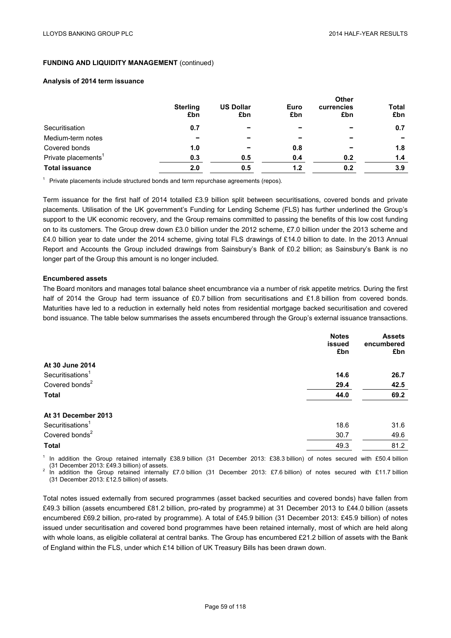### **Analysis of 2014 term issuance**

|                                 | <b>Sterling</b> | <b>US Dollar</b> | Euro | <b>Other</b><br>currencies | <b>Total</b> |  |
|---------------------------------|-----------------|------------------|------|----------------------------|--------------|--|
|                                 | £bn             | £bn              | £bn  | £bn                        | £bn          |  |
| Securitisation                  | 0.7             |                  | -    |                            | 0.7          |  |
| Medium-term notes               |                 |                  |      |                            |              |  |
| Covered bonds                   | 1.0             |                  | 0.8  |                            | 1.8          |  |
| Private placements <sup>1</sup> | 0.3             | 0.5              | 0.4  | 0.2                        | 1.4          |  |
| <b>Total issuance</b>           | 2.0             | 0.5              | 1.2  | 0.2                        | 3.9          |  |

 $<sup>1</sup>$  Private placements include structured bonds and term repurchase agreements (repos).</sup>

Term issuance for the first half of 2014 totalled £3.9 billion split between securitisations, covered bonds and private placements. Utilisation of the UK government's Funding for Lending Scheme (FLS) has further underlined the Group's support to the UK economic recovery, and the Group remains committed to passing the benefits of this low cost funding on to its customers. The Group drew down £3.0 billion under the 2012 scheme, £7.0 billion under the 2013 scheme and £4.0 billion year to date under the 2014 scheme, giving total FLS drawings of £14.0 billion to date. In the 2013 Annual Report and Accounts the Group included drawings from Sainsbury's Bank of £0.2 billion; as Sainsbury's Bank is no longer part of the Group this amount is no longer included.

### **Encumbered assets**

The Board monitors and manages total balance sheet encumbrance via a number of risk appetite metrics. During the first half of 2014 the Group had term issuance of £0.7 billion from securitisations and £1.8 billion from covered bonds. Maturities have led to a reduction in externally held notes from residential mortgage backed securitisation and covered bond issuance. The table below summarises the assets encumbered through the Group's external issuance transactions.

|                              | <b>Notes</b> | <b>Assets</b> |
|------------------------------|--------------|---------------|
|                              | issued       | encumbered    |
|                              | £bn          | £bn           |
| At 30 June 2014              |              |               |
| Securitisations <sup>1</sup> | 14.6         | 26.7          |
| Covered bonds <sup>2</sup>   | 29.4         | 42.5          |
| <b>Total</b>                 | 44.0         | 69.2          |
| At 31 December 2013          |              |               |
| Securitisations <sup>1</sup> | 18.6         | 31.6          |
| Covered bonds <sup>2</sup>   | 30.7         | 49.6          |
| <b>Total</b>                 | 49.3         | 81.2          |
| .<br>$\cdots$ $\cdots$       | --------     |               |

In addition the Group retained internally £38.9 billion (31 December 2013: £38.3 billion) of notes secured with £50.4 billion (31 December 2013: £49.3 billion) of assets.<br><sup>2</sup> In addition the Group retained internally £7.0 billion (31 December 2013: £7.6 billion) of notes secured with £11.7 billion

(31 December 2013: £12.5 billion) of assets.

Total notes issued externally from secured programmes (asset backed securities and covered bonds) have fallen from £49.3 billion (assets encumbered £81.2 billion, pro-rated by programme) at 31 December 2013 to £44.0 billion (assets encumbered £69.2 billion, pro-rated by programme). A total of £45.9 billion (31 December 2013: £45.9 billion) of notes issued under securitisation and covered bond programmes have been retained internally, most of which are held along with whole loans, as eligible collateral at central banks. The Group has encumbered £21.2 billion of assets with the Bank of England within the FLS, under which £14 billion of UK Treasury Bills has been drawn down.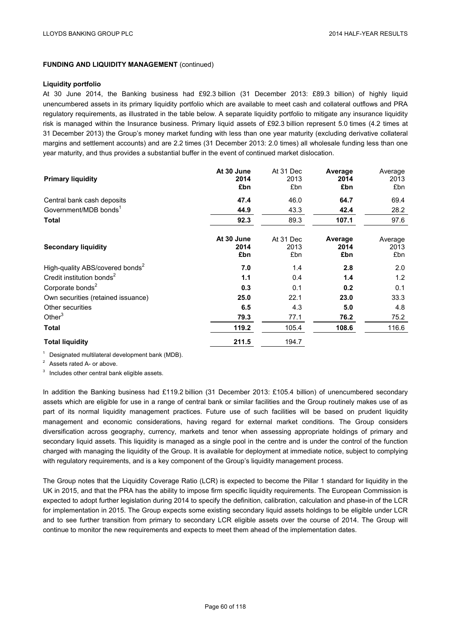#### **Liquidity portfolio**

At 30 June 2014, the Banking business had £92.3 billion (31 December 2013: £89.3 billion) of highly liquid unencumbered assets in its primary liquidity portfolio which are available to meet cash and collateral outflows and PRA regulatory requirements, as illustrated in the table below. A separate liquidity portfolio to mitigate any insurance liquidity risk is managed within the Insurance business. Primary liquid assets of £92.3 billion represent 5.0 times (4.2 times at 31 December 2013) the Group's money market funding with less than one year maturity (excluding derivative collateral margins and settlement accounts) and are 2.2 times (31 December 2013: 2.0 times) all wholesale funding less than one year maturity, and thus provides a substantial buffer in the event of continued market dislocation.

| <b>Primary liquidity</b>                    | At 30 June<br>2014<br>£bn | At 31 Dec<br>2013<br>£bn | Average<br>2014<br>£bn | Average<br>2013<br>£bn |
|---------------------------------------------|---------------------------|--------------------------|------------------------|------------------------|
| Central bank cash deposits                  | 47.4                      | 46.0                     | 64.7                   | 69.4                   |
| Government/MDB bonds <sup>1</sup>           | 44.9                      | 43.3                     | 42.4                   | 28.2                   |
| <b>Total</b>                                | 92.3                      | 89.3                     | 107.1                  | 97.6                   |
| <b>Secondary liquidity</b>                  | At 30 June<br>2014<br>£bn | At 31 Dec<br>2013<br>£bn | Average<br>2014<br>£bn | Average<br>2013<br>£bn |
| High-quality ABS/covered bonds <sup>2</sup> | 7.0                       | 1.4                      | 2.8                    | 2.0                    |
| Credit institution bonds <sup>2</sup>       | 1.1                       | 0.4                      | 1.4                    | 1.2                    |
| Corporate bonds <sup>2</sup>                | 0.3                       | 0.1                      | 0.2                    | 0.1                    |
| Own securities (retained issuance)          | 25.0                      | 22.1                     | 23.0                   | 33.3                   |
| Other securities                            | 6.5                       | 4.3                      | 5.0                    | 4.8                    |
| Other $3$                                   | 79.3                      | 77.1                     | 76.2                   | 75.2                   |
| <b>Total</b>                                | 119.2                     | 105.4                    | 108.6                  | 116.6                  |
| <b>Total liquidity</b>                      | 211.5                     | 194.7                    |                        |                        |

 $1$  Designated multilateral development bank (MDB).

<sup>2</sup> Assets rated A- or above.

<sup>3</sup> Includes other central bank eligible assets.

In addition the Banking business had £119.2 billion (31 December 2013: £105.4 billion) of unencumbered secondary assets which are eligible for use in a range of central bank or similar facilities and the Group routinely makes use of as part of its normal liquidity management practices. Future use of such facilities will be based on prudent liquidity management and economic considerations, having regard for external market conditions. The Group considers diversification across geography, currency, markets and tenor when assessing appropriate holdings of primary and secondary liquid assets. This liquidity is managed as a single pool in the centre and is under the control of the function charged with managing the liquidity of the Group. It is available for deployment at immediate notice, subject to complying with regulatory requirements, and is a key component of the Group's liquidity management process.

The Group notes that the Liquidity Coverage Ratio (LCR) is expected to become the Pillar 1 standard for liquidity in the UK in 2015, and that the PRA has the ability to impose firm specific liquidity requirements. The European Commission is expected to adopt further legislation during 2014 to specify the definition, calibration, calculation and phase-in of the LCR for implementation in 2015. The Group expects some existing secondary liquid assets holdings to be eligible under LCR and to see further transition from primary to secondary LCR eligible assets over the course of 2014. The Group will continue to monitor the new requirements and expects to meet them ahead of the implementation dates.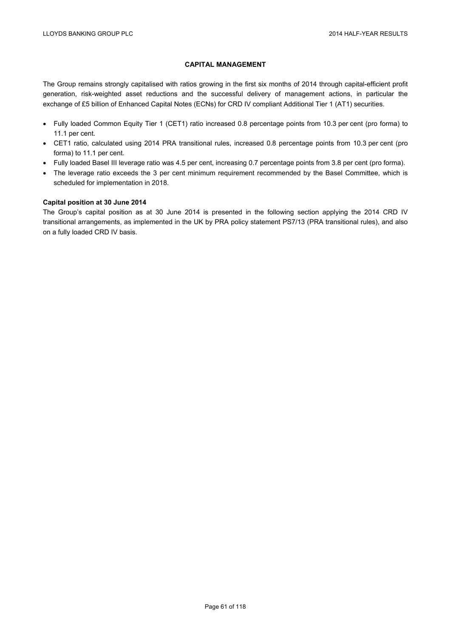# **CAPITAL MANAGEMENT**

The Group remains strongly capitalised with ratios growing in the first six months of 2014 through capital-efficient profit generation, risk-weighted asset reductions and the successful delivery of management actions, in particular the exchange of £5 billion of Enhanced Capital Notes (ECNs) for CRD IV compliant Additional Tier 1 (AT1) securities.

- Fully loaded Common Equity Tier 1 (CET1) ratio increased 0.8 percentage points from 10.3 per cent (pro forma) to 11.1 per cent.
- CET1 ratio, calculated using 2014 PRA transitional rules, increased 0.8 percentage points from 10.3 per cent (pro forma) to 11.1 per cent.
- Fully loaded Basel III leverage ratio was 4.5 per cent, increasing 0.7 percentage points from 3.8 per cent (pro forma).
- The leverage ratio exceeds the 3 per cent minimum requirement recommended by the Basel Committee, which is scheduled for implementation in 2018.

## **Capital position at 30 June 2014**

The Group's capital position as at 30 June 2014 is presented in the following section applying the 2014 CRD IV transitional arrangements, as implemented in the UK by PRA policy statement PS7/13 (PRA transitional rules), and also on a fully loaded CRD IV basis.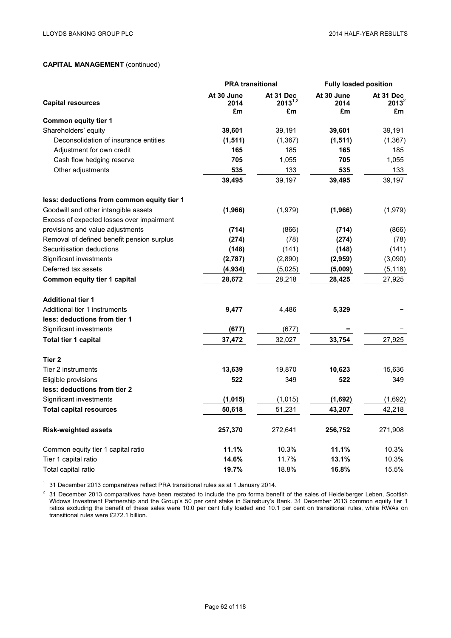|                                            | <b>PRA transitional</b>  |                                 | <b>Fully loaded position</b> |                             |
|--------------------------------------------|--------------------------|---------------------------------|------------------------------|-----------------------------|
| <b>Capital resources</b>                   | At 30 June<br>2014<br>£m | At 31 Dec<br>$2013^{1,2}$<br>£m | At 30 June<br>2014<br>£m     | At 31 Dec<br>$2013^2$<br>£m |
| <b>Common equity tier 1</b>                |                          |                                 |                              |                             |
| Shareholders' equity                       | 39,601                   | 39,191                          | 39,601                       | 39,191                      |
| Deconsolidation of insurance entities      | (1, 511)                 | (1, 367)                        | (1, 511)                     | (1, 367)                    |
| Adjustment for own credit                  | 165                      | 185                             | 165                          | 185                         |
| Cash flow hedging reserve                  | 705                      | 1,055                           | 705                          | 1,055                       |
| Other adjustments                          | 535                      | 133                             | 535                          | 133                         |
|                                            | 39,495                   | 39,197                          | 39,495                       | 39,197                      |
| less: deductions from common equity tier 1 |                          |                                 |                              |                             |
| Goodwill and other intangible assets       | (1, 966)                 | (1,979)                         | (1,966)                      | (1,979)                     |
| Excess of expected losses over impairment  |                          |                                 |                              |                             |
| provisions and value adjustments           | (714)                    | (866)                           | (714)                        | (866)                       |
| Removal of defined benefit pension surplus | (274)                    | (78)                            | (274)                        | (78)                        |
| Securitisation deductions                  | (148)                    | (141)                           | (148)                        | (141)                       |
| Significant investments                    | (2,787)                  | (2,890)                         | (2,959)                      | (3,090)                     |
| Deferred tax assets                        | (4, 934)                 | (5,025)                         | (5,009)                      | (5, 118)                    |
| <b>Common equity tier 1 capital</b>        | 28,672                   | 28,218                          | 28,425                       | 27,925                      |
| <b>Additional tier 1</b>                   |                          |                                 |                              |                             |
| Additional tier 1 instruments              | 9,477                    | 4,486                           | 5,329                        |                             |
| less: deductions from tier 1               |                          |                                 |                              |                             |
| Significant investments                    | (677)                    | (677)                           |                              |                             |
| Total tier 1 capital                       | 37,472                   | 32,027                          | 33,754                       | 27,925                      |
| Tier 2                                     |                          |                                 |                              |                             |
| Tier 2 instruments                         | 13,639                   | 19,870                          | 10,623                       | 15,636                      |
| Eligible provisions                        | 522                      | 349                             | 522                          | 349                         |
| less: deductions from tier 2               |                          |                                 |                              |                             |
| Significant investments                    | (1, 015)                 | (1,015)                         | (1,692)                      | (1,692)                     |
| <b>Total capital resources</b>             | 50,618                   | 51,231                          | 43,207                       | 42,218                      |
| <b>Risk-weighted assets</b>                | 257,370                  | 272,641                         | 256,752                      | 271,908                     |
| Common equity tier 1 capital ratio         | 11.1%                    | 10.3%                           | 11.1%                        | 10.3%                       |
| Tier 1 capital ratio                       | 14.6%                    | 11.7%                           | 13.1%                        | 10.3%                       |
| Total capital ratio                        | 19.7%                    | 18.8%                           | 16.8%                        | 15.5%                       |

 $1$  31 December 2013 comparatives reflect PRA transitional rules as at 1 January 2014.

 $2$  31 December 2013 comparatives have been restated to include the pro forma benefit of the sales of Heidelberger Leben, Scottish Widows Investment Partnership and the Group's 50 per cent stake in Sainsbury's Bank. 31 December 2013 common equity tier 1 ratios excluding the benefit of these sales were 10.0 per cent fully loaded and 10.1 per cent on transitional rules, while RWAs on transitional rules were £272.1 billion.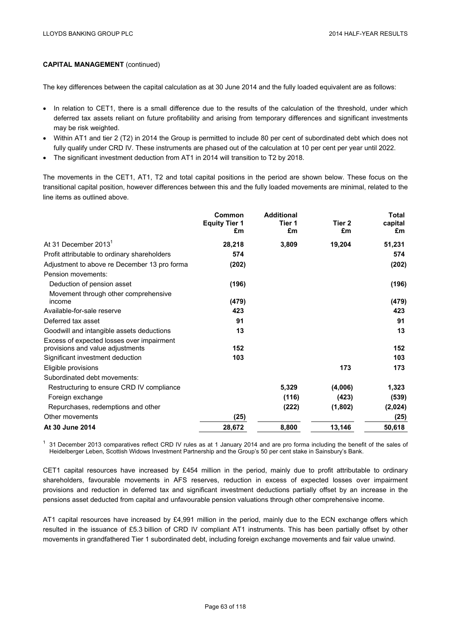The key differences between the capital calculation as at 30 June 2014 and the fully loaded equivalent are as follows:

- In relation to CET1, there is a small difference due to the results of the calculation of the threshold, under which deferred tax assets reliant on future profitability and arising from temporary differences and significant investments may be risk weighted.
- Within AT1 and tier 2 (T2) in 2014 the Group is permitted to include 80 per cent of subordinated debt which does not fully qualify under CRD IV. These instruments are phased out of the calculation at 10 per cent per year until 2022.
- The significant investment deduction from AT1 in 2014 will transition to T2 by 2018.

The movements in the CET1, AT1, T2 and total capital positions in the period are shown below. These focus on the transitional capital position, however differences between this and the fully loaded movements are minimal, related to the line items as outlined above.

|                                                                               | Common                     | <b>Additional</b> |              | <b>Total</b>  |
|-------------------------------------------------------------------------------|----------------------------|-------------------|--------------|---------------|
|                                                                               | <b>Equity Tier 1</b><br>£m | Tier 1<br>£m      | Tier 2<br>£m | capital<br>£m |
| At 31 December 2013 <sup>1</sup>                                              | 28,218                     | 3,809             | 19,204       | 51,231        |
| Profit attributable to ordinary shareholders                                  | 574                        |                   |              | 574           |
| Adjustment to above re December 13 pro forma                                  | (202)                      |                   |              | (202)         |
| Pension movements:                                                            |                            |                   |              |               |
| Deduction of pension asset                                                    | (196)                      |                   |              | (196)         |
| Movement through other comprehensive<br>income                                | (479)                      |                   |              | (479)         |
| Available-for-sale reserve                                                    | 423                        |                   |              | 423           |
| Deferred tax asset                                                            | 91                         |                   |              | 91            |
| Goodwill and intangible assets deductions                                     | 13                         |                   |              | 13            |
| Excess of expected losses over impairment<br>provisions and value adjustments | 152                        |                   |              | 152           |
| Significant investment deduction                                              | 103                        |                   |              | 103           |
| Eligible provisions                                                           |                            |                   | 173          | 173           |
| Subordinated debt movements:                                                  |                            |                   |              |               |
| Restructuring to ensure CRD IV compliance                                     |                            | 5,329             | (4,006)      | 1,323         |
| Foreign exchange                                                              |                            | (116)             | (423)        | (539)         |
| Repurchases, redemptions and other                                            |                            | (222)             | (1,802)      | (2,024)       |
| Other movements                                                               | (25)                       |                   |              | (25)          |
| At 30 June 2014                                                               | 28,672                     | 8,800             | 13,146       | 50,618        |

 $1$  31 December 2013 comparatives reflect CRD IV rules as at 1 January 2014 and are pro forma including the benefit of the sales of Heidelberger Leben, Scottish Widows Investment Partnership and the Group's 50 per cent stake in Sainsbury's Bank.

CET1 capital resources have increased by £454 million in the period, mainly due to profit attributable to ordinary shareholders, favourable movements in AFS reserves, reduction in excess of expected losses over impairment provisions and reduction in deferred tax and significant investment deductions partially offset by an increase in the pensions asset deducted from capital and unfavourable pension valuations through other comprehensive income.

AT1 capital resources have increased by £4,991 million in the period, mainly due to the ECN exchange offers which resulted in the issuance of £5.3 billion of CRD IV compliant AT1 instruments. This has been partially offset by other movements in grandfathered Tier 1 subordinated debt, including foreign exchange movements and fair value unwind.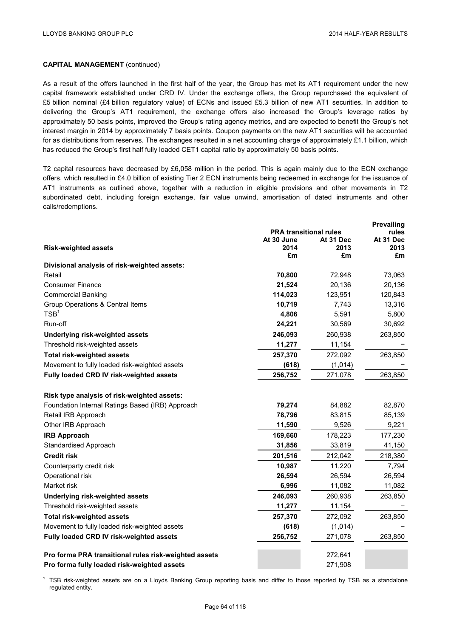As a result of the offers launched in the first half of the year, the Group has met its AT1 requirement under the new capital framework established under CRD IV. Under the exchange offers, the Group repurchased the equivalent of £5 billion nominal (£4 billion regulatory value) of ECNs and issued £5.3 billion of new AT1 securities. In addition to delivering the Group's AT1 requirement, the exchange offers also increased the Group's leverage ratios by approximately 50 basis points, improved the Group's rating agency metrics, and are expected to benefit the Group's net interest margin in 2014 by approximately 7 basis points. Coupon payments on the new AT1 securities will be accounted for as distributions from reserves. The exchanges resulted in a net accounting charge of approximately £1.1 billion, which has reduced the Group's first half fully loaded CET1 capital ratio by approximately 50 basis points.

T2 capital resources have decreased by £6,058 million in the period. This is again mainly due to the ECN exchange offers, which resulted in £4.0 billion of existing Tier 2 ECN instruments being redeemed in exchange for the issuance of AT1 instruments as outlined above, together with a reduction in eligible provisions and other movements in T2 subordinated debt, including foreign exchange, fair value unwind, amortisation of dated instruments and other calls/redemptions.

|                                                       |                               |            | <b>Prevailing</b> |  |
|-------------------------------------------------------|-------------------------------|------------|-------------------|--|
|                                                       | <b>PRA transitional rules</b> |            | rules             |  |
|                                                       | At 30 June                    | At 31 Dec  | At 31 Dec         |  |
| <b>Risk-weighted assets</b>                           | 2014<br>£m                    | 2013<br>£m | 2013<br>£m        |  |
| Divisional analysis of risk-weighted assets:          |                               |            |                   |  |
| Retail                                                | 70,800                        | 72,948     | 73,063            |  |
| <b>Consumer Finance</b>                               | 21,524                        | 20,136     | 20,136            |  |
| <b>Commercial Banking</b>                             | 114,023                       | 123,951    | 120,843           |  |
| Group Operations & Central Items                      | 10,719                        | 7,743      | 13,316            |  |
| TSB <sup>1</sup>                                      | 4,806                         | 5,591      | 5,800             |  |
| Run-off                                               | 24,221                        | 30,569     | 30,692            |  |
| Underlying risk-weighted assets                       | 246,093                       | 260,938    | 263,850           |  |
| Threshold risk-weighted assets                        | 11,277                        | 11,154     |                   |  |
| <b>Total risk-weighted assets</b>                     | 257,370                       | 272,092    | 263,850           |  |
| Movement to fully loaded risk-weighted assets         | (618)                         | (1,014)    |                   |  |
| Fully loaded CRD IV risk-weighted assets              | 256,752                       | 271,078    | 263,850           |  |
|                                                       |                               |            |                   |  |
| Risk type analysis of risk-weighted assets:           |                               |            |                   |  |
| Foundation Internal Ratings Based (IRB) Approach      | 79,274                        | 84,882     | 82,870            |  |
| Retail IRB Approach                                   | 78,796                        | 83,815     | 85,139            |  |
| Other IRB Approach                                    | 11,590                        | 9,526      | 9,221             |  |
| <b>IRB Approach</b>                                   | 169,660                       | 178,223    | 177,230           |  |
| <b>Standardised Approach</b>                          | 31,856                        | 33,819     | 41,150            |  |
| <b>Credit risk</b>                                    | 201,516                       | 212,042    | 218,380           |  |
| Counterparty credit risk                              | 10,987                        | 11,220     | 7,794             |  |
| Operational risk                                      | 26,594                        | 26,594     | 26,594            |  |
| Market risk                                           | 6,996                         | 11,082     | 11,082            |  |
| Underlying risk-weighted assets                       | 246,093                       | 260,938    | 263,850           |  |
| Threshold risk-weighted assets                        | 11,277                        | 11,154     |                   |  |
| <b>Total risk-weighted assets</b>                     | 257,370                       | 272,092    | 263,850           |  |
| Movement to fully loaded risk-weighted assets         | (618)                         | (1,014)    |                   |  |
| Fully loaded CRD IV risk-weighted assets              | 256,752                       | 271,078    | 263,850           |  |
| Pro forma PRA transitional rules risk-weighted assets |                               | 272,641    |                   |  |
| Pro forma fully loaded risk-weighted assets           |                               | 271,908    |                   |  |

<sup>1</sup> TSB risk-weighted assets are on a Lloyds Banking Group reporting basis and differ to those reported by TSB as a standalone regulated entity.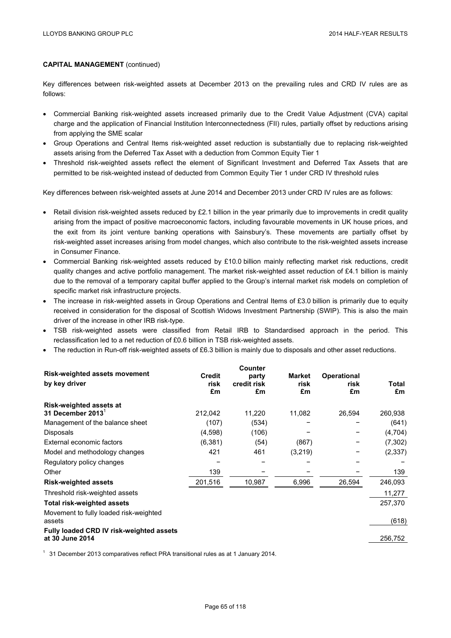Key differences between risk-weighted assets at December 2013 on the prevailing rules and CRD IV rules are as follows:

- Commercial Banking risk-weighted assets increased primarily due to the Credit Value Adjustment (CVA) capital charge and the application of Financial Institution Interconnectedness (FII) rules, partially offset by reductions arising from applying the SME scalar
- Group Operations and Central Items risk-weighted asset reduction is substantially due to replacing risk-weighted assets arising from the Deferred Tax Asset with a deduction from Common Equity Tier 1
- Threshold risk-weighted assets reflect the element of Significant Investment and Deferred Tax Assets that are permitted to be risk-weighted instead of deducted from Common Equity Tier 1 under CRD IV threshold rules

Key differences between risk-weighted assets at June 2014 and December 2013 under CRD IV rules are as follows:

- Retail division risk-weighted assets reduced by  $£2.1$  billion in the year primarily due to improvements in credit quality arising from the impact of positive macroeconomic factors, including favourable movements in UK house prices, and the exit from its joint venture banking operations with Sainsbury's. These movements are partially offset by risk-weighted asset increases arising from model changes, which also contribute to the risk-weighted assets increase in Consumer Finance.
- Commercial Banking risk-weighted assets reduced by £10.0 billion mainly reflecting market risk reductions, credit quality changes and active portfolio management. The market risk-weighted asset reduction of £4.1 billion is mainly due to the removal of a temporary capital buffer applied to the Group's internal market risk models on completion of specific market risk infrastructure projects.
- The increase in risk-weighted assets in Group Operations and Central Items of £3.0 billion is primarily due to equity received in consideration for the disposal of Scottish Widows Investment Partnership (SWIP). This is also the main driver of the increase in other IRB risk-type.
- TSB risk-weighted assets were classified from Retail IRB to Standardised approach in the period. This reclassification led to a net reduction of £0.6 billion in TSB risk-weighted assets.
- The reduction in Run-off risk-weighted assets of £6.3 billion is mainly due to disposals and other asset reductions.

|               | Counter    |                   |                    |            |
|---------------|------------|-------------------|--------------------|------------|
| <b>Credit</b> | party      | Market            | <b>Operational</b> |            |
|               |            |                   |                    | Total      |
|               |            |                   |                    | £m         |
|               |            |                   |                    |            |
| 212,042       | 11,220     | 11,082            | 26,594             | 260,938    |
| (107)         | (534)      |                   |                    | (641)      |
| (4,598)       | (106)      |                   |                    | (4,704)    |
| (6, 381)      | (54)       | (867)             |                    | (7, 302)   |
| 421           | 461        | (3,219)           |                    | (2, 337)   |
|               |            |                   |                    |            |
| 139           |            |                   |                    | 139        |
| 201,516       | 10,987     | 6,996             | 26,594             | 246,093    |
|               |            |                   |                    | 11,277     |
|               |            |                   |                    | 257,370    |
|               |            |                   |                    |            |
|               |            |                   |                    | (618)      |
|               |            |                   |                    |            |
|               |            |                   |                    | 256,752    |
|               | risk<br>£m | credit risk<br>£m | risk<br>£m         | risk<br>£m |

 $1$  31 December 2013 comparatives reflect PRA transitional rules as at 1 January 2014.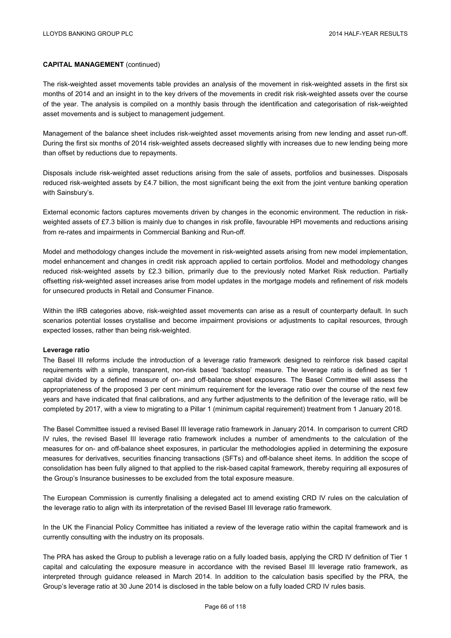The risk-weighted asset movements table provides an analysis of the movement in risk-weighted assets in the first six months of 2014 and an insight in to the key drivers of the movements in credit risk risk-weighted assets over the course of the year. The analysis is compiled on a monthly basis through the identification and categorisation of risk-weighted asset movements and is subject to management judgement.

Management of the balance sheet includes risk-weighted asset movements arising from new lending and asset run-off. During the first six months of 2014 risk-weighted assets decreased slightly with increases due to new lending being more than offset by reductions due to repayments.

Disposals include risk-weighted asset reductions arising from the sale of assets, portfolios and businesses. Disposals reduced risk-weighted assets by £4.7 billion, the most significant being the exit from the joint venture banking operation with Sainsbury's.

External economic factors captures movements driven by changes in the economic environment. The reduction in riskweighted assets of £7.3 billion is mainly due to changes in risk profile, favourable HPI movements and reductions arising from re-rates and impairments in Commercial Banking and Run-off.

Model and methodology changes include the movement in risk-weighted assets arising from new model implementation, model enhancement and changes in credit risk approach applied to certain portfolios. Model and methodology changes reduced risk-weighted assets by £2.3 billion, primarily due to the previously noted Market Risk reduction. Partially offsetting risk-weighted asset increases arise from model updates in the mortgage models and refinement of risk models for unsecured products in Retail and Consumer Finance.

Within the IRB categories above, risk-weighted asset movements can arise as a result of counterparty default. In such scenarios potential losses crystallise and become impairment provisions or adjustments to capital resources, through expected losses, rather than being risk-weighted.

#### **Leverage ratio**

The Basel III reforms include the introduction of a leverage ratio framework designed to reinforce risk based capital requirements with a simple, transparent, non-risk based 'backstop' measure. The leverage ratio is defined as tier 1 capital divided by a defined measure of on- and off-balance sheet exposures. The Basel Committee will assess the appropriateness of the proposed 3 per cent minimum requirement for the leverage ratio over the course of the next few years and have indicated that final calibrations, and any further adjustments to the definition of the leverage ratio, will be completed by 2017, with a view to migrating to a Pillar 1 (minimum capital requirement) treatment from 1 January 2018.

The Basel Committee issued a revised Basel III leverage ratio framework in January 2014. In comparison to current CRD IV rules, the revised Basel III leverage ratio framework includes a number of amendments to the calculation of the measures for on- and off-balance sheet exposures, in particular the methodologies applied in determining the exposure measures for derivatives, securities financing transactions (SFTs) and off-balance sheet items. In addition the scope of consolidation has been fully aligned to that applied to the risk-based capital framework, thereby requiring all exposures of the Group's Insurance businesses to be excluded from the total exposure measure.

The European Commission is currently finalising a delegated act to amend existing CRD IV rules on the calculation of the leverage ratio to align with its interpretation of the revised Basel III leverage ratio framework.

In the UK the Financial Policy Committee has initiated a review of the leverage ratio within the capital framework and is currently consulting with the industry on its proposals.

The PRA has asked the Group to publish a leverage ratio on a fully loaded basis, applying the CRD IV definition of Tier 1 capital and calculating the exposure measure in accordance with the revised Basel III leverage ratio framework, as interpreted through guidance released in March 2014. In addition to the calculation basis specified by the PRA, the Group's leverage ratio at 30 June 2014 is disclosed in the table below on a fully loaded CRD IV rules basis.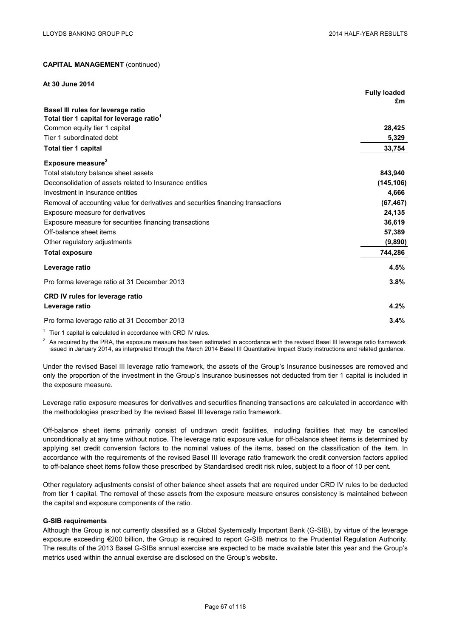| At 30 June 2014                                                                   |                           |
|-----------------------------------------------------------------------------------|---------------------------|
|                                                                                   | <b>Fully loaded</b><br>£m |
| Basel III rules for leverage ratio                                                |                           |
| Total tier 1 capital for leverage ratio <sup>1</sup>                              |                           |
| Common equity tier 1 capital                                                      | 28,425                    |
| Tier 1 subordinated debt                                                          | 5,329                     |
| Total tier 1 capital                                                              | 33,754                    |
| Exposure measure <sup>2</sup>                                                     |                           |
| Total statutory balance sheet assets                                              | 843,940                   |
| Deconsolidation of assets related to Insurance entities                           | (145, 106)                |
| Investment in Insurance entities                                                  | 4,666                     |
| Removal of accounting value for derivatives and securities financing transactions | (67, 467)                 |
| Exposure measure for derivatives                                                  | 24,135                    |
| Exposure measure for securities financing transactions                            | 36,619                    |
| Off-balance sheet items                                                           | 57,389                    |
| Other regulatory adjustments                                                      | (9,890)                   |
| <b>Total exposure</b>                                                             | 744,286                   |
| Leverage ratio                                                                    | 4.5%                      |
| Pro forma leverage ratio at 31 December 2013                                      | 3.8%                      |
| <b>CRD IV rules for leverage ratio</b>                                            |                           |
| Leverage ratio                                                                    | 4.2%                      |
| Pro forma leverage ratio at 31 December 2013                                      | 3.4%                      |

 $1$  Tier 1 capital is calculated in accordance with CRD IV rules.

<sup>2</sup> As required by the PRA, the exposure measure has been estimated in accordance with the revised Basel III leverage ratio framework issued in January 2014, as interpreted through the March 2014 Basel III Quantitative Impact Study instructions and related guidance.

Under the revised Basel III leverage ratio framework, the assets of the Group's Insurance businesses are removed and only the proportion of the investment in the Group's Insurance businesses not deducted from tier 1 capital is included in the exposure measure.

Leverage ratio exposure measures for derivatives and securities financing transactions are calculated in accordance with the methodologies prescribed by the revised Basel III leverage ratio framework.

Off-balance sheet items primarily consist of undrawn credit facilities, including facilities that may be cancelled unconditionally at any time without notice. The leverage ratio exposure value for off-balance sheet items is determined by applying set credit conversion factors to the nominal values of the items, based on the classification of the item. In accordance with the requirements of the revised Basel III leverage ratio framework the credit conversion factors applied to off-balance sheet items follow those prescribed by Standardised credit risk rules, subject to a floor of 10 per cent.

Other regulatory adjustments consist of other balance sheet assets that are required under CRD IV rules to be deducted from tier 1 capital. The removal of these assets from the exposure measure ensures consistency is maintained between the capital and exposure components of the ratio.

### **G-SIB requirements**

Although the Group is not currently classified as a Global Systemically Important Bank (G-SIB), by virtue of the leverage exposure exceeding €200 billion, the Group is required to report G-SIB metrics to the Prudential Regulation Authority. The results of the 2013 Basel G-SIBs annual exercise are expected to be made available later this year and the Group's metrics used within the annual exercise are disclosed on the Group's website.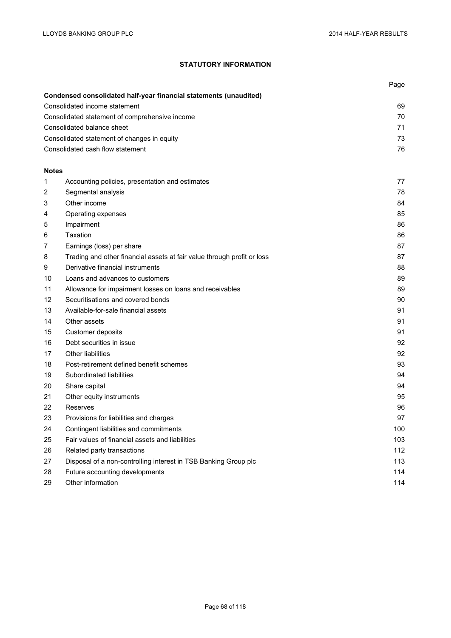# **STATUTORY INFORMATION**

|                                                |                                                                         | Page |
|------------------------------------------------|-------------------------------------------------------------------------|------|
|                                                | Condensed consolidated half-year financial statements (unaudited)       |      |
|                                                | Consolidated income statement                                           | 69   |
| Consolidated statement of comprehensive income |                                                                         | 70   |
| Consolidated balance sheet                     |                                                                         | 71   |
|                                                | Consolidated statement of changes in equity                             | 73   |
|                                                | Consolidated cash flow statement                                        | 76   |
|                                                |                                                                         |      |
| <b>Notes</b>                                   |                                                                         |      |
| 1                                              | Accounting policies, presentation and estimates                         | 77   |
| 2                                              | Segmental analysis                                                      | 78   |
| 3                                              | Other income                                                            | 84   |
| 4                                              | Operating expenses                                                      | 85   |
| 5                                              | Impairment                                                              | 86   |
| 6                                              | Taxation                                                                | 86   |
| 7                                              | Earnings (loss) per share                                               | 87   |
| 8                                              | Trading and other financial assets at fair value through profit or loss | 87   |
| 9                                              | Derivative financial instruments                                        | 88   |
| 10                                             | Loans and advances to customers                                         | 89   |
| 11                                             | Allowance for impairment losses on loans and receivables                | 89   |
| 12                                             | Securitisations and covered bonds                                       | 90   |
| 13                                             | Available-for-sale financial assets                                     | 91   |
| 14                                             | Other assets                                                            | 91   |
| 15                                             | Customer deposits                                                       | 91   |
| 16                                             | Debt securities in issue                                                | 92   |
| 17                                             | Other liabilities                                                       | 92   |
| 18                                             | Post-retirement defined benefit schemes                                 | 93   |
| 19                                             | Subordinated liabilities                                                | 94   |
| 20                                             | Share capital                                                           | 94   |
| 21                                             | Other equity instruments                                                | 95   |
| 22                                             | Reserves                                                                | 96   |
| 23                                             | Provisions for liabilities and charges                                  | 97   |
| 24                                             | Contingent liabilities and commitments                                  | 100  |
| 25                                             | Fair values of financial assets and liabilities                         | 103  |
| 26                                             | Related party transactions                                              | 112  |
| 27                                             | Disposal of a non-controlling interest in TSB Banking Group plc         | 113  |
| 28                                             | Future accounting developments                                          | 114  |
| 29                                             | Other information                                                       | 114  |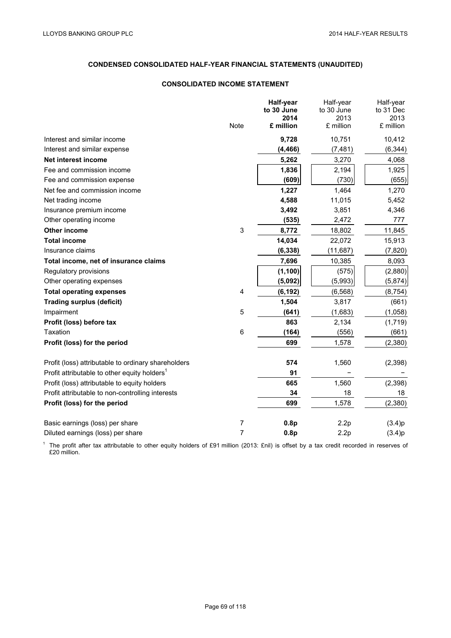# **CONDENSED CONSOLIDATED HALF-YEAR FINANCIAL STATEMENTS (UNAUDITED)**

# **CONSOLIDATED INCOME STATEMENT**

|                                                          |                | Half-year<br>to 30 June | Half-year<br>to 30 June | Half-year<br>to 31 Dec |
|----------------------------------------------------------|----------------|-------------------------|-------------------------|------------------------|
|                                                          |                | 2014                    | 2013                    | 2013                   |
|                                                          | Note           | £ million               | £ million               | £ million              |
| Interest and similar income                              |                | 9,728                   | 10,751                  | 10,412                 |
| Interest and similar expense                             |                | (4, 466)                | (7, 481)                | (6, 344)               |
| Net interest income                                      |                | 5,262                   | 3,270                   | 4,068                  |
| Fee and commission income                                |                | 1,836                   | 2,194                   | 1,925                  |
| Fee and commission expense                               |                | (609)                   | (730)                   | (655)                  |
| Net fee and commission income                            |                | 1,227                   | 1,464                   | 1,270                  |
| Net trading income                                       |                | 4,588                   | 11,015                  | 5,452                  |
| Insurance premium income                                 |                | 3,492                   | 3,851                   | 4,346                  |
| Other operating income                                   |                | (535)                   | 2,472                   | 777                    |
| <b>Other income</b>                                      | 3              | 8,772                   | 18,802                  | 11,845                 |
| <b>Total income</b>                                      |                | 14,034                  | 22,072                  | 15,913                 |
| Insurance claims                                         |                | (6, 338)                | (11, 687)               | (7, 820)               |
| Total income, net of insurance claims                    |                | 7,696                   | 10,385                  | 8,093                  |
| Regulatory provisions                                    |                | (1, 100)                | (575)                   | (2,880)                |
| Other operating expenses                                 |                | (5,092)                 | (5,993)                 | (5,874)                |
| <b>Total operating expenses</b>                          | 4              | (6, 192)                | (6, 568)                | (8, 754)               |
| <b>Trading surplus (deficit)</b>                         |                | 1,504                   | 3,817                   | (661)                  |
| Impairment                                               | 5              | (641)                   | (1,683)                 | (1,058)                |
| Profit (loss) before tax                                 |                | 863                     | 2,134                   | (1,719)                |
| Taxation                                                 | 6              | (164)                   | (556)                   | (661)                  |
| Profit (loss) for the period                             |                | 699                     | 1,578                   | (2,380)                |
| Profit (loss) attributable to ordinary shareholders      |                | 574                     | 1,560                   | (2, 398)               |
| Profit attributable to other equity holders <sup>1</sup> |                | 91                      |                         |                        |
| Profit (loss) attributable to equity holders             |                | 665                     | 1,560                   | (2, 398)               |
| Profit attributable to non-controlling interests         |                | 34                      | 18                      | 18                     |
| Profit (loss) for the period                             |                | 699                     | 1,578                   | (2,380)                |
| Basic earnings (loss) per share                          | 7              | 0.8p                    | 2.2p                    | (3.4)p                 |
| Diluted earnings (loss) per share                        | $\overline{7}$ | 0.8p                    | 2.2p                    | (3.4)p                 |

<sup>1</sup> The profit after tax attributable to other equity holders of £91 million (2013: £nil) is offset by a tax credit recorded in reserves of £20 million.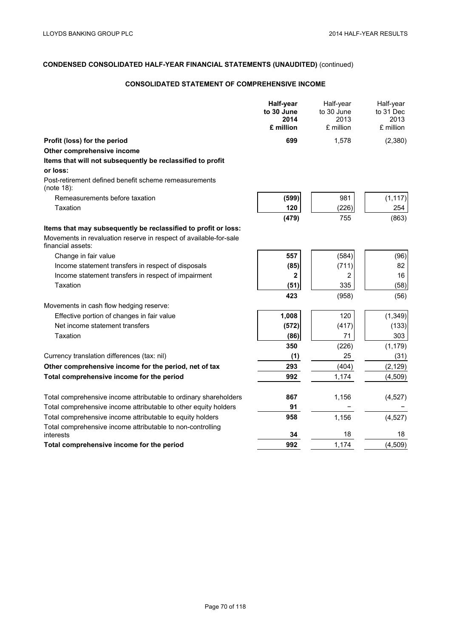## **CONSOLIDATED STATEMENT OF COMPREHENSIVE INCOME**

|                                                                                        | <b>Half-year</b><br>to 30 June<br>2014<br>£ million | Half-year<br>to 30 June<br>2013<br>£ million | Half-year<br>to 31 Dec<br>2013<br>£ million |
|----------------------------------------------------------------------------------------|-----------------------------------------------------|----------------------------------------------|---------------------------------------------|
| Profit (loss) for the period                                                           | 699                                                 | 1,578                                        | (2,380)                                     |
| Other comprehensive income                                                             |                                                     |                                              |                                             |
| Items that will not subsequently be reclassified to profit                             |                                                     |                                              |                                             |
| or loss:                                                                               |                                                     |                                              |                                             |
| Post-retirement defined benefit scheme remeasurements<br>(note 18):                    |                                                     |                                              |                                             |
| Remeasurements before taxation                                                         | (599)                                               | 981                                          | (1, 117)                                    |
| Taxation                                                                               | 120                                                 | (226)                                        | 254                                         |
|                                                                                        | (479)                                               | 755                                          | (863)                                       |
| Items that may subsequently be reclassified to profit or loss:                         |                                                     |                                              |                                             |
| Movements in revaluation reserve in respect of available-for-sale<br>financial assets: |                                                     |                                              |                                             |
| Change in fair value                                                                   | 557                                                 | (584)                                        | (96)                                        |
| Income statement transfers in respect of disposals                                     | (85)                                                | (711)                                        | 82                                          |
| Income statement transfers in respect of impairment                                    | $\mathbf{2}$                                        | 2                                            | 16                                          |
| Taxation                                                                               | (51)                                                | 335                                          | (58)                                        |
|                                                                                        | 423                                                 | (958)                                        | (56)                                        |
| Movements in cash flow hedging reserve:                                                |                                                     |                                              |                                             |
| Effective portion of changes in fair value                                             | 1,008                                               | 120                                          | (1, 349)                                    |
| Net income statement transfers                                                         | (572)                                               | (417)                                        | (133)                                       |
| Taxation                                                                               | (86)                                                | 71                                           | 303                                         |
|                                                                                        | 350                                                 | (226)                                        | (1, 179)                                    |
| Currency translation differences (tax: nil)                                            | (1)                                                 | 25                                           | (31)                                        |
| Other comprehensive income for the period, net of tax                                  | 293                                                 | (404)                                        | (2, 129)                                    |
| Total comprehensive income for the period                                              | 992                                                 | 1,174                                        | (4,509)                                     |
| Total comprehensive income attributable to ordinary shareholders                       | 867                                                 | 1,156                                        | (4, 527)                                    |
| Total comprehensive income attributable to other equity holders                        | 91                                                  |                                              |                                             |
| Total comprehensive income attributable to equity holders                              | 958                                                 | 1,156                                        | (4, 527)                                    |
| Total comprehensive income attributable to non-controlling<br>interests                | 34                                                  | 18                                           | 18                                          |
| Total comprehensive income for the period                                              | 992                                                 | 1,174                                        | (4, 509)                                    |
|                                                                                        |                                                     |                                              |                                             |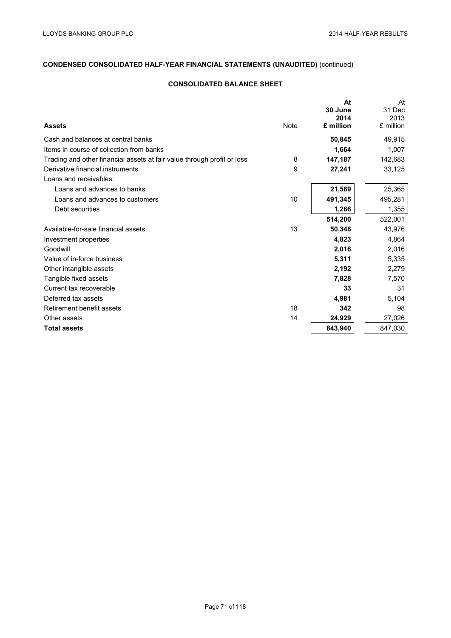## **CONSOLIDATED BALANCE SHEET**

|             | At<br>30 June | At<br>31 Dec |
|-------------|---------------|--------------|
|             | 2014          | 2013         |
| <b>Note</b> |               | £ million    |
|             | 50,845        | 49,915       |
|             | 1,664         | 1,007        |
| 8           | 147,187       | 142,683      |
| 9           | 27,241        | 33,125       |
|             |               |              |
|             | 21,589        | 25,365       |
| 10          | 491,345       | 495,281      |
|             | 1,266         | 1,355        |
|             | 514,200       | 522,001      |
| 13          | 50,348        | 43,976       |
|             | 4,823         | 4,864        |
|             | 2,016         | 2,016        |
|             | 5,311         | 5,335        |
|             | 2,192         | 2,279        |
|             | 7,828         | 7,570        |
|             | 33            | 31           |
|             | 4,981         | 5,104        |
| 18          | 342           | 98           |
| 14          | 24,929        | 27,026       |
|             | 843,940       | 847,030      |
|             |               | £ million    |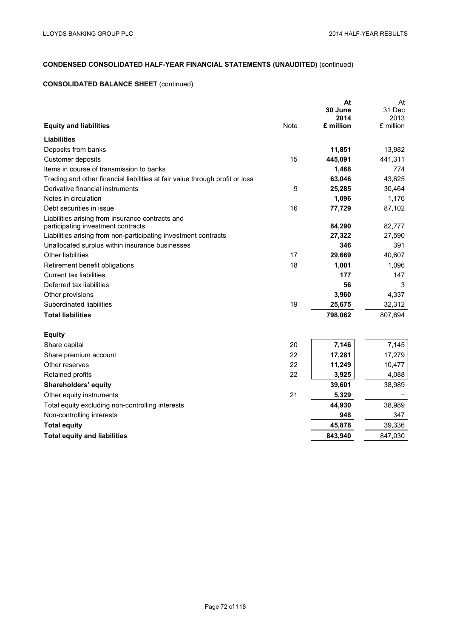## **CONSOLIDATED BALANCE SHEET** (continued)

|                                                                              |             | At                | At                |
|------------------------------------------------------------------------------|-------------|-------------------|-------------------|
|                                                                              |             | 30 June           | 31 Dec            |
| <b>Equity and liabilities</b>                                                | <b>Note</b> | 2014<br>£ million | 2013<br>£ million |
|                                                                              |             |                   |                   |
| Liabilities                                                                  |             |                   |                   |
| Deposits from banks                                                          |             | 11,851            | 13,982            |
| Customer deposits                                                            | 15          | 445,091           | 441,311           |
| Items in course of transmission to banks                                     |             | 1,468             | 774               |
| Trading and other financial liabilities at fair value through profit or loss |             | 63,046            | 43,625            |
| Derivative financial instruments                                             | 9           | 25,285            | 30,464            |
| Notes in circulation                                                         |             | 1,096             | 1,176             |
| Debt securities in issue                                                     | 16          | 77,729            | 87,102            |
| Liabilities arising from insurance contracts and                             |             |                   |                   |
| participating investment contracts                                           |             | 84,290            | 82,777            |
| Liabilities arising from non-participating investment contracts              |             | 27,322            | 27,590            |
| Unallocated surplus within insurance businesses                              |             | 346               | 391               |
| Other liabilities                                                            | 17          | 29,669            | 40,607            |
| Retirement benefit obligations                                               | 18          | 1,001             | 1,096             |
| <b>Current tax liabilities</b>                                               |             | 177               | 147               |
| Deferred tax liabilities                                                     |             | 56                | 3                 |
| Other provisions                                                             |             | 3,960             | 4,337             |
| Subordinated liabilities                                                     | 19          | 25,675            | 32,312            |
| <b>Total liabilities</b>                                                     |             | 798,062           | 807,694           |
| <b>Equity</b>                                                                |             |                   |                   |
| Share capital                                                                | 20          | 7,146             | 7,145             |
| Share premium account                                                        | 22          | 17,281            | 17,279            |
| Other reserves                                                               | 22          | 11,249            | 10,477            |
| Retained profits                                                             | 22          | 3,925             | 4,088             |
| Shareholders' equity                                                         |             | 39,601            | 38,989            |
| Other equity instruments                                                     | 21          | 5,329             |                   |
| Total equity excluding non-controlling interests                             |             | 44,930            | 38,989            |
| Non-controlling interests                                                    |             | 948               | 347               |
| <b>Total equity</b>                                                          |             | 45,878            | 39,336            |
| <b>Total equity and liabilities</b>                                          |             | 843,940           | 847,030           |
|                                                                              |             |                   |                   |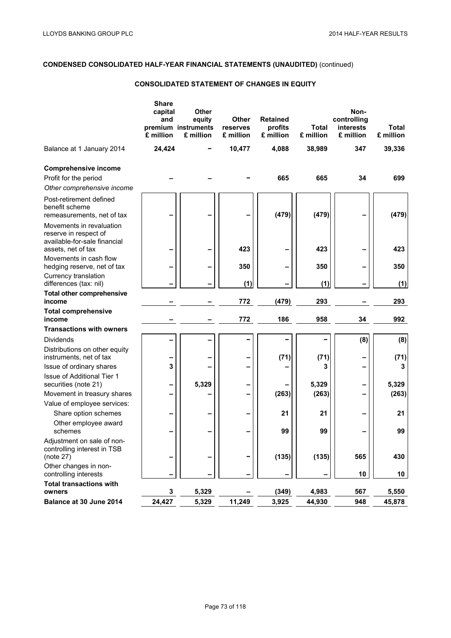## **CONSOLIDATED STATEMENT OF CHANGES IN EQUITY**

|                                                                                                         | <b>Share</b><br>capital<br>and<br>£ million | <b>Other</b><br>equity<br>premium instruments<br>£ million | <b>Other</b><br>reserves<br>£ million | <b>Retained</b><br>profits<br>£ million | <b>Total</b><br>£ million | Non-<br>controlling<br>interests<br>£ million | Total<br>£ million |
|---------------------------------------------------------------------------------------------------------|---------------------------------------------|------------------------------------------------------------|---------------------------------------|-----------------------------------------|---------------------------|-----------------------------------------------|--------------------|
| Balance at 1 January 2014                                                                               | 24,424                                      |                                                            | 10,477                                | 4,088                                   | 38,989                    | 347                                           | 39,336             |
| <b>Comprehensive income</b><br>Profit for the period<br>Other comprehensive income                      |                                             |                                                            |                                       | 665                                     | 665                       | 34                                            | 699                |
| Post-retirement defined<br>benefit scheme<br>remeasurements, net of tax                                 |                                             |                                                            |                                       | (479)                                   | (479)                     |                                               | (479)              |
| Movements in revaluation<br>reserve in respect of<br>available-for-sale financial<br>assets, net of tax |                                             | -                                                          | 423                                   |                                         | 423                       |                                               | 423                |
| Movements in cash flow<br>hedging reserve, net of tax                                                   |                                             | -                                                          | 350                                   |                                         | 350                       |                                               | 350                |
| Currency translation<br>differences (tax: nil)                                                          |                                             |                                                            | (1)                                   |                                         | (1)                       |                                               | (1)                |
| <b>Total other comprehensive</b><br>income                                                              |                                             |                                                            | 772                                   | (479)                                   | 293                       |                                               | 293                |
| <b>Total comprehensive</b><br>income                                                                    |                                             |                                                            | 772                                   | 186                                     | 958                       | 34                                            | 992                |
| <b>Transactions with owners</b>                                                                         |                                             |                                                            |                                       |                                         |                           |                                               |                    |
| <b>Dividends</b>                                                                                        |                                             |                                                            |                                       |                                         |                           | (8)                                           | (8)                |
| Distributions on other equity<br>instruments, net of tax                                                |                                             |                                                            |                                       | (71)                                    | (71)                      |                                               | (71)               |
| Issue of ordinary shares                                                                                | 3                                           |                                                            |                                       |                                         | 3                         |                                               | 3                  |
| <b>Issue of Additional Tier 1</b><br>securities (note 21)                                               | -                                           | 5,329                                                      | -                                     |                                         | 5,329                     |                                               | 5,329              |
| Movement in treasury shares                                                                             | $\overline{\phantom{0}}$                    |                                                            | $\overline{\phantom{0}}$              | (263)                                   | (263)                     |                                               | (263)              |
| Value of employee services:                                                                             |                                             |                                                            |                                       |                                         |                           |                                               |                    |
| Share option schemes                                                                                    |                                             |                                                            |                                       | 21                                      | 21                        |                                               | 21                 |
| Other employee award<br>schemes                                                                         |                                             |                                                            |                                       | 99                                      | 99                        |                                               | 99                 |
| Adjustment on sale of non-<br>controlling interest in TSB<br>(note 27)                                  | -                                           | -                                                          |                                       | (135)                                   | (135)                     | 565                                           | 430                |
| Other changes in non-<br>controlling interests                                                          |                                             |                                                            |                                       |                                         |                           | 10                                            | 10                 |
| <b>Total transactions with</b>                                                                          |                                             |                                                            |                                       |                                         |                           |                                               |                    |
| owners                                                                                                  | 3                                           | 5,329                                                      |                                       | (349)                                   | 4,983                     | 567                                           | 5,550              |
| Balance at 30 June 2014                                                                                 | 24,427                                      | 5,329                                                      | 11,249                                | 3,925                                   | 44,930                    | 948                                           | 45,878             |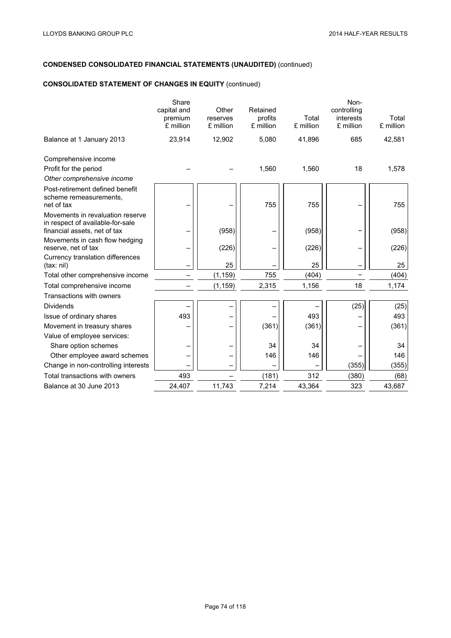## **CONSOLIDATED STATEMENT OF CHANGES IN EQUITY** (continued)

|                                                                                                      | Share<br>capital and<br>premium<br>£ million | Other<br>reserves<br>£ million | Retained<br>profits<br>£ million | Total<br>£ million | Non-<br>controlling<br>interests<br>£ million | Total<br>£ million |
|------------------------------------------------------------------------------------------------------|----------------------------------------------|--------------------------------|----------------------------------|--------------------|-----------------------------------------------|--------------------|
| Balance at 1 January 2013                                                                            | 23,914                                       | 12,902                         | 5,080                            | 41,896             | 685                                           | 42,581             |
| Comprehensive income                                                                                 |                                              |                                |                                  |                    |                                               |                    |
| Profit for the period                                                                                |                                              |                                | 1,560                            | 1,560              | 18                                            | 1,578              |
| Other comprehensive income                                                                           |                                              |                                |                                  |                    |                                               |                    |
| Post-retirement defined benefit<br>scheme remeasurements,<br>net of tax                              |                                              |                                | 755                              | 755                |                                               | 755                |
| Movements in revaluation reserve<br>in respect of available-for-sale<br>financial assets, net of tax |                                              | (958)                          |                                  | (958)              |                                               | (958)              |
| Movements in cash flow hedging<br>reserve, net of tax                                                |                                              | (226)                          |                                  | (226)              |                                               | (226)              |
| Currency translation differences<br>(tax: nil)                                                       |                                              | 25                             |                                  | 25                 |                                               | 25                 |
| Total other comprehensive income                                                                     |                                              | (1, 159)                       | 755                              | (404)              |                                               | (404)              |
| Total comprehensive income                                                                           |                                              | (1, 159)                       | 2,315                            | 1,156              | 18                                            | 1,174              |
| Transactions with owners                                                                             |                                              |                                |                                  |                    |                                               |                    |
| <b>Dividends</b>                                                                                     |                                              |                                |                                  |                    | (25)                                          | (25)               |
| Issue of ordinary shares                                                                             | 493                                          |                                |                                  | 493                |                                               | 493                |
| Movement in treasury shares                                                                          |                                              |                                | (361)                            | (361)              |                                               | (361)              |
| Value of employee services:                                                                          |                                              |                                |                                  |                    |                                               |                    |
| Share option schemes                                                                                 |                                              |                                | 34                               | 34                 |                                               | 34                 |
| Other employee award schemes                                                                         |                                              |                                | 146                              | 146                |                                               | 146                |
| Change in non-controlling interests                                                                  |                                              |                                |                                  |                    | (355)                                         | (355)              |
| Total transactions with owners                                                                       | 493                                          |                                | (181)                            | 312                | (380)                                         | (68)               |
| Balance at 30 June 2013                                                                              | 24,407                                       | 11,743                         | 7,214                            | 43,364             | 323                                           | 43,687             |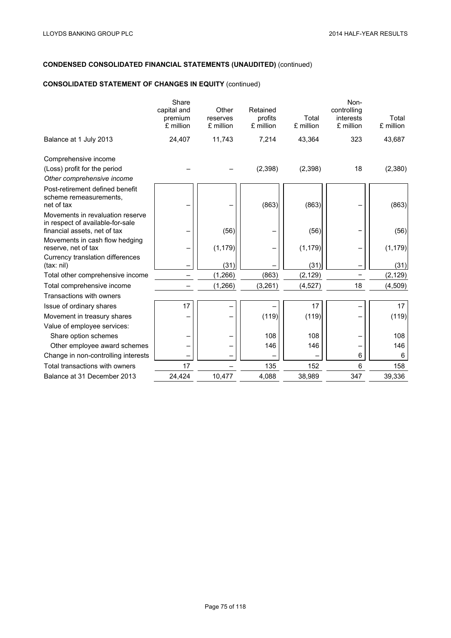## **CONSOLIDATED STATEMENT OF CHANGES IN EQUITY** (continued)

|                                                                                                      | Share<br>capital and<br>premium<br>£ million | Other<br>reserves<br>£ million | Retained<br>profits<br>£ million | Total<br>£ million | Non-<br>controlling<br>interests<br>£ million | Total<br>£ million |
|------------------------------------------------------------------------------------------------------|----------------------------------------------|--------------------------------|----------------------------------|--------------------|-----------------------------------------------|--------------------|
| Balance at 1 July 2013                                                                               | 24,407                                       | 11,743                         | 7,214                            | 43,364             | 323                                           | 43,687             |
| Comprehensive income                                                                                 |                                              |                                |                                  |                    |                                               |                    |
| (Loss) profit for the period<br>Other comprehensive income                                           |                                              |                                | (2,398)                          | (2,398)            | 18                                            | (2,380)            |
| Post-retirement defined benefit<br>scheme remeasurements.<br>net of tax                              |                                              |                                | (863)                            | (863)              |                                               | (863)              |
| Movements in revaluation reserve<br>in respect of available-for-sale<br>financial assets, net of tax |                                              | (56)                           |                                  | (56)               |                                               | (56)               |
| Movements in cash flow hedging<br>reserve, net of tax                                                |                                              | (1, 179)                       |                                  | (1, 179)           |                                               | (1, 179)           |
| Currency translation differences<br>(tax: nil)                                                       |                                              | (31)                           |                                  | (31)               |                                               | (31)               |
| Total other comprehensive income                                                                     |                                              | (1,266)                        | (863)                            | (2, 129)           |                                               | (2, 129)           |
| Total comprehensive income                                                                           |                                              | (1,266)                        | (3,261)                          | (4, 527)           | 18                                            | (4, 509)           |
| Transactions with owners                                                                             |                                              |                                |                                  |                    |                                               |                    |
| Issue of ordinary shares                                                                             | 17                                           |                                |                                  | 17                 |                                               | 17                 |
| Movement in treasury shares                                                                          |                                              |                                | (119)                            | (119)              |                                               | (119)              |
| Value of employee services:                                                                          |                                              |                                |                                  |                    |                                               |                    |
| Share option schemes                                                                                 |                                              |                                | 108                              | 108                |                                               | 108                |
| Other employee award schemes                                                                         |                                              |                                | 146                              | 146                |                                               | 146                |
| Change in non-controlling interests                                                                  |                                              |                                |                                  |                    | 6                                             | 6                  |
| Total transactions with owners                                                                       | 17                                           |                                | 135                              | 152                | 6                                             | 158                |
| Balance at 31 December 2013                                                                          | 24,424                                       | 10,477                         | 4,088                            | 38,989             | 347                                           | 39,336             |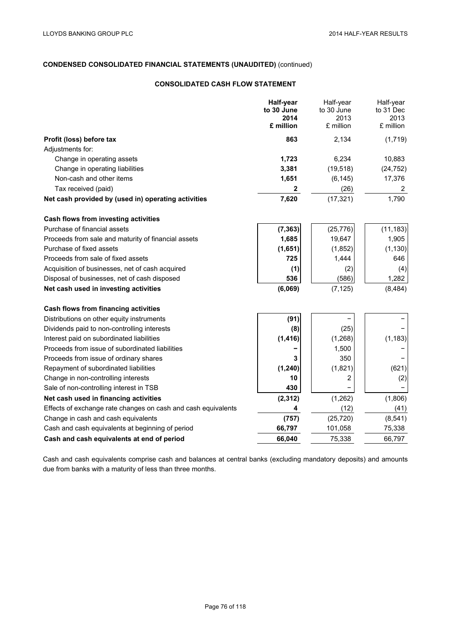## **CONSOLIDATED CASH FLOW STATEMENT**

|                                                               | <b>Half-year</b><br>to 30 June | Half-year<br>to 30 June | Half-year<br>to 31 Dec |
|---------------------------------------------------------------|--------------------------------|-------------------------|------------------------|
|                                                               | 2014                           | 2013                    | 2013                   |
|                                                               | £ million                      | £ million               | £ million              |
| Profit (loss) before tax                                      | 863                            | 2,134                   | (1,719)                |
| Adjustments for:                                              |                                |                         |                        |
| Change in operating assets                                    | 1,723                          | 6,234                   | 10,883                 |
| Change in operating liabilities                               | 3,381                          | (19, 518)               | (24, 752)              |
| Non-cash and other items                                      | 1,651                          | (6, 145)                | 17,376                 |
| Tax received (paid)                                           | $\mathbf{2}$                   | (26)                    | 2                      |
| Net cash provided by (used in) operating activities           | 7,620                          | (17, 321)               | 1,790                  |
| Cash flows from investing activities                          |                                |                         |                        |
| Purchase of financial assets                                  | (7, 363)                       | (25, 776)               | (11, 183)              |
| Proceeds from sale and maturity of financial assets           | 1,685                          | 19,647                  | 1,905                  |
| Purchase of fixed assets                                      | (1,651)                        | (1, 852)                | (1, 130)               |
| Proceeds from sale of fixed assets                            | 725                            | 1,444                   | 646                    |
| Acquisition of businesses, net of cash acquired               | (1)                            | (2)                     | (4)                    |
| Disposal of businesses, net of cash disposed                  | 536                            | (586)                   | 1,282                  |
| Net cash used in investing activities                         | (6,069)                        | (7, 125)                | (8, 484)               |
| Cash flows from financing activities                          |                                |                         |                        |
| Distributions on other equity instruments                     | (91)                           |                         |                        |
| Dividends paid to non-controlling interests                   | (8)                            | (25)                    |                        |
| Interest paid on subordinated liabilities                     | (1, 416)                       | (1, 268)                | (1, 183)               |
| Proceeds from issue of subordinated liabilities               |                                | 1,500                   |                        |
| Proceeds from issue of ordinary shares                        | 3                              | 350                     |                        |
| Repayment of subordinated liabilities                         | (1, 240)                       | (1,821)                 | (621)                  |
| Change in non-controlling interests                           | 10                             | 2                       | (2)                    |
| Sale of non-controlling interest in TSB                       | 430                            |                         |                        |
| Net cash used in financing activities                         | (2, 312)                       | (1, 262)                | (1,806)                |
| Effects of exchange rate changes on cash and cash equivalents | 4                              | (12)                    | (41)                   |
| Change in cash and cash equivalents                           | (757)                          | (25, 720)               | (8, 541)               |
| Cash and cash equivalents at beginning of period              | 66,797                         | 101,058                 | 75,338                 |
| Cash and cash equivalents at end of period                    | 66,040                         | 75,338                  | 66,797                 |

Cash and cash equivalents comprise cash and balances at central banks (excluding mandatory deposits) and amounts due from banks with a maturity of less than three months.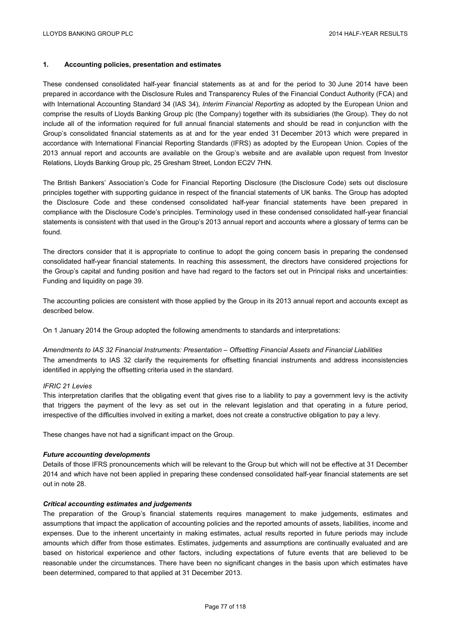## **1. Accounting policies, presentation and estimates**

These condensed consolidated half-year financial statements as at and for the period to 30 June 2014 have been prepared in accordance with the Disclosure Rules and Transparency Rules of the Financial Conduct Authority (FCA) and with International Accounting Standard 34 (IAS 34), *Interim Financial Reporting* as adopted by the European Union and comprise the results of Lloyds Banking Group plc (the Company) together with its subsidiaries (the Group). They do not include all of the information required for full annual financial statements and should be read in conjunction with the Group's consolidated financial statements as at and for the year ended 31 December 2013 which were prepared in accordance with International Financial Reporting Standards (IFRS) as adopted by the European Union. Copies of the 2013 annual report and accounts are available on the Group's website and are available upon request from Investor Relations, Lloyds Banking Group plc, 25 Gresham Street, London EC2V 7HN.

The British Bankers' Association's Code for Financial Reporting Disclosure (the Disclosure Code) sets out disclosure principles together with supporting guidance in respect of the financial statements of UK banks. The Group has adopted the Disclosure Code and these condensed consolidated half-year financial statements have been prepared in compliance with the Disclosure Code's principles. Terminology used in these condensed consolidated half-year financial statements is consistent with that used in the Group's 2013 annual report and accounts where a glossary of terms can be found.

The directors consider that it is appropriate to continue to adopt the going concern basis in preparing the condensed consolidated half-year financial statements. In reaching this assessment, the directors have considered projections for the Group's capital and funding position and have had regard to the factors set out in Principal risks and uncertainties: Funding and liquidity on page 39.

The accounting policies are consistent with those applied by the Group in its 2013 annual report and accounts except as described below.

On 1 January 2014 the Group adopted the following amendments to standards and interpretations:

*Amendments to IAS 32 Financial Instruments: Presentation – Offsetting Financial Assets and Financial Liabilities* The amendments to IAS 32 clarify the requirements for offsetting financial instruments and address inconsistencies identified in applying the offsetting criteria used in the standard.

### *IFRIC 21 Levies*

This interpretation clarifies that the obligating event that gives rise to a liability to pay a government levy is the activity that triggers the payment of the levy as set out in the relevant legislation and that operating in a future period, irrespective of the difficulties involved in exiting a market, does not create a constructive obligation to pay a levy.

These changes have not had a significant impact on the Group.

### *Future accounting developments*

Details of those IFRS pronouncements which will be relevant to the Group but which will not be effective at 31 December 2014 and which have not been applied in preparing these condensed consolidated half-year financial statements are set out in note 28.

## *Critical accounting estimates and judgements*

The preparation of the Group's financial statements requires management to make judgements, estimates and assumptions that impact the application of accounting policies and the reported amounts of assets, liabilities, income and expenses. Due to the inherent uncertainty in making estimates, actual results reported in future periods may include amounts which differ from those estimates. Estimates, judgements and assumptions are continually evaluated and are based on historical experience and other factors, including expectations of future events that are believed to be reasonable under the circumstances. There have been no significant changes in the basis upon which estimates have been determined, compared to that applied at 31 December 2013.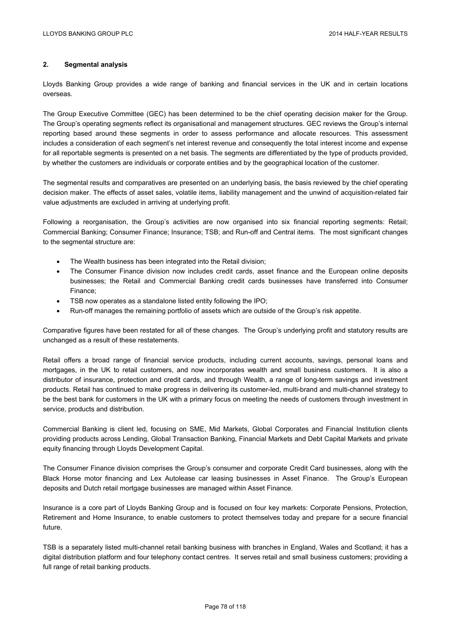## **2. Segmental analysis**

Lloyds Banking Group provides a wide range of banking and financial services in the UK and in certain locations overseas.

The Group Executive Committee (GEC) has been determined to be the chief operating decision maker for the Group. The Group's operating segments reflect its organisational and management structures. GEC reviews the Group's internal reporting based around these segments in order to assess performance and allocate resources. This assessment includes a consideration of each segment's net interest revenue and consequently the total interest income and expense for all reportable segments is presented on a net basis. The segments are differentiated by the type of products provided, by whether the customers are individuals or corporate entities and by the geographical location of the customer.

The segmental results and comparatives are presented on an underlying basis, the basis reviewed by the chief operating decision maker. The effects of asset sales, volatile items, liability management and the unwind of acquisition-related fair value adjustments are excluded in arriving at underlying profit.

Following a reorganisation, the Group's activities are now organised into six financial reporting segments: Retail; Commercial Banking; Consumer Finance; Insurance; TSB; and Run-off and Central items. The most significant changes to the segmental structure are:

- The Wealth business has been integrated into the Retail division;
- The Consumer Finance division now includes credit cards, asset finance and the European online deposits businesses; the Retail and Commercial Banking credit cards businesses have transferred into Consumer Finance;
- TSB now operates as a standalone listed entity following the IPO;
- Run-off manages the remaining portfolio of assets which are outside of the Group's risk appetite.

Comparative figures have been restated for all of these changes. The Group's underlying profit and statutory results are unchanged as a result of these restatements.

Retail offers a broad range of financial service products, including current accounts, savings, personal loans and mortgages, in the UK to retail customers, and now incorporates wealth and small business customers. It is also a distributor of insurance, protection and credit cards, and through Wealth, a range of long-term savings and investment products. Retail has continued to make progress in delivering its customer-led, multi-brand and multi-channel strategy to be the best bank for customers in the UK with a primary focus on meeting the needs of customers through investment in service, products and distribution.

Commercial Banking is client led, focusing on SME, Mid Markets, Global Corporates and Financial Institution clients providing products across Lending, Global Transaction Banking, Financial Markets and Debt Capital Markets and private equity financing through Lloyds Development Capital.

The Consumer Finance division comprises the Group's consumer and corporate Credit Card businesses, along with the Black Horse motor financing and Lex Autolease car leasing businesses in Asset Finance. The Group's European deposits and Dutch retail mortgage businesses are managed within Asset Finance.

Insurance is a core part of Lloyds Banking Group and is focused on four key markets: Corporate Pensions, Protection, Retirement and Home Insurance, to enable customers to protect themselves today and prepare for a secure financial future.

TSB is a separately listed multi-channel retail banking business with branches in England, Wales and Scotland; it has a digital distribution platform and four telephony contact centres. It serves retail and small business customers; providing a full range of retail banking products.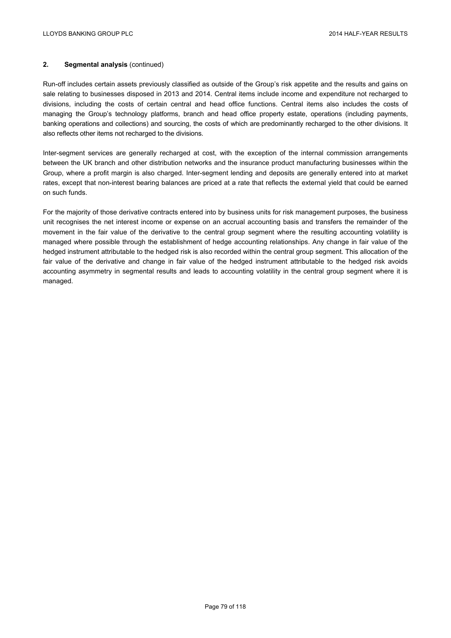Run-off includes certain assets previously classified as outside of the Group's risk appetite and the results and gains on sale relating to businesses disposed in 2013 and 2014. Central items include income and expenditure not recharged to divisions, including the costs of certain central and head office functions. Central items also includes the costs of managing the Group's technology platforms, branch and head office property estate, operations (including payments, banking operations and collections) and sourcing, the costs of which are predominantly recharged to the other divisions. It also reflects other items not recharged to the divisions.

Inter-segment services are generally recharged at cost, with the exception of the internal commission arrangements between the UK branch and other distribution networks and the insurance product manufacturing businesses within the Group, where a profit margin is also charged. Inter-segment lending and deposits are generally entered into at market rates, except that non-interest bearing balances are priced at a rate that reflects the external yield that could be earned on such funds.

For the majority of those derivative contracts entered into by business units for risk management purposes, the business unit recognises the net interest income or expense on an accrual accounting basis and transfers the remainder of the movement in the fair value of the derivative to the central group segment where the resulting accounting volatility is managed where possible through the establishment of hedge accounting relationships. Any change in fair value of the hedged instrument attributable to the hedged risk is also recorded within the central group segment. This allocation of the fair value of the derivative and change in fair value of the hedged instrument attributable to the hedged risk avoids accounting asymmetry in segmental results and leads to accounting volatility in the central group segment where it is managed.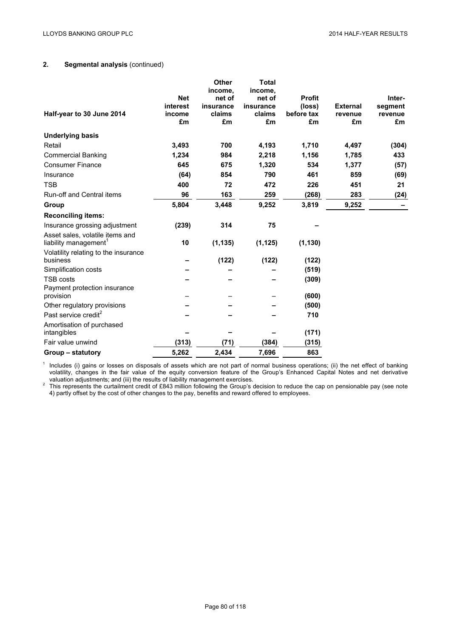| Half-year to 30 June 2014                                                                                    | <b>Net</b><br>interest<br>income<br>£m | Other<br>income,<br>net of<br>insurance<br>claims<br>£m | <b>Total</b><br>income,<br>net of<br>insurance<br>claims<br>£m | <b>Profit</b><br>(loss)<br>before tax<br>£m | <b>External</b><br>revenue<br>£m | Inter-<br>segment<br>revenue<br>£m |
|--------------------------------------------------------------------------------------------------------------|----------------------------------------|---------------------------------------------------------|----------------------------------------------------------------|---------------------------------------------|----------------------------------|------------------------------------|
| <b>Underlying basis</b>                                                                                      |                                        |                                                         |                                                                |                                             |                                  |                                    |
| Retail                                                                                                       | 3,493                                  | 700                                                     | 4,193                                                          | 1,710                                       | 4,497                            | (304)                              |
| <b>Commercial Banking</b>                                                                                    | 1,234                                  | 984                                                     | 2,218                                                          | 1,156                                       | 1,785                            | 433                                |
| <b>Consumer Finance</b>                                                                                      | 645                                    | 675                                                     | 1,320                                                          | 534                                         | 1,377                            | (57)                               |
| Insurance                                                                                                    | (64)                                   | 854                                                     | 790                                                            | 461                                         | 859                              | (69)                               |
| <b>TSB</b>                                                                                                   | 400                                    | 72                                                      | 472                                                            | 226                                         | 451                              | 21                                 |
| <b>Run-off and Central items</b>                                                                             | 96                                     | 163                                                     | 259                                                            | (268)                                       | 283                              | (24)                               |
| Group                                                                                                        | 5,804                                  | 3,448                                                   | 9,252                                                          | 3,819                                       | 9,252                            |                                    |
| <b>Reconciling items:</b>                                                                                    |                                        |                                                         |                                                                |                                             |                                  |                                    |
| Insurance grossing adjustment                                                                                | (239)                                  | 314                                                     | 75                                                             |                                             |                                  |                                    |
| Asset sales, volatile items and<br>liability management <sup>1</sup><br>Volatility relating to the insurance | 10                                     | (1, 135)                                                | (1, 125)                                                       | (1, 130)                                    |                                  |                                    |
| business                                                                                                     |                                        | (122)                                                   | (122)                                                          | (122)                                       |                                  |                                    |
| Simplification costs                                                                                         |                                        |                                                         |                                                                | (519)                                       |                                  |                                    |
| <b>TSB costs</b>                                                                                             |                                        |                                                         |                                                                | (309)                                       |                                  |                                    |
| Payment protection insurance<br>provision                                                                    |                                        |                                                         |                                                                | (600)                                       |                                  |                                    |
| Other regulatory provisions                                                                                  |                                        |                                                         |                                                                | (500)                                       |                                  |                                    |
| Past service credit <sup>2</sup>                                                                             |                                        |                                                         |                                                                | 710                                         |                                  |                                    |
| Amortisation of purchased<br>intangibles                                                                     |                                        |                                                         |                                                                | (171)                                       |                                  |                                    |
| Fair value unwind                                                                                            | (313)                                  | (71)                                                    | (384)                                                          | (315)                                       |                                  |                                    |
| Group – statutory                                                                                            | 5,262                                  | 2,434                                                   | 7,696                                                          | 863                                         |                                  |                                    |

<sup>1</sup> Includes (i) gains or losses on disposals of assets which are not part of normal business operations; (ii) the net effect of banking volatility, changes in the fair value of the equity conversion feature of the Group's Enhanced Capital Notes and net derivative

valuation adjustments; and (iii) the results of liability management exercises.<br><sup>2</sup> This represents the curtailment credit of £843 million following the Group's decision to reduce the cap on pensionable pay (see note 4) partly offset by the cost of other changes to the pay, benefits and reward offered to employees.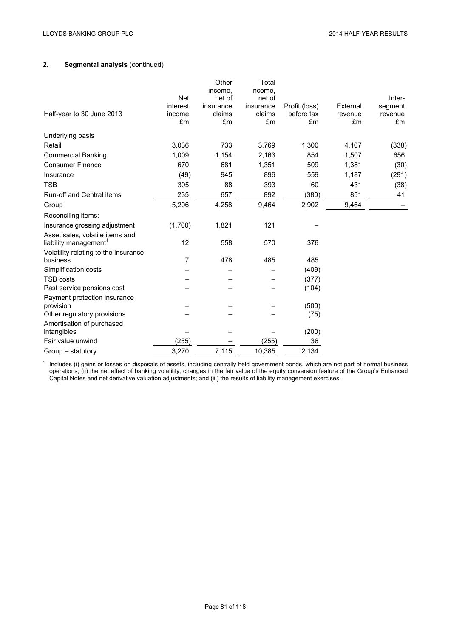|                                      |            | Other     | Total     |               |          |         |
|--------------------------------------|------------|-----------|-----------|---------------|----------|---------|
|                                      |            | income,   | income,   |               |          |         |
|                                      | <b>Net</b> | net of    | net of    |               |          | Inter-  |
|                                      | interest   | insurance | insurance | Profit (loss) | External | segment |
| Half-year to 30 June 2013            | income     | claims    | claims    | before tax    | revenue  | revenue |
|                                      | £m         | £m        | £m        | £m            | £m       | £m      |
| Underlying basis                     |            |           |           |               |          |         |
| Retail                               | 3,036      | 733       | 3,769     | 1,300         | 4,107    | (338)   |
| <b>Commercial Banking</b>            | 1,009      | 1,154     | 2,163     | 854           | 1,507    | 656     |
| <b>Consumer Finance</b>              | 670        | 681       | 1,351     | 509           | 1,381    | (30)    |
| Insurance                            | (49)       | 945       | 896       | 559           | 1,187    | (291)   |
| <b>TSB</b>                           | 305        | 88        | 393       | 60            | 431      | (38)    |
| Run-off and Central items            | 235        | 657       | 892       | (380)         | 851      | 41      |
| Group                                | 5,206      | 4,258     | 9,464     | 2,902         | 9,464    |         |
| Reconciling items:                   |            |           |           |               |          |         |
| Insurance grossing adjustment        | (1,700)    | 1,821     | 121       |               |          |         |
| Asset sales, volatile items and      |            |           |           |               |          |         |
| liability management <sup>1</sup>    | 12         | 558       | 570       | 376           |          |         |
| Volatility relating to the insurance |            |           |           |               |          |         |
| business                             | 7          | 478       | 485       | 485           |          |         |
| Simplification costs                 |            |           |           | (409)         |          |         |
| TSB costs                            |            |           |           | (377)         |          |         |
| Past service pensions cost           |            |           |           | (104)         |          |         |
| Payment protection insurance         |            |           |           |               |          |         |
| provision                            |            |           |           | (500)         |          |         |
| Other regulatory provisions          |            |           |           | (75)          |          |         |
| Amortisation of purchased            |            |           |           |               |          |         |
| intangibles                          |            |           |           | (200)         |          |         |
| Fair value unwind                    | (255)      |           | (255)     | 36            |          |         |
| Group - statutory                    | 3,270      | 7,115     | 10,385    | 2,134         |          |         |

 $1$  Includes (i) gains or losses on disposals of assets, including centrally held government bonds, which are not part of normal business operations; (ii) the net effect of banking volatility, changes in the fair value of the equity conversion feature of the Group's Enhanced Capital Notes and net derivative valuation adjustments; and (iii) the results of liability management exercises.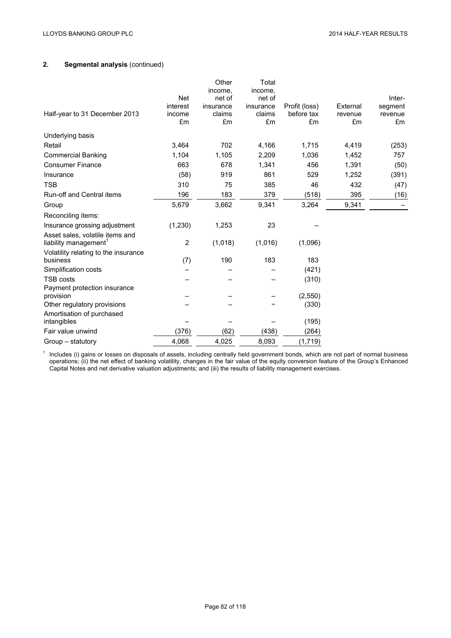|                                                                      |                | Other<br>income, | Total<br>income, |                  |               |               |
|----------------------------------------------------------------------|----------------|------------------|------------------|------------------|---------------|---------------|
|                                                                      | <b>Net</b>     | net of           | net of           |                  |               | Inter-        |
|                                                                      | interest       | insurance        | insurance        | Profit (loss)    | External      | segment       |
| Half-year to 31 December 2013                                        | income<br>£m   | claims<br>£m     | claims<br>£m     | before tax<br>£m | revenue<br>£m | revenue<br>£m |
| Underlying basis                                                     |                |                  |                  |                  |               |               |
| Retail                                                               | 3,464          | 702              | 4,166            | 1,715            | 4,419         | (253)         |
| <b>Commercial Banking</b>                                            | 1,104          | 1,105            | 2,209            | 1,036            | 1,452         | 757           |
| <b>Consumer Finance</b>                                              | 663            | 678              | 1,341            | 456              | 1,391         | (50)          |
| Insurance                                                            | (58)           | 919              | 861              | 529              | 1,252         | (391)         |
| <b>TSB</b>                                                           | 310            | 75               | 385              | 46               | 432           | (47)          |
| <b>Run-off and Central items</b>                                     | 196            | 183              | 379              | (518)            | 395           | (16)          |
| Group                                                                | 5,679          | 3,662            | 9,341            | 3,264            | 9,341         |               |
| Reconciling items:                                                   |                |                  |                  |                  |               |               |
| Insurance grossing adjustment                                        | (1, 230)       | 1,253            | 23               |                  |               |               |
| Asset sales, volatile items and<br>liability management <sup>1</sup> | $\overline{2}$ | (1,018)          | (1,016)          | (1,096)          |               |               |
| Volatility relating to the insurance<br>business                     | (7)            | 190              | 183              | 183              |               |               |
| Simplification costs                                                 |                |                  |                  | (421)            |               |               |
| TSB costs                                                            |                |                  |                  | (310)            |               |               |
| Payment protection insurance                                         |                |                  |                  |                  |               |               |
| provision                                                            |                |                  |                  | (2,550)          |               |               |
| Other regulatory provisions                                          |                |                  |                  | (330)            |               |               |
| Amortisation of purchased                                            |                |                  |                  |                  |               |               |
| intangibles<br>Fair value unwind                                     | (376)          |                  | (438)            | (195)            |               |               |
|                                                                      |                | (62)             |                  | (264)            |               |               |
| Group – statutory                                                    | 4,068          | 4,025            | 8,093            | (1,719)          |               |               |

 $<sup>1</sup>$  Includes (i) gains or losses on disposals of assets, including centrally held government bonds, which are not part of normal business</sup> operations; (ii) the net effect of banking volatility, changes in the fair value of the equity conversion feature of the Group's Enhanced Capital Notes and net derivative valuation adjustments; and (iii) the results of liability management exercises.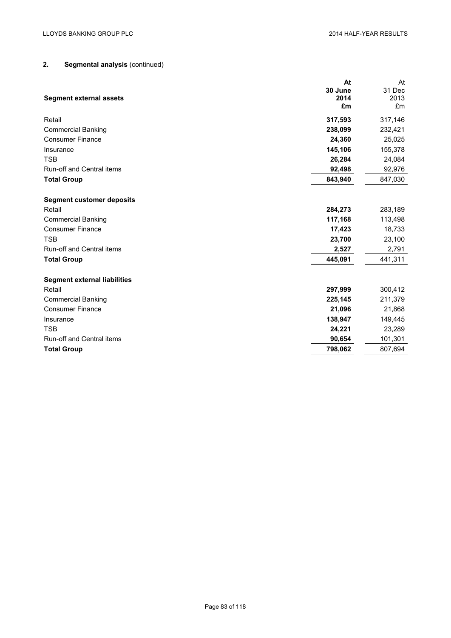| <b>Segment external assets</b>      | At<br>30 June<br>2014 | At<br>31 Dec<br>2013 |
|-------------------------------------|-----------------------|----------------------|
|                                     | £m                    | £m                   |
| Retail                              | 317,593               | 317,146              |
| <b>Commercial Banking</b>           | 238,099               | 232,421              |
| <b>Consumer Finance</b>             | 24,360                | 25,025               |
| Insurance                           | 145,106               | 155,378              |
| <b>TSB</b>                          | 26,284                | 24,084               |
| <b>Run-off and Central items</b>    | 92,498                | 92,976               |
| <b>Total Group</b>                  | 843,940               | 847,030              |
|                                     |                       |                      |
| <b>Segment customer deposits</b>    |                       |                      |
| Retail                              | 284,273               | 283,189              |
| <b>Commercial Banking</b>           | 117,168               | 113,498              |
| <b>Consumer Finance</b>             | 17,423                | 18,733               |
| <b>TSB</b>                          | 23,700                | 23,100               |
| Run-off and Central items           | 2,527                 | 2,791                |
| <b>Total Group</b>                  | 445,091               | 441,311              |
| <b>Segment external liabilities</b> |                       |                      |
| Retail                              | 297,999               | 300,412              |
| <b>Commercial Banking</b>           | 225,145               | 211,379              |
| <b>Consumer Finance</b>             | 21,096                | 21,868               |
| Insurance                           | 138,947               | 149,445              |
| <b>TSB</b>                          | 24,221                | 23,289               |
| <b>Run-off and Central items</b>    | 90,654                | 101,301              |
| <b>Total Group</b>                  | 798,062               | 807,694              |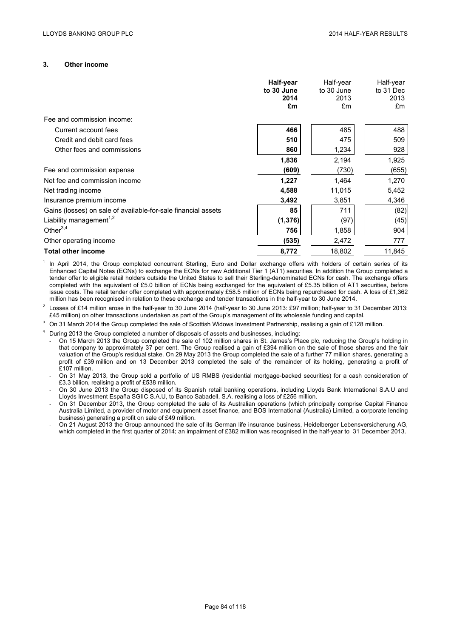### **3. Other income**

|                                                               | Half-year<br>to 30 June<br>2014<br>£m | Half-year<br>to 30 June<br>2013<br>£m | Half-year<br>to 31 Dec<br>2013<br>£m |
|---------------------------------------------------------------|---------------------------------------|---------------------------------------|--------------------------------------|
| Fee and commission income:                                    |                                       |                                       |                                      |
| Current account fees                                          | 466                                   | 485                                   | 488                                  |
| Credit and debit card fees                                    | 510                                   | 475                                   | 509                                  |
| Other fees and commissions                                    | 860                                   | 1,234                                 | 928                                  |
|                                                               | 1,836                                 | 2,194                                 | 1,925                                |
| Fee and commission expense                                    | (609)                                 | (730)                                 | (655)                                |
| Net fee and commission income                                 | 1,227                                 | 1,464                                 | 1,270                                |
| Net trading income                                            | 4,588                                 | 11,015                                | 5,452                                |
| Insurance premium income                                      | 3,492                                 | 3,851                                 | 4,346                                |
| Gains (losses) on sale of available-for-sale financial assets | 85                                    | 711                                   | (82)                                 |
| Liability management <sup>1,2</sup>                           | (1, 376)                              | (97)                                  | (45)                                 |
| Other $3,4$                                                   | 756                                   | 1,858                                 | 904                                  |
| Other operating income                                        | (535)                                 | 2,472                                 | 777                                  |
| <b>Total other income</b>                                     | 8,772                                 | 18,802                                | 11,845                               |

In April 2014, the Group completed concurrent Sterling, Euro and Dollar exchange offers with holders of certain series of its Enhanced Capital Notes (ECNs) to exchange the ECNs for new Additional Tier 1 (AT1) securities. In addition the Group completed a tender offer to eligible retail holders outside the United States to sell their Sterling-denominated ECNs for cash. The exchange offers completed with the equivalent of £5.0 billion of ECNs being exchanged for the equivalent of £5.35 billion of AT1 securities, before issue costs. The retail tender offer completed with approximately £58.5 million of ECNs being repurchased for cash. A loss of £1,362 million has been recognised in relation to these exchange and tender transactions in the half-year to 30 June 2014.

<sup>2</sup> Losses of £14 million arose in the half-year to 30 June 2014 (half-year to 30 June 2013: £97 million; half-year to 31 December 2013: £45 million) on other transactions undertaken as part of the Group's management of its wholesale funding and capital.

On 31 March 2014 the Group completed the sale of Scottish Widows Investment Partnership, realising a gain of £128 million.

During 2013 the Group completed a number of disposals of assets and businesses, including:

‐ On 15 March 2013 the Group completed the sale of 102 million shares in St. James's Place plc, reducing the Group's holding in that company to approximately 37 per cent. The Group realised a gain of £394 million on the sale of those shares and the fair valuation of the Group's residual stake. On 29 May 2013 the Group completed the sale of a further 77 million shares, generating a profit of £39 million and on 13 December 2013 completed the sale of the remainder of its holding, generating a profit of £107 million.

‐ On 31 May 2013, the Group sold a portfolio of US RMBS (residential mortgage-backed securities) for a cash consideration of £3.3 billion, realising a profit of £538 million.

‐ On 30 June 2013 the Group disposed of its Spanish retail banking operations, including Lloyds Bank International S.A.U and Lloyds Investment España SGIIC S.A.U, to Banco Sabadell, S.A. realising a loss of £256 million.

‐ On 31 December 2013, the Group completed the sale of its Australian operations (which principally comprise Capital Finance Australia Limited, a provider of motor and equipment asset finance, and BOS International (Australia) Limited, a corporate lending business) generating a profit on sale of £49 million.

‐ On 21 August 2013 the Group announced the sale of its German life insurance business, Heidelberger Lebensversicherung AG, which completed in the first quarter of 2014; an impairment of £382 million was recognised in the half-year to 31 December 2013.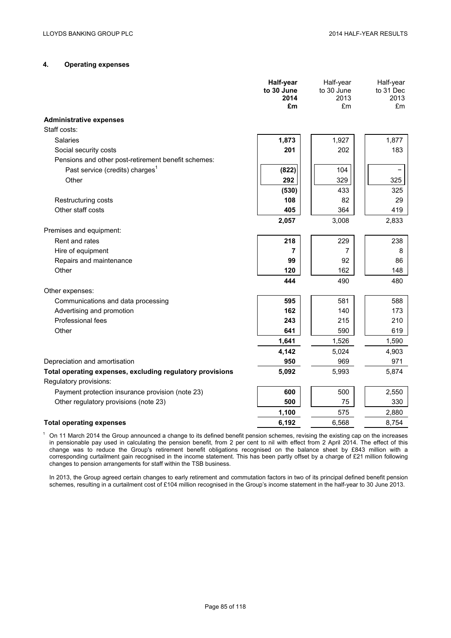## **4. Operating expenses**

|                                                                                     | Half-year<br>to 30 June<br>2014<br>£m | Half-year<br>to 30 June<br>2013<br>£m | Half-year<br>to 31 Dec<br>2013<br>£m |
|-------------------------------------------------------------------------------------|---------------------------------------|---------------------------------------|--------------------------------------|
| <b>Administrative expenses</b>                                                      |                                       |                                       |                                      |
| Staff costs:                                                                        |                                       |                                       |                                      |
| <b>Salaries</b>                                                                     | 1,873                                 | 1,927                                 | 1,877                                |
| Social security costs                                                               | 201                                   | 202                                   | 183                                  |
| Pensions and other post-retirement benefit schemes:                                 |                                       |                                       |                                      |
| Past service (credits) charges <sup>1</sup>                                         | (822)                                 | 104                                   |                                      |
| Other                                                                               | 292                                   | 329                                   | 325                                  |
|                                                                                     | (530)                                 | 433                                   | 325                                  |
| Restructuring costs                                                                 | 108                                   | 82                                    | 29                                   |
| Other staff costs                                                                   | 405                                   | 364                                   | 419                                  |
|                                                                                     | 2,057                                 | 3,008                                 | 2,833                                |
| Premises and equipment:                                                             |                                       |                                       |                                      |
| Rent and rates                                                                      | 218                                   | 229                                   | 238                                  |
| Hire of equipment                                                                   | $\overline{7}$                        | 7                                     | 8                                    |
| Repairs and maintenance                                                             | 99                                    | 92                                    | 86                                   |
| Other                                                                               | 120                                   | 162                                   | 148                                  |
|                                                                                     | 444                                   | 490                                   | 480                                  |
| Other expenses:                                                                     |                                       |                                       |                                      |
| Communications and data processing                                                  | 595                                   | 581                                   | 588                                  |
| Advertising and promotion                                                           | 162                                   | 140                                   | 173                                  |
| Professional fees                                                                   | 243                                   | 215                                   | 210                                  |
| Other                                                                               | 641                                   | 590                                   | 619                                  |
|                                                                                     | 1,641                                 | 1,526                                 | 1,590                                |
|                                                                                     | 4,142                                 | 5,024                                 | 4,903                                |
| Depreciation and amortisation                                                       | 950                                   | 969                                   | 971                                  |
| Total operating expenses, excluding regulatory provisions<br>Regulatory provisions: | 5,092                                 | 5,993                                 | 5,874                                |
| Payment protection insurance provision (note 23)                                    | 600                                   | 500                                   | 2,550                                |
| Other regulatory provisions (note 23)                                               | 500                                   | 75                                    | 330                                  |
|                                                                                     | 1,100                                 | 575                                   | 2,880                                |
| <b>Total operating expenses</b>                                                     | 6,192                                 | 6,568                                 | 8,754                                |

 $1$  On 11 March 2014 the Group announced a change to its defined benefit pension schemes, revising the existing cap on the increases in pensionable pay used in calculating the pension benefit, from 2 per cent to nil with effect from 2 April 2014. The effect of this change was to reduce the Group's retirement benefit obligations recognised on the balance sheet by £843 million with a corresponding curtailment gain recognised in the income statement. This has been partly offset by a charge of £21 million following changes to pension arrangements for staff within the TSB business.

In 2013, the Group agreed certain changes to early retirement and commutation factors in two of its principal defined benefit pension schemes, resulting in a curtailment cost of £104 million recognised in the Group's income statement in the half-year to 30 June 2013.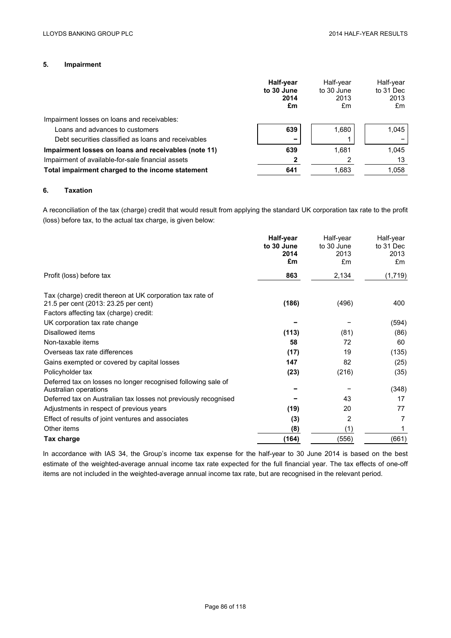## **5. Impairment**

|                                                      | Half-year<br>to 30 June<br>2014<br>£m | Half-year<br>to 30 June<br>2013<br>£m | Half-year<br>to 31 Dec<br>2013<br>£m |
|------------------------------------------------------|---------------------------------------|---------------------------------------|--------------------------------------|
| Impairment losses on loans and receivables:          |                                       |                                       |                                      |
| Loans and advances to customers                      | 639                                   | 1.680                                 | 1.045                                |
| Debt securities classified as loans and receivables  |                                       |                                       |                                      |
| Impairment losses on loans and receivables (note 11) | 639                                   | 1.681                                 | 1.045                                |
| Impairment of available-for-sale financial assets    |                                       |                                       | 13                                   |
| Total impairment charged to the income statement     | 641                                   | 1.683                                 | 1.058                                |

## **6. Taxation**

A reconciliation of the tax (charge) credit that would result from applying the standard UK corporation tax rate to the profit (loss) before tax, to the actual tax charge, is given below:

|                                                                                                                                             | Half-year<br>to 30 June<br>2014<br>£m | Half-year<br>to 30 June<br>2013<br>£m | Half-year<br>to 31 Dec<br>2013<br>£m |
|---------------------------------------------------------------------------------------------------------------------------------------------|---------------------------------------|---------------------------------------|--------------------------------------|
| Profit (loss) before tax                                                                                                                    | 863                                   | 2,134                                 | (1,719)                              |
| Tax (charge) credit thereon at UK corporation tax rate of<br>21.5 per cent (2013: 23.25 per cent)<br>Factors affecting tax (charge) credit: | (186)                                 | (496)                                 | 400                                  |
| UK corporation tax rate change                                                                                                              |                                       |                                       | (594)                                |
| Disallowed items                                                                                                                            | (113)                                 | (81)                                  | (86)                                 |
| Non-taxable items                                                                                                                           | 58                                    | 72                                    | 60                                   |
| Overseas tax rate differences                                                                                                               | (17)                                  | 19                                    | (135)                                |
| Gains exempted or covered by capital losses                                                                                                 | 147                                   | 82                                    | (25)                                 |
| Policyholder tax                                                                                                                            | (23)                                  | (216)                                 | (35)                                 |
| Deferred tax on losses no longer recognised following sale of<br>Australian operations                                                      |                                       |                                       | (348)                                |
| Deferred tax on Australian tax losses not previously recognised                                                                             |                                       | 43                                    | 17                                   |
| Adjustments in respect of previous years                                                                                                    | (19)                                  | 20                                    | 77                                   |
| Effect of results of joint ventures and associates                                                                                          | (3)                                   | 2                                     | 7                                    |
| Other items                                                                                                                                 | (8)                                   | (1)                                   | 1                                    |
| Tax charge                                                                                                                                  | (164)                                 | (556)                                 | (661)                                |

In accordance with IAS 34, the Group's income tax expense for the half-year to 30 June 2014 is based on the best estimate of the weighted-average annual income tax rate expected for the full financial year. The tax effects of one-off items are not included in the weighted-average annual income tax rate, but are recognised in the relevant period.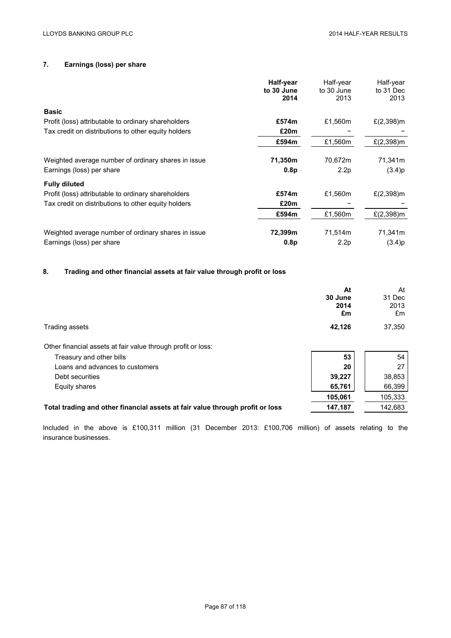## **7. Earnings (loss) per share**

|                                                     | Half-year  | Half-year  | Half-year     |
|-----------------------------------------------------|------------|------------|---------------|
|                                                     | to 30 June | to 30 June | to 31 Dec     |
|                                                     | 2014       | 2013       | 2013          |
| <b>Basic</b>                                        |            |            |               |
| Profit (loss) attributable to ordinary shareholders | £574m      | £1,560m    | £ $(2,398)$ m |
| Tax credit on distributions to other equity holders | £20m       |            |               |
|                                                     | £594m      | £1,560m    | £ $(2,398)$ m |
| Weighted average number of ordinary shares in issue | 71,350m    | 70,672m    | 71,341m       |
| Earnings (loss) per share                           | 0.8p       | 2.2p       | (3.4)p        |
| <b>Fully diluted</b>                                |            |            |               |
| Profit (loss) attributable to ordinary shareholders | £574m      | £1,560m    | £ $(2,398)$ m |
| Tax credit on distributions to other equity holders | £20m       |            |               |
|                                                     | £594m      | £1,560m    | $£(2,398)$ m  |
| Weighted average number of ordinary shares in issue | 72,399m    | 71,514m    | 71,341m       |
| Earnings (loss) per share                           | 0.8p       | 2.2p       | (3.4)p        |

## **8. Trading and other financial assets at fair value through profit or loss**

|                                                                               | At      | At      |
|-------------------------------------------------------------------------------|---------|---------|
|                                                                               | 30 June | 31 Dec  |
|                                                                               | 2014    | 2013    |
|                                                                               | £m      | £m      |
| Trading assets                                                                | 42,126  | 37,350  |
| Other financial assets at fair value through profit or loss:                  |         |         |
| Treasury and other bills                                                      | 53      | 54      |
| Loans and advances to customers                                               | 20      | 27      |
| Debt securities                                                               | 39,227  | 38,853  |
| Equity shares                                                                 | 65,761  | 66,399  |
|                                                                               | 105,061 | 105,333 |
| Total trading and other financial assets at fair value through profit or loss | 147,187 | 142,683 |

Included in the above is £100,311 million (31 December 2013: £100,706 million) of assets relating to the insurance businesses.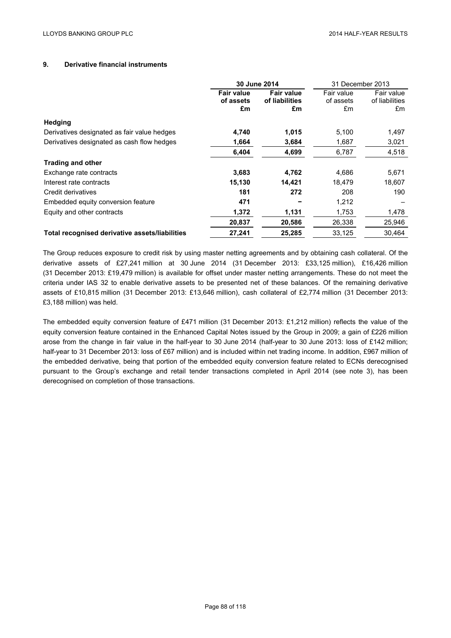### **9. Derivative financial instruments**

|                                                | 30 June 2014                         |                                           | 31 December 2013              |                                    |
|------------------------------------------------|--------------------------------------|-------------------------------------------|-------------------------------|------------------------------------|
|                                                | <b>Fair value</b><br>of assets<br>£m | <b>Fair value</b><br>of liabilities<br>£m | Fair value<br>of assets<br>£m | Fair value<br>of liabilities<br>£m |
| Hedging                                        |                                      |                                           |                               |                                    |
| Derivatives designated as fair value hedges    | 4,740                                | 1,015                                     | 5,100                         | 1,497                              |
| Derivatives designated as cash flow hedges     | 1,664                                | 3,684                                     | 1,687                         | 3,021                              |
|                                                | 6,404                                | 4,699                                     | 6,787                         | 4,518                              |
| <b>Trading and other</b>                       |                                      |                                           |                               |                                    |
| Exchange rate contracts                        | 3,683                                | 4,762                                     | 4,686                         | 5,671                              |
| Interest rate contracts                        | 15,130                               | 14,421                                    | 18,479                        | 18,607                             |
| Credit derivatives                             | 181                                  | 272                                       | 208                           | 190                                |
| Embedded equity conversion feature             | 471                                  |                                           | 1,212                         |                                    |
| Equity and other contracts                     | 1,372                                | 1,131                                     | 1,753                         | 1,478                              |
|                                                | 20,837                               | 20,586                                    | 26,338                        | 25,946                             |
| Total recognised derivative assets/liabilities | 27,241                               | 25,285                                    | 33,125                        | 30,464                             |

The Group reduces exposure to credit risk by using master netting agreements and by obtaining cash collateral. Of the derivative assets of £27,241 million at 30 June 2014 (31 December 2013: £33,125 million), £16,426 million (31 December 2013: £19,479 million) is available for offset under master netting arrangements. These do not meet the criteria under IAS 32 to enable derivative assets to be presented net of these balances. Of the remaining derivative assets of £10,815 million (31 December 2013: £13,646 million), cash collateral of £2,774 million (31 December 2013: £3,188 million) was held.

The embedded equity conversion feature of £471 million (31 December 2013: £1,212 million) reflects the value of the equity conversion feature contained in the Enhanced Capital Notes issued by the Group in 2009; a gain of £226 million arose from the change in fair value in the half-year to 30 June 2014 (half-year to 30 June 2013: loss of £142 million; half-year to 31 December 2013: loss of £67 million) and is included within net trading income. In addition, £967 million of the embedded derivative, being that portion of the embedded equity conversion feature related to ECNs derecognised pursuant to the Group's exchange and retail tender transactions completed in April 2014 (see note 3), has been derecognised on completion of those transactions.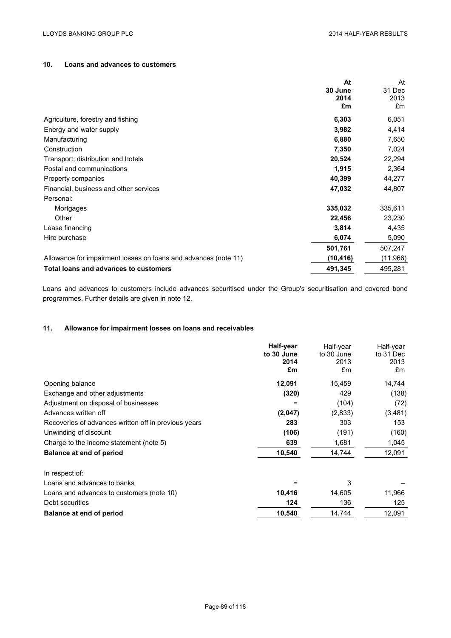## **10. Loans and advances to customers**

|                                                                 | At        | At        |
|-----------------------------------------------------------------|-----------|-----------|
|                                                                 | 30 June   | 31 Dec    |
|                                                                 | 2014      | 2013      |
|                                                                 | £m        | £m        |
| Agriculture, forestry and fishing                               | 6,303     | 6,051     |
| Energy and water supply                                         | 3,982     | 4,414     |
| Manufacturing                                                   | 6,880     | 7,650     |
| Construction                                                    | 7,350     | 7,024     |
| Transport, distribution and hotels                              | 20,524    | 22,294    |
| Postal and communications                                       | 1,915     | 2,364     |
| Property companies                                              | 40,399    | 44,277    |
| Financial, business and other services                          | 47,032    | 44,807    |
| Personal:                                                       |           |           |
| Mortgages                                                       | 335,032   | 335,611   |
| Other                                                           | 22,456    | 23,230    |
| Lease financing                                                 | 3,814     | 4,435     |
| Hire purchase                                                   | 6,074     | 5,090     |
|                                                                 | 501,761   | 507,247   |
| Allowance for impairment losses on loans and advances (note 11) | (10, 416) | (11, 966) |
| Total loans and advances to customers                           | 491,345   | 495,281   |

Loans and advances to customers include advances securitised under the Group's securitisation and covered bond programmes. Further details are given in note 12.

## **11. Allowance for impairment losses on loans and receivables**

| Half-year | Half-year          | Half-year          |
|-----------|--------------------|--------------------|
|           |                    | to 31 Dec<br>2013  |
| £m        | £m                 | £m                 |
| 12,091    | 15,459             | 14,744             |
| (320)     | 429                | (138)              |
|           | (104)              | (72)               |
| (2,047)   | (2,833)            | (3, 481)           |
| 283       | 303                | 153                |
| (106)     | (191)              | (160)              |
| 639       | 1,681              | 1,045              |
| 10,540    | 14,744             | 12,091             |
|           |                    |                    |
|           | 3                  |                    |
| 10,416    | 14,605             | 11,966             |
| 124       | 136                | 125                |
| 10,540    | 14,744             | 12,091             |
|           | to 30 June<br>2014 | to 30 June<br>2013 |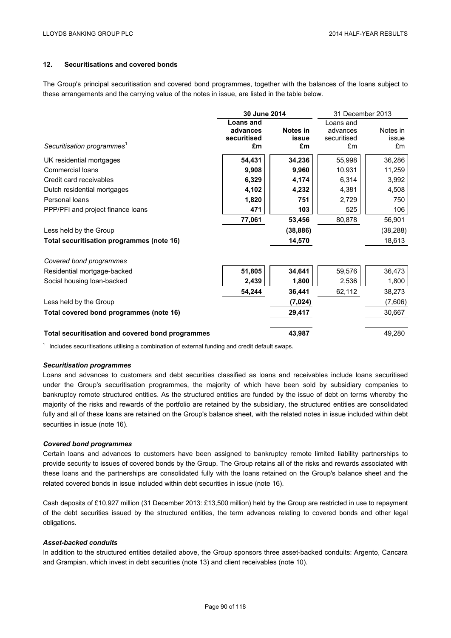## **12. Securitisations and covered bonds**

The Group's principal securitisation and covered bond programmes, together with the balances of the loans subject to these arrangements and the carrying value of the notes in issue, are listed in the table below.

|                                                  | 30 June 2014     |           | 31 December 2013 |           |
|--------------------------------------------------|------------------|-----------|------------------|-----------|
|                                                  | <b>Loans and</b> |           | Loans and        |           |
|                                                  | advances         | Notes in  | advances         | Notes in  |
|                                                  | securitised      | issue     | securitised      | issue     |
| Securitisation programmes <sup>1</sup>           | £m               | £m        | £m               | £m        |
| UK residential mortgages                         | 54,431           | 34,236    | 55,998           | 36,286    |
| Commercial loans                                 | 9,908            | 9,960     | 10,931           | 11,259    |
| Credit card receivables                          | 6,329            | 4,174     | 6,314            | 3,992     |
| Dutch residential mortgages                      | 4,102            | 4,232     | 4,381            | 4,508     |
| Personal loans                                   | 1,820            | 751       | 2,729            | 750       |
| PPP/PFI and project finance loans                | 471              | 103       | 525              | 106       |
|                                                  | 77,061           | 53,456    | 80,878           | 56,901    |
| Less held by the Group                           |                  | (38, 886) |                  | (38, 288) |
| Total securitisation programmes (note 16)        |                  | 14,570    |                  | 18,613    |
| Covered bond programmes                          |                  |           |                  |           |
| Residential mortgage-backed                      | 51,805           | 34,641    | 59,576           | 36,473    |
| Social housing loan-backed                       | 2,439            | 1,800     | 2,536            | 1,800     |
|                                                  | 54,244           | 36,441    | 62,112           | 38,273    |
| Less held by the Group                           |                  | (7, 024)  |                  | (7,606)   |
| Total covered bond programmes (note 16)          |                  | 29,417    |                  | 30,667    |
| Total securitisation and covered bond programmes |                  | 43,987    |                  | 49,280    |
|                                                  |                  |           |                  |           |

 $1$  Includes securitisations utilising a combination of external funding and credit default swaps.

#### *Securitisation programmes*

Loans and advances to customers and debt securities classified as loans and receivables include loans securitised under the Group's securitisation programmes, the majority of which have been sold by subsidiary companies to bankruptcy remote structured entities. As the structured entities are funded by the issue of debt on terms whereby the majority of the risks and rewards of the portfolio are retained by the subsidiary, the structured entities are consolidated fully and all of these loans are retained on the Group's balance sheet, with the related notes in issue included within debt securities in issue (note 16).

### *Covered bond programmes*

Certain loans and advances to customers have been assigned to bankruptcy remote limited liability partnerships to provide security to issues of covered bonds by the Group. The Group retains all of the risks and rewards associated with these loans and the partnerships are consolidated fully with the loans retained on the Group's balance sheet and the related covered bonds in issue included within debt securities in issue (note 16).

Cash deposits of £10,927 million (31 December 2013: £13,500 million) held by the Group are restricted in use to repayment of the debt securities issued by the structured entities, the term advances relating to covered bonds and other legal obligations.

### *Asset-backed conduits*

In addition to the structured entities detailed above, the Group sponsors three asset-backed conduits: Argento, Cancara and Grampian, which invest in debt securities (note 13) and client receivables (note 10).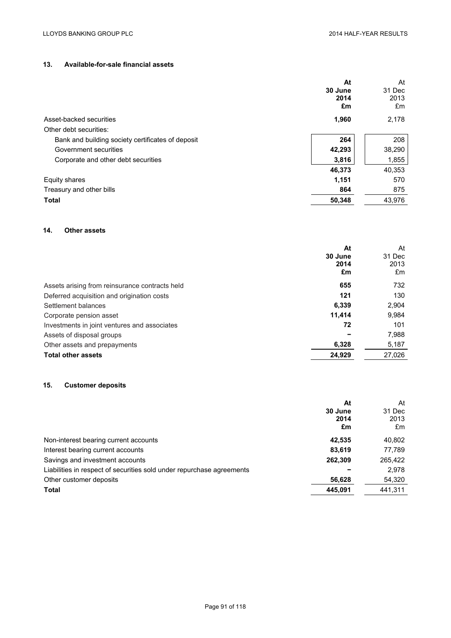## **13. Available-for-sale financial assets**

|                                                   | At      | At     |
|---------------------------------------------------|---------|--------|
|                                                   | 30 June | 31 Dec |
|                                                   | 2014    | 2013   |
|                                                   | £m      | £m     |
| Asset-backed securities                           | 1,960   | 2,178  |
| Other debt securities:                            |         |        |
| Bank and building society certificates of deposit | 264     | 208    |
| Government securities                             | 42,293  | 38,290 |
| Corporate and other debt securities               | 3,816   | 1,855  |
|                                                   | 46,373  | 40,353 |
| Equity shares                                     | 1,151   | 570    |
| Treasury and other bills                          | 864     | 875    |
| <b>Total</b>                                      | 50,348  | 43,976 |

## **14. Other assets**

|                                                | At      | At     |
|------------------------------------------------|---------|--------|
|                                                | 30 June | 31 Dec |
|                                                | 2014    | 2013   |
|                                                | £m      | £m     |
| Assets arising from reinsurance contracts held | 655     | 732    |
| Deferred acquisition and origination costs     | 121     | 130    |
| Settlement balances                            | 6.339   | 2,904  |
| Corporate pension asset                        | 11.414  | 9,984  |
| Investments in joint ventures and associates   | 72      | 101    |
| Assets of disposal groups                      |         | 7,988  |
| Other assets and prepayments                   | 6,328   | 5,187  |
| <b>Total other assets</b>                      | 24,929  | 27,026 |

## **15. Customer deposits**

| At<br>30 June<br>2014<br>£m                                           | At<br>31 Dec<br>2013<br>£m |
|-----------------------------------------------------------------------|----------------------------|
| 42.535<br>Non-interest bearing current accounts                       | 40,802                     |
| 83,619<br>Interest bearing current accounts                           | 77,789                     |
| Savings and investment accounts<br>262,309                            | 265,422                    |
| Liabilities in respect of securities sold under repurchase agreements | 2,978                      |
| Other customer deposits<br>56,628                                     | 54,320                     |
| <b>Total</b><br>445.091                                               | 441,311                    |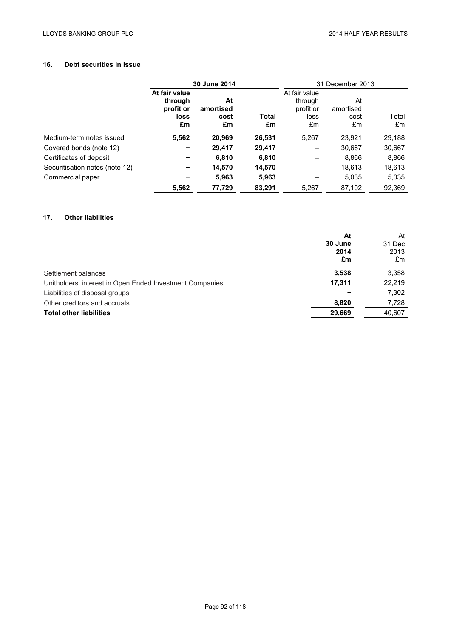# **16. Debt securities in issue**

|                                | 30 June 2014                                        |                               |             | 31 December 2013                                    |                               |             |
|--------------------------------|-----------------------------------------------------|-------------------------------|-------------|-----------------------------------------------------|-------------------------------|-------------|
|                                | At fair value<br>through<br>profit or<br>loss<br>£m | At<br>amortised<br>cost<br>£m | Total<br>£m | At fair value<br>through<br>profit or<br>loss<br>£m | At<br>amortised<br>cost<br>£m | Total<br>£m |
| Medium-term notes issued       | 5,562                                               | 20,969                        | 26,531      | 5,267                                               | 23,921                        | 29,188      |
| Covered bonds (note 12)        |                                                     | 29,417                        | 29,417      |                                                     | 30,667                        | 30,667      |
| Certificates of deposit        |                                                     | 6,810                         | 6,810       |                                                     | 8,866                         | 8,866       |
| Securitisation notes (note 12) | -                                                   | 14,570                        | 14,570      |                                                     | 18,613                        | 18,613      |
| Commercial paper               |                                                     | 5,963                         | 5,963       |                                                     | 5,035                         | 5,035       |
|                                | 5,562                                               | 77,729                        | 83,291      | 5,267                                               | 87,102                        | 92,369      |

## **17. Other liabilities**

| At                                                                 | At     |
|--------------------------------------------------------------------|--------|
| 30 June                                                            | 31 Dec |
| 2014                                                               | 2013   |
| £m                                                                 | £m     |
| 3,538<br>Settlement balances                                       | 3,358  |
| 17.311<br>Unitholders' interest in Open Ended Investment Companies | 22,219 |
| Liabilities of disposal groups                                     | 7,302  |
| 8,820<br>Other creditors and accruals                              | 7,728  |
| <b>Total other liabilities</b><br>29,669                           | 40,607 |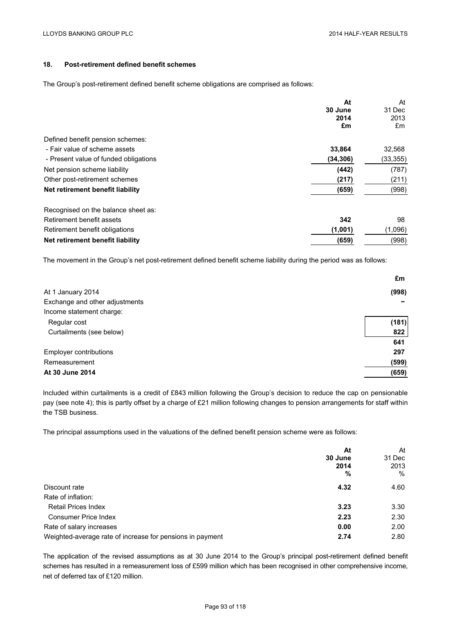## **18. Post-retirement defined benefit schemes**

The Group's post-retirement defined benefit scheme obligations are comprised as follows:

|                                       | At        | At        |
|---------------------------------------|-----------|-----------|
|                                       | 30 June   | 31 Dec    |
|                                       | 2014      | 2013      |
|                                       | £m        | £m        |
| Defined benefit pension schemes:      |           |           |
| - Fair value of scheme assets         | 33,864    | 32,568    |
| - Present value of funded obligations | (34, 306) | (33, 355) |
| Net pension scheme liability          | (442)     | (787)     |
| Other post-retirement schemes         | (217)     | (211)     |
| Net retirement benefit liability      | (659)     | (998)     |
| Recognised on the balance sheet as:   |           |           |
| Retirement benefit assets             | 342       | 98        |
| Retirement benefit obligations        | (1,001)   | (1,096)   |
| Net retirement benefit liability      | (659)     | (998)     |

The movement in the Group's net post-retirement defined benefit scheme liability during the period was as follows:

|                                | £m    |
|--------------------------------|-------|
| At 1 January 2014              | (998) |
| Exchange and other adjustments |       |
| Income statement charge:       |       |
| Regular cost                   | (181) |
| Curtailments (see below)       | 822   |
|                                | 641   |
| <b>Employer contributions</b>  | 297   |
| Remeasurement                  | (599) |
| At 30 June 2014                | (659) |

Included within curtailments is a credit of £843 million following the Group's decision to reduce the cap on pensionable pay (see note 4); this is partly offset by a charge of £21 million following changes to pension arrangements for staff within the TSB business.

The principal assumptions used in the valuations of the defined benefit pension scheme were as follows:

|                                                           | At<br>30 June<br>2014<br>% | At<br>31 Dec<br>2013<br>$\%$ |
|-----------------------------------------------------------|----------------------------|------------------------------|
| Discount rate                                             | 4.32                       | 4.60                         |
| Rate of inflation:                                        |                            |                              |
| <b>Retail Prices Index</b>                                | 3.23                       | 3.30                         |
| <b>Consumer Price Index</b>                               | 2.23                       | 2.30                         |
| Rate of salary increases                                  | 0.00                       | 2.00                         |
| Weighted-average rate of increase for pensions in payment | 2.74                       | 2.80                         |

The application of the revised assumptions as at 30 June 2014 to the Group's principal post-retirement defined benefit schemes has resulted in a remeasurement loss of £599 million which has been recognised in other comprehensive income, net of deferred tax of £120 million.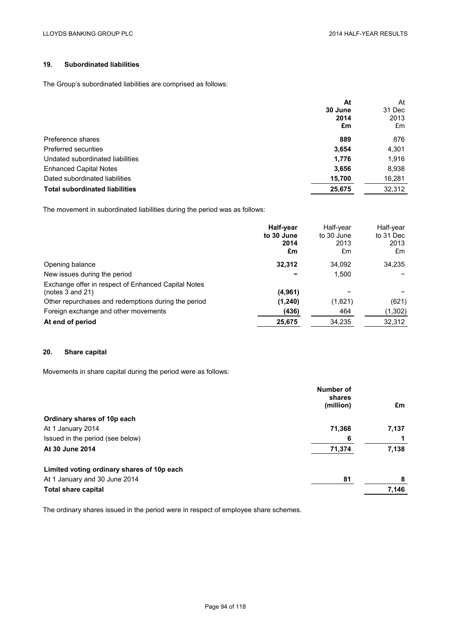## **19. Subordinated liabilities**

The Group's subordinated liabilities are comprised as follows:

|                                       | At      | At     |
|---------------------------------------|---------|--------|
|                                       | 30 June | 31 Dec |
|                                       | 2014    | 2013   |
|                                       | £m      | £m     |
| Preference shares                     | 889     | 876    |
| Preferred securities                  | 3,654   | 4,301  |
| Undated subordinated liabilities      | 1,776   | 1,916  |
| <b>Enhanced Capital Notes</b>         | 3,656   | 8,938  |
| Dated subordinated liabilities        | 15,700  | 16,281 |
| <b>Total subordinated liabilities</b> | 25,675  | 32,312 |

The movement in subordinated liabilities during the period was as follows:

|                                                                         | Half-year<br>to 30 June<br>2014<br>£m | Half-year<br>to 30 June<br>2013<br>£m | Half-year<br>to 31 Dec<br>2013<br>£m |
|-------------------------------------------------------------------------|---------------------------------------|---------------------------------------|--------------------------------------|
| Opening balance                                                         | 32,312                                | 34.092                                | 34,235                               |
| New issues during the period                                            |                                       | 1.500                                 |                                      |
| Exchange offer in respect of Enhanced Capital Notes<br>(notes 3 and 21) | (4,961)                               |                                       |                                      |
| Other repurchases and redemptions during the period                     | (1,240)                               | (1,821)                               | (621)                                |
| Foreign exchange and other movements                                    | (436)                                 | 464                                   | (1,302)                              |
| At end of period                                                        | 25,675                                | 34,235                                | 32,312                               |

## **20. Share capital**

Movements in share capital during the period were as follows:

|                                            | Number of<br>shares |       |
|--------------------------------------------|---------------------|-------|
|                                            | (million)           | £m    |
| Ordinary shares of 10p each                |                     |       |
| At 1 January 2014                          | 71,368              | 7,137 |
| Issued in the period (see below)           | 6                   |       |
| At 30 June 2014                            | 71,374              | 7,138 |
| Limited voting ordinary shares of 10p each |                     |       |
| At 1 January and 30 June 2014              | 81                  | 8     |
| <b>Total share capital</b>                 |                     | 7,146 |

The ordinary shares issued in the period were in respect of employee share schemes.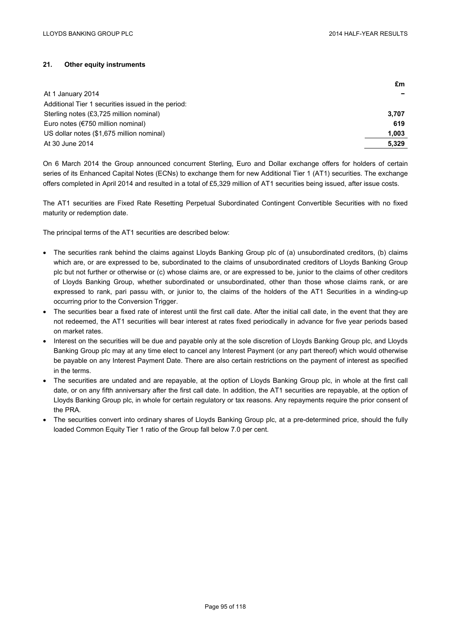## **21. Other equity instruments**

|                                                    | £m    |
|----------------------------------------------------|-------|
| At 1 January 2014                                  |       |
| Additional Tier 1 securities issued in the period: |       |
| Sterling notes (£3,725 million nominal)            | 3.707 |
| Euro notes ( $\epsilon$ 750 million nominal)       | 619   |
| US dollar notes (\$1,675 million nominal)          | 1.003 |
| At 30 June 2014                                    | 5.329 |

On 6 March 2014 the Group announced concurrent Sterling, Euro and Dollar exchange offers for holders of certain series of its Enhanced Capital Notes (ECNs) to exchange them for new Additional Tier 1 (AT1) securities. The exchange offers completed in April 2014 and resulted in a total of £5,329 million of AT1 securities being issued, after issue costs.

The AT1 securities are Fixed Rate Resetting Perpetual Subordinated Contingent Convertible Securities with no fixed maturity or redemption date.

The principal terms of the AT1 securities are described below:

- The securities rank behind the claims against Lloyds Banking Group plc of (a) unsubordinated creditors, (b) claims which are, or are expressed to be, subordinated to the claims of unsubordinated creditors of Lloyds Banking Group plc but not further or otherwise or (c) whose claims are, or are expressed to be, junior to the claims of other creditors of Lloyds Banking Group, whether subordinated or unsubordinated, other than those whose claims rank, or are expressed to rank, pari passu with, or junior to, the claims of the holders of the AT1 Securities in a winding-up occurring prior to the Conversion Trigger.
- The securities bear a fixed rate of interest until the first call date. After the initial call date, in the event that they are not redeemed, the AT1 securities will bear interest at rates fixed periodically in advance for five year periods based on market rates.
- Interest on the securities will be due and payable only at the sole discretion of Lloyds Banking Group plc, and Lloyds Banking Group plc may at any time elect to cancel any Interest Payment (or any part thereof) which would otherwise be payable on any Interest Payment Date. There are also certain restrictions on the payment of interest as specified in the terms.
- The securities are undated and are repayable, at the option of Lloyds Banking Group plc, in whole at the first call date, or on any fifth anniversary after the first call date. In addition, the AT1 securities are repayable, at the option of Lloyds Banking Group plc, in whole for certain regulatory or tax reasons. Any repayments require the prior consent of the PRA.
- The securities convert into ordinary shares of Lloyds Banking Group plc, at a pre-determined price, should the fully loaded Common Equity Tier 1 ratio of the Group fall below 7.0 per cent.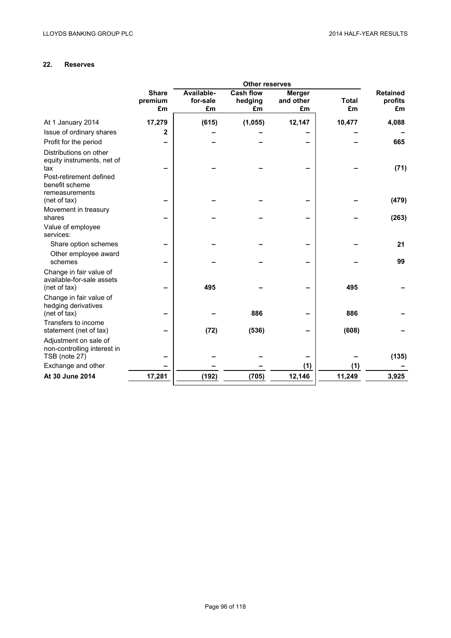# **22. Reserves**

|                                                                       | <b>Other reserves</b>         |                              |                                   |                                  |                    |                                  |  |  |
|-----------------------------------------------------------------------|-------------------------------|------------------------------|-----------------------------------|----------------------------------|--------------------|----------------------------------|--|--|
|                                                                       | <b>Share</b><br>premium<br>£m | Available-<br>for-sale<br>£m | <b>Cash flow</b><br>hedging<br>£m | <b>Merger</b><br>and other<br>£m | <b>Total</b><br>£m | <b>Retained</b><br>profits<br>£m |  |  |
| At 1 January 2014                                                     | 17,279                        | (615)                        | (1,055)                           | 12,147                           | 10,477             | 4,088                            |  |  |
| Issue of ordinary shares                                              | 2                             |                              |                                   |                                  |                    |                                  |  |  |
| Profit for the period                                                 |                               |                              |                                   |                                  |                    | 665                              |  |  |
| Distributions on other<br>equity instruments, net of<br>tax           |                               |                              |                                   |                                  |                    | (71)                             |  |  |
| Post-retirement defined<br>benefit scheme<br>remeasurements           |                               |                              |                                   |                                  |                    |                                  |  |  |
| (net of tax)                                                          |                               |                              |                                   |                                  |                    | (479)                            |  |  |
| Movement in treasury<br>shares                                        |                               |                              |                                   |                                  |                    | (263)                            |  |  |
| Value of employee<br>services:                                        |                               |                              |                                   |                                  |                    |                                  |  |  |
| Share option schemes                                                  |                               |                              |                                   |                                  |                    | 21                               |  |  |
| Other employee award<br>schemes                                       |                               |                              |                                   |                                  |                    | 99                               |  |  |
| Change in fair value of<br>available-for-sale assets<br>(net of tax)  |                               | 495                          |                                   |                                  | 495                |                                  |  |  |
| Change in fair value of<br>hedging derivatives<br>(net of tax)        |                               |                              | 886                               |                                  | 886                |                                  |  |  |
| Transfers to income<br>statement (net of tax)                         |                               | (72)                         | (536)                             |                                  | (608)              |                                  |  |  |
| Adjustment on sale of<br>non-controlling interest in<br>TSB (note 27) |                               |                              |                                   |                                  |                    | (135)                            |  |  |
| Exchange and other                                                    |                               |                              |                                   | (1)                              | (1)                |                                  |  |  |
| At 30 June 2014                                                       | 17,281                        | (192)                        | (705)                             | 12,146                           | 11,249             | 3,925                            |  |  |
|                                                                       |                               |                              |                                   |                                  |                    |                                  |  |  |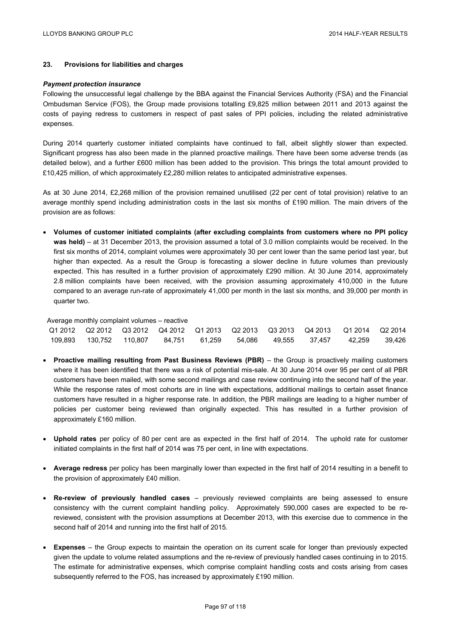## **23. Provisions for liabilities and charges**

### *Payment protection insurance*

Following the unsuccessful legal challenge by the BBA against the Financial Services Authority (FSA) and the Financial Ombudsman Service (FOS), the Group made provisions totalling £9,825 million between 2011 and 2013 against the costs of paying redress to customers in respect of past sales of PPI policies, including the related administrative expenses.

During 2014 quarterly customer initiated complaints have continued to fall, albeit slightly slower than expected. Significant progress has also been made in the planned proactive mailings. There have been some adverse trends (as detailed below), and a further £600 million has been added to the provision. This brings the total amount provided to £10,425 million, of which approximately £2,280 million relates to anticipated administrative expenses.

As at 30 June 2014, £2,268 million of the provision remained unutilised (22 per cent of total provision) relative to an average monthly spend including administration costs in the last six months of £190 million. The main drivers of the provision are as follows:

 **Volumes of customer initiated complaints (after excluding complaints from customers where no PPI policy was held)** – at 31 December 2013, the provision assumed a total of 3.0 million complaints would be received. In the first six months of 2014, complaint volumes were approximately 30 per cent lower than the same period last year, but higher than expected. As a result the Group is forecasting a slower decline in future volumes than previously expected. This has resulted in a further provision of approximately £290 million. At 30 June 2014, approximately 2.8 million complaints have been received, with the provision assuming approximately 410,000 in the future compared to an average run-rate of approximately 41,000 per month in the last six months, and 39,000 per month in quarter two.

### Average monthly complaint volumes – reactive

|  |  |  |  | Q1 2012     Q2 2012     Q3 2012     Q4 2012     Q1 2013     Q2 2013     Q3 2013     Q4 2013     Q1 2014     Q2 2014 |  |
|--|--|--|--|---------------------------------------------------------------------------------------------------------------------|--|
|  |  |  |  | 109.893 130.752 110.807 84.751 61.259 54.086 49.555 37.457 42.259 39.426                                            |  |

- **Proactive mailing resulting from Past Business Reviews (PBR)** the Group is proactively mailing customers where it has been identified that there was a risk of potential mis-sale. At 30 June 2014 over 95 per cent of all PBR customers have been mailed, with some second mailings and case review continuing into the second half of the year. While the response rates of most cohorts are in line with expectations, additional mailings to certain asset finance customers have resulted in a higher response rate. In addition, the PBR mailings are leading to a higher number of policies per customer being reviewed than originally expected. This has resulted in a further provision of approximately £160 million.
- **Uphold rates** per policy of 80 per cent are as expected in the first half of 2014. The uphold rate for customer initiated complaints in the first half of 2014 was 75 per cent, in line with expectations.
- **Average redress** per policy has been marginally lower than expected in the first half of 2014 resulting in a benefit to the provision of approximately £40 million.
- **Re-review of previously handled cases** previously reviewed complaints are being assessed to ensure consistency with the current complaint handling policy. Approximately 590,000 cases are expected to be rereviewed, consistent with the provision assumptions at December 2013, with this exercise due to commence in the second half of 2014 and running into the first half of 2015.
- **Expenses** the Group expects to maintain the operation on its current scale for longer than previously expected given the update to volume related assumptions and the re-review of previously handled cases continuing in to 2015. The estimate for administrative expenses, which comprise complaint handling costs and costs arising from cases subsequently referred to the FOS, has increased by approximately £190 million.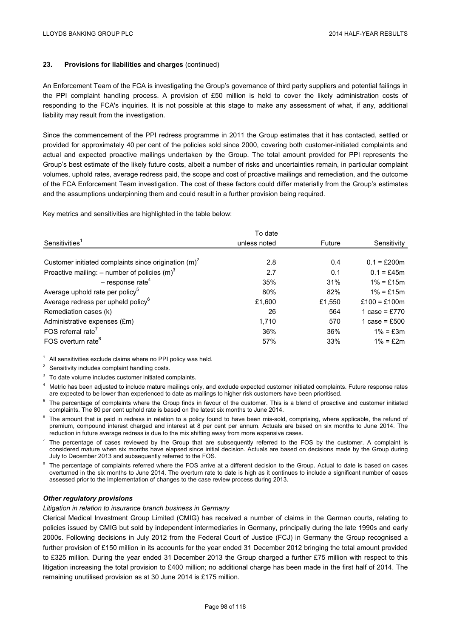## **23. Provisions for liabilities and charges** (continued)

An Enforcement Team of the FCA is investigating the Group's governance of third party suppliers and potential failings in the PPI complaint handling process. A provision of £50 million is held to cover the likely administration costs of responding to the FCA's inquiries. It is not possible at this stage to make any assessment of what, if any, additional liability may result from the investigation.

Since the commencement of the PPI redress programme in 2011 the Group estimates that it has contacted, settled or provided for approximately 40 per cent of the policies sold since 2000, covering both customer-initiated complaints and actual and expected proactive mailings undertaken by the Group. The total amount provided for PPI represents the Group's best estimate of the likely future costs, albeit a number of risks and uncertainties remain, in particular complaint volumes, uphold rates, average redress paid, the scope and cost of proactive mailings and remediation, and the outcome of the FCA Enforcement Team investigation. The cost of these factors could differ materially from the Group's estimates and the assumptions underpinning them and could result in a further provision being required.

Key metrics and sensitivities are highlighted in the table below:

|                                                            | To date      |        |                 |
|------------------------------------------------------------|--------------|--------|-----------------|
| Sensitivities <sup>1</sup>                                 | unless noted | Future | Sensitivity     |
|                                                            |              |        |                 |
| Customer initiated complaints since origination $(m)^2$    | 2.8          | 0.4    | $0.1 = £200m$   |
| Proactive mailing: $-$ number of policies (m) <sup>3</sup> | 2.7          | 0.1    | $0.1 = £45m$    |
| $-$ response rate <sup>4</sup>                             | 35%          | 31%    | $1\% = £15m$    |
| Average uphold rate per policy <sup>5</sup>                | 80%          | 82%    | $1\% = £15m$    |
| Average redress per upheld policy <sup>6</sup>             | £1,600       | £1,550 | £100 = £100m    |
| Remediation cases (k)                                      | 26           | 564    | 1 case = £770   |
| Administrative expenses (£m)                               | 1,710        | 570    | 1 case = $£500$ |
| FOS referral rate <sup>7</sup>                             | 36%          | 36%    | $1\% = £3m$     |
| FOS overturn rate <sup>8</sup>                             | 57%          | 33%    | $1\% = £2m$     |

 $1$  All sensitivities exclude claims where no PPI policy was held.

<sup>2</sup> Sensitivity includes complaint handling costs.

<sup>3</sup> To date volume includes customer initiated complaints.

Metric has been adjusted to include mature mailings only, and exclude expected customer initiated complaints. Future response rates are expected to be lower than experienced to date as mailings to higher risk customers have been prioritised.

- <sup>5</sup> The percentage of complaints where the Group finds in favour of the customer. This is a blend of proactive and customer initiated complaints. The 80 per cent uphold rate is based on the latest six months to June 2014.
- $6$  The amount that is paid in redress in relation to a policy found to have been mis-sold, comprising, where applicable, the refund of premium, compound interest charged and interest at 8 per cent per annum. Actuals are based on six months to June 2014. The reduction in future average redress is due to the mix shifting away from more expensive cases.
- $<sup>7</sup>$  The percentage of cases reviewed by the Group that are subsequently referred to the FOS by the customer. A complaint is</sup> considered mature when six months have elapsed since initial decision. Actuals are based on decisions made by the Group during July to December 2013 and subsequently referred to the FOS.
- <sup>8</sup> The percentage of complaints referred where the FOS arrive at a different decision to the Group. Actual to date is based on cases overturned in the six months to June 2014. The overturn rate to date is high as it continues to include a significant number of cases assessed prior to the implementation of changes to the case review process during 2013.

## *Other regulatory provisions*

### *Litigation in relation to insurance branch business in Germany*

Clerical Medical Investment Group Limited (CMIG) has received a number of claims in the German courts, relating to policies issued by CMIG but sold by independent intermediaries in Germany, principally during the late 1990s and early 2000s. Following decisions in July 2012 from the Federal Court of Justice (FCJ) in Germany the Group recognised a further provision of £150 million in its accounts for the year ended 31 December 2012 bringing the total amount provided to £325 million. During the year ended 31 December 2013 the Group charged a further £75 million with respect to this litigation increasing the total provision to £400 million; no additional charge has been made in the first half of 2014. The remaining unutilised provision as at 30 June 2014 is £175 million.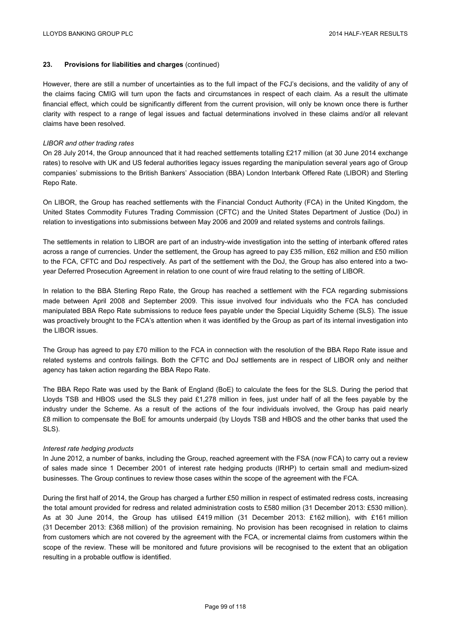## **23. Provisions for liabilities and charges** (continued)

However, there are still a number of uncertainties as to the full impact of the FCJ's decisions, and the validity of any of the claims facing CMIG will turn upon the facts and circumstances in respect of each claim. As a result the ultimate financial effect, which could be significantly different from the current provision, will only be known once there is further clarity with respect to a range of legal issues and factual determinations involved in these claims and/or all relevant claims have been resolved.

### *LIBOR and other trading rates*

On 28 July 2014, the Group announced that it had reached settlements totalling £217 million (at 30 June 2014 exchange rates) to resolve with UK and US federal authorities legacy issues regarding the manipulation several years ago of Group companies' submissions to the British Bankers' Association (BBA) London Interbank Offered Rate (LIBOR) and Sterling Repo Rate.

On LIBOR, the Group has reached settlements with the Financial Conduct Authority (FCA) in the United Kingdom, the United States Commodity Futures Trading Commission (CFTC) and the United States Department of Justice (DoJ) in relation to investigations into submissions between May 2006 and 2009 and related systems and controls failings.

The settlements in relation to LIBOR are part of an industry-wide investigation into the setting of interbank offered rates across a range of currencies. Under the settlement, the Group has agreed to pay £35 million, £62 million and £50 million to the FCA, CFTC and DoJ respectively. As part of the settlement with the DoJ, the Group has also entered into a twoyear Deferred Prosecution Agreement in relation to one count of wire fraud relating to the setting of LIBOR.

In relation to the BBA Sterling Repo Rate, the Group has reached a settlement with the FCA regarding submissions made between April 2008 and September 2009. This issue involved four individuals who the FCA has concluded manipulated BBA Repo Rate submissions to reduce fees payable under the Special Liquidity Scheme (SLS). The issue was proactively brought to the FCA's attention when it was identified by the Group as part of its internal investigation into the LIBOR issues.

The Group has agreed to pay £70 million to the FCA in connection with the resolution of the BBA Repo Rate issue and related systems and controls failings. Both the CFTC and DoJ settlements are in respect of LIBOR only and neither agency has taken action regarding the BBA Repo Rate.

The BBA Repo Rate was used by the Bank of England (BoE) to calculate the fees for the SLS. During the period that Lloyds TSB and HBOS used the SLS they paid £1,278 million in fees, just under half of all the fees payable by the industry under the Scheme. As a result of the actions of the four individuals involved, the Group has paid nearly £8 million to compensate the BoE for amounts underpaid (by Lloyds TSB and HBOS and the other banks that used the SLS).

### *Interest rate hedging products*

In June 2012, a number of banks, including the Group, reached agreement with the FSA (now FCA) to carry out a review of sales made since 1 December 2001 of interest rate hedging products (IRHP) to certain small and medium-sized businesses. The Group continues to review those cases within the scope of the agreement with the FCA.

During the first half of 2014, the Group has charged a further £50 million in respect of estimated redress costs, increasing the total amount provided for redress and related administration costs to £580 million (31 December 2013: £530 million). As at 30 June 2014, the Group has utilised £419 million (31 December 2013: £162 million), with £161 million (31 December 2013: £368 million) of the provision remaining. No provision has been recognised in relation to claims from customers which are not covered by the agreement with the FCA, or incremental claims from customers within the scope of the review. These will be monitored and future provisions will be recognised to the extent that an obligation resulting in a probable outflow is identified.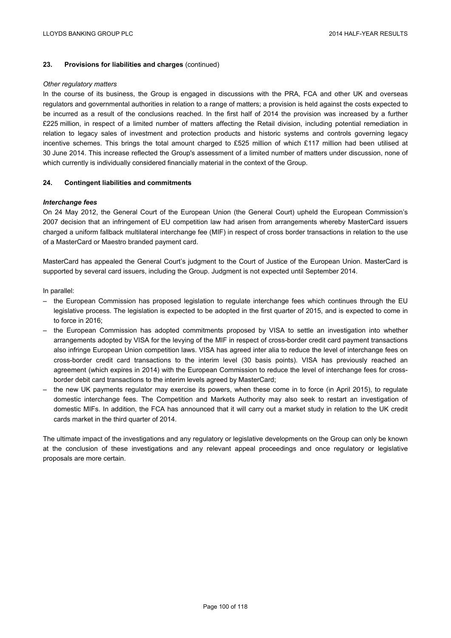## **23. Provisions for liabilities and charges** (continued)

### *Other regulatory matters*

In the course of its business, the Group is engaged in discussions with the PRA, FCA and other UK and overseas regulators and governmental authorities in relation to a range of matters; a provision is held against the costs expected to be incurred as a result of the conclusions reached. In the first half of 2014 the provision was increased by a further £225 million, in respect of a limited number of matters affecting the Retail division, including potential remediation in relation to legacy sales of investment and protection products and historic systems and controls governing legacy incentive schemes. This brings the total amount charged to £525 million of which £117 million had been utilised at 30 June 2014. This increase reflected the Group's assessment of a limited number of matters under discussion, none of which currently is individually considered financially material in the context of the Group.

### **24. Contingent liabilities and commitments**

### *Interchange fees*

On 24 May 2012, the General Court of the European Union (the General Court) upheld the European Commission's 2007 decision that an infringement of EU competition law had arisen from arrangements whereby MasterCard issuers charged a uniform fallback multilateral interchange fee (MIF) in respect of cross border transactions in relation to the use of a MasterCard or Maestro branded payment card.

MasterCard has appealed the General Court's judgment to the Court of Justice of the European Union. MasterCard is supported by several card issuers, including the Group. Judgment is not expected until September 2014.

In parallel:

- the European Commission has proposed legislation to regulate interchange fees which continues through the EU legislative process. The legislation is expected to be adopted in the first quarter of 2015, and is expected to come in to force in 2016;
- the European Commission has adopted commitments proposed by VISA to settle an investigation into whether arrangements adopted by VISA for the levying of the MIF in respect of cross-border credit card payment transactions also infringe European Union competition laws. VISA has agreed inter alia to reduce the level of interchange fees on cross-border credit card transactions to the interim level (30 basis points). VISA has previously reached an agreement (which expires in 2014) with the European Commission to reduce the level of interchange fees for crossborder debit card transactions to the interim levels agreed by MasterCard;
- the new UK payments regulator may exercise its powers, when these come in to force (in April 2015), to regulate domestic interchange fees. The Competition and Markets Authority may also seek to restart an investigation of domestic MIFs. In addition, the FCA has announced that it will carry out a market study in relation to the UK credit cards market in the third quarter of 2014.

The ultimate impact of the investigations and any regulatory or legislative developments on the Group can only be known at the conclusion of these investigations and any relevant appeal proceedings and once regulatory or legislative proposals are more certain.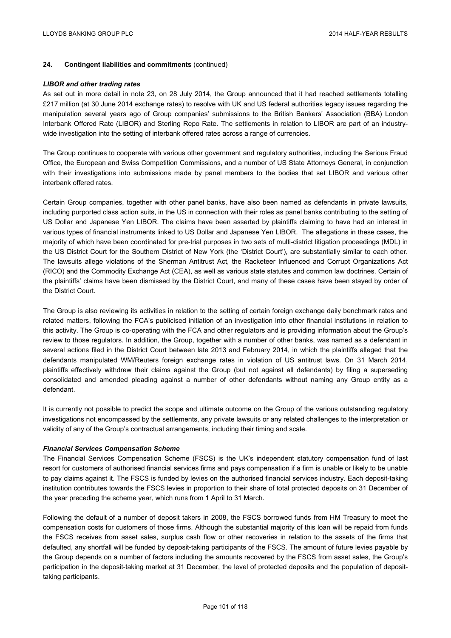## **24. Contingent liabilities and commitments** (continued)

### *LIBOR and other trading rates*

As set out in more detail in note 23, on 28 July 2014, the Group announced that it had reached settlements totalling £217 million (at 30 June 2014 exchange rates) to resolve with UK and US federal authorities legacy issues regarding the manipulation several years ago of Group companies' submissions to the British Bankers' Association (BBA) London Interbank Offered Rate (LIBOR) and Sterling Repo Rate. The settlements in relation to LIBOR are part of an industrywide investigation into the setting of interbank offered rates across a range of currencies.

The Group continues to cooperate with various other government and regulatory authorities, including the Serious Fraud Office, the European and Swiss Competition Commissions, and a number of US State Attorneys General, in conjunction with their investigations into submissions made by panel members to the bodies that set LIBOR and various other interbank offered rates.

Certain Group companies, together with other panel banks, have also been named as defendants in private lawsuits, including purported class action suits, in the US in connection with their roles as panel banks contributing to the setting of US Dollar and Japanese Yen LIBOR. The claims have been asserted by plaintiffs claiming to have had an interest in various types of financial instruments linked to US Dollar and Japanese Yen LIBOR. The allegations in these cases, the majority of which have been coordinated for pre-trial purposes in two sets of multi-district litigation proceedings (MDL) in the US District Court for the Southern District of New York (the 'District Court'), are substantially similar to each other. The lawsuits allege violations of the Sherman Antitrust Act, the Racketeer Influenced and Corrupt Organizations Act (RICO) and the Commodity Exchange Act (CEA), as well as various state statutes and common law doctrines. Certain of the plaintiffs' claims have been dismissed by the District Court, and many of these cases have been stayed by order of the District Court.

The Group is also reviewing its activities in relation to the setting of certain foreign exchange daily benchmark rates and related matters, following the FCA's publicised initiation of an investigation into other financial institutions in relation to this activity. The Group is co-operating with the FCA and other regulators and is providing information about the Group's review to those regulators. In addition, the Group, together with a number of other banks, was named as a defendant in several actions filed in the District Court between late 2013 and February 2014, in which the plaintiffs alleged that the defendants manipulated WM/Reuters foreign exchange rates in violation of US antitrust laws. On 31 March 2014, plaintiffs effectively withdrew their claims against the Group (but not against all defendants) by filing a superseding consolidated and amended pleading against a number of other defendants without naming any Group entity as a defendant.

It is currently not possible to predict the scope and ultimate outcome on the Group of the various outstanding regulatory investigations not encompassed by the settlements, any private lawsuits or any related challenges to the interpretation or validity of any of the Group's contractual arrangements, including their timing and scale.

### *Financial Services Compensation Scheme*

The Financial Services Compensation Scheme (FSCS) is the UK's independent statutory compensation fund of last resort for customers of authorised financial services firms and pays compensation if a firm is unable or likely to be unable to pay claims against it. The FSCS is funded by levies on the authorised financial services industry. Each deposit-taking institution contributes towards the FSCS levies in proportion to their share of total protected deposits on 31 December of the year preceding the scheme year, which runs from 1 April to 31 March.

Following the default of a number of deposit takers in 2008, the FSCS borrowed funds from HM Treasury to meet the compensation costs for customers of those firms. Although the substantial majority of this loan will be repaid from funds the FSCS receives from asset sales, surplus cash flow or other recoveries in relation to the assets of the firms that defaulted, any shortfall will be funded by deposit-taking participants of the FSCS. The amount of future levies payable by the Group depends on a number of factors including the amounts recovered by the FSCS from asset sales, the Group's participation in the deposit-taking market at 31 December, the level of protected deposits and the population of deposittaking participants.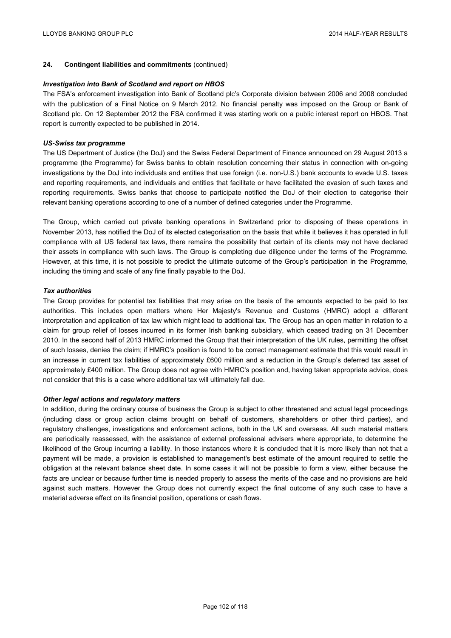## **24. Contingent liabilities and commitments** (continued)

### *Investigation into Bank of Scotland and report on HBOS*

The FSA's enforcement investigation into Bank of Scotland plc's Corporate division between 2006 and 2008 concluded with the publication of a Final Notice on 9 March 2012. No financial penalty was imposed on the Group or Bank of Scotland plc. On 12 September 2012 the FSA confirmed it was starting work on a public interest report on HBOS. That report is currently expected to be published in 2014.

### *US-Swiss tax programme*

The US Department of Justice (the DoJ) and the Swiss Federal Department of Finance announced on 29 August 2013 a programme (the Programme) for Swiss banks to obtain resolution concerning their status in connection with on-going investigations by the DoJ into individuals and entities that use foreign (i.e. non-U.S.) bank accounts to evade U.S. taxes and reporting requirements, and individuals and entities that facilitate or have facilitated the evasion of such taxes and reporting requirements. Swiss banks that choose to participate notified the DoJ of their election to categorise their relevant banking operations according to one of a number of defined categories under the Programme.

The Group, which carried out private banking operations in Switzerland prior to disposing of these operations in November 2013, has notified the DoJ of its elected categorisation on the basis that while it believes it has operated in full compliance with all US federal tax laws, there remains the possibility that certain of its clients may not have declared their assets in compliance with such laws. The Group is completing due diligence under the terms of the Programme. However, at this time, it is not possible to predict the ultimate outcome of the Group's participation in the Programme, including the timing and scale of any fine finally payable to the DoJ.

### *Tax authorities*

The Group provides for potential tax liabilities that may arise on the basis of the amounts expected to be paid to tax authorities. This includes open matters where Her Majesty's Revenue and Customs (HMRC) adopt a different interpretation and application of tax law which might lead to additional tax. The Group has an open matter in relation to a claim for group relief of losses incurred in its former Irish banking subsidiary, which ceased trading on 31 December 2010. In the second half of 2013 HMRC informed the Group that their interpretation of the UK rules, permitting the offset of such losses, denies the claim; if HMRC's position is found to be correct management estimate that this would result in an increase in current tax liabilities of approximately £600 million and a reduction in the Group's deferred tax asset of approximately £400 million. The Group does not agree with HMRC's position and, having taken appropriate advice, does not consider that this is a case where additional tax will ultimately fall due.

### *Other legal actions and regulatory matters*

In addition, during the ordinary course of business the Group is subject to other threatened and actual legal proceedings (including class or group action claims brought on behalf of customers, shareholders or other third parties), and regulatory challenges, investigations and enforcement actions, both in the UK and overseas. All such material matters are periodically reassessed, with the assistance of external professional advisers where appropriate, to determine the likelihood of the Group incurring a liability. In those instances where it is concluded that it is more likely than not that a payment will be made, a provision is established to management's best estimate of the amount required to settle the obligation at the relevant balance sheet date. In some cases it will not be possible to form a view, either because the facts are unclear or because further time is needed properly to assess the merits of the case and no provisions are held against such matters. However the Group does not currently expect the final outcome of any such case to have a material adverse effect on its financial position, operations or cash flows.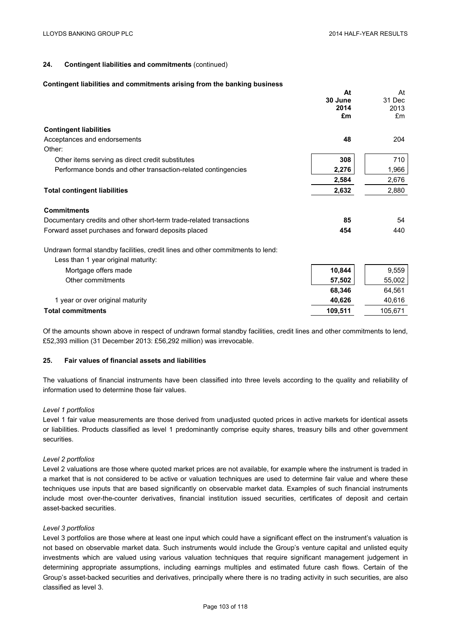## **24. Contingent liabilities and commitments** (continued)

#### **Contingent liabilities and commitments arising from the banking business**

|                                                                                | At      | At      |
|--------------------------------------------------------------------------------|---------|---------|
|                                                                                | 30 June | 31 Dec  |
|                                                                                | 2014    | 2013    |
|                                                                                | £m      | £m      |
| <b>Contingent liabilities</b>                                                  |         |         |
| Acceptances and endorsements                                                   | 48      | 204     |
| Other:                                                                         |         |         |
| Other items serving as direct credit substitutes                               | 308     | 710     |
| Performance bonds and other transaction-related contingencies                  | 2,276   | 1,966   |
|                                                                                | 2,584   | 2,676   |
| <b>Total contingent liabilities</b>                                            | 2,632   | 2,880   |
| <b>Commitments</b>                                                             |         |         |
| Documentary credits and other short-term trade-related transactions            | 85      | 54      |
| Forward asset purchases and forward deposits placed                            | 454     | 440     |
| Undrawn formal standby facilities, credit lines and other commitments to lend: |         |         |
| Less than 1 year original maturity:                                            |         |         |
| Mortgage offers made                                                           | 10,844  | 9,559   |
| Other commitments                                                              | 57,502  | 55,002  |
|                                                                                | 68,346  | 64,561  |
| 1 year or over original maturity                                               | 40,626  | 40,616  |
| <b>Total commitments</b>                                                       | 109,511 | 105,671 |

Of the amounts shown above in respect of undrawn formal standby facilities, credit lines and other commitments to lend, £52,393 million (31 December 2013: £56,292 million) was irrevocable.

### **25. Fair values of financial assets and liabilities**

The valuations of financial instruments have been classified into three levels according to the quality and reliability of information used to determine those fair values.

### *Level 1 portfolios*

Level 1 fair value measurements are those derived from unadjusted quoted prices in active markets for identical assets or liabilities. Products classified as level 1 predominantly comprise equity shares, treasury bills and other government securities.

### *Level 2 portfolios*

Level 2 valuations are those where quoted market prices are not available, for example where the instrument is traded in a market that is not considered to be active or valuation techniques are used to determine fair value and where these techniques use inputs that are based significantly on observable market data. Examples of such financial instruments include most over-the-counter derivatives, financial institution issued securities, certificates of deposit and certain asset-backed securities.

## *Level 3 portfolios*

Level 3 portfolios are those where at least one input which could have a significant effect on the instrument's valuation is not based on observable market data. Such instruments would include the Group's venture capital and unlisted equity investments which are valued using various valuation techniques that require significant management judgement in determining appropriate assumptions, including earnings multiples and estimated future cash flows. Certain of the Group's asset-backed securities and derivatives, principally where there is no trading activity in such securities, are also classified as level 3.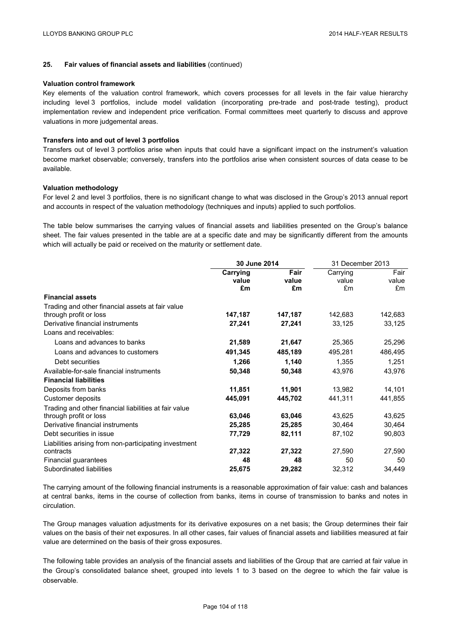### **25. Fair values of financial assets and liabilities** (continued)

### **Valuation control framework**

Key elements of the valuation control framework, which covers processes for all levels in the fair value hierarchy including level 3 portfolios, include model validation (incorporating pre-trade and post-trade testing), product implementation review and independent price verification. Formal committees meet quarterly to discuss and approve valuations in more judgemental areas.

### **Transfers into and out of level 3 portfolios**

Transfers out of level 3 portfolios arise when inputs that could have a significant impact on the instrument's valuation become market observable; conversely, transfers into the portfolios arise when consistent sources of data cease to be available.

### **Valuation methodology**

For level 2 and level 3 portfolios, there is no significant change to what was disclosed in the Group's 2013 annual report and accounts in respect of the valuation methodology (techniques and inputs) applied to such portfolios.

The table below summarises the carrying values of financial assets and liabilities presented on the Group's balance sheet. The fair values presented in the table are at a specific date and may be significantly different from the amounts which will actually be paid or received on the maturity or settlement date.

|                                                       | 30 June 2014 |         | 31 December 2013 |         |
|-------------------------------------------------------|--------------|---------|------------------|---------|
|                                                       | Carrying     | Fair    | Carrying         | Fair    |
|                                                       | value        | value   | value            | value   |
|                                                       | £m           | £m      | £m               | £m      |
| <b>Financial assets</b>                               |              |         |                  |         |
| Trading and other financial assets at fair value      |              |         |                  |         |
| through profit or loss                                | 147,187      | 147,187 | 142,683          | 142,683 |
| Derivative financial instruments                      | 27,241       | 27,241  | 33,125           | 33,125  |
| Loans and receivables:                                |              |         |                  |         |
| Loans and advances to banks                           | 21,589       | 21,647  | 25,365           | 25,296  |
| Loans and advances to customers                       | 491,345      | 485,189 | 495,281          | 486,495 |
| Debt securities                                       | 1,266        | 1,140   | 1,355            | 1,251   |
| Available-for-sale financial instruments              | 50,348       | 50,348  | 43,976           | 43,976  |
| <b>Financial liabilities</b>                          |              |         |                  |         |
| Deposits from banks                                   | 11,851       | 11,901  | 13,982           | 14,101  |
| Customer deposits                                     | 445,091      | 445,702 | 441,311          | 441,855 |
| Trading and other financial liabilities at fair value |              |         |                  |         |
| through profit or loss                                | 63,046       | 63,046  | 43,625           | 43,625  |
| Derivative financial instruments                      | 25,285       | 25,285  | 30,464           | 30,464  |
| Debt securities in issue                              | 77,729       | 82,111  | 87,102           | 90,803  |
| Liabilities arising from non-participating investment |              |         |                  |         |
| contracts                                             | 27,322       | 27,322  | 27,590           | 27,590  |
| Financial guarantees                                  | 48           | 48      | 50               | 50      |
| Subordinated liabilities                              | 25,675       | 29,282  | 32,312           | 34,449  |

The carrying amount of the following financial instruments is a reasonable approximation of fair value: cash and balances at central banks, items in the course of collection from banks, items in course of transmission to banks and notes in circulation.

The Group manages valuation adjustments for its derivative exposures on a net basis; the Group determines their fair values on the basis of their net exposures. In all other cases, fair values of financial assets and liabilities measured at fair value are determined on the basis of their gross exposures.

The following table provides an analysis of the financial assets and liabilities of the Group that are carried at fair value in the Group's consolidated balance sheet, grouped into levels 1 to 3 based on the degree to which the fair value is observable.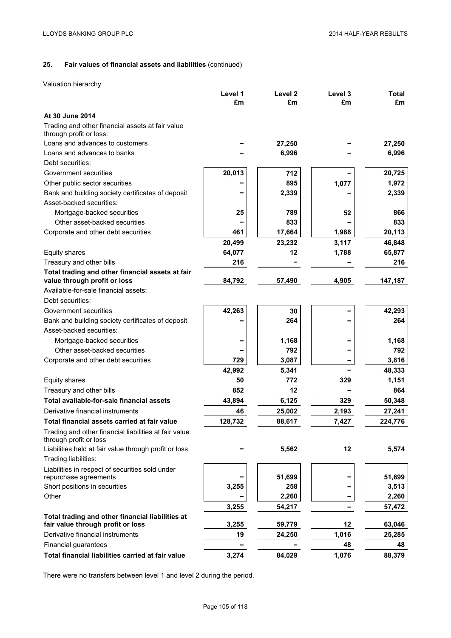# **25. Fair values of financial assets and liabilities** (continued)

Valuation hierarchy

|                                                                                 | Level 1 | Level <sub>2</sub> | Level 3 | <b>Total</b> |
|---------------------------------------------------------------------------------|---------|--------------------|---------|--------------|
|                                                                                 | £m      | £m                 | £m      | £m           |
| At 30 June 2014                                                                 |         |                    |         |              |
| Trading and other financial assets at fair value<br>through profit or loss:     |         |                    |         |              |
| Loans and advances to customers                                                 |         | 27,250             |         | 27,250       |
| Loans and advances to banks                                                     |         | 6,996              |         | 6,996        |
| Debt securities:                                                                |         |                    |         |              |
| Government securities                                                           | 20,013  | 712                |         | 20,725       |
| Other public sector securities                                                  |         | 895                | 1,077   | 1,972        |
| Bank and building society certificates of deposit                               |         | 2,339              |         | 2,339        |
| Asset-backed securities:                                                        |         |                    |         |              |
| Mortgage-backed securities                                                      | 25      | 789                | 52      | 866          |
| Other asset-backed securities                                                   |         | 833                |         | 833          |
| Corporate and other debt securities                                             | 461     | 17,664             | 1,988   | 20,113       |
|                                                                                 | 20,499  | 23,232             | 3,117   | 46,848       |
| Equity shares                                                                   | 64,077  | 12                 | 1,788   | 65,877       |
| Treasury and other bills                                                        | 216     |                    |         | 216          |
| Total trading and other financial assets at fair                                |         |                    |         |              |
| value through profit or loss                                                    | 84,792  | 57,490             | 4,905   | 147,187      |
| Available-for-sale financial assets:                                            |         |                    |         |              |
| Debt securities:                                                                |         |                    |         |              |
| Government securities                                                           | 42,263  | 30                 |         | 42,293       |
| Bank and building society certificates of deposit                               |         | 264                |         | 264          |
| Asset-backed securities:                                                        |         |                    |         |              |
| Mortgage-backed securities                                                      |         | 1,168              |         | 1,168        |
| Other asset-backed securities                                                   |         | 792                |         | 792          |
| Corporate and other debt securities                                             | 729     | 3,087              |         | 3,816        |
|                                                                                 | 42,992  | 5,341              |         | 48,333       |
| Equity shares                                                                   | 50      | 772                | 329     | 1,151        |
| Treasury and other bills                                                        | 852     | 12                 |         | 864          |
| Total available-for-sale financial assets                                       | 43,894  | 6,125              | 329     | 50,348       |
| Derivative financial instruments                                                | 46      | 25,002             | 2,193   | 27,241       |
| Total financial assets carried at fair value                                    | 128,732 | 88,617             | 7,427   | 224,776      |
| Trading and other financial liabilities at fair value<br>through profit or loss |         |                    |         |              |
| Liabilities held at fair value through profit or loss<br>Trading liabilities:   |         | 5,562              | 12      | 5,574        |
| Liabilities in respect of securities sold under                                 |         |                    |         |              |
| repurchase agreements                                                           |         | 51,699             |         | 51,699       |
| Short positions in securities                                                   | 3,255   | 258                |         | 3,513        |
| Other                                                                           |         | 2,260              |         | 2,260        |
|                                                                                 | 3,255   | 54,217             |         | 57,472       |
| Total trading and other financial liabilities at                                |         |                    |         |              |
| fair value through profit or loss                                               | 3,255   | 59,779             | 12      | 63,046       |
| Derivative financial instruments                                                | 19      | 24,250             | 1,016   | 25,285       |
| Financial guarantees                                                            |         |                    | 48      | 48           |
| Total financial liabilities carried at fair value                               | 3,274   | 84,029             | 1,076   | 88,379       |

There were no transfers between level 1 and level 2 during the period.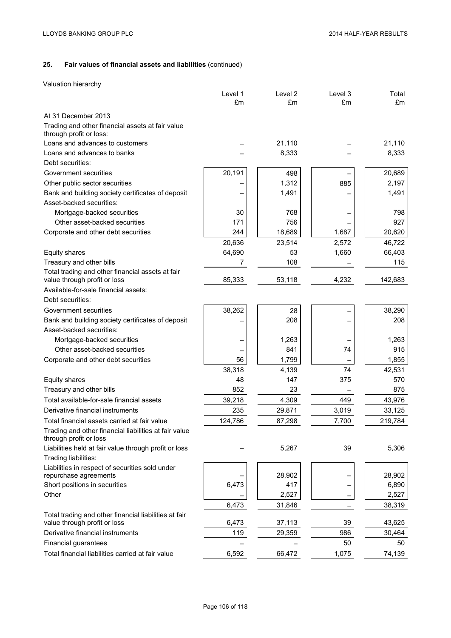Valuation hierarchy

|                                                                                 | Level 1 | Level 2 | Level 3 | Total   |
|---------------------------------------------------------------------------------|---------|---------|---------|---------|
|                                                                                 | £m      | £m      | £m      | £m      |
| At 31 December 2013                                                             |         |         |         |         |
| Trading and other financial assets at fair value<br>through profit or loss:     |         |         |         |         |
| Loans and advances to customers                                                 |         | 21,110  |         | 21,110  |
| Loans and advances to banks                                                     |         | 8,333   |         | 8,333   |
| Debt securities:                                                                |         |         |         |         |
| Government securities                                                           | 20,191  | 498     |         | 20,689  |
| Other public sector securities                                                  |         | 1,312   | 885     | 2,197   |
| Bank and building society certificates of deposit                               |         | 1,491   |         | 1,491   |
| Asset-backed securities:                                                        |         |         |         |         |
| Mortgage-backed securities                                                      | 30      | 768     |         | 798     |
| Other asset-backed securities                                                   | 171     | 756     |         | 927     |
| Corporate and other debt securities                                             | 244     | 18,689  | 1,687   | 20,620  |
|                                                                                 | 20,636  | 23,514  | 2,572   | 46,722  |
| Equity shares                                                                   | 64,690  | 53      | 1,660   | 66,403  |
| Treasury and other bills                                                        | 7       | 108     |         | 115     |
| Total trading and other financial assets at fair                                |         |         |         |         |
| value through profit or loss                                                    | 85,333  | 53,118  | 4,232   | 142,683 |
| Available-for-sale financial assets:                                            |         |         |         |         |
| Debt securities:                                                                |         |         |         |         |
| Government securities                                                           | 38,262  | 28      |         | 38,290  |
| Bank and building society certificates of deposit                               |         | 208     |         | 208     |
| Asset-backed securities:                                                        |         |         |         |         |
| Mortgage-backed securities                                                      |         | 1,263   |         | 1,263   |
| Other asset-backed securities                                                   |         | 841     | 74      | 915     |
| Corporate and other debt securities                                             | 56      | 1,799   |         | 1,855   |
|                                                                                 | 38,318  | 4,139   | 74      | 42,531  |
| Equity shares                                                                   | 48      | 147     | 375     | 570     |
| Treasury and other bills                                                        | 852     | 23      |         | 875     |
| Total available-for-sale financial assets                                       | 39,218  | 4,309   | 449     | 43,976  |
| Derivative financial instruments                                                | 235     | 29,871  | 3,019   | 33,125  |
| Total financial assets carried at fair value                                    | 124,786 | 87,298  | 7,700   | 219,784 |
| Trading and other financial liabilities at fair value<br>through profit or loss |         |         |         |         |
| Liabilities held at fair value through profit or loss<br>Trading liabilities:   |         | 5,267   | 39      | 5,306   |
| Liabilities in respect of securities sold under                                 |         |         |         |         |
| repurchase agreements                                                           |         | 28,902  |         | 28,902  |
| Short positions in securities                                                   | 6,473   | 417     |         | 6,890   |
| Other                                                                           |         | 2,527   |         | 2,527   |
|                                                                                 | 6,473   | 31,846  |         | 38,319  |
| Total trading and other financial liabilities at fair                           |         |         |         |         |
| value through profit or loss                                                    | 6,473   | 37,113  | 39      | 43,625  |
| Derivative financial instruments                                                | 119     | 29,359  | 986     | 30,464  |
| Financial guarantees                                                            |         |         | 50      | 50      |
| Total financial liabilities carried at fair value                               | 6,592   | 66,472  | 1,075   | 74,139  |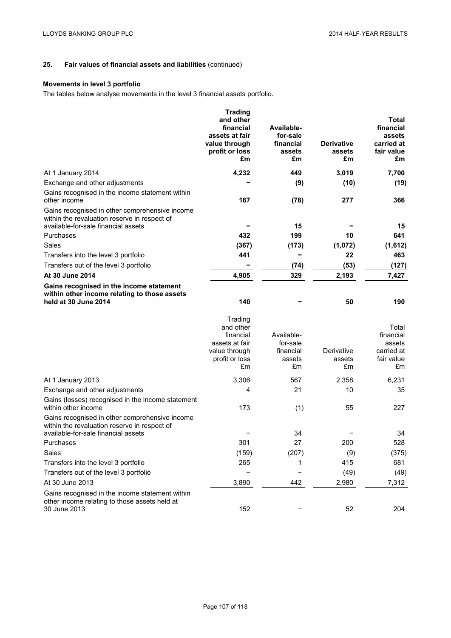# **Movements in level 3 portfolio**

The tables below analyse movements in the level 3 financial assets portfolio.

|                                                                                                                                       | <b>Trading</b><br>and other<br>financial<br>assets at fair<br>value through<br>profit or loss<br>£m | Available-<br>for-sale<br>financial<br>assets<br>£m | <b>Derivative</b><br>assets<br>£m | Total<br>financial<br>assets<br>carried at<br>fair value<br>£m |
|---------------------------------------------------------------------------------------------------------------------------------------|-----------------------------------------------------------------------------------------------------|-----------------------------------------------------|-----------------------------------|----------------------------------------------------------------|
| At 1 January 2014                                                                                                                     | 4,232                                                                                               | 449                                                 | 3,019                             | 7,700                                                          |
| Exchange and other adjustments                                                                                                        |                                                                                                     | (9)                                                 | (10)                              | (19)                                                           |
| Gains recognised in the income statement within<br>other income                                                                       | 167                                                                                                 | (78)                                                | 277                               | 366                                                            |
| Gains recognised in other comprehensive income<br>within the revaluation reserve in respect of<br>available-for-sale financial assets |                                                                                                     | 15                                                  |                                   | 15                                                             |
| Purchases                                                                                                                             | 432                                                                                                 | 199                                                 | 10                                | 641                                                            |
| Sales                                                                                                                                 | (367)                                                                                               | (173)                                               | (1,072)                           | (1,612)                                                        |
| Transfers into the level 3 portfolio                                                                                                  | 441                                                                                                 |                                                     | 22                                | 463                                                            |
| Transfers out of the level 3 portfolio                                                                                                |                                                                                                     | (74)                                                | (53)                              | (127)                                                          |
| At 30 June 2014                                                                                                                       | 4,905                                                                                               | 329                                                 | 2,193                             | 7,427                                                          |
| Gains recognised in the income statement<br>within other income relating to those assets<br>held at 30 June 2014                      | 140                                                                                                 |                                                     | 50                                | 190                                                            |
|                                                                                                                                       | Trading<br>and other<br>financial<br>assets at fair<br>value through<br>profit or loss<br>£m        | Available-<br>for-sale<br>financial<br>assets<br>£m | Derivative<br>assets<br>£m        | Total<br>financial<br>assets<br>carried at<br>fair value<br>£m |
| At 1 January 2013                                                                                                                     | 3,306                                                                                               | 567                                                 | 2,358                             | 6,231                                                          |
| Exchange and other adjustments                                                                                                        | 4                                                                                                   | 21                                                  | 10                                | 35                                                             |
| Gains (losses) recognised in the income statement<br>within other income                                                              | 173                                                                                                 | (1)                                                 | 55                                | 227                                                            |
| Gains recognised in other comprehensive income<br>within the revaluation reserve in respect of                                        |                                                                                                     |                                                     |                                   |                                                                |
| available-for-sale financial assets                                                                                                   | 301                                                                                                 | 34<br>27                                            | 200                               | 34<br>528                                                      |
| Purchases<br>Sales                                                                                                                    |                                                                                                     |                                                     |                                   |                                                                |
| Transfers into the level 3 portfolio                                                                                                  | (159)<br>265                                                                                        | (207)<br>1                                          | (9)<br>415                        | (375)<br>681                                                   |
| Transfers out of the level 3 portfolio                                                                                                |                                                                                                     |                                                     | (49)                              | (49)                                                           |
| At 30 June 2013                                                                                                                       | 3,890                                                                                               | 442                                                 | 2,980                             | 7,312                                                          |
| Gains recognised in the income statement within<br>other income relating to those assets held at<br>30 June 2013                      | 152                                                                                                 |                                                     | 52                                | 204                                                            |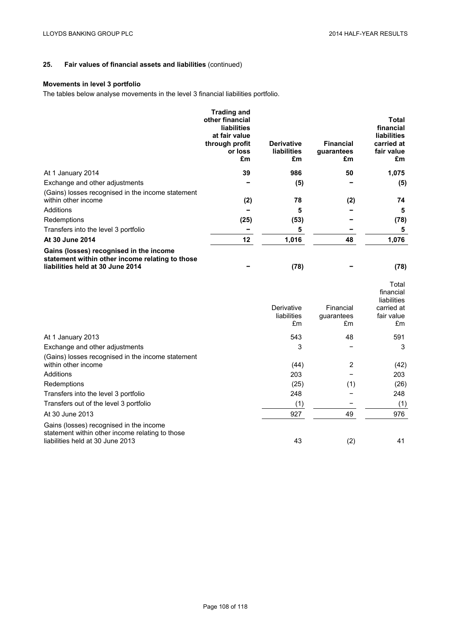# **Movements in level 3 portfolio**

The tables below analyse movements in the level 3 financial liabilities portfolio.

|                                                                                                                                | <b>Trading and</b><br>other financial<br><b>liabilities</b><br>at fair value<br>through profit<br>or loss<br>£m | <b>Derivative</b><br><b>liabilities</b><br>£m | <b>Financial</b><br>guarantees<br>£m | Total<br>financial<br><b>liabilities</b><br>carried at<br>fair value<br>£m |
|--------------------------------------------------------------------------------------------------------------------------------|-----------------------------------------------------------------------------------------------------------------|-----------------------------------------------|--------------------------------------|----------------------------------------------------------------------------|
| At 1 January 2014                                                                                                              | 39                                                                                                              | 986                                           | 50                                   | 1,075                                                                      |
| Exchange and other adjustments                                                                                                 |                                                                                                                 | (5)                                           |                                      | (5)                                                                        |
| (Gains) losses recognised in the income statement<br>within other income                                                       | (2)                                                                                                             | 78                                            | (2)                                  | 74                                                                         |
| Additions                                                                                                                      |                                                                                                                 | 5                                             |                                      | 5                                                                          |
| Redemptions                                                                                                                    | (25)                                                                                                            | (53)                                          |                                      | (78)                                                                       |
| Transfers into the level 3 portfolio                                                                                           |                                                                                                                 | 5                                             |                                      | 5                                                                          |
| At 30 June 2014                                                                                                                | 12                                                                                                              | 1,016                                         | 48                                   | 1,076                                                                      |
| Gains (losses) recognised in the income<br>statement within other income relating to those<br>liabilities held at 30 June 2014 |                                                                                                                 | (78)                                          |                                      | (78)                                                                       |

|                                                                                                                                | Derivative<br>liabilities<br>£m | Financial<br>guarantees<br>£m | Total<br>financial<br>liabilities<br>carried at<br>fair value<br>£m |
|--------------------------------------------------------------------------------------------------------------------------------|---------------------------------|-------------------------------|---------------------------------------------------------------------|
| At 1 January 2013                                                                                                              | 543                             | 48                            | 591                                                                 |
| Exchange and other adjustments                                                                                                 | 3                               |                               | 3                                                                   |
| (Gains) losses recognised in the income statement<br>within other income                                                       | (44)                            | 2                             | (42)                                                                |
| Additions                                                                                                                      | 203                             |                               | 203                                                                 |
| Redemptions                                                                                                                    | (25)                            | (1)                           | (26)                                                                |
| Transfers into the level 3 portfolio                                                                                           | 248                             |                               | 248                                                                 |
| Transfers out of the level 3 portfolio                                                                                         | (1)                             |                               | (1)                                                                 |
| At 30 June 2013                                                                                                                | 927                             | 49                            | 976                                                                 |
| Gains (losses) recognised in the income<br>statement within other income relating to those<br>liabilities held at 30 June 2013 | 43                              | (2)                           | 41                                                                  |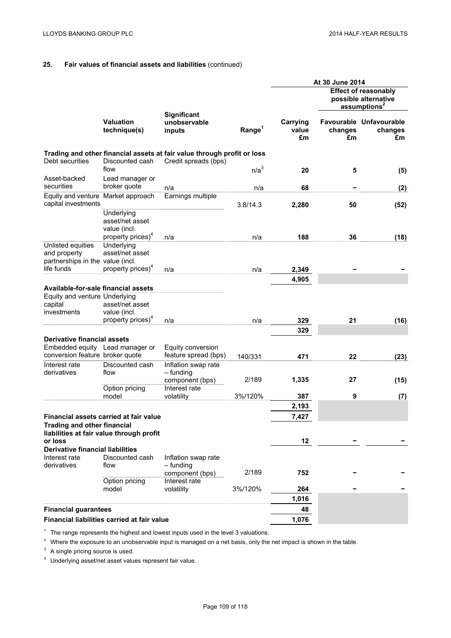|                                                                                                |                                                                                    |                                                                                                 |                    | At 30 June 2014         |               |                                                                                 |
|------------------------------------------------------------------------------------------------|------------------------------------------------------------------------------------|-------------------------------------------------------------------------------------------------|--------------------|-------------------------|---------------|---------------------------------------------------------------------------------|
|                                                                                                |                                                                                    |                                                                                                 |                    |                         |               | <b>Effect of reasonably</b><br>possible alternative<br>assumptions <sup>2</sup> |
|                                                                                                | <b>Valuation</b><br>technique(s)                                                   | <b>Significant</b><br>unobservable<br>inputs                                                    | Range <sup>1</sup> | Carrying<br>value<br>£m | changes<br>£m | Favourable Unfavourable<br>changes<br>£m                                        |
| Debt securities                                                                                | Discounted cash                                                                    | Trading and other financial assets at fair value through profit or loss<br>Credit spreads (bps) |                    |                         |               |                                                                                 |
|                                                                                                | flow                                                                               |                                                                                                 | n/a <sup>3</sup>   | 20                      | 5             | (5)                                                                             |
| Asset-backed<br>securities                                                                     | Lead manager or<br>broker quote                                                    | n/a                                                                                             | n/a                | 68                      |               | (2)                                                                             |
| Equity and venture Market approach                                                             |                                                                                    | Earnings multiple                                                                               |                    |                         |               |                                                                                 |
| capital investments                                                                            |                                                                                    |                                                                                                 | 3.8/14.3           | 2,280                   | 50            | (52)                                                                            |
|                                                                                                | Underlying<br>asset/net asset<br>value (incl.                                      |                                                                                                 |                    |                         |               |                                                                                 |
| Unlisted equities                                                                              | property prices) <sup>4</sup><br>Underlying                                        | n/a                                                                                             | n/a                | 188                     | 36            | (18)                                                                            |
| and property<br>partnerships in the value (incl.                                               | asset/net asset                                                                    |                                                                                                 |                    |                         |               |                                                                                 |
| life funds                                                                                     | property prices) <sup>4</sup>                                                      | n/a                                                                                             | n/a                | 2,349                   |               |                                                                                 |
|                                                                                                |                                                                                    |                                                                                                 |                    | 4,905                   |               |                                                                                 |
| Available-for-sale financial assets<br>Equity and venture Underlying<br>capital<br>investments | asset/net asset<br>value (incl.                                                    |                                                                                                 |                    |                         |               |                                                                                 |
|                                                                                                | property prices) <sup>4</sup>                                                      | n/a                                                                                             | n/a                | 329                     | 21            | (16)                                                                            |
| <b>Derivative financial assets</b>                                                             |                                                                                    |                                                                                                 |                    | 329                     |               |                                                                                 |
| Embedded equity Lead manager or<br>conversion feature broker quote                             |                                                                                    | Equity conversion<br>feature spread (bps)                                                       |                    |                         |               |                                                                                 |
| Interest rate                                                                                  | Discounted cash                                                                    | Inflation swap rate                                                                             | 140/331            | 471                     | 22            | (23)                                                                            |
| derivatives                                                                                    | flow                                                                               | - funding<br>component (bps)                                                                    | 2/189              | 1,335                   | 27            | (15)                                                                            |
|                                                                                                | Option pricing                                                                     | Interest rate                                                                                   |                    |                         |               |                                                                                 |
|                                                                                                | model                                                                              | volatility                                                                                      | 3%/120%            | 387                     | 9             | (7)                                                                             |
|                                                                                                |                                                                                    |                                                                                                 |                    | 2,193                   |               |                                                                                 |
| <b>Trading and other financial</b>                                                             | Financial assets carried at fair value<br>liabilities at fair value through profit |                                                                                                 |                    | 7,427                   |               |                                                                                 |
| or loss                                                                                        |                                                                                    |                                                                                                 |                    | 12                      |               |                                                                                 |
| <b>Derivative financial liabilities</b><br>Interest rate                                       | Discounted cash                                                                    | Inflation swap rate                                                                             |                    |                         |               |                                                                                 |
| derivatives                                                                                    | flow<br>Option pricing                                                             | - funding<br>component (bps)<br>Interest rate                                                   | 2/189              | 752                     |               |                                                                                 |
|                                                                                                | model                                                                              | volatility                                                                                      | 3%/120%            | 264                     |               |                                                                                 |
|                                                                                                |                                                                                    |                                                                                                 |                    | 1,016                   |               |                                                                                 |
| <b>Financial guarantees</b>                                                                    |                                                                                    |                                                                                                 |                    | 48                      |               |                                                                                 |
|                                                                                                | Financial liabilities carried at fair value                                        |                                                                                                 |                    | 1,076                   |               |                                                                                 |

 $1$  The range represents the highest and lowest inputs used in the level 3 valuations.

<sup>2</sup> Where the exposure to an unobservable input is managed on a net basis, only the net impact is shown in the table.

<sup>3</sup> A single pricing source is used.

<sup>4</sup> Underlying asset/net asset values represent fair value.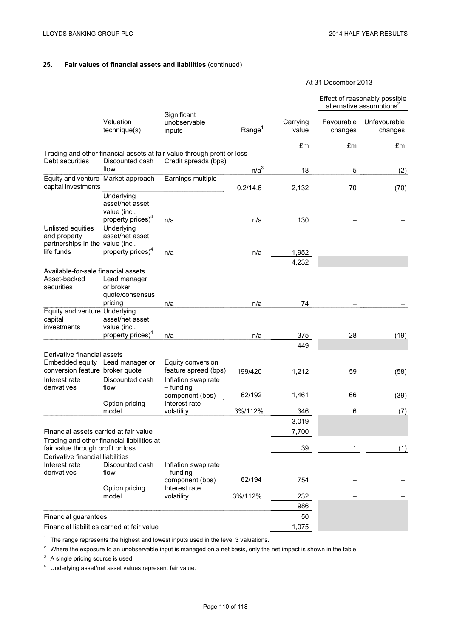|                                                                                                   |                                                         |                                                                                                 |                    | At 31 December 2013 |                       |                                                                       |
|---------------------------------------------------------------------------------------------------|---------------------------------------------------------|-------------------------------------------------------------------------------------------------|--------------------|---------------------|-----------------------|-----------------------------------------------------------------------|
|                                                                                                   |                                                         |                                                                                                 |                    |                     |                       | Effect of reasonably possible<br>alternative assumptions <sup>2</sup> |
|                                                                                                   | Valuation<br>technique(s)                               | Significant<br>unobservable<br>inputs                                                           | Range <sup>1</sup> | Carrying<br>value   | Favourable<br>changes | Unfavourable<br>changes                                               |
|                                                                                                   |                                                         |                                                                                                 |                    | £m                  | £m                    | £m                                                                    |
| Debt securities                                                                                   | Discounted cash                                         | Trading and other financial assets at fair value through profit or loss<br>Credit spreads (bps) |                    |                     |                       |                                                                       |
|                                                                                                   | flow                                                    |                                                                                                 | n/a <sup>3</sup>   | 18                  | 5                     | (2)                                                                   |
| Equity and venture Market approach<br>capital investments                                         |                                                         | Earnings multiple                                                                               | 0.2/14.6           | 2,132               | 70                    | (70)                                                                  |
|                                                                                                   | Underlying<br>asset/net asset<br>value (incl.           |                                                                                                 |                    |                     |                       |                                                                       |
| Unlisted equities                                                                                 | property prices) <sup>4</sup><br>Underlying             | n/a                                                                                             | n/a                | 130                 |                       |                                                                       |
| and property<br>partnerships in the value (incl.                                                  | asset/net asset                                         |                                                                                                 |                    |                     |                       |                                                                       |
| life funds                                                                                        | property prices) <sup>4</sup>                           | n/a                                                                                             | n/a                | 1,952               |                       |                                                                       |
|                                                                                                   |                                                         |                                                                                                 |                    | 4,232               |                       |                                                                       |
| Available-for-sale financial assets<br>Asset-backed<br>securities                                 | Lead manager<br>or broker<br>quote/consensus<br>pricing | n/a                                                                                             | n/a                | 74                  |                       |                                                                       |
| Equity and venture Underlying<br>capital<br>investments                                           | asset/net asset<br>value (incl.                         |                                                                                                 |                    |                     |                       |                                                                       |
|                                                                                                   | property prices) <sup>*</sup>                           | n/a                                                                                             | n/a                | 375                 | 28                    | (19)                                                                  |
|                                                                                                   |                                                         |                                                                                                 |                    | 449                 |                       |                                                                       |
| Derivative financial assets<br>Embedded equity Lead manager or<br>conversion feature broker quote |                                                         | Equity conversion<br>feature spread (bps)                                                       | 199/420            | 1,212               | 59                    | (58)                                                                  |
| Interest rate<br>derivatives                                                                      | Discounted cash<br>flow                                 | Inflation swap rate<br>- funding                                                                | 62/192             | 1,461               | 66                    |                                                                       |
|                                                                                                   | Option pricing                                          | component (bps)<br>Interest rate                                                                |                    |                     |                       | (39)                                                                  |
|                                                                                                   | model                                                   | volatility                                                                                      | 3%/112%            | 346                 | 6                     | (7)                                                                   |
|                                                                                                   |                                                         |                                                                                                 |                    | 3,019               |                       |                                                                       |
| Financial assets carried at fair value                                                            |                                                         |                                                                                                 |                    | 7,700               |                       |                                                                       |
| fair value through profit or loss<br>Derivative financial liabilities                             | Trading and other financial liabilities at              |                                                                                                 |                    | 39                  | 1                     | (1)                                                                   |
| Interest rate<br>derivatives                                                                      | Discounted cash<br>flow                                 | Inflation swap rate<br>– funding                                                                |                    |                     |                       |                                                                       |
|                                                                                                   | Option pricing                                          | component (bps)<br>Interest rate                                                                | 62/194             | 754                 |                       |                                                                       |
|                                                                                                   | model                                                   | volatility                                                                                      | 3%/112%            | 232                 |                       |                                                                       |
|                                                                                                   |                                                         |                                                                                                 |                    | 986                 |                       |                                                                       |
| Financial guarantees                                                                              |                                                         |                                                                                                 |                    | 50                  |                       |                                                                       |
| Financial liabilities carried at fair value                                                       |                                                         |                                                                                                 |                    | 1,075               |                       |                                                                       |

 $1$  The range represents the highest and lowest inputs used in the level 3 valuations.

<sup>2</sup> Where the exposure to an unobservable input is managed on a net basis, only the net impact is shown in the table.

<sup>3</sup> A single pricing source is used.

<sup>4</sup> Underlying asset/net asset values represent fair value.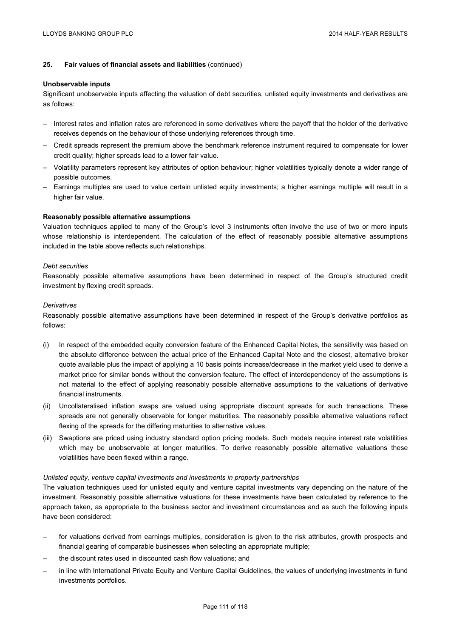#### **Unobservable inputs**

Significant unobservable inputs affecting the valuation of debt securities, unlisted equity investments and derivatives are as follows:

- Interest rates and inflation rates are referenced in some derivatives where the payoff that the holder of the derivative receives depends on the behaviour of those underlying references through time.
- Credit spreads represent the premium above the benchmark reference instrument required to compensate for lower credit quality; higher spreads lead to a lower fair value.
- Volatility parameters represent key attributes of option behaviour; higher volatilities typically denote a wider range of possible outcomes.
- Earnings multiples are used to value certain unlisted equity investments; a higher earnings multiple will result in a higher fair value.

### **Reasonably possible alternative assumptions**

Valuation techniques applied to many of the Group's level 3 instruments often involve the use of two or more inputs whose relationship is interdependent. The calculation of the effect of reasonably possible alternative assumptions included in the table above reflects such relationships.

### *Debt securities*

Reasonably possible alternative assumptions have been determined in respect of the Group's structured credit investment by flexing credit spreads.

### *Derivatives*

Reasonably possible alternative assumptions have been determined in respect of the Group's derivative portfolios as follows:

- (i) In respect of the embedded equity conversion feature of the Enhanced Capital Notes, the sensitivity was based on the absolute difference between the actual price of the Enhanced Capital Note and the closest, alternative broker quote available plus the impact of applying a 10 basis points increase/decrease in the market yield used to derive a market price for similar bonds without the conversion feature. The effect of interdependency of the assumptions is not material to the effect of applying reasonably possible alternative assumptions to the valuations of derivative financial instruments.
- (ii) Uncollateralised inflation swaps are valued using appropriate discount spreads for such transactions. These spreads are not generally observable for longer maturities. The reasonably possible alternative valuations reflect flexing of the spreads for the differing maturities to alternative values.
- (iii) Swaptions are priced using industry standard option pricing models. Such models require interest rate volatilities which may be unobservable at longer maturities. To derive reasonably possible alternative valuations these volatilities have been flexed within a range.

### *Unlisted equity, venture capital investments and investments in property partnerships*

The valuation techniques used for unlisted equity and venture capital investments vary depending on the nature of the investment. Reasonably possible alternative valuations for these investments have been calculated by reference to the approach taken, as appropriate to the business sector and investment circumstances and as such the following inputs have been considered:

- for valuations derived from earnings multiples, consideration is given to the risk attributes, growth prospects and financial gearing of comparable businesses when selecting an appropriate multiple;
- the discount rates used in discounted cash flow valuations; and
- in line with International Private Equity and Venture Capital Guidelines, the values of underlying investments in fund investments portfolios.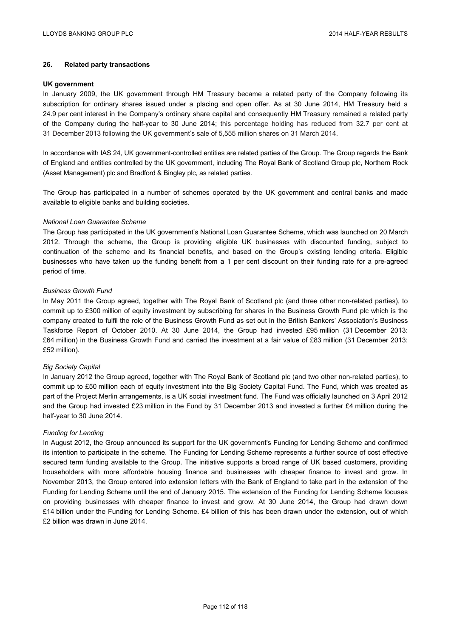## **26. Related party transactions**

#### **UK government**

In January 2009, the UK government through HM Treasury became a related party of the Company following its subscription for ordinary shares issued under a placing and open offer. As at 30 June 2014, HM Treasury held a 24.9 per cent interest in the Company's ordinary share capital and consequently HM Treasury remained a related party of the Company during the half-year to 30 June 2014; this percentage holding has reduced from 32.7 per cent at 31 December 2013 following the UK government's sale of 5,555 million shares on 31 March 2014.

In accordance with IAS 24, UK government-controlled entities are related parties of the Group. The Group regards the Bank of England and entities controlled by the UK government, including The Royal Bank of Scotland Group plc, Northern Rock (Asset Management) plc and Bradford & Bingley plc, as related parties.

The Group has participated in a number of schemes operated by the UK government and central banks and made available to eligible banks and building societies.

### *National Loan Guarantee Scheme*

The Group has participated in the UK government's National Loan Guarantee Scheme, which was launched on 20 March 2012. Through the scheme, the Group is providing eligible UK businesses with discounted funding, subject to continuation of the scheme and its financial benefits, and based on the Group's existing lending criteria. Eligible businesses who have taken up the funding benefit from a 1 per cent discount on their funding rate for a pre-agreed period of time.

### *Business Growth Fund*

In May 2011 the Group agreed, together with The Royal Bank of Scotland plc (and three other non-related parties), to commit up to £300 million of equity investment by subscribing for shares in the Business Growth Fund plc which is the company created to fulfil the role of the Business Growth Fund as set out in the British Bankers' Association's Business Taskforce Report of October 2010. At 30 June 2014, the Group had invested £95 million (31 December 2013: £64 million) in the Business Growth Fund and carried the investment at a fair value of £83 million (31 December 2013: £52 million).

### *Big Society Capital*

In January 2012 the Group agreed, together with The Royal Bank of Scotland plc (and two other non-related parties), to commit up to £50 million each of equity investment into the Big Society Capital Fund. The Fund, which was created as part of the Project Merlin arrangements, is a UK social investment fund. The Fund was officially launched on 3 April 2012 and the Group had invested £23 million in the Fund by 31 December 2013 and invested a further £4 million during the half-year to 30 June 2014.

### *Funding for Lending*

In August 2012, the Group announced its support for the UK government's Funding for Lending Scheme and confirmed its intention to participate in the scheme. The Funding for Lending Scheme represents a further source of cost effective secured term funding available to the Group. The initiative supports a broad range of UK based customers, providing householders with more affordable housing finance and businesses with cheaper finance to invest and grow. In November 2013, the Group entered into extension letters with the Bank of England to take part in the extension of the Funding for Lending Scheme until the end of January 2015. The extension of the Funding for Lending Scheme focuses on providing businesses with cheaper finance to invest and grow. At 30 June 2014, the Group had drawn down £14 billion under the Funding for Lending Scheme. £4 billion of this has been drawn under the extension, out of which £2 billion was drawn in June 2014.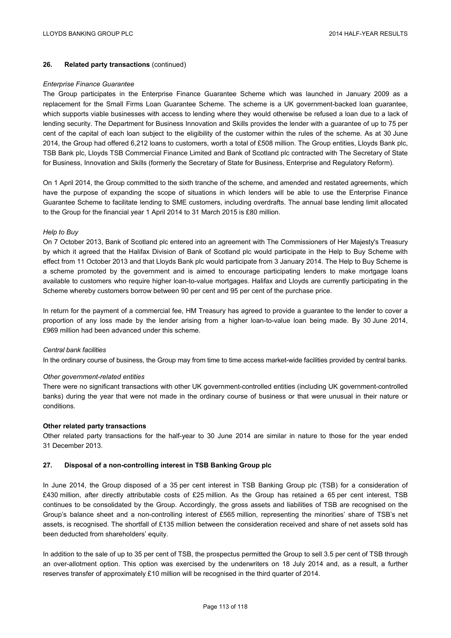## **26. Related party transactions** (continued)

#### *Enterprise Finance Guarantee*

The Group participates in the Enterprise Finance Guarantee Scheme which was launched in January 2009 as a replacement for the Small Firms Loan Guarantee Scheme. The scheme is a UK government-backed loan guarantee, which supports viable businesses with access to lending where they would otherwise be refused a loan due to a lack of lending security. The Department for Business Innovation and Skills provides the lender with a guarantee of up to 75 per cent of the capital of each loan subject to the eligibility of the customer within the rules of the scheme. As at 30 June 2014, the Group had offered 6,212 loans to customers, worth a total of £508 million. The Group entities, Lloyds Bank plc, TSB Bank plc, Lloyds TSB Commercial Finance Limited and Bank of Scotland plc contracted with The Secretary of State for Business, Innovation and Skills (formerly the Secretary of State for Business, Enterprise and Regulatory Reform).

On 1 April 2014, the Group committed to the sixth tranche of the scheme, and amended and restated agreements, which have the purpose of expanding the scope of situations in which lenders will be able to use the Enterprise Finance Guarantee Scheme to facilitate lending to SME customers, including overdrafts. The annual base lending limit allocated to the Group for the financial year 1 April 2014 to 31 March 2015 is £80 million.

### *Help to Buy*

On 7 October 2013, Bank of Scotland plc entered into an agreement with The Commissioners of Her Majesty's Treasury by which it agreed that the Halifax Division of Bank of Scotland plc would participate in the Help to Buy Scheme with effect from 11 October 2013 and that Lloyds Bank plc would participate from 3 January 2014. The Help to Buy Scheme is a scheme promoted by the government and is aimed to encourage participating lenders to make mortgage loans available to customers who require higher loan-to-value mortgages. Halifax and Lloyds are currently participating in the Scheme whereby customers borrow between 90 per cent and 95 per cent of the purchase price.

In return for the payment of a commercial fee, HM Treasury has agreed to provide a guarantee to the lender to cover a proportion of any loss made by the lender arising from a higher loan-to-value loan being made. By 30 June 2014, £969 million had been advanced under this scheme.

### *Central bank facilities*

In the ordinary course of business, the Group may from time to time access market-wide facilities provided by central banks.

### *Other government-related entities*

There were no significant transactions with other UK government-controlled entities (including UK government-controlled banks) during the year that were not made in the ordinary course of business or that were unusual in their nature or conditions.

## **Other related party transactions**

Other related party transactions for the half-year to 30 June 2014 are similar in nature to those for the year ended 31 December 2013.

### **27. Disposal of a non-controlling interest in TSB Banking Group plc**

In June 2014, the Group disposed of a 35 per cent interest in TSB Banking Group plc (TSB) for a consideration of £430 million, after directly attributable costs of £25 million. As the Group has retained a 65 per cent interest, TSB continues to be consolidated by the Group. Accordingly, the gross assets and liabilities of TSB are recognised on the Group's balance sheet and a non-controlling interest of £565 million, representing the minorities' share of TSB's net assets, is recognised. The shortfall of £135 million between the consideration received and share of net assets sold has been deducted from shareholders' equity.

In addition to the sale of up to 35 per cent of TSB, the prospectus permitted the Group to sell 3.5 per cent of TSB through an over-allotment option. This option was exercised by the underwriters on 18 July 2014 and, as a result, a further reserves transfer of approximately £10 million will be recognised in the third quarter of 2014.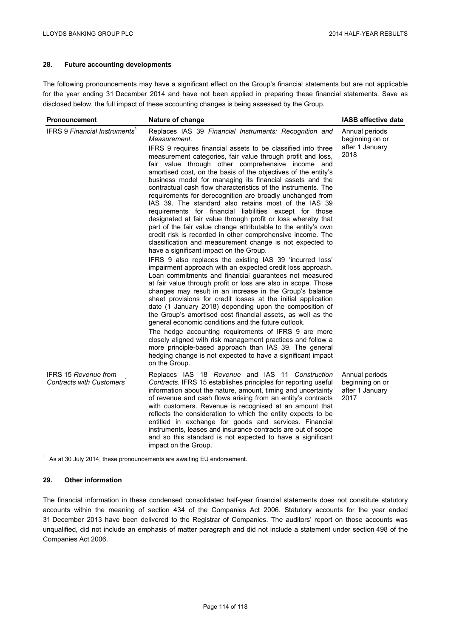# **28. Future accounting developments**

The following pronouncements may have a significant effect on the Group's financial statements but are not applicable for the year ending 31 December 2014 and have not been applied in preparing these financial statements. Save as disclosed below, the full impact of these accounting changes is being assessed by the Group.

| <b>Pronouncement</b>                                          | Nature of change                                                                                                                                                                                                                                                                                                                                                                                                                                                                                                                                                                                                                                                                                                                                                                                                                                                                                                                                                                                                                                                                                                                                                                                                                                                                                                                                                                                                                                                                                                                                                                                                                                                                                                                                                                     | <b>IASB effective date</b>                                   |
|---------------------------------------------------------------|--------------------------------------------------------------------------------------------------------------------------------------------------------------------------------------------------------------------------------------------------------------------------------------------------------------------------------------------------------------------------------------------------------------------------------------------------------------------------------------------------------------------------------------------------------------------------------------------------------------------------------------------------------------------------------------------------------------------------------------------------------------------------------------------------------------------------------------------------------------------------------------------------------------------------------------------------------------------------------------------------------------------------------------------------------------------------------------------------------------------------------------------------------------------------------------------------------------------------------------------------------------------------------------------------------------------------------------------------------------------------------------------------------------------------------------------------------------------------------------------------------------------------------------------------------------------------------------------------------------------------------------------------------------------------------------------------------------------------------------------------------------------------------------|--------------------------------------------------------------|
| IFRS 9 Financial Instruments <sup>1</sup>                     | Replaces IAS 39 Financial Instruments: Recognition and<br>Measurement.<br>IFRS 9 requires financial assets to be classified into three<br>measurement categories, fair value through profit and loss,<br>fair value through other comprehensive income and<br>amortised cost, on the basis of the objectives of the entity's<br>business model for managing its financial assets and the<br>contractual cash flow characteristics of the instruments. The<br>requirements for derecognition are broadly unchanged from<br>IAS 39. The standard also retains most of the IAS 39<br>requirements for financial liabilities except for those<br>designated at fair value through profit or loss whereby that<br>part of the fair value change attributable to the entity's own<br>credit risk is recorded in other comprehensive income. The<br>classification and measurement change is not expected to<br>have a significant impact on the Group.<br>IFRS 9 also replaces the existing IAS 39 'incurred loss'<br>impairment approach with an expected credit loss approach.<br>Loan commitments and financial guarantees not measured<br>at fair value through profit or loss are also in scope. Those<br>changes may result in an increase in the Group's balance<br>sheet provisions for credit losses at the initial application<br>date (1 January 2018) depending upon the composition of<br>the Group's amortised cost financial assets, as well as the<br>general economic conditions and the future outlook.<br>The hedge accounting requirements of IFRS 9 are more<br>closely aligned with risk management practices and follow a<br>more principle-based approach than IAS 39. The general<br>hedging change is not expected to have a significant impact<br>on the Group. | Annual periods<br>beginning on or<br>after 1 January<br>2018 |
| IFRS 15 Revenue from<br>Contracts with Customers <sup>1</sup> | Replaces IAS 18 Revenue and IAS 11 Construction<br>Contracts. IFRS 15 establishes principles for reporting useful<br>information about the nature, amount, timing and uncertainty<br>of revenue and cash flows arising from an entity's contracts<br>with customers. Revenue is recognised at an amount that<br>reflects the consideration to which the entity expects to be<br>entitled in exchange for goods and services. Financial<br>instruments, leases and insurance contracts are out of scope<br>and so this standard is not expected to have a significant<br>impact on the Group.                                                                                                                                                                                                                                                                                                                                                                                                                                                                                                                                                                                                                                                                                                                                                                                                                                                                                                                                                                                                                                                                                                                                                                                         | Annual periods<br>beginning on or<br>after 1 January<br>2017 |

 $1$  As at 30 July 2014, these pronouncements are awaiting EU endorsement.

### **29. Other information**

The financial information in these condensed consolidated half-year financial statements does not constitute statutory accounts within the meaning of section 434 of the Companies Act 2006. Statutory accounts for the year ended 31 December 2013 have been delivered to the Registrar of Companies. The auditors' report on those accounts was unqualified, did not include an emphasis of matter paragraph and did not include a statement under section 498 of the Companies Act 2006.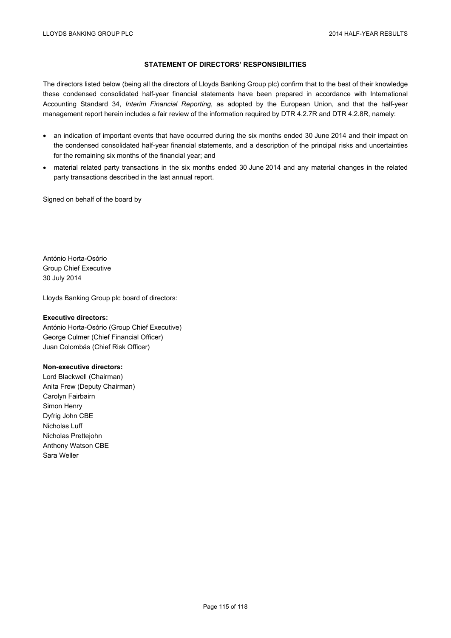# **STATEMENT OF DIRECTORS' RESPONSIBILITIES**

The directors listed below (being all the directors of Lloyds Banking Group plc) confirm that to the best of their knowledge these condensed consolidated half-year financial statements have been prepared in accordance with International Accounting Standard 34, *Interim Financial Reporting*, as adopted by the European Union, and that the half-year management report herein includes a fair review of the information required by DTR 4.2.7R and DTR 4.2.8R, namely:

- an indication of important events that have occurred during the six months ended 30 June 2014 and their impact on the condensed consolidated half-year financial statements, and a description of the principal risks and uncertainties for the remaining six months of the financial year; and
- material related party transactions in the six months ended 30 June 2014 and any material changes in the related party transactions described in the last annual report.

Signed on behalf of the board by

António Horta-Osório Group Chief Executive 30 July 2014

Lloyds Banking Group plc board of directors:

### **Executive directors:**

António Horta-Osório (Group Chief Executive) George Culmer (Chief Financial Officer) Juan Colombás (Chief Risk Officer)

### **Non-executive directors:**

Lord Blackwell (Chairman) Anita Frew (Deputy Chairman) Carolyn Fairbairn Simon Henry Dyfrig John CBE Nicholas Luff Nicholas Prettejohn Anthony Watson CBE Sara Weller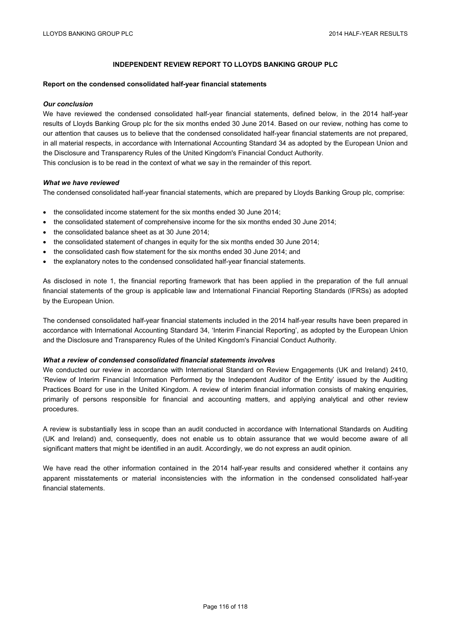## **INDEPENDENT REVIEW REPORT TO LLOYDS BANKING GROUP PLC**

#### **Report on the condensed consolidated half-year financial statements**

#### *Our conclusion*

We have reviewed the condensed consolidated half-year financial statements, defined below, in the 2014 half-year results of Lloyds Banking Group plc for the six months ended 30 June 2014. Based on our review, nothing has come to our attention that causes us to believe that the condensed consolidated half-year financial statements are not prepared, in all material respects, in accordance with International Accounting Standard 34 as adopted by the European Union and the Disclosure and Transparency Rules of the United Kingdom's Financial Conduct Authority. This conclusion is to be read in the context of what we say in the remainder of this report.

### *What we have reviewed*

The condensed consolidated half-year financial statements, which are prepared by Lloyds Banking Group plc, comprise:

- the consolidated income statement for the six months ended 30 June 2014;
- the consolidated statement of comprehensive income for the six months ended 30 June 2014;
- the consolidated balance sheet as at 30 June 2014;
- the consolidated statement of changes in equity for the six months ended 30 June 2014;
- the consolidated cash flow statement for the six months ended 30 June 2014; and
- the explanatory notes to the condensed consolidated half-year financial statements.

As disclosed in note 1, the financial reporting framework that has been applied in the preparation of the full annual financial statements of the group is applicable law and International Financial Reporting Standards (IFRSs) as adopted by the European Union.

The condensed consolidated half-year financial statements included in the 2014 half-year results have been prepared in accordance with International Accounting Standard 34, 'Interim Financial Reporting', as adopted by the European Union and the Disclosure and Transparency Rules of the United Kingdom's Financial Conduct Authority.

### *What a review of condensed consolidated financial statements involves*

We conducted our review in accordance with International Standard on Review Engagements (UK and Ireland) 2410, 'Review of Interim Financial Information Performed by the Independent Auditor of the Entity' issued by the Auditing Practices Board for use in the United Kingdom. A review of interim financial information consists of making enquiries, primarily of persons responsible for financial and accounting matters, and applying analytical and other review procedures.

A review is substantially less in scope than an audit conducted in accordance with International Standards on Auditing (UK and Ireland) and, consequently, does not enable us to obtain assurance that we would become aware of all significant matters that might be identified in an audit. Accordingly, we do not express an audit opinion.

We have read the other information contained in the 2014 half-year results and considered whether it contains any apparent misstatements or material inconsistencies with the information in the condensed consolidated half-year financial statements.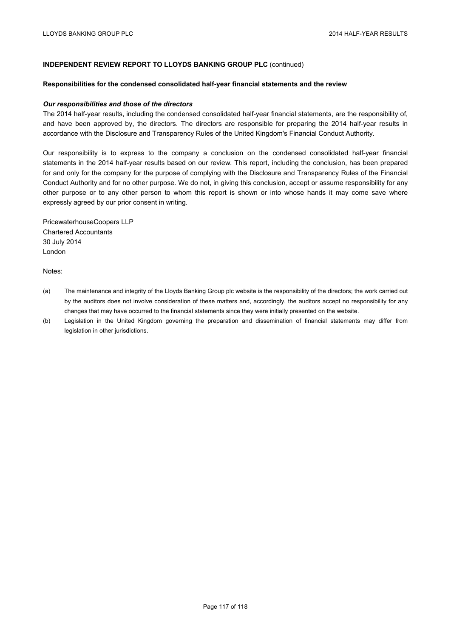## **INDEPENDENT REVIEW REPORT TO LLOYDS BANKING GROUP PLC** (continued)

#### **Responsibilities for the condensed consolidated half-year financial statements and the review**

#### *Our responsibilities and those of the directors*

The 2014 half-year results, including the condensed consolidated half-year financial statements, are the responsibility of, and have been approved by, the directors. The directors are responsible for preparing the 2014 half-year results in accordance with the Disclosure and Transparency Rules of the United Kingdom's Financial Conduct Authority.

Our responsibility is to express to the company a conclusion on the condensed consolidated half-year financial statements in the 2014 half-year results based on our review. This report, including the conclusion, has been prepared for and only for the company for the purpose of complying with the Disclosure and Transparency Rules of the Financial Conduct Authority and for no other purpose. We do not, in giving this conclusion, accept or assume responsibility for any other purpose or to any other person to whom this report is shown or into whose hands it may come save where expressly agreed by our prior consent in writing.

PricewaterhouseCoopers LLP Chartered Accountants 30 July 2014 London

Notes:

- (a) The maintenance and integrity of the Lloyds Banking Group plc website is the responsibility of the directors; the work carried out by the auditors does not involve consideration of these matters and, accordingly, the auditors accept no responsibility for any changes that may have occurred to the financial statements since they were initially presented on the website.
- (b) Legislation in the United Kingdom governing the preparation and dissemination of financial statements may differ from legislation in other jurisdictions.